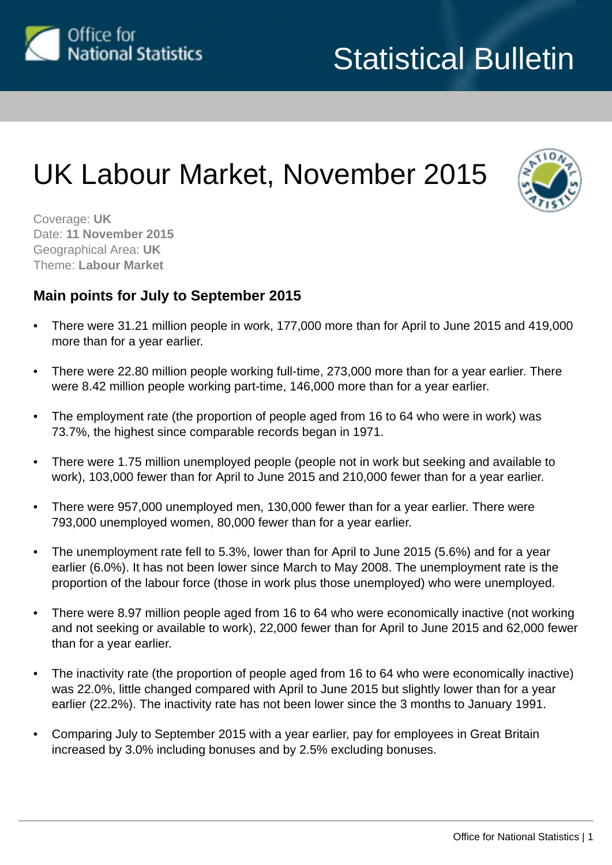

# UK Labour Market, November 2015



Coverage: **UK** Date: **11 November 2015** Geographical Area: **UK** Theme: **Labour Market**

# **Main points for July to September 2015**

- There were 31.21 million people in work, 177,000 more than for April to June 2015 and 419,000 more than for a year earlier.
- There were 22.80 million people working full-time, 273,000 more than for a year earlier. There were 8.42 million people working part-time, 146,000 more than for a year earlier.
- The employment rate (the proportion of people aged from 16 to 64 who were in work) was 73.7%, the highest since comparable records began in 1971.
- There were 1.75 million unemployed people (people not in work but seeking and available to work), 103,000 fewer than for April to June 2015 and 210,000 fewer than for a year earlier.
- There were 957,000 unemployed men, 130,000 fewer than for a year earlier. There were 793,000 unemployed women, 80,000 fewer than for a year earlier.
- The unemployment rate fell to 5.3%, lower than for April to June 2015 (5.6%) and for a year earlier (6.0%). It has not been lower since March to May 2008. The unemployment rate is the proportion of the labour force (those in work plus those unemployed) who were unemployed.
- There were 8.97 million people aged from 16 to 64 who were economically inactive (not working and not seeking or available to work), 22,000 fewer than for April to June 2015 and 62,000 fewer than for a year earlier.
- The inactivity rate (the proportion of people aged from 16 to 64 who were economically inactive) was 22.0%, little changed compared with April to June 2015 but slightly lower than for a year earlier (22.2%). The inactivity rate has not been lower since the 3 months to January 1991.
- Comparing July to September 2015 with a year earlier, pay for employees in Great Britain increased by 3.0% including bonuses and by 2.5% excluding bonuses.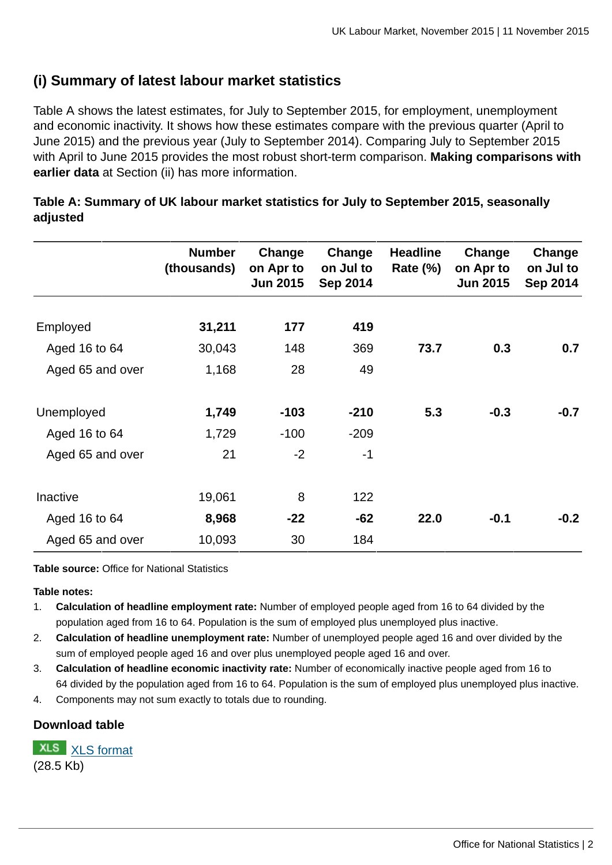# **(i) Summary of latest labour market statistics**

Table A shows the latest estimates, for July to September 2015, for employment, unemployment and economic inactivity. It shows how these estimates compare with the previous quarter (April to June 2015) and the previous year (July to September 2014). Comparing July to September 2015 with April to June 2015 provides the most robust short-term comparison. **Making comparisons with earlier data** at Section (ii) has more information.

|                  | <b>Number</b><br>(thousands) | Change<br>on Apr to<br><b>Jun 2015</b> | Change<br>on Jul to<br><b>Sep 2014</b> | <b>Headline</b><br><b>Rate (%)</b> | Change<br>on Apr to<br><b>Jun 2015</b> | Change<br>on Jul to<br><b>Sep 2014</b> |
|------------------|------------------------------|----------------------------------------|----------------------------------------|------------------------------------|----------------------------------------|----------------------------------------|
| Employed         | 31,211                       | 177                                    | 419                                    |                                    |                                        |                                        |
| Aged 16 to 64    | 30,043                       | 148                                    | 369                                    | 73.7                               | 0.3                                    | 0.7                                    |
| Aged 65 and over | 1,168                        | 28                                     | 49                                     |                                    |                                        |                                        |
| Unemployed       | 1,749                        | $-103$                                 | $-210$                                 | 5.3                                | $-0.3$                                 | $-0.7$                                 |
| Aged 16 to 64    | 1,729                        | $-100$                                 | $-209$                                 |                                    |                                        |                                        |
| Aged 65 and over | 21                           | $-2$                                   | $-1$                                   |                                    |                                        |                                        |
| Inactive         | 19,061                       | 8                                      | 122                                    |                                    |                                        |                                        |
| Aged 16 to 64    | 8,968                        | $-22$                                  | $-62$                                  | 22.0                               | $-0.1$                                 | $-0.2$                                 |
| Aged 65 and over | 10,093                       | 30                                     | 184                                    |                                    |                                        |                                        |

**Table A: Summary of UK labour market statistics for July to September 2015, seasonally adjusted**

**Table source:** Office for National Statistics

#### **Table notes:**

- 1. **Calculation of headline employment rate:** Number of employed people aged from 16 to 64 divided by the population aged from 16 to 64. Population is the sum of employed plus unemployed plus inactive.
- 2. **Calculation of headline unemployment rate:** Number of unemployed people aged 16 and over divided by the sum of employed people aged 16 and over plus unemployed people aged 16 and over.
- 3. **Calculation of headline economic inactivity rate:** Number of economically inactive people aged from 16 to 64 divided by the population aged from 16 to 64. Population is the sum of employed plus unemployed plus inactive.
- 4. Components may not sum exactly to totals due to rounding.

# **Download table**

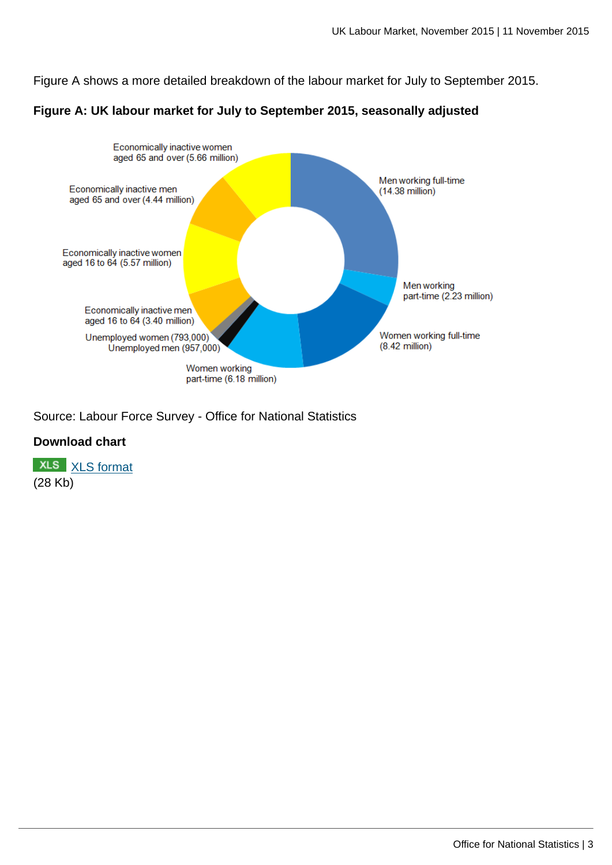Figure A shows a more detailed breakdown of the labour market for July to September 2015.

### **Figure A: UK labour market for July to September 2015, seasonally adjusted**



Source: Labour Force Survey - Office for National Statistics

# **Download chart**

**XLS** [XLS format](http://www.ons.gov.uk:80/ons/rel/lms/labour-market-statistics/november-2015/chd-figure-a.xls) (28 Kb)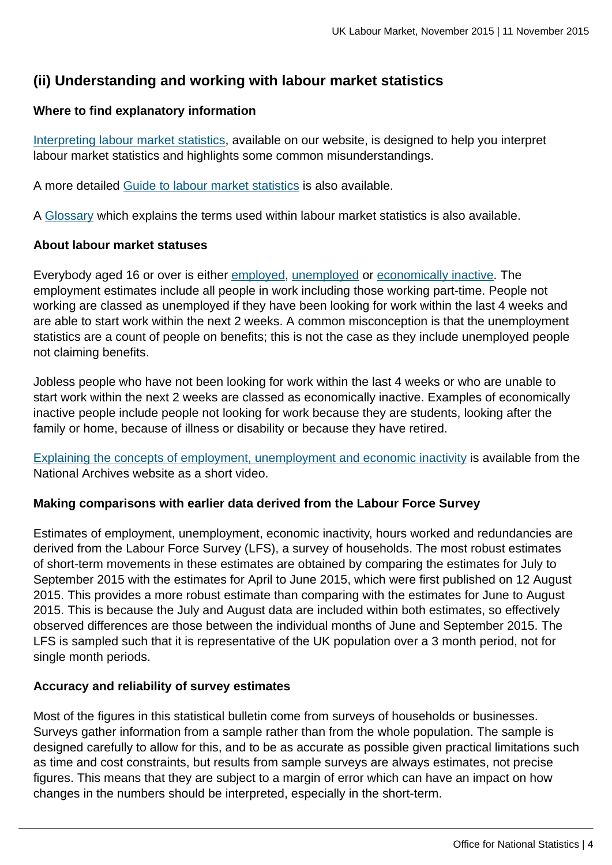# **(ii) Understanding and working with labour market statistics**

# **Where to find explanatory information**

[Interpreting labour market statistics](http://www.ons.gov.uk:80/ons/rel/lms/labour-market-guidance/interpreting-labour-market-statistics/interpreting-lm-statistics.html), available on our website, is designed to help you interpret labour market statistics and highlights some common misunderstandings.

A more detailed [Guide to labour market statistics](http://www.ons.gov.uk:80/ons/rel/lms/labour-market-guidance/guide-to-labour-market-statistics/guide-to-lm-statistics.html) is also available.

A [Glossary](http://www.ons.gov.uk:80/ons/guide-method/method-quality/specific/labour-market/glossary-of-labour-market-terms/index.html) which explains the terms used within labour market statistics is also available.

### **About labour market statuses**

Everybody aged 16 or over is either [employed](http://www.ons.gov.uk:80/ons/rel/lms/labour-market-guidance/guide-to-labour-market-statistics/guide-to-employment.html), [unemployed](http://www.ons.gov.uk:80/ons/rel/lms/labour-market-guidance/guide-to-labour-market-statistics/guide-to-unemployment.html) or [economically inactive.](http://www.ons.gov.uk:80/ons/rel/lms/labour-market-guidance/guide-to-labour-market-statistics/guide-to-economic-inactivity.html) The employment estimates include all people in work including those working part-time. People not working are classed as unemployed if they have been looking for work within the last 4 weeks and are able to start work within the next 2 weeks. A common misconception is that the unemployment statistics are a count of people on benefits; this is not the case as they include unemployed people not claiming benefits.

Jobless people who have not been looking for work within the last 4 weeks or who are unable to start work within the next 2 weeks are classed as economically inactive. Examples of economically inactive people include people not looking for work because they are students, looking after the family or home, because of illness or disability or because they have retired.

[Explaining the concepts of employment, unemployment and economic inactivity](http://webarchive.nationalarchives.gov.uk/20110505182329/youtube.com/watch?v=Fze4o0bBfcw) is available from the National Archives website as a short video.

# **Making comparisons with earlier data derived from the Labour Force Survey**

Estimates of employment, unemployment, economic inactivity, hours worked and redundancies are derived from the Labour Force Survey (LFS), a survey of households. The most robust estimates of short-term movements in these estimates are obtained by comparing the estimates for July to September 2015 with the estimates for April to June 2015, which were first published on 12 August 2015. This provides a more robust estimate than comparing with the estimates for June to August 2015. This is because the July and August data are included within both estimates, so effectively observed differences are those between the individual months of June and September 2015. The LFS is sampled such that it is representative of the UK population over a 3 month period, not for single month periods.

# **Accuracy and reliability of survey estimates**

Most of the figures in this statistical bulletin come from surveys of households or businesses. Surveys gather information from a sample rather than from the whole population. The sample is designed carefully to allow for this, and to be as accurate as possible given practical limitations such as time and cost constraints, but results from sample surveys are always estimates, not precise figures. This means that they are subject to a margin of error which can have an impact on how changes in the numbers should be interpreted, especially in the short-term.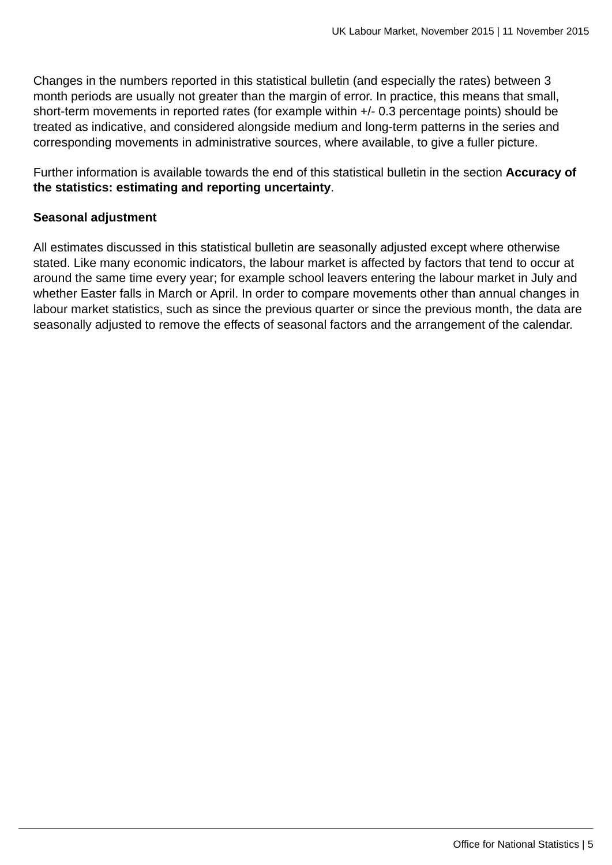Changes in the numbers reported in this statistical bulletin (and especially the rates) between 3 month periods are usually not greater than the margin of error. In practice, this means that small, short-term movements in reported rates (for example within +/- 0.3 percentage points) should be treated as indicative, and considered alongside medium and long-term patterns in the series and corresponding movements in administrative sources, where available, to give a fuller picture.

Further information is available towards the end of this statistical bulletin in the section **Accuracy of the statistics: estimating and reporting uncertainty**.

#### **Seasonal adjustment**

All estimates discussed in this statistical bulletin are seasonally adjusted except where otherwise stated. Like many economic indicators, the labour market is affected by factors that tend to occur at around the same time every year; for example school leavers entering the labour market in July and whether Easter falls in March or April. In order to compare movements other than annual changes in labour market statistics, such as since the previous quarter or since the previous month, the data are seasonally adjusted to remove the effects of seasonal factors and the arrangement of the calendar.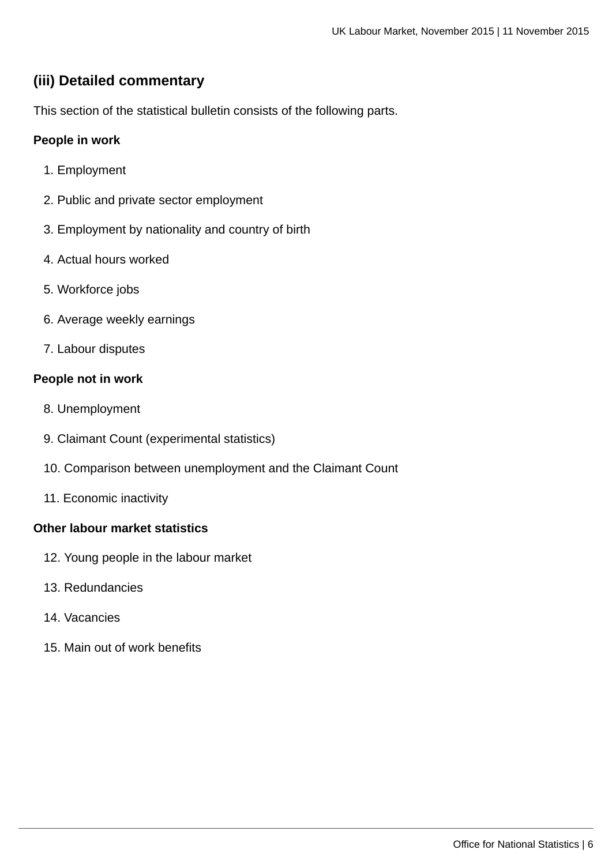# **(iii) Detailed commentary**

This section of the statistical bulletin consists of the following parts.

# **People in work**

- 1. Employment
- 2. Public and private sector employment
- 3. Employment by nationality and country of birth
- 4. Actual hours worked
- 5. Workforce jobs
- 6. Average weekly earnings
- 7. Labour disputes

### **People not in work**

- 8. Unemployment
- 9. Claimant Count (experimental statistics)
- 10. Comparison between unemployment and the Claimant Count
- 11. Economic inactivity

### **Other labour market statistics**

- 12. Young people in the labour market
- 13. Redundancies
- 14. Vacancies
- 15. Main out of work benefits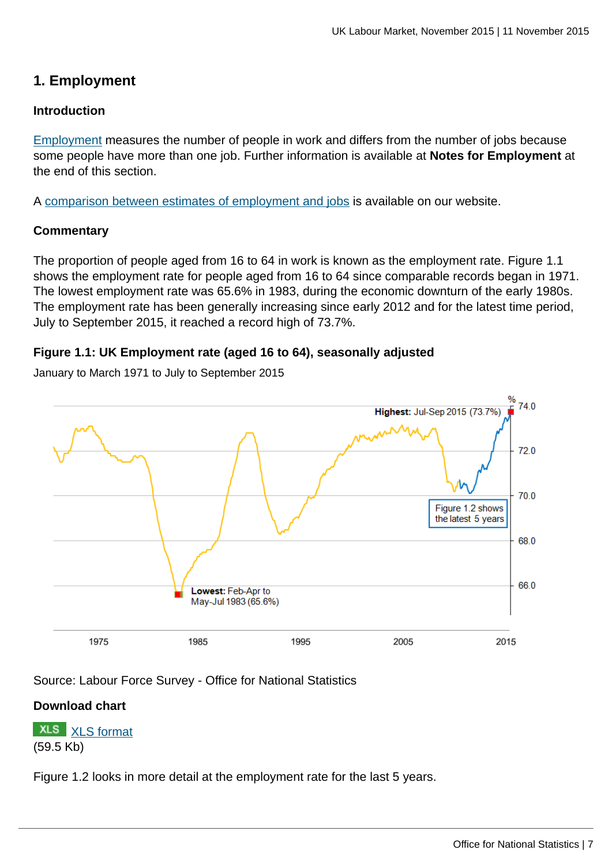# **1. Employment**

### **Introduction**

[Employment](http://www.ons.gov.uk:80/ons/rel/lms/labour-market-guidance/guide-to-labour-market-statistics/guide-to-employment.html) measures the number of people in work and differs from the number of jobs because some people have more than one job. Further information is available at **Notes for Employment** at the end of this section.

A [comparison between estimates of employment and jobs](http://www.ons.gov.uk:80/ons/rel/lms/labour-market-statistics/september-2015/reconciliation-of-estimates-of-jobs--august-2015.html) is available on our website.

### **Commentary**

The proportion of people aged from 16 to 64 in work is known as the employment rate. Figure 1.1 shows the employment rate for people aged from 16 to 64 since comparable records began in 1971. The lowest employment rate was 65.6% in 1983, during the economic downturn of the early 1980s. The employment rate has been generally increasing since early 2012 and for the latest time period, July to September 2015, it reached a record high of 73.7%.

### **Figure 1.1: UK Employment rate (aged 16 to 64), seasonally adjusted**

January to March 1971 to July to September 2015



Source: Labour Force Survey - Office for National Statistics

### **Download chart**

**XLS** [XLS format](http://www.ons.gov.uk:80/ons/rel/lms/labour-market-statistics/november-2015/chd-figure-1-1.xls) (59.5 Kb)

Figure 1.2 looks in more detail at the employment rate for the last 5 years.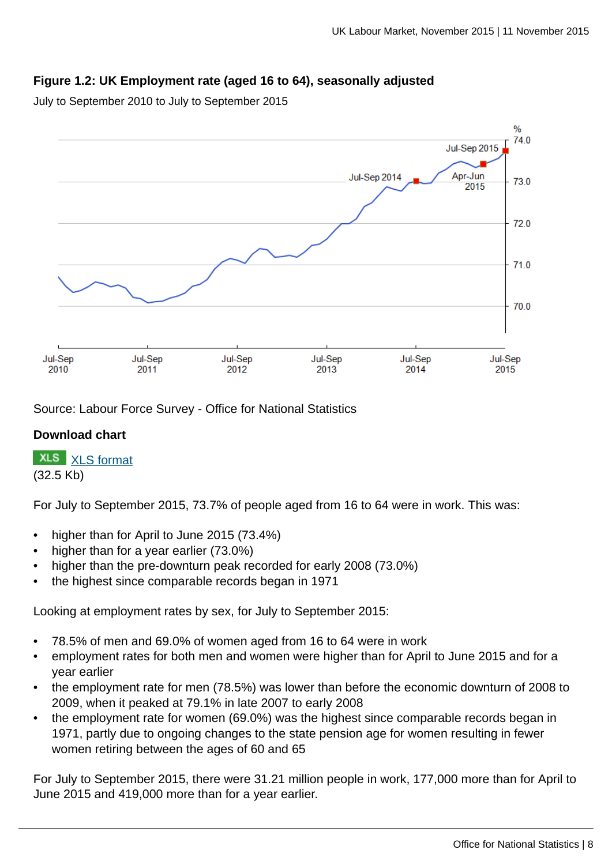# **Figure 1.2: UK Employment rate (aged 16 to 64), seasonally adjusted**

July to September 2010 to July to September 2015



Source: Labour Force Survey - Office for National Statistics

### **Download chart**

**XLS** [XLS format](http://www.ons.gov.uk:80/ons/rel/lms/labour-market-statistics/november-2015/chd-figure-1-2.xls) (32.5 Kb)

For July to September 2015, 73.7% of people aged from 16 to 64 were in work. This was:

- higher than for April to June 2015 (73.4%)
- higher than for a year earlier (73.0%)
- higher than the pre-downturn peak recorded for early 2008 (73.0%)
- the highest since comparable records began in 1971

Looking at employment rates by sex, for July to September 2015:

- 78.5% of men and 69.0% of women aged from 16 to 64 were in work
- employment rates for both men and women were higher than for April to June 2015 and for a year earlier
- the employment rate for men (78.5%) was lower than before the economic downturn of 2008 to 2009, when it peaked at 79.1% in late 2007 to early 2008
- the employment rate for women (69.0%) was the highest since comparable records began in 1971, partly due to ongoing changes to the state pension age for women resulting in fewer women retiring between the ages of 60 and 65

For July to September 2015, there were 31.21 million people in work, 177,000 more than for April to June 2015 and 419,000 more than for a year earlier.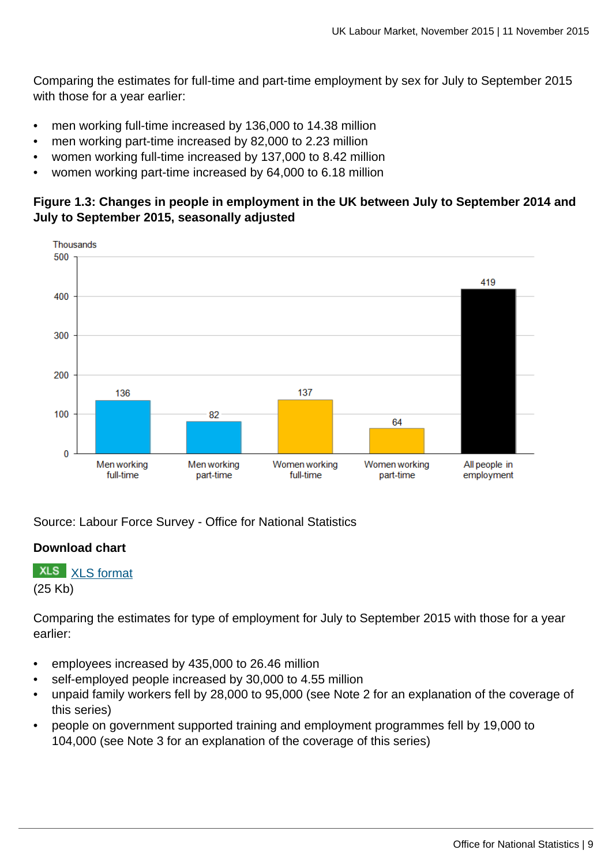Comparing the estimates for full-time and part-time employment by sex for July to September 2015 with those for a year earlier:

- men working full-time increased by 136,000 to 14.38 million
- men working part-time increased by 82,000 to 2.23 million
- women working full-time increased by 137,000 to 8.42 million
- women working part-time increased by 64,000 to 6.18 million

# **Figure 1.3: Changes in people in employment in the UK between July to September 2014 and July to September 2015, seasonally adjusted**



Source: Labour Force Survey - Office for National Statistics

# **Download chart**

**XLS** [XLS format](http://www.ons.gov.uk:80/ons/rel/lms/labour-market-statistics/november-2015/chd-figure-1-3.xls) (25 Kb)

Comparing the estimates for type of employment for July to September 2015 with those for a year earlier:

- employees increased by 435,000 to 26.46 million
- self-employed people increased by 30,000 to 4.55 million
- unpaid family workers fell by 28,000 to 95,000 (see Note 2 for an explanation of the coverage of this series)
- people on government supported training and employment programmes fell by 19,000 to 104,000 (see Note 3 for an explanation of the coverage of this series)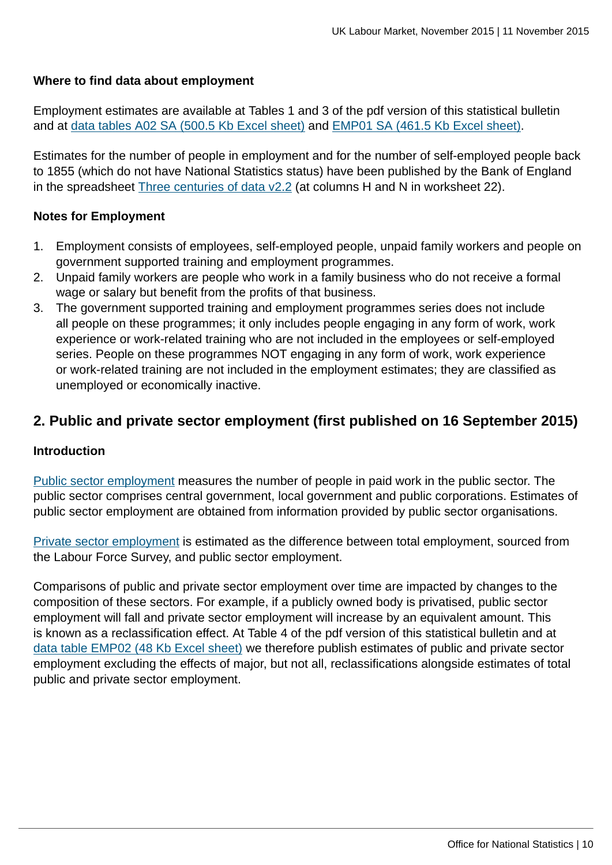### **Where to find data about employment**

Employment estimates are available at Tables 1 and 3 of the pdf version of this statistical bulletin and at [data tables A02 SA \(500.5 Kb Excel sheet\)](http://www.ons.gov.uk:80/ons/rel/lms/labour-market-statistics/november-2015/table-a02-sa.xls) and [EMP01 SA \(461.5 Kb Excel sheet\)](http://www.ons.gov.uk:80/ons/rel/lms/labour-market-statistics/november-2015/table-emp01-sa.xls).

Estimates for the number of people in employment and for the number of self-employed people back to 1855 (which do not have National Statistics status) have been published by the Bank of England in the spreadsheet [Three centuries of data v2.2](http://www.bankofengland.co.uk/research/Pages/onebank/threecenturies.aspx) (at columns H and N in worksheet 22).

### **Notes for Employment**

- 1. Employment consists of employees, self-employed people, unpaid family workers and people on government supported training and employment programmes.
- 2. Unpaid family workers are people who work in a family business who do not receive a formal wage or salary but benefit from the profits of that business.
- 3. The government supported training and employment programmes series does not include all people on these programmes; it only includes people engaging in any form of work, work experience or work-related training who are not included in the employees or self-employed series. People on these programmes NOT engaging in any form of work, work experience or work-related training are not included in the employment estimates; they are classified as unemployed or economically inactive.

# **2. Public and private sector employment (first published on 16 September 2015)**

### **Introduction**

[Public sector employment](http://www.ons.gov.uk:80/ons/rel/lms/labour-market-guidance/guide-to-labour-market-statistics/guide-to-public-and-private-sector-employment.html) measures the number of people in paid work in the public sector. The public sector comprises central government, local government and public corporations. Estimates of public sector employment are obtained from information provided by public sector organisations.

[Private sector employment](http://www.ons.gov.uk:80/ons/rel/lms/labour-market-guidance/guide-to-labour-market-statistics/guide-to-public-and-private-sector-employment.html) is estimated as the difference between total employment, sourced from the Labour Force Survey, and public sector employment.

Comparisons of public and private sector employment over time are impacted by changes to the composition of these sectors. For example, if a publicly owned body is privatised, public sector employment will fall and private sector employment will increase by an equivalent amount. This is known as a reclassification effect. At Table 4 of the pdf version of this statistical bulletin and at [data table EMP02 \(48 Kb Excel sheet\)](http://www.ons.gov.uk:80/ons/rel/lms/labour-market-statistics/november-2015/table-emp02.xls) we therefore publish estimates of public and private sector employment excluding the effects of major, but not all, reclassifications alongside estimates of total public and private sector employment.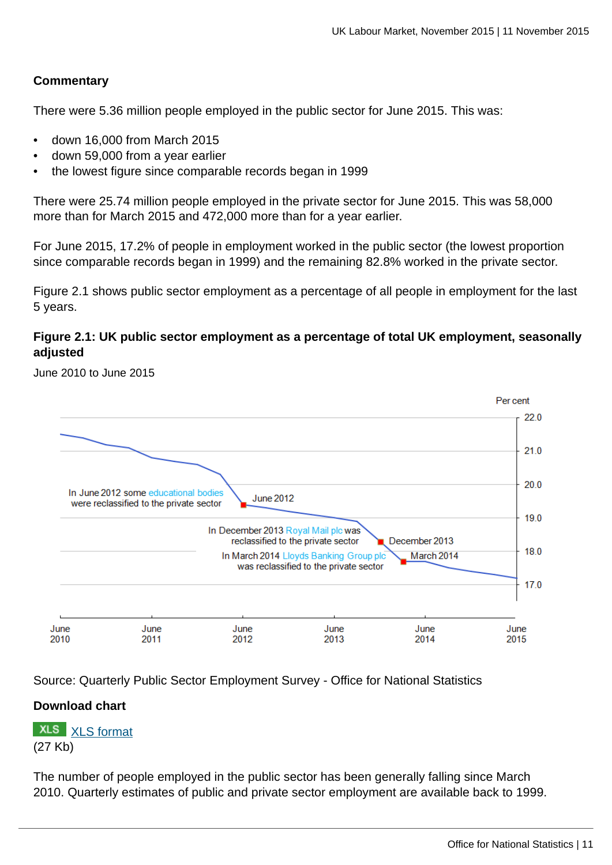### **Commentary**

There were 5.36 million people employed in the public sector for June 2015. This was:

- down 16,000 from March 2015
- down 59,000 from a year earlier
- the lowest figure since comparable records began in 1999

There were 25.74 million people employed in the private sector for June 2015. This was 58,000 more than for March 2015 and 472,000 more than for a year earlier.

For June 2015, 17.2% of people in employment worked in the public sector (the lowest proportion since comparable records began in 1999) and the remaining 82.8% worked in the private sector.

Figure 2.1 shows public sector employment as a percentage of all people in employment for the last 5 years.

### **Figure 2.1: UK public sector employment as a percentage of total UK employment, seasonally adjusted**

June 2010 to June 2015



Source: Quarterly Public Sector Employment Survey - Office for National Statistics

### **Download chart**

**XLS** [XLS format](http://www.ons.gov.uk:80/ons/rel/lms/labour-market-statistics/september-2015/chd-figure-2-1.xls) (27 Kb)

The number of people employed in the public sector has been generally falling since March 2010. Quarterly estimates of public and private sector employment are available back to 1999.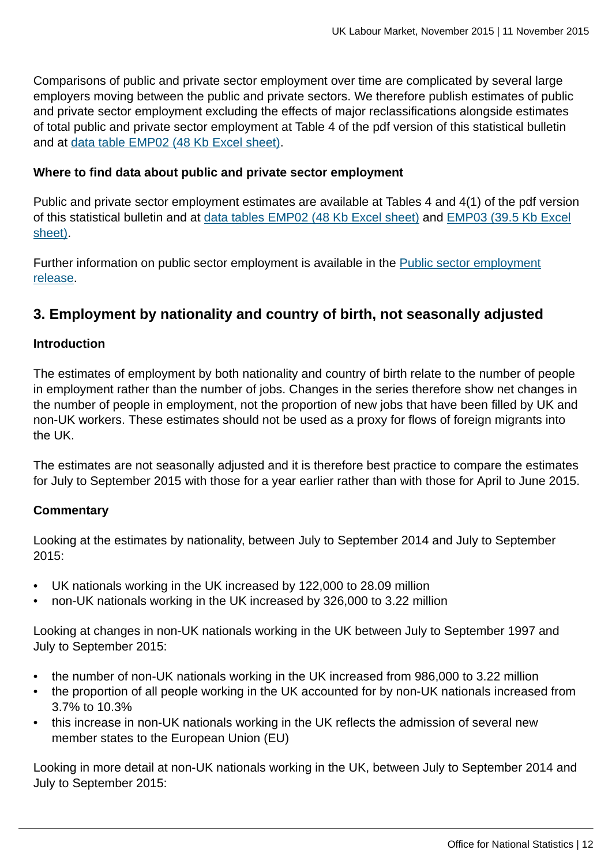Comparisons of public and private sector employment over time are complicated by several large employers moving between the public and private sectors. We therefore publish estimates of public and private sector employment excluding the effects of major reclassifications alongside estimates of total public and private sector employment at Table 4 of the pdf version of this statistical bulletin and at [data table EMP02 \(48 Kb Excel sheet\)](http://www.ons.gov.uk:80/ons/rel/lms/labour-market-statistics/november-2015/table-emp02.xls).

### **Where to find data about public and private sector employment**

Public and private sector employment estimates are available at Tables 4 and 4(1) of the pdf version of this statistical bulletin and at [data tables EMP02 \(48 Kb Excel sheet\)](http://www.ons.gov.uk:80/ons/rel/lms/labour-market-statistics/november-2015/table-emp02.xls) and [EMP03 \(39.5 Kb Excel](http://www.ons.gov.uk:80/ons/rel/lms/labour-market-statistics/november-2015/table-emp03.xls) [sheet\).](http://www.ons.gov.uk:80/ons/rel/lms/labour-market-statistics/november-2015/table-emp03.xls)

Further information on public sector employment is available in the [Public sector employment](http://www.ons.gov.uk:80/ons/rel/pse/public-sector-employment/index.html) [release.](http://www.ons.gov.uk:80/ons/rel/pse/public-sector-employment/index.html)

# **3. Employment by nationality and country of birth, not seasonally adjusted**

### **Introduction**

The estimates of employment by both nationality and country of birth relate to the number of people in employment rather than the number of jobs. Changes in the series therefore show net changes in the number of people in employment, not the proportion of new jobs that have been filled by UK and non-UK workers. These estimates should not be used as a proxy for flows of foreign migrants into the UK.

The estimates are not seasonally adjusted and it is therefore best practice to compare the estimates for July to September 2015 with those for a year earlier rather than with those for April to June 2015.

### **Commentary**

Looking at the estimates by nationality, between July to September 2014 and July to September 2015:

- UK nationals working in the UK increased by 122,000 to 28.09 million
- non-UK nationals working in the UK increased by 326,000 to 3.22 million

Looking at changes in non-UK nationals working in the UK between July to September 1997 and July to September 2015:

- the number of non-UK nationals working in the UK increased from 986,000 to 3.22 million
- the proportion of all people working in the UK accounted for by non-UK nationals increased from 3.7% to 10.3%
- this increase in non-UK nationals working in the UK reflects the admission of several new member states to the European Union (EU)

Looking in more detail at non-UK nationals working in the UK, between July to September 2014 and July to September 2015: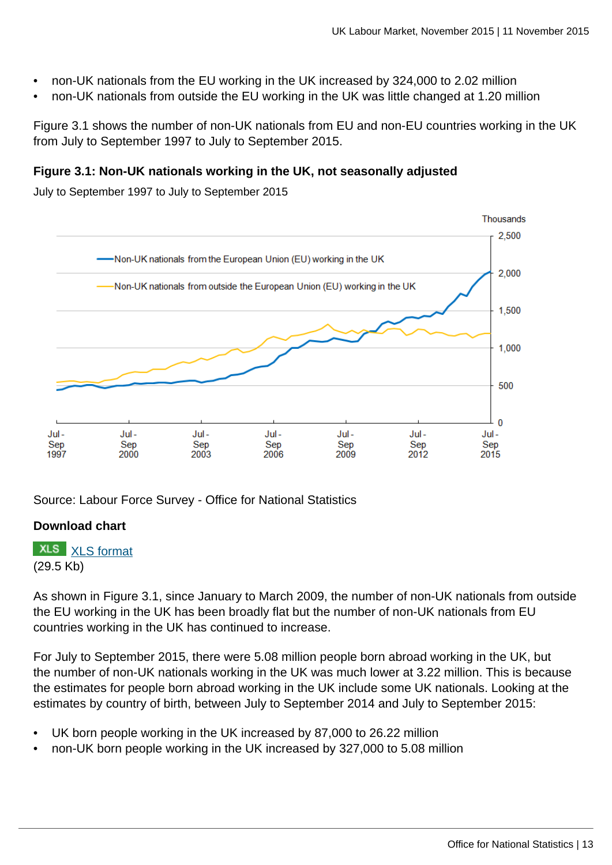- non-UK nationals from the EU working in the UK increased by 324,000 to 2.02 million
- non-UK nationals from outside the EU working in the UK was little changed at 1.20 million

Figure 3.1 shows the number of non-UK nationals from EU and non-EU countries working in the UK from July to September 1997 to July to September 2015.

### **Figure 3.1: Non-UK nationals working in the UK, not seasonally adjusted**

July to September 1997 to July to September 2015



Source: Labour Force Survey - Office for National Statistics

# **Download chart**

**XLS** [XLS format](http://www.ons.gov.uk:80/ons/rel/lms/labour-market-statistics/november-2015/chd-figure-3-1.xls) (29.5 Kb)

As shown in Figure 3.1, since January to March 2009, the number of non-UK nationals from outside the EU working in the UK has been broadly flat but the number of non-UK nationals from EU countries working in the UK has continued to increase.

For July to September 2015, there were 5.08 million people born abroad working in the UK, but the number of non-UK nationals working in the UK was much lower at 3.22 million. This is because the estimates for people born abroad working in the UK include some UK nationals. Looking at the estimates by country of birth, between July to September 2014 and July to September 2015:

- UK born people working in the UK increased by 87,000 to 26.22 million
- non-UK born people working in the UK increased by 327,000 to 5.08 million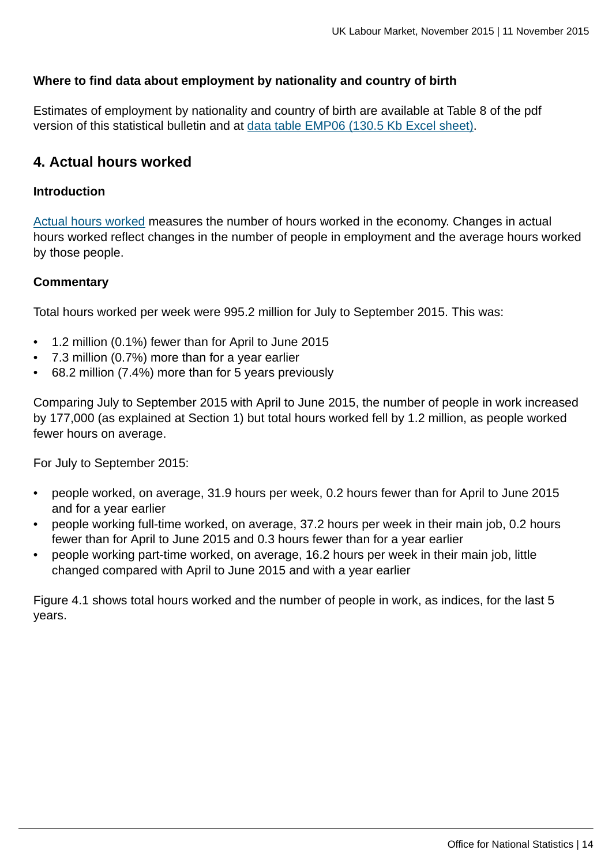### **Where to find data about employment by nationality and country of birth**

Estimates of employment by nationality and country of birth are available at Table 8 of the pdf version of this statistical bulletin and at [data table EMP06 \(130.5 Kb Excel sheet\)](http://www.ons.gov.uk:80/ons/rel/lms/labour-market-statistics/november-2015/table-emp06.xls).

# **4. Actual hours worked**

### **Introduction**

[Actual hours worked](http://www.ons.gov.uk:80/ons/rel/lms/labour-market-guidance/guide-to-labour-market-statistics/guide-to-hours-worked.html) measures the number of hours worked in the economy. Changes in actual hours worked reflect changes in the number of people in employment and the average hours worked by those people.

### **Commentary**

Total hours worked per week were 995.2 million for July to September 2015. This was:

- 1.2 million (0.1%) fewer than for April to June 2015
- 7.3 million (0.7%) more than for a year earlier
- 68.2 million (7.4%) more than for 5 years previously

Comparing July to September 2015 with April to June 2015, the number of people in work increased by 177,000 (as explained at Section 1) but total hours worked fell by 1.2 million, as people worked fewer hours on average.

For July to September 2015:

- people worked, on average, 31.9 hours per week, 0.2 hours fewer than for April to June 2015 and for a year earlier
- people working full-time worked, on average, 37.2 hours per week in their main job, 0.2 hours fewer than for April to June 2015 and 0.3 hours fewer than for a year earlier
- people working part-time worked, on average, 16.2 hours per week in their main job, little changed compared with April to June 2015 and with a year earlier

Figure 4.1 shows total hours worked and the number of people in work, as indices, for the last 5 years.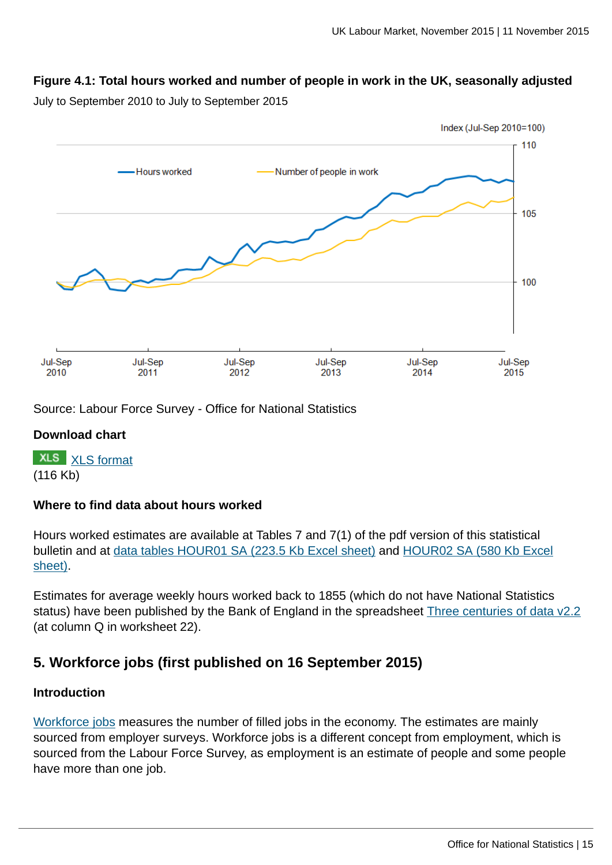# **Figure 4.1: Total hours worked and number of people in work in the UK, seasonally adjusted**

July to September 2010 to July to September 2015



Source: Labour Force Survey - Office for National Statistics

### **Download chart**

**XLS** [XLS format](http://www.ons.gov.uk:80/ons/rel/lms/labour-market-statistics/november-2015/chd-figure-4-1.xls) (116 Kb)

### **Where to find data about hours worked**

Hours worked estimates are available at Tables 7 and 7(1) of the pdf version of this statistical bulletin and at [data tables HOUR01 SA \(223.5 Kb Excel sheet\)](http://www.ons.gov.uk:80/ons/rel/lms/labour-market-statistics/november-2015/table-hour01-sa.xls) and [HOUR02 SA \(580 Kb Excel](http://www.ons.gov.uk:80/ons/rel/lms/labour-market-statistics/november-2015/table-hour02-sa.xls) [sheet\).](http://www.ons.gov.uk:80/ons/rel/lms/labour-market-statistics/november-2015/table-hour02-sa.xls)

Estimates for average weekly hours worked back to 1855 (which do not have National Statistics status) have been published by the Bank of England in the spreadsheet [Three centuries of data v2.2](http://www.bankofengland.co.uk/research/Pages/onebank/threecenturies.aspx) (at column Q in worksheet 22).

# **5. Workforce jobs (first published on 16 September 2015)**

### **Introduction**

[Workforce jobs](http://www.ons.gov.uk:80/ons/rel/lms/labour-market-guidance/guide-to-labour-market-statistics/guide-to-jobs.html) measures the number of filled jobs in the economy. The estimates are mainly sourced from employer surveys. Workforce jobs is a different concept from employment, which is sourced from the Labour Force Survey, as employment is an estimate of people and some people have more than one job.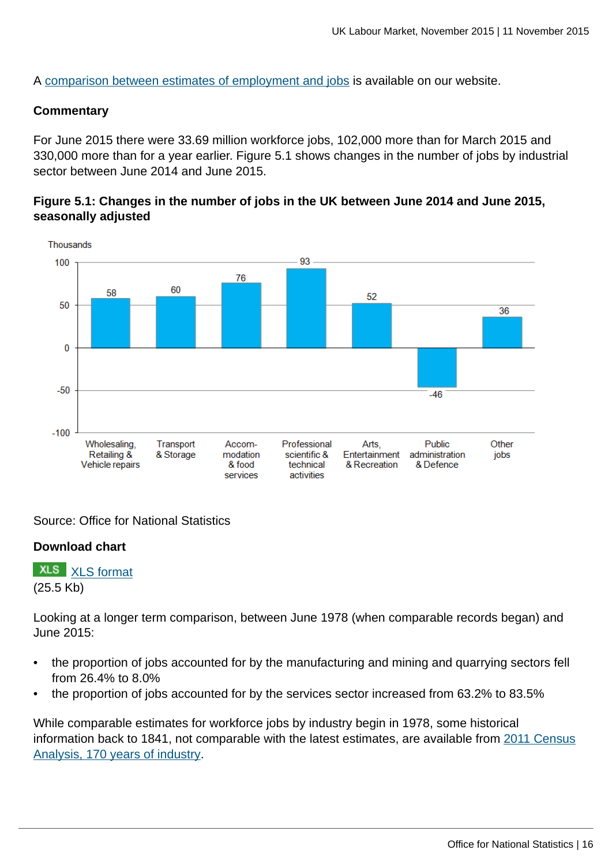A [comparison between estimates of employment and jobs](http://www.ons.gov.uk:80/ons/rel/lms/labour-market-statistics/september-2015/reconciliation-of-estimates-of-jobs--august-2015.html) is available on our website.

#### **Commentary**

For June 2015 there were 33.69 million workforce jobs, 102,000 more than for March 2015 and 330,000 more than for a year earlier. Figure 5.1 shows changes in the number of jobs by industrial sector between June 2014 and June 2015.

### **Figure 5.1: Changes in the number of jobs in the UK between June 2014 and June 2015, seasonally adjusted**



Source: Office for National Statistics

### **Download chart**

**XLS** [XLS format](http://www.ons.gov.uk:80/ons/rel/lms/labour-market-statistics/september-2015/chd-figure-5-1.xls) (25.5 Kb)

Looking at a longer term comparison, between June 1978 (when comparable records began) and June 2015:

- the proportion of jobs accounted for by the manufacturing and mining and quarrying sectors fell from 26.4% to 8.0%
- the proportion of jobs accounted for by the services sector increased from 63.2% to 83.5%

While comparable estimates for workforce jobs by industry begin in 1978, some historical information back to 1841, not comparable with the latest estimates, are available from [2011 Census](http://www.ons.gov.uk:80/ons/rel/census/2011-census-analysis/170-years-of-industry/index.html) [Analysis, 170 years of industry](http://www.ons.gov.uk:80/ons/rel/census/2011-census-analysis/170-years-of-industry/index.html).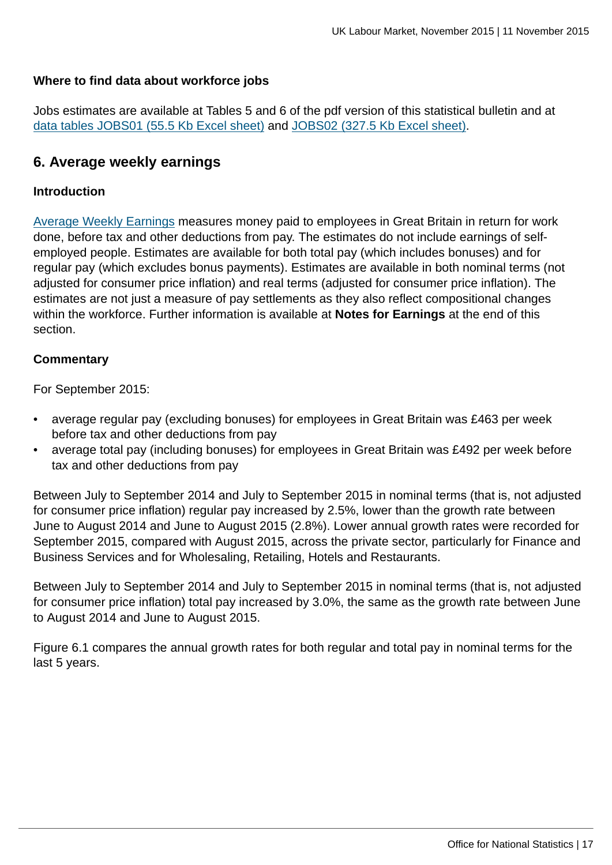### **Where to find data about workforce jobs**

Jobs estimates are available at Tables 5 and 6 of the pdf version of this statistical bulletin and at [data tables JOBS01 \(55.5 Kb Excel sheet\)](http://www.ons.gov.uk:80/ons/rel/lms/labour-market-statistics/november-2015/table-jobs01.xls) and [JOBS02 \(327.5 Kb Excel sheet\).](http://www.ons.gov.uk:80/ons/rel/lms/labour-market-statistics/november-2015/table-jobs02.xls)

# **6. Average weekly earnings**

### **Introduction**

[Average Weekly Earnings](http://www.ons.gov.uk:80/ons/rel/lms/labour-market-guidance/guide-to-labour-market-statistics/guide-to-earnings.html) measures money paid to employees in Great Britain in return for work done, before tax and other deductions from pay. The estimates do not include earnings of selfemployed people. Estimates are available for both total pay (which includes bonuses) and for regular pay (which excludes bonus payments). Estimates are available in both nominal terms (not adjusted for consumer price inflation) and real terms (adjusted for consumer price inflation). The estimates are not just a measure of pay settlements as they also reflect compositional changes within the workforce. Further information is available at **Notes for Earnings** at the end of this section.

### **Commentary**

For September 2015:

- average regular pay (excluding bonuses) for employees in Great Britain was £463 per week before tax and other deductions from pay
- average total pay (including bonuses) for employees in Great Britain was £492 per week before tax and other deductions from pay

Between July to September 2014 and July to September 2015 in nominal terms (that is, not adjusted for consumer price inflation) regular pay increased by 2.5%, lower than the growth rate between June to August 2014 and June to August 2015 (2.8%). Lower annual growth rates were recorded for September 2015, compared with August 2015, across the private sector, particularly for Finance and Business Services and for Wholesaling, Retailing, Hotels and Restaurants.

Between July to September 2014 and July to September 2015 in nominal terms (that is, not adjusted for consumer price inflation) total pay increased by 3.0%, the same as the growth rate between June to August 2014 and June to August 2015.

Figure 6.1 compares the annual growth rates for both regular and total pay in nominal terms for the last 5 years.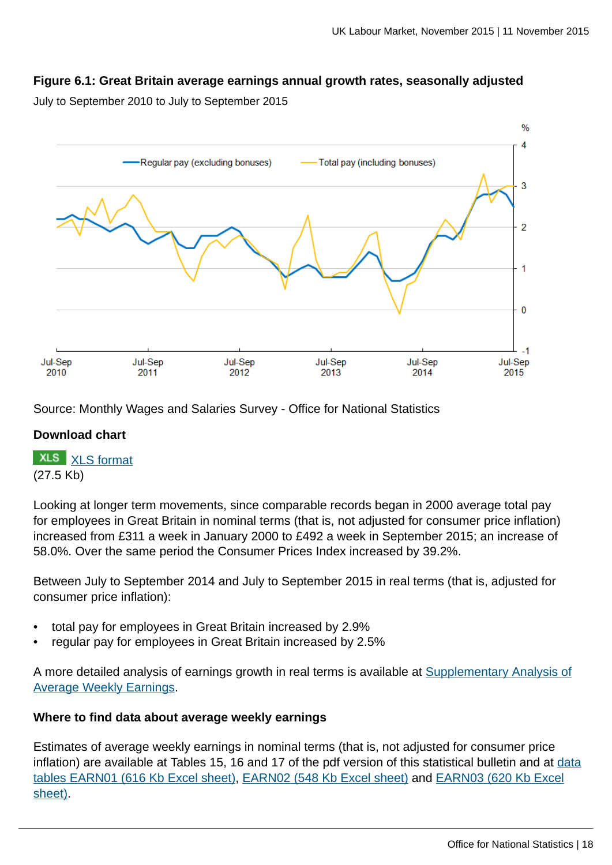### **Figure 6.1: Great Britain average earnings annual growth rates, seasonally adjusted**

July to September 2010 to July to September 2015



Source: Monthly Wages and Salaries Survey - Office for National Statistics

### **Download chart**



Looking at longer term movements, since comparable records began in 2000 average total pay for employees in Great Britain in nominal terms (that is, not adjusted for consumer price inflation) increased from £311 a week in January 2000 to £492 a week in September 2015; an increase of 58.0%. Over the same period the Consumer Prices Index increased by 39.2%.

Between July to September 2014 and July to September 2015 in real terms (that is, adjusted for consumer price inflation):

- total pay for employees in Great Britain increased by 2.9%
- regular pay for employees in Great Britain increased by 2.5%

A more detailed analysis of earnings growth in real terms is available at [Supplementary Analysis of](http://www.ons.gov.uk:80/ons/rel/lms/labour-market-statistics/november-2015/art-supplementary-analysis-of-average-weekly-earnings--november-2015.html) [Average Weekly Earnings.](http://www.ons.gov.uk:80/ons/rel/lms/labour-market-statistics/november-2015/art-supplementary-analysis-of-average-weekly-earnings--november-2015.html)

### **Where to find data about average weekly earnings**

Estimates of average weekly earnings in nominal terms (that is, not adjusted for consumer price inflation) are available at Tables 15, 16 and 17 of the pdf version of this statistical bulletin and at [data](http://www.ons.gov.uk:80/ons/rel/lms/labour-market-statistics/november-2015/table-earn01.xls) [tables EARN01 \(616 Kb Excel sheet\)](http://www.ons.gov.uk:80/ons/rel/lms/labour-market-statistics/november-2015/table-earn01.xls), [EARN02 \(548 Kb Excel sheet\)](http://www.ons.gov.uk:80/ons/rel/lms/labour-market-statistics/november-2015/table-earn02.xls) and [EARN03 \(620 Kb Excel](http://www.ons.gov.uk:80/ons/rel/lms/labour-market-statistics/november-2015/table-earn03.xls) [sheet\).](http://www.ons.gov.uk:80/ons/rel/lms/labour-market-statistics/november-2015/table-earn03.xls)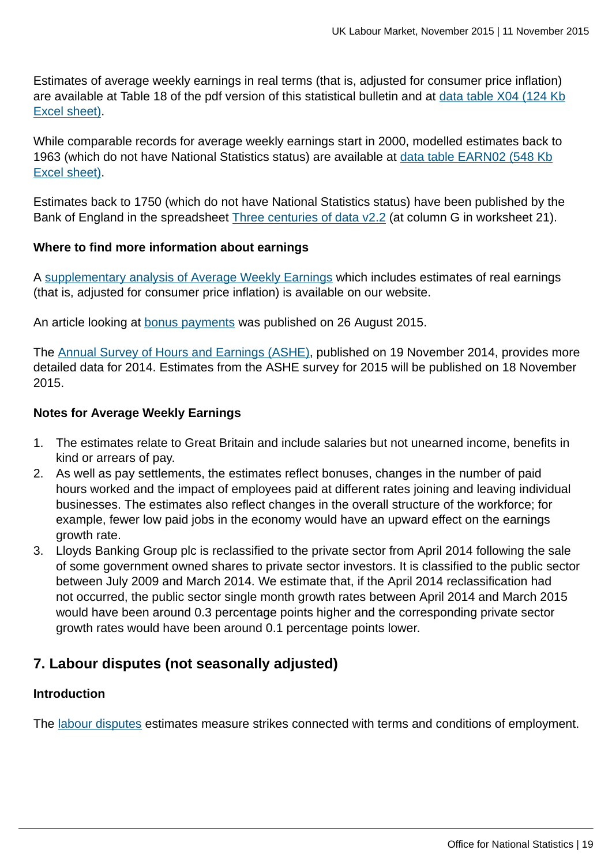Estimates of average weekly earnings in real terms (that is, adjusted for consumer price inflation) are available at Table 18 of the pdf version of this statistical bulletin and at [data table X04 \(124 Kb](http://www.ons.gov.uk:80/ons/rel/lms/labour-market-statistics/november-2015/table-x04.xls) [Excel sheet\)](http://www.ons.gov.uk:80/ons/rel/lms/labour-market-statistics/november-2015/table-x04.xls).

While comparable records for average weekly earnings start in 2000, modelled estimates back to 1963 (which do not have National Statistics status) are available at [data table EARN02 \(548 Kb](http://www.ons.gov.uk:80/ons/rel/lms/labour-market-statistics/november-2015/table-earn02.xls) [Excel sheet\)](http://www.ons.gov.uk:80/ons/rel/lms/labour-market-statistics/november-2015/table-earn02.xls).

Estimates back to 1750 (which do not have National Statistics status) have been published by the Bank of England in the spreadsheet [Three centuries of data v2.2](http://www.bankofengland.co.uk/research/Pages/onebank/threecenturies.aspx) (at column G in worksheet 21).

### **Where to find more information about earnings**

A [supplementary analysis of Average Weekly Earnings](http://www.ons.gov.uk:80/ons/rel/lms/labour-market-statistics/november-2015/art-supplementary-analysis-of-average-weekly-earnings--november-2015.html) which includes estimates of real earnings (that is, adjusted for consumer price inflation) is available on our website.

An article looking at [bonus payments](http://www.ons.gov.uk:80/ons/rel/awe/average-weekly-earnings/bonus-payments-in-great-britain--2014-15/index.html) was published on 26 August 2015.

The [Annual Survey of Hours and Earnings \(ASHE\),](http://www.ons.gov.uk:80/ons/rel/ashe/annual-survey-of-hours-and-earnings/index.html) published on 19 November 2014, provides more detailed data for 2014. Estimates from the ASHE survey for 2015 will be published on 18 November 2015.

### **Notes for Average Weekly Earnings**

- 1. The estimates relate to Great Britain and include salaries but not unearned income, benefits in kind or arrears of pay.
- 2. As well as pay settlements, the estimates reflect bonuses, changes in the number of paid hours worked and the impact of employees paid at different rates joining and leaving individual businesses. The estimates also reflect changes in the overall structure of the workforce; for example, fewer low paid jobs in the economy would have an upward effect on the earnings growth rate.
- 3. Lloyds Banking Group plc is reclassified to the private sector from April 2014 following the sale of some government owned shares to private sector investors. It is classified to the public sector between July 2009 and March 2014. We estimate that, if the April 2014 reclassification had not occurred, the public sector single month growth rates between April 2014 and March 2015 would have been around 0.3 percentage points higher and the corresponding private sector growth rates would have been around 0.1 percentage points lower.

# **7. Labour disputes (not seasonally adjusted)**

### **Introduction**

The [labour disputes](http://www.ons.gov.uk:80/ons/rel/lms/labour-market-guidance/guide-to-labour-market-statistics/guide-to-labour-disputes.html) estimates measure strikes connected with terms and conditions of employment.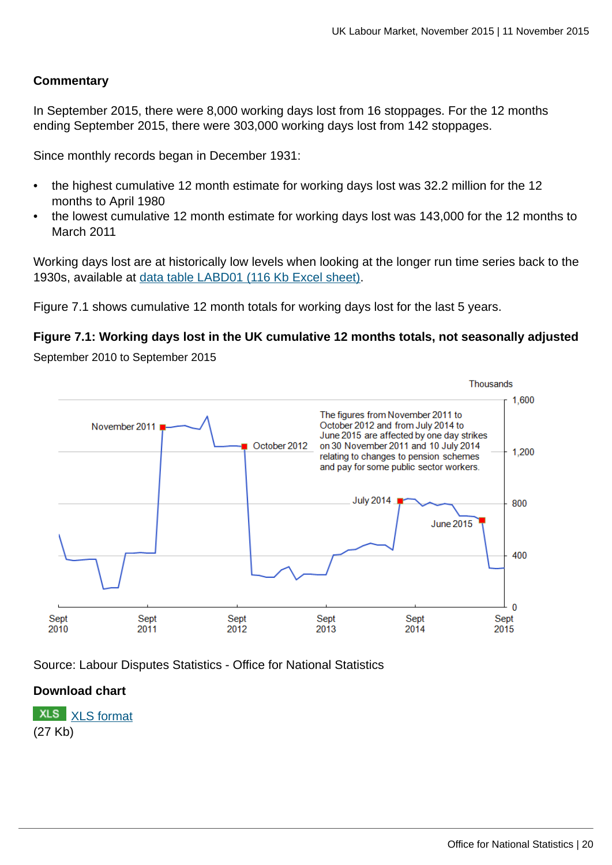### **Commentary**

In September 2015, there were 8,000 working days lost from 16 stoppages. For the 12 months ending September 2015, there were 303,000 working days lost from 142 stoppages.

Since monthly records began in December 1931:

- the highest cumulative 12 month estimate for working days lost was 32.2 million for the 12 months to April 1980
- the lowest cumulative 12 month estimate for working days lost was 143,000 for the 12 months to March 2011

Working days lost are at historically low levels when looking at the longer run time series back to the 1930s, available at [data table LABD01 \(116 Kb Excel sheet\)](http://www.ons.gov.uk:80/ons/rel/lms/labour-market-statistics/november-2015/table-labd01.xls).

Figure 7.1 shows cumulative 12 month totals for working days lost for the last 5 years.

### **Figure 7.1: Working days lost in the UK cumulative 12 months totals, not seasonally adjusted**

September 2010 to September 2015



Source: Labour Disputes Statistics - Office for National Statistics

### **Download chart**

**XLS** [XLS format](http://www.ons.gov.uk:80/ons/rel/lms/labour-market-statistics/november-2015/chd-figure-7-1.xls) (27 Kb)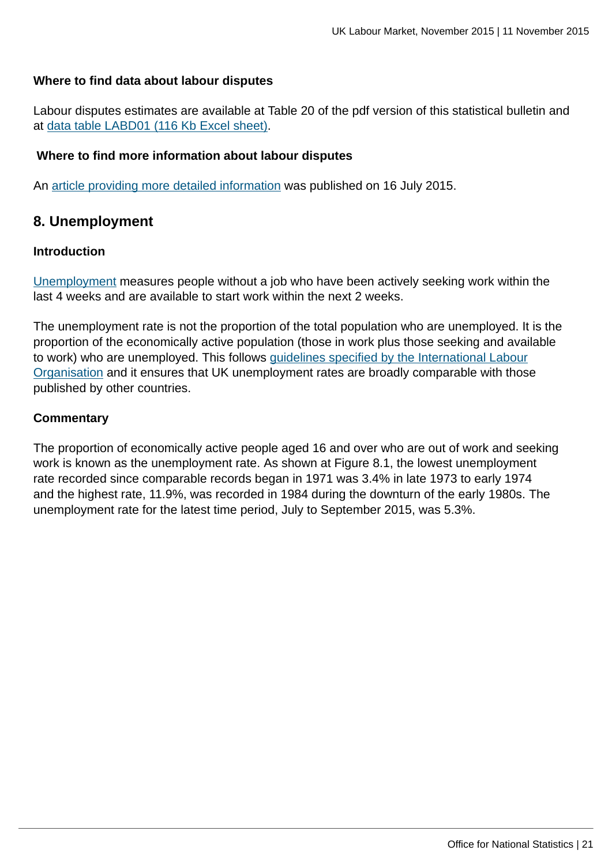### **Where to find data about labour disputes**

Labour disputes estimates are available at Table 20 of the pdf version of this statistical bulletin and at [data table LABD01 \(116 Kb Excel sheet\)](http://www.ons.gov.uk:80/ons/rel/lms/labour-market-statistics/november-2015/table-labd01.xls).

### **Where to find more information about labour disputes**

An [article providing more detailed information](http://www.ons.gov.uk:80/ons/rel/bus-register/labour-disputes/annual-article-2014/index.html) was published on 16 July 2015.

# **8. Unemployment**

### **Introduction**

[Unemployment](http://www.ons.gov.uk:80/ons/rel/lms/labour-market-guidance/guide-to-labour-market-statistics/guide-to-unemployment.html) measures people without a job who have been actively seeking work within the last 4 weeks and are available to start work within the next 2 weeks.

The unemployment rate is not the proportion of the total population who are unemployed. It is the proportion of the economically active population (those in work plus those seeking and available to work) who are unemployed. This follows [guidelines specified by the International Labour](http://www.ons.gov.uk:80/ons/external-links/international/international-labour-organisation-guidelines.html) [Organisation](http://www.ons.gov.uk:80/ons/external-links/international/international-labour-organisation-guidelines.html) and it ensures that UK unemployment rates are broadly comparable with those published by other countries.

### **Commentary**

The proportion of economically active people aged 16 and over who are out of work and seeking work is known as the unemployment rate. As shown at Figure 8.1, the lowest unemployment rate recorded since comparable records began in 1971 was 3.4% in late 1973 to early 1974 and the highest rate, 11.9%, was recorded in 1984 during the downturn of the early 1980s. The unemployment rate for the latest time period, July to September 2015, was 5.3%.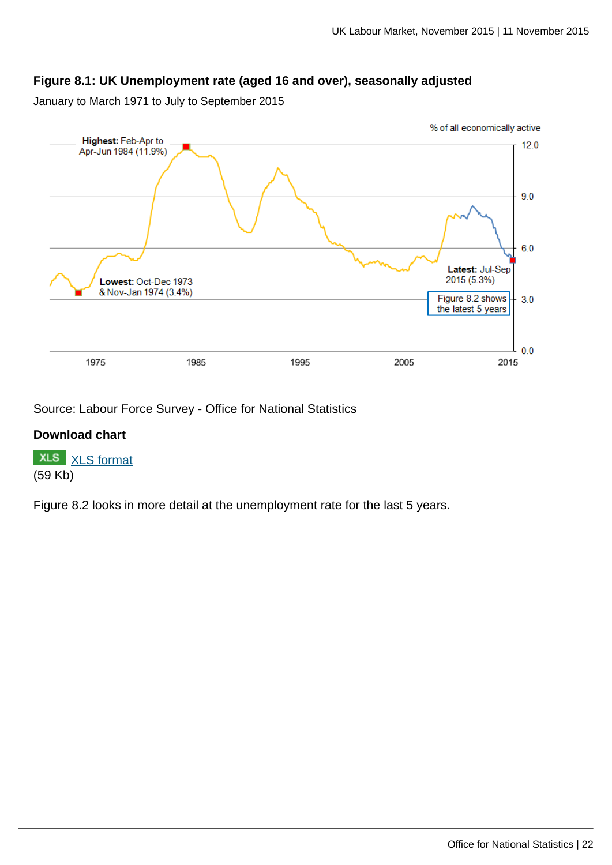# **Figure 8.1: UK Unemployment rate (aged 16 and over), seasonally adjusted**

January to March 1971 to July to September 2015



Source: Labour Force Survey - Office for National Statistics

### **Download chart**

**XLS** [XLS format](http://www.ons.gov.uk:80/ons/rel/lms/labour-market-statistics/november-2015/chd-figure-8-1.xls) (59 Kb)

Figure 8.2 looks in more detail at the unemployment rate for the last 5 years.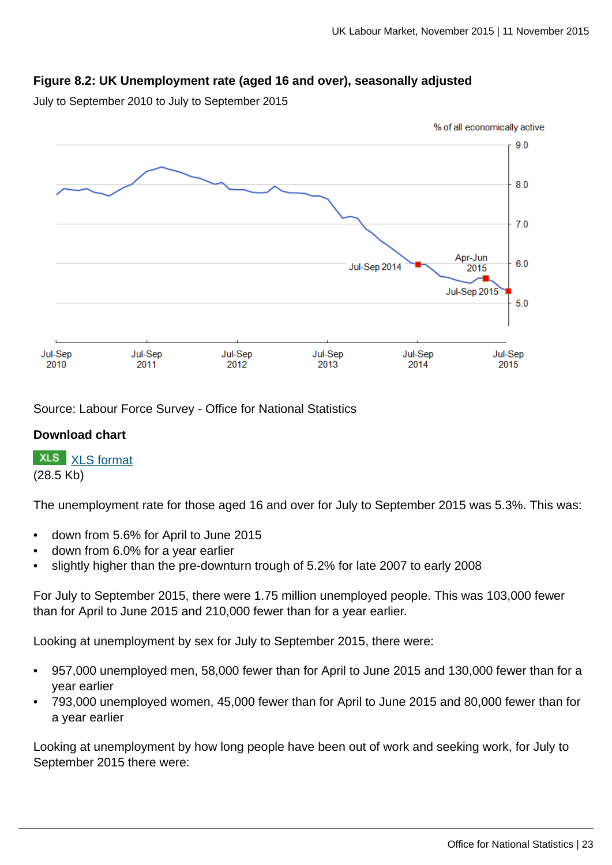# **Figure 8.2: UK Unemployment rate (aged 16 and over), seasonally adjusted**

July to September 2010 to July to September 2015



Source: Labour Force Survey - Office for National Statistics

### **Download chart**

**XLS** [XLS format](http://www.ons.gov.uk:80/ons/rel/lms/labour-market-statistics/november-2015/chd-figure-8-2.xls) (28.5 Kb)

The unemployment rate for those aged 16 and over for July to September 2015 was 5.3%. This was:

- down from 5.6% for April to June 2015
- down from 6.0% for a year earlier
- slightly higher than the pre-downturn trough of 5.2% for late 2007 to early 2008

For July to September 2015, there were 1.75 million unemployed people. This was 103,000 fewer than for April to June 2015 and 210,000 fewer than for a year earlier.

Looking at unemployment by sex for July to September 2015, there were:

- 957,000 unemployed men, 58,000 fewer than for April to June 2015 and 130,000 fewer than for a year earlier
- 793,000 unemployed women, 45,000 fewer than for April to June 2015 and 80,000 fewer than for a year earlier

Looking at unemployment by how long people have been out of work and seeking work, for July to September 2015 there were: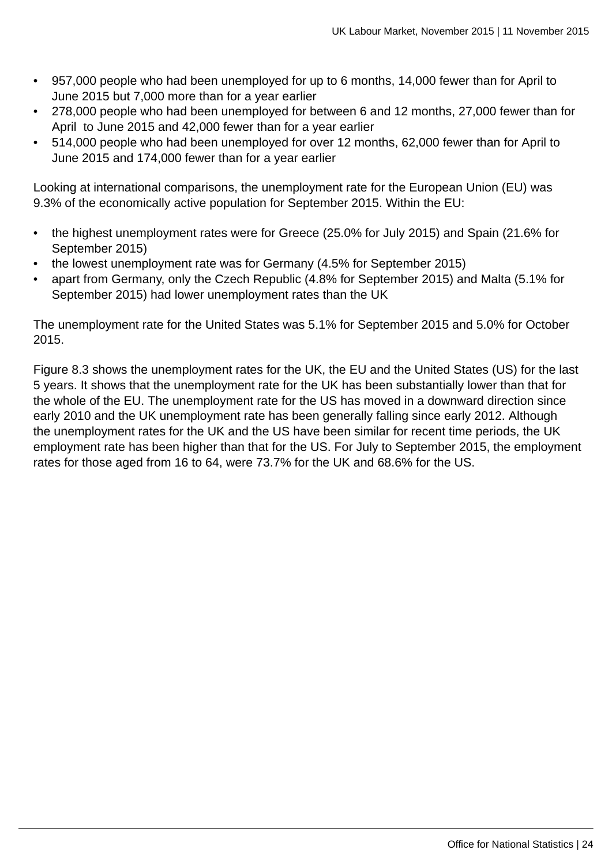- 957,000 people who had been unemployed for up to 6 months, 14,000 fewer than for April to June 2015 but 7,000 more than for a year earlier
- 278,000 people who had been unemployed for between 6 and 12 months, 27,000 fewer than for April to June 2015 and 42,000 fewer than for a year earlier
- 514,000 people who had been unemployed for over 12 months, 62,000 fewer than for April to June 2015 and 174,000 fewer than for a year earlier

Looking at international comparisons, the unemployment rate for the European Union (EU) was 9.3% of the economically active population for September 2015. Within the EU:

- the highest unemployment rates were for Greece (25.0% for July 2015) and Spain (21.6% for September 2015)
- the lowest unemployment rate was for Germany (4.5% for September 2015)
- apart from Germany, only the Czech Republic (4.8% for September 2015) and Malta (5.1% for September 2015) had lower unemployment rates than the UK

The unemployment rate for the United States was 5.1% for September 2015 and 5.0% for October 2015.

Figure 8.3 shows the unemployment rates for the UK, the EU and the United States (US) for the last 5 years. It shows that the unemployment rate for the UK has been substantially lower than that for the whole of the EU. The unemployment rate for the US has moved in a downward direction since early 2010 and the UK unemployment rate has been generally falling since early 2012. Although the unemployment rates for the UK and the US have been similar for recent time periods, the UK employment rate has been higher than that for the US. For July to September 2015, the employment rates for those aged from 16 to 64, were 73.7% for the UK and 68.6% for the US.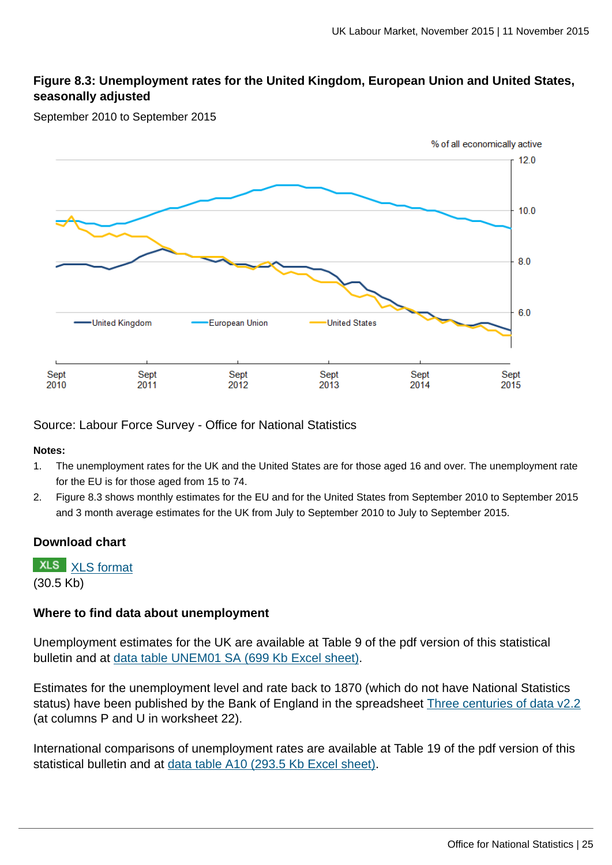# **Figure 8.3: Unemployment rates for the United Kingdom, European Union and United States, seasonally adjusted**

September 2010 to September 2015



Source: Labour Force Survey - Office for National Statistics

#### **Notes:**

- 1. The unemployment rates for the UK and the United States are for those aged 16 and over. The unemployment rate for the EU is for those aged from 15 to 74.
- 2. Figure 8.3 shows monthly estimates for the EU and for the United States from September 2010 to September 2015 and 3 month average estimates for the UK from July to September 2010 to July to September 2015.

#### **Download chart**

**XLS** [XLS format](http://www.ons.gov.uk:80/ons/rel/lms/labour-market-statistics/november-2015/chd-figure-8-3.xls) (30.5 Kb)

#### **Where to find data about unemployment**

Unemployment estimates for the UK are available at Table 9 of the pdf version of this statistical bulletin and at [data table UNEM01 SA \(699 Kb Excel sheet\).](http://www.ons.gov.uk:80/ons/rel/lms/labour-market-statistics/november-2015/table-unem01-sa.xls)

Estimates for the unemployment level and rate back to 1870 (which do not have National Statistics status) have been published by the Bank of England in the spreadsheet [Three centuries of data v2.2](http://www.bankofengland.co.uk/research/Pages/onebank/threecenturies.aspx) (at columns P and U in worksheet 22).

International comparisons of unemployment rates are available at Table 19 of the pdf version of this statistical bulletin and at [data table A10 \(293.5 Kb Excel sheet\).](http://www.ons.gov.uk:80/ons/rel/lms/labour-market-statistics/november-2015/table-a10.xls)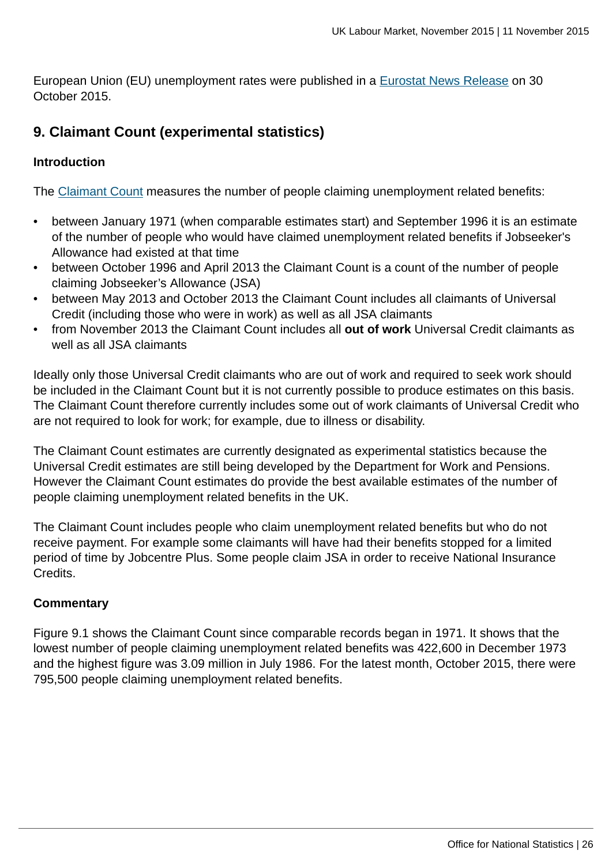European Union (EU) unemployment rates were published in a [Eurostat News Release](http://ec.europa.eu/eurostat/documents/2995521/7054219/3-30102015-AP-EN.pdf/06702a61-81c0-45ef-8d0f-9ac7f0586908) on 30 October 2015.

# **9. Claimant Count (experimental statistics)**

### **Introduction**

The [Claimant Count](http://www.ons.gov.uk:80/ons/rel/lms/labour-market-guidance/guide-to-labour-market-statistics/guide-to-claimant-count.html) measures the number of people claiming unemployment related benefits:

- between January 1971 (when comparable estimates start) and September 1996 it is an estimate of the number of people who would have claimed unemployment related benefits if Jobseeker's Allowance had existed at that time
- between October 1996 and April 2013 the Claimant Count is a count of the number of people claiming Jobseeker's Allowance (JSA)
- between May 2013 and October 2013 the Claimant Count includes all claimants of Universal Credit (including those who were in work) as well as all JSA claimants
- from November 2013 the Claimant Count includes all **out of work** Universal Credit claimants as well as all JSA claimants

Ideally only those Universal Credit claimants who are out of work and required to seek work should be included in the Claimant Count but it is not currently possible to produce estimates on this basis. The Claimant Count therefore currently includes some out of work claimants of Universal Credit who are not required to look for work; for example, due to illness or disability.

The Claimant Count estimates are currently designated as experimental statistics because the Universal Credit estimates are still being developed by the Department for Work and Pensions. However the Claimant Count estimates do provide the best available estimates of the number of people claiming unemployment related benefits in the UK.

The Claimant Count includes people who claim unemployment related benefits but who do not receive payment. For example some claimants will have had their benefits stopped for a limited period of time by Jobcentre Plus. Some people claim JSA in order to receive National Insurance Credits.

# **Commentary**

Figure 9.1 shows the Claimant Count since comparable records began in 1971. It shows that the lowest number of people claiming unemployment related benefits was 422,600 in December 1973 and the highest figure was 3.09 million in July 1986. For the latest month, October 2015, there were 795,500 people claiming unemployment related benefits.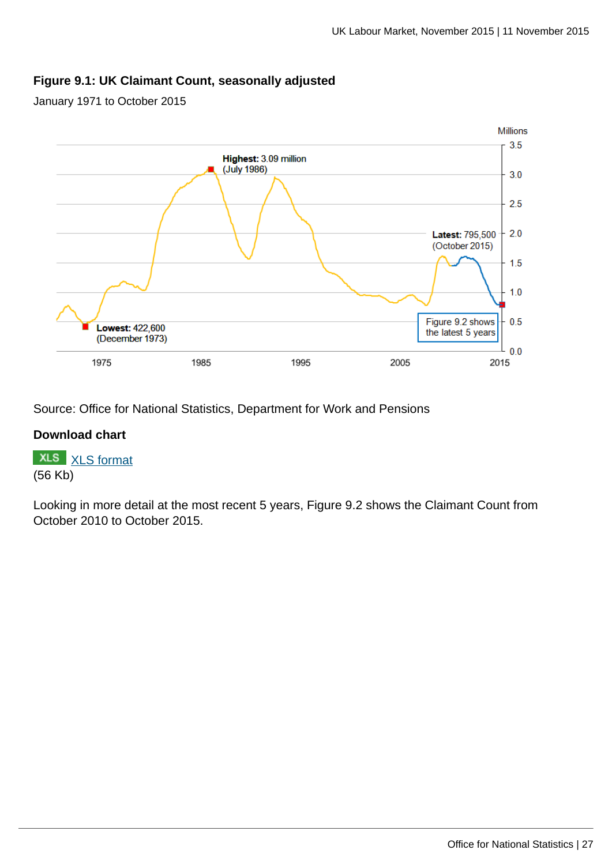### **Figure 9.1: UK Claimant Count, seasonally adjusted**

January 1971 to October 2015



Source: Office for National Statistics, Department for Work and Pensions

### **Download chart**

**XLS** [XLS format](http://www.ons.gov.uk:80/ons/rel/lms/labour-market-statistics/november-2015/chd-figure-9-1.xls) (56 Kb)

Looking in more detail at the most recent 5 years, Figure 9.2 shows the Claimant Count from October 2010 to October 2015.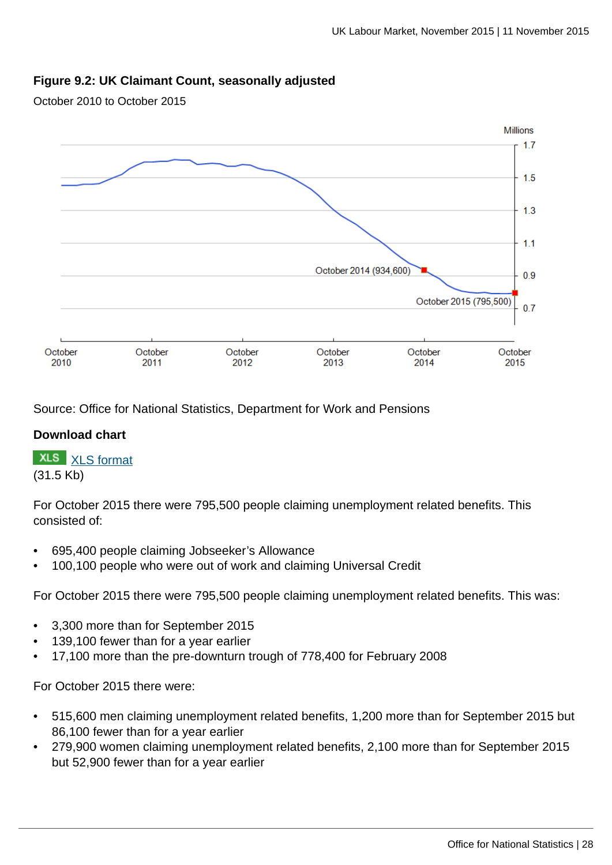### **Figure 9.2: UK Claimant Count, seasonally adjusted**

October 2010 to October 2015



Source: Office for National Statistics, Department for Work and Pensions

#### **Download chart**

**XLS** [XLS format](http://www.ons.gov.uk:80/ons/rel/lms/labour-market-statistics/november-2015/chd-figure-9-2.xls) (31.5 Kb)

For October 2015 there were 795,500 people claiming unemployment related benefits. This consisted of:

- 695,400 people claiming Jobseeker's Allowance
- 100,100 people who were out of work and claiming Universal Credit

For October 2015 there were 795,500 people claiming unemployment related benefits. This was:

- 3,300 more than for September 2015
- 139,100 fewer than for a year earlier
- 17,100 more than the pre-downturn trough of 778,400 for February 2008

For October 2015 there were:

- 515,600 men claiming unemployment related benefits, 1,200 more than for September 2015 but 86,100 fewer than for a year earlier
- 279,900 women claiming unemployment related benefits, 2,100 more than for September 2015 but 52,900 fewer than for a year earlier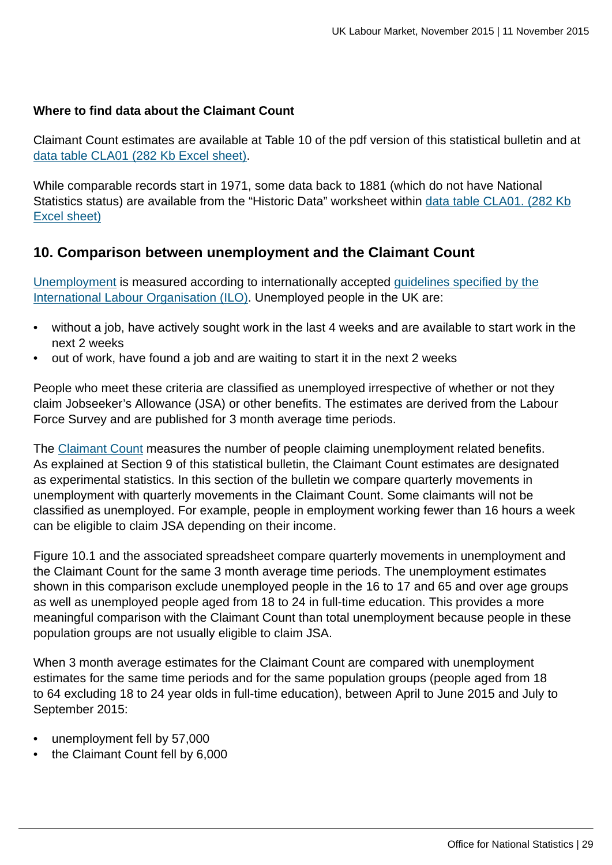### **Where to find data about the Claimant Count**

Claimant Count estimates are available at Table 10 of the pdf version of this statistical bulletin and at [data table CLA01 \(282 Kb Excel sheet\).](http://www.ons.gov.uk:80/ons/rel/lms/labour-market-statistics/november-2015/table-cla01.xls)

While comparable records start in 1971, some data back to 1881 (which do not have National Statistics status) are available from the "Historic Data" worksheet within [data table CLA01. \(282 Kb](http://www.ons.gov.uk:80/ons/rel/lms/labour-market-statistics/november-2015/table-cla01.xls) [Excel sheet\)](http://www.ons.gov.uk:80/ons/rel/lms/labour-market-statistics/november-2015/table-cla01.xls)

# **10. Comparison between unemployment and the Claimant Count**

[Unemployment](http://www.ons.gov.uk:80/ons/rel/lms/labour-market-guidance/guide-to-labour-market-statistics/guide-to-unemployment.html) is measured according to internationally accepted [guidelines specified by the](http://www.ons.gov.uk:80/ons/external-links/international/international-labour-organisation-guidelines.html) [International Labour Organisation \(ILO\)](http://www.ons.gov.uk:80/ons/external-links/international/international-labour-organisation-guidelines.html). Unemployed people in the UK are:

- without a job, have actively sought work in the last 4 weeks and are available to start work in the next 2 weeks
- out of work, have found a job and are waiting to start it in the next 2 weeks

People who meet these criteria are classified as unemployed irrespective of whether or not they claim Jobseeker's Allowance (JSA) or other benefits. The estimates are derived from the Labour Force Survey and are published for 3 month average time periods.

The [Claimant Count](http://www.ons.gov.uk:80/ons/rel/lms/labour-market-guidance/guide-to-labour-market-statistics/guide-to-claimant-count.html) measures the number of people claiming unemployment related benefits. As explained at Section 9 of this statistical bulletin, the Claimant Count estimates are designated as experimental statistics. In this section of the bulletin we compare quarterly movements in unemployment with quarterly movements in the Claimant Count. Some claimants will not be classified as unemployed. For example, people in employment working fewer than 16 hours a week can be eligible to claim JSA depending on their income.

Figure 10.1 and the associated spreadsheet compare quarterly movements in unemployment and the Claimant Count for the same 3 month average time periods. The unemployment estimates shown in this comparison exclude unemployed people in the 16 to 17 and 65 and over age groups as well as unemployed people aged from 18 to 24 in full-time education. This provides a more meaningful comparison with the Claimant Count than total unemployment because people in these population groups are not usually eligible to claim JSA.

When 3 month average estimates for the Claimant Count are compared with unemployment estimates for the same time periods and for the same population groups (people aged from 18 to 64 excluding 18 to 24 year olds in full-time education), between April to June 2015 and July to September 2015:

- unemployment fell by 57,000
- the Claimant Count fell by 6,000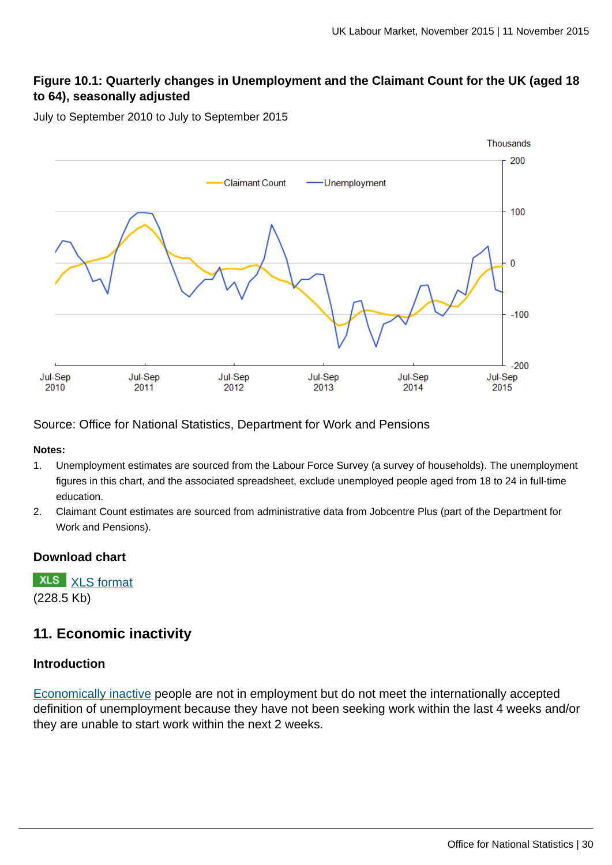# **Figure 10.1: Quarterly changes in Unemployment and the Claimant Count for the UK (aged 18 to 64), seasonally adjusted**

July to September 2010 to July to September 2015



Source: Office for National Statistics, Department for Work and Pensions

**Notes:**

- 1. Unemployment estimates are sourced from the Labour Force Survey (a survey of households). The unemployment figures in this chart, and the associated spreadsheet, exclude unemployed people aged from 18 to 24 in full-time education.
- 2. Claimant Count estimates are sourced from administrative data from Jobcentre Plus (part of the Department for Work and Pensions).

### **Download chart**

**XLS** [XLS format](http://www.ons.gov.uk:80/ons/rel/lms/labour-market-statistics/november-2015/chd-figure-10-1.xls) (228.5 Kb)

# **11. Economic inactivity**

### **Introduction**

[Economically inactive](http://www.ons.gov.uk:80/ons/rel/lms/labour-market-guidance/guide-to-labour-market-statistics/guide-to-economic-inactivity.html) people are not in employment but do not meet the internationally accepted definition of unemployment because they have not been seeking work within the last 4 weeks and/or they are unable to start work within the next 2 weeks.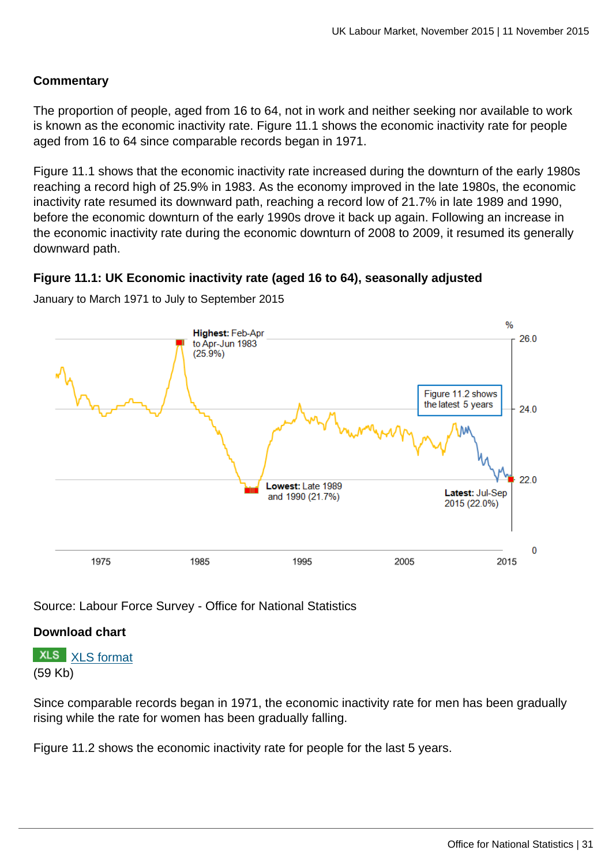# **Commentary**

The proportion of people, aged from 16 to 64, not in work and neither seeking nor available to work is known as the economic inactivity rate. Figure 11.1 shows the economic inactivity rate for people aged from 16 to 64 since comparable records began in 1971.

Figure 11.1 shows that the economic inactivity rate increased during the downturn of the early 1980s reaching a record high of 25.9% in 1983. As the economy improved in the late 1980s, the economic inactivity rate resumed its downward path, reaching a record low of 21.7% in late 1989 and 1990, before the economic downturn of the early 1990s drove it back up again. Following an increase in the economic inactivity rate during the economic downturn of 2008 to 2009, it resumed its generally downward path.

### **Figure 11.1: UK Economic inactivity rate (aged 16 to 64), seasonally adjusted**



January to March 1971 to July to September 2015

Source: Labour Force Survey - Office for National Statistics

### **Download chart**

**XLS** [XLS format](http://www.ons.gov.uk:80/ons/rel/lms/labour-market-statistics/november-2015/chd-figure-11-1.xls) (59 Kb)

Since comparable records began in 1971, the economic inactivity rate for men has been gradually rising while the rate for women has been gradually falling.

Figure 11.2 shows the economic inactivity rate for people for the last 5 years.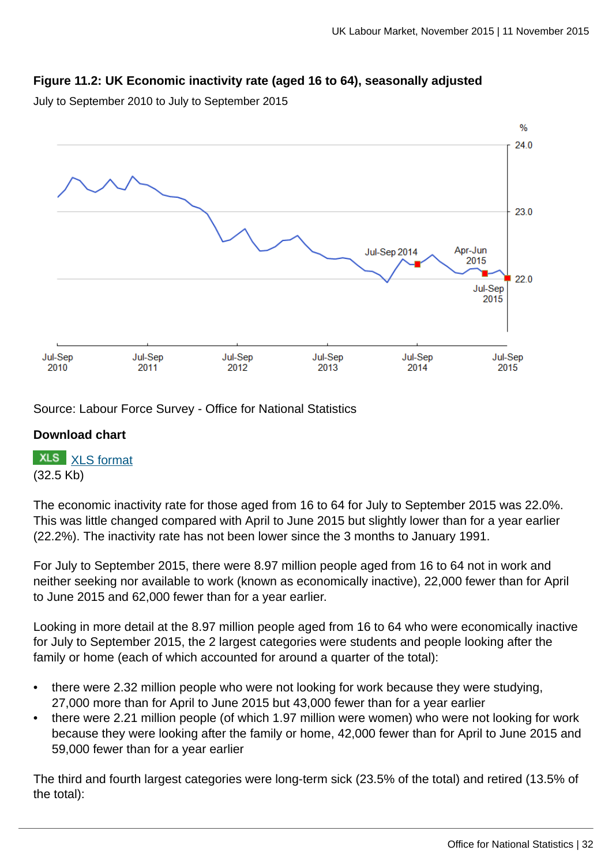# **Figure 11.2: UK Economic inactivity rate (aged 16 to 64), seasonally adjusted**

July to September 2010 to July to September 2015



Source: Labour Force Survey - Office for National Statistics

### **Download chart**

**XLS** [XLS format](http://www.ons.gov.uk:80/ons/rel/lms/labour-market-statistics/november-2015/chd-figure-11-2.xls) (32.5 Kb)

The economic inactivity rate for those aged from 16 to 64 for July to September 2015 was 22.0%. This was little changed compared with April to June 2015 but slightly lower than for a year earlier (22.2%). The inactivity rate has not been lower since the 3 months to January 1991.

For July to September 2015, there were 8.97 million people aged from 16 to 64 not in work and neither seeking nor available to work (known as economically inactive), 22,000 fewer than for April to June 2015 and 62,000 fewer than for a year earlier.

Looking in more detail at the 8.97 million people aged from 16 to 64 who were economically inactive for July to September 2015, the 2 largest categories were students and people looking after the family or home (each of which accounted for around a quarter of the total):

- there were 2.32 million people who were not looking for work because they were studying, 27,000 more than for April to June 2015 but 43,000 fewer than for a year earlier
- there were 2.21 million people (of which 1.97 million were women) who were not looking for work because they were looking after the family or home, 42,000 fewer than for April to June 2015 and 59,000 fewer than for a year earlier

The third and fourth largest categories were long-term sick (23.5% of the total) and retired (13.5% of the total):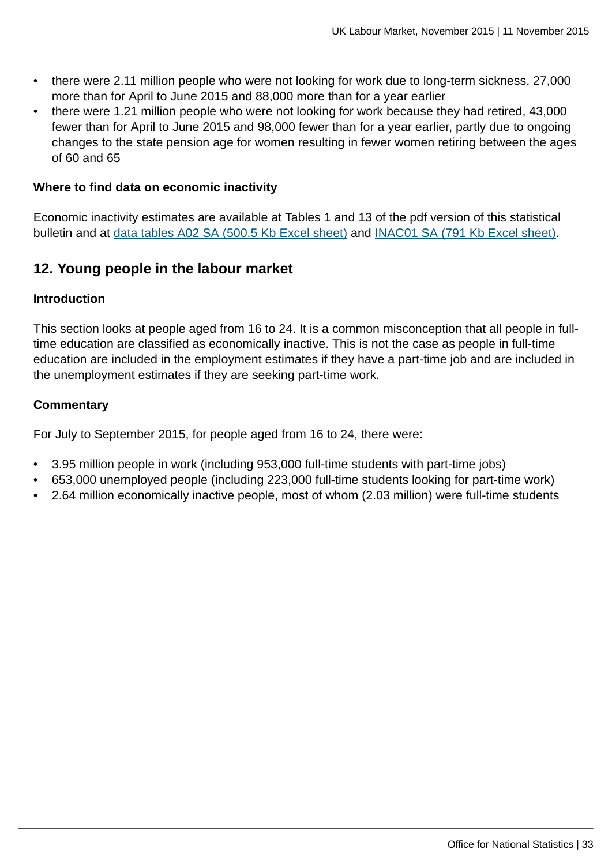- there were 2.11 million people who were not looking for work due to long-term sickness, 27,000 more than for April to June 2015 and 88,000 more than for a year earlier
- there were 1.21 million people who were not looking for work because they had retired, 43,000 fewer than for April to June 2015 and 98,000 fewer than for a year earlier, partly due to ongoing changes to the state pension age for women resulting in fewer women retiring between the ages of 60 and 65

### **Where to find data on economic inactivity**

Economic inactivity estimates are available at Tables 1 and 13 of the pdf version of this statistical bulletin and at [data tables A02 SA \(500.5 Kb Excel sheet\)](http://www.ons.gov.uk:80/ons/rel/lms/labour-market-statistics/november-2015/table-a02-sa.xls) and [INAC01 SA \(791 Kb Excel sheet\)](http://www.ons.gov.uk:80/ons/rel/lms/labour-market-statistics/november-2015/table-inac01-sa.xls).

# **12. Young people in the labour market**

### **Introduction**

This section looks at people aged from 16 to 24. It is a common misconception that all people in fulltime education are classified as economically inactive. This is not the case as people in full-time education are included in the employment estimates if they have a part-time job and are included in the unemployment estimates if they are seeking part-time work.

### **Commentary**

For July to September 2015, for people aged from 16 to 24, there were:

- 3.95 million people in work (including 953,000 full-time students with part-time jobs)
- 653,000 unemployed people (including 223,000 full-time students looking for part-time work)
- 2.64 million economically inactive people, most of whom (2.03 million) were full-time students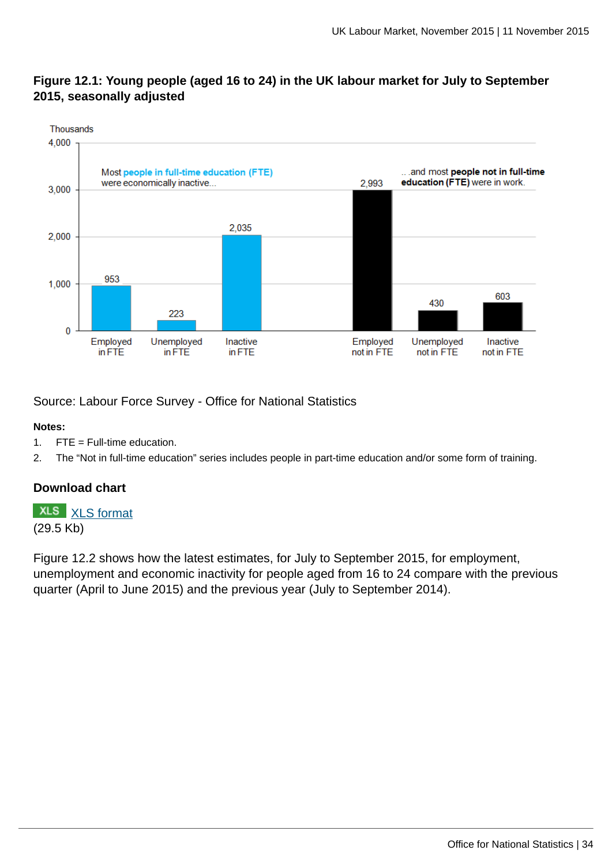### **Figure 12.1: Young people (aged 16 to 24) in the UK labour market for July to September 2015, seasonally adjusted**



Source: Labour Force Survey - Office for National Statistics

#### **Notes:**

- 1. FTE = Full-time education.
- 2. The "Not in full-time education" series includes people in part-time education and/or some form of training.

# **Download chart**

**XLS** [XLS format](http://www.ons.gov.uk:80/ons/rel/lms/labour-market-statistics/november-2015/chd-figure-12-1.xls) (29.5 Kb)

Figure 12.2 shows how the latest estimates, for July to September 2015, for employment, unemployment and economic inactivity for people aged from 16 to 24 compare with the previous quarter (April to June 2015) and the previous year (July to September 2014).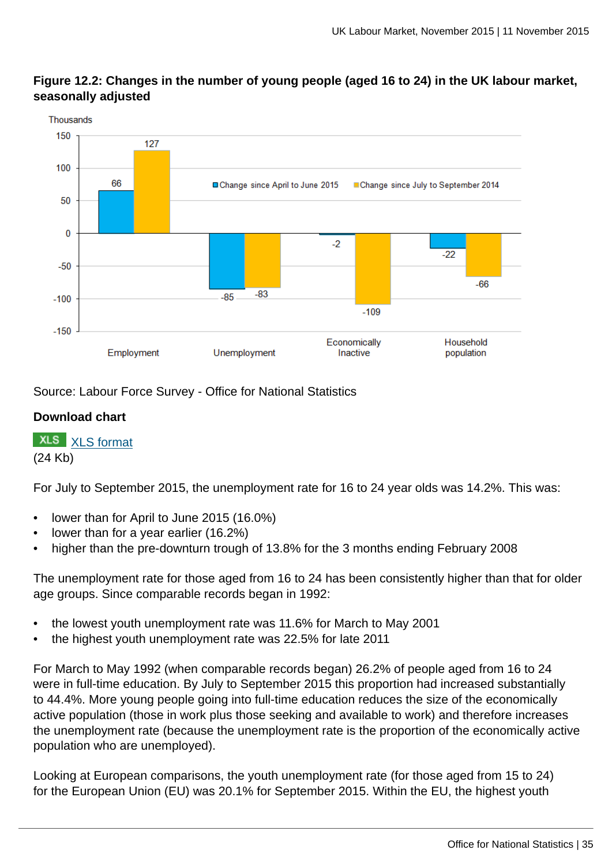

# **Figure 12.2: Changes in the number of young people (aged 16 to 24) in the UK labour market, seasonally adjusted**

Source: Labour Force Survey - Office for National Statistics

# **Download chart**

**XLS** [XLS format](http://www.ons.gov.uk:80/ons/rel/lms/labour-market-statistics/november-2015/chd-figure-12-2.xls)

(24 Kb)

For July to September 2015, the unemployment rate for 16 to 24 year olds was 14.2%. This was:

- lower than for April to June 2015 (16.0%)
- lower than for a year earlier (16.2%)
- higher than the pre-downturn trough of 13.8% for the 3 months ending February 2008

The unemployment rate for those aged from 16 to 24 has been consistently higher than that for older age groups. Since comparable records began in 1992:

- the lowest youth unemployment rate was 11.6% for March to May 2001
- the highest youth unemployment rate was 22.5% for late 2011

For March to May 1992 (when comparable records began) 26.2% of people aged from 16 to 24 were in full-time education. By July to September 2015 this proportion had increased substantially to 44.4%. More young people going into full-time education reduces the size of the economically active population (those in work plus those seeking and available to work) and therefore increases the unemployment rate (because the unemployment rate is the proportion of the economically active population who are unemployed).

Looking at European comparisons, the youth unemployment rate (for those aged from 15 to 24) for the European Union (EU) was 20.1% for September 2015. Within the EU, the highest youth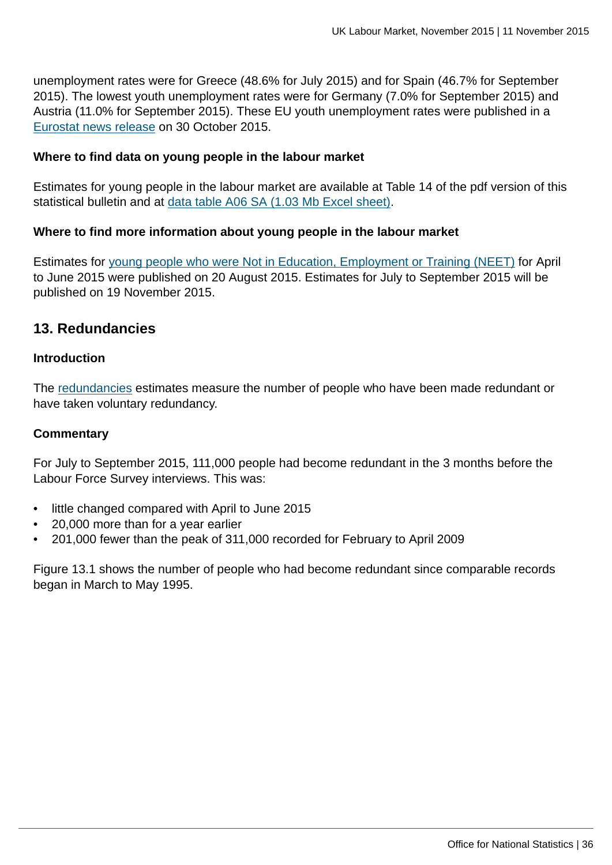unemployment rates were for Greece (48.6% for July 2015) and for Spain (46.7% for September 2015). The lowest youth unemployment rates were for Germany (7.0% for September 2015) and Austria (11.0% for September 2015). These EU youth unemployment rates were published in a [Eurostat news release](http://ec.europa.eu/eurostat/documents/2995521/7054219/3-30102015-AP-EN.pdf/06702a61-81c0-45ef-8d0f-9ac7f0586908) on 30 October 2015.

### **Where to find data on young people in the labour market**

Estimates for young people in the labour market are available at Table 14 of the pdf version of this statistical bulletin and at [data table A06 SA \(1.03 Mb Excel sheet\).](http://www.ons.gov.uk:80/ons/rel/lms/labour-market-statistics/november-2015/table-a06-sa.xls)

### **Where to find more information about young people in the labour market**

Estimates for [young people who were Not in Education, Employment or Training \(NEET\)](http://www.ons.gov.uk:80/ons/rel/lms/young-people-not-in-education--employment-or-training--neets-/index.html) for April to June 2015 were published on 20 August 2015. Estimates for July to September 2015 will be published on 19 November 2015.

# **13. Redundancies**

### **Introduction**

The [redundancies](http://www.ons.gov.uk:80/ons/rel/lms/labour-market-guidance/guide-to-labour-market-statistics/guide-to-redundancies.html) estimates measure the number of people who have been made redundant or have taken voluntary redundancy.

### **Commentary**

For July to September 2015, 111,000 people had become redundant in the 3 months before the Labour Force Survey interviews. This was:

- little changed compared with April to June 2015
- 20,000 more than for a year earlier
- 201,000 fewer than the peak of 311,000 recorded for February to April 2009

Figure 13.1 shows the number of people who had become redundant since comparable records began in March to May 1995.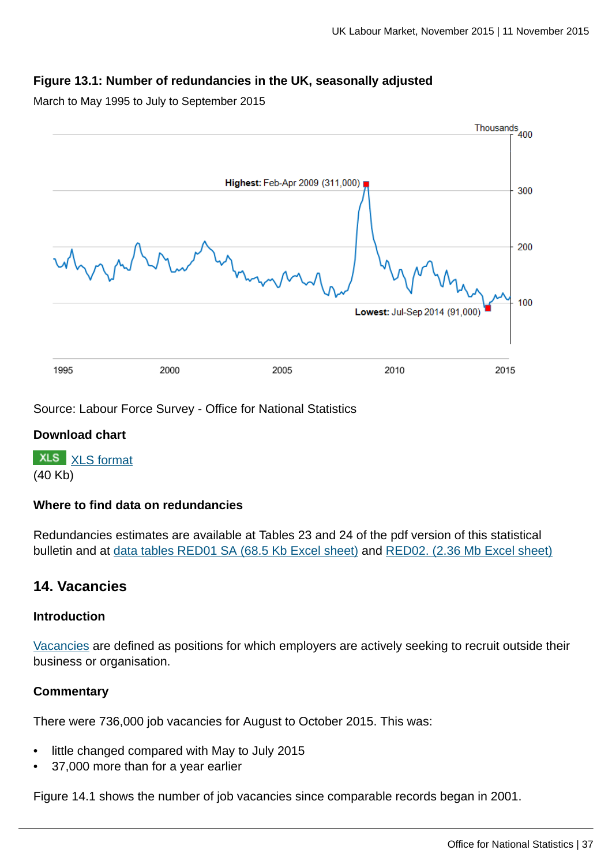## **Figure 13.1: Number of redundancies in the UK, seasonally adjusted**

March to May 1995 to July to September 2015



Source: Labour Force Survey - Office for National Statistics

### **Download chart**

**XLS** [XLS format](http://www.ons.gov.uk:80/ons/rel/lms/labour-market-statistics/november-2015/chd-figure-13-1.xls) (40 Kb)

#### **Where to find data on redundancies**

Redundancies estimates are available at Tables 23 and 24 of the pdf version of this statistical bulletin and at [data tables RED01 SA \(68.5 Kb Excel sheet\)](http://www.ons.gov.uk:80/ons/rel/lms/labour-market-statistics/november-2015/table-red01-sa.xls) and [RED02. \(2.36 Mb Excel sheet\)](http://www.ons.gov.uk:80/ons/rel/lms/labour-market-statistics/november-2015/table-red02.xls)

## **14. Vacancies**

#### **Introduction**

[Vacancies](http://www.ons.gov.uk:80/ons/rel/lms/labour-market-guidance/guide-to-labour-market-statistics/guide-to-vacancies.html) are defined as positions for which employers are actively seeking to recruit outside their business or organisation.

#### **Commentary**

There were 736,000 job vacancies for August to October 2015. This was:

- little changed compared with May to July 2015
- 37,000 more than for a year earlier

Figure 14.1 shows the number of job vacancies since comparable records began in 2001.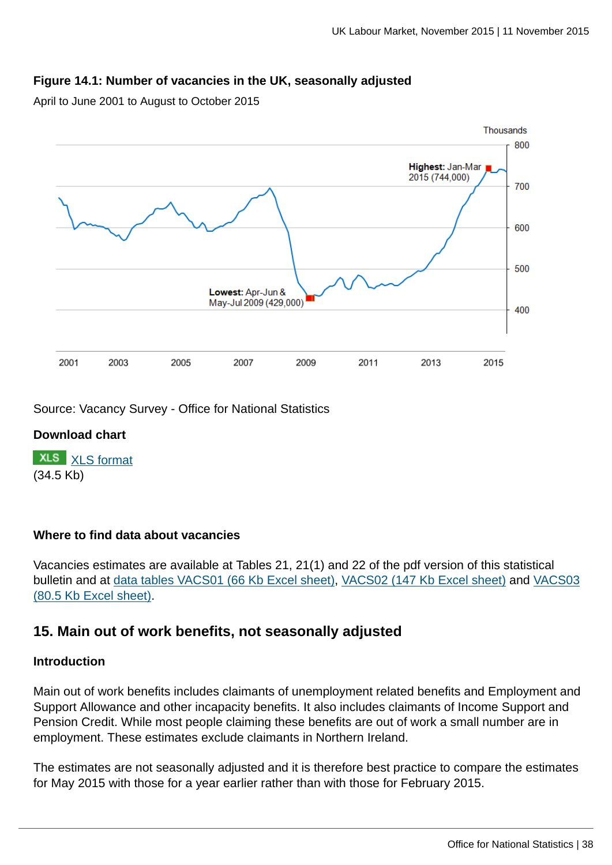### **Figure 14.1: Number of vacancies in the UK, seasonally adjusted**

April to June 2001 to August to October 2015



Source: Vacancy Survey - Office for National Statistics

### **Download chart**

**XLS** [XLS format](http://www.ons.gov.uk:80/ons/rel/lms/labour-market-statistics/november-2015/chd-figure-14-1.xls) (34.5 Kb)

### **Where to find data about vacancies**

Vacancies estimates are available at Tables 21, 21(1) and 22 of the pdf version of this statistical bulletin and at [data tables VACS01 \(66 Kb Excel sheet\)](http://www.ons.gov.uk:80/ons/rel/lms/labour-market-statistics/november-2015/table-vacs01.xls), [VACS02 \(147 Kb Excel sheet\)](http://www.ons.gov.uk:80/ons/rel/lms/labour-market-statistics/november-2015/table-vacs02.xls) and [VACS03](http://www.ons.gov.uk:80/ons/rel/lms/labour-market-statistics/november-2015/table-vacs03.xls) [\(80.5 Kb Excel sheet\)](http://www.ons.gov.uk:80/ons/rel/lms/labour-market-statistics/november-2015/table-vacs03.xls).

## **15. Main out of work benefits, not seasonally adjusted**

#### **Introduction**

Main out of work benefits includes claimants of unemployment related benefits and Employment and Support Allowance and other incapacity benefits. It also includes claimants of Income Support and Pension Credit. While most people claiming these benefits are out of work a small number are in employment. These estimates exclude claimants in Northern Ireland.

The estimates are not seasonally adjusted and it is therefore best practice to compare the estimates for May 2015 with those for a year earlier rather than with those for February 2015.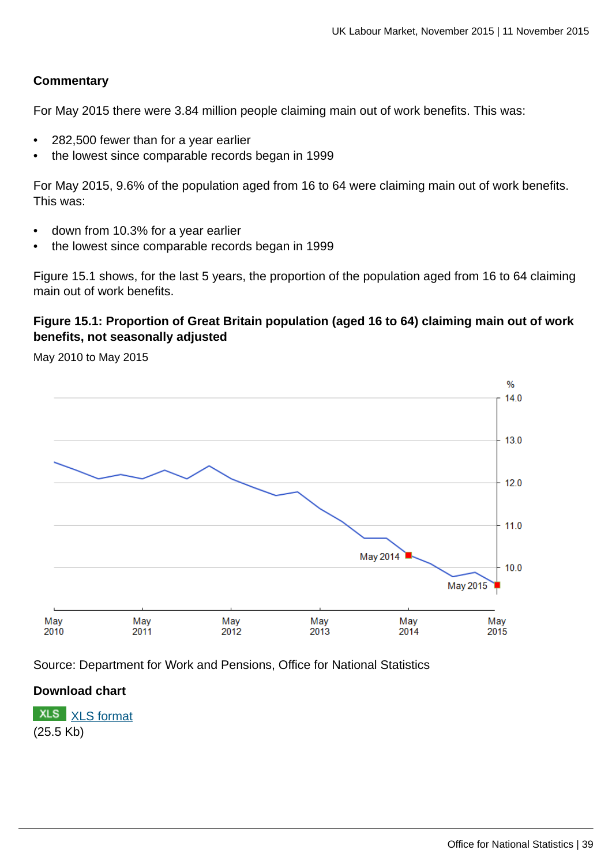### **Commentary**

For May 2015 there were 3.84 million people claiming main out of work benefits. This was:

- 282,500 fewer than for a year earlier
- the lowest since comparable records began in 1999

For May 2015, 9.6% of the population aged from 16 to 64 were claiming main out of work benefits. This was:

- down from 10.3% for a year earlier
- the lowest since comparable records began in 1999

Figure 15.1 shows, for the last 5 years, the proportion of the population aged from 16 to 64 claiming main out of work benefits.

## **Figure 15.1: Proportion of Great Britain population (aged 16 to 64) claiming main out of work benefits, not seasonally adjusted**

May 2010 to May 2015



Source: Department for Work and Pensions, Office for National Statistics

### **Download chart**

**XLS** [XLS format](http://www.ons.gov.uk:80/ons/rel/lms/labour-market-statistics/november-2015/chd-figure-15-1.xls) (25.5 Kb)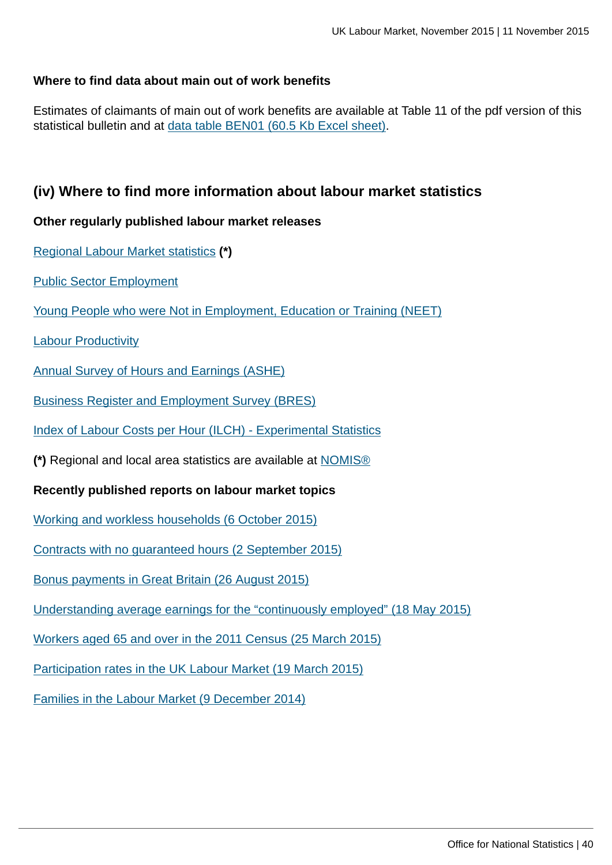### **Where to find data about main out of work benefits**

Estimates of claimants of main out of work benefits are available at Table 11 of the pdf version of this statistical bulletin and at [data table BEN01 \(60.5 Kb Excel sheet\).](http://www.ons.gov.uk:80/ons/rel/lms/labour-market-statistics/november-2015/table-ben01.xls)

## **(iv) Where to find more information about labour market statistics**

### **Other regularly published labour market releases**

[Regional Labour Market statistics](http://www.ons.gov.uk:80/ons/rel/subnational-labour/regional-labour-market-statistics/index.html) **(\*)**

[Public Sector Employment](http://www.ons.gov.uk:80/ons/rel/pse/public-sector-employment/index.html)

[Young People who were Not in Employment, Education or Training \(NEET\)](http://www.ons.gov.uk:80/ons/rel/lms/young-people-not-in-education--employment-or-training--neets-/index.html)

[Labour Productivity](http://www.ons.gov.uk:80/ons/rel/productivity/labour-productivity/index.html)

[Annual Survey of Hours and Earnings \(ASHE\)](http://www.ons.gov.uk:80/ons/rel/ashe/annual-survey-of-hours-and-earnings/index.html)

[Business Register and Employment Survey \(BRES\)](http://www.ons.gov.uk:80/ons/rel/bus-register/business-register-employment-survey/index.html)

[Index of Labour Costs per Hour \(ILCH\) - Experimental Statistics](http://www.ons.gov.uk:80/ons/rel/ilch/index-of-labour-costs-per-hour--experimental-/index.html)

**(\*)** Regional and local area statistics are available at [NOMIS®](http://www.ons.gov.uk:80/ons/external-links/nomis.html)

**Recently published reports on labour market topics**

[Working and workless households \(6 October 2015\)](http://www.ons.gov.uk:80/ons/rel/lmac/working-and-workless-households/2015/index.html)

[Contracts with no guaranteed hours \(2 September 2015\)](http://www.ons.gov.uk:80/ons/rel/lmac/contracts-with-no-guaranteed-hours/employee-contracts-that-do-not-guarantee-a-minimum-number-of-hours--2015-update-/employee-contracts-that-do-not-guarantee-a-minimum-number-of-hours--2015-update.html)

[Bonus payments in Great Britain \(26 August 2015\)](http://www.ons.gov.uk:80/ons/rel/awe/average-weekly-earnings/bonus-payments-in-great-britain--2014-15/index.html)

[Understanding average earnings for the "continuously employed" \(18 May 2015\)](http://www.ons.gov.uk:80/ons/rel/lmac/understanding-average-earnings-for-the--continuously-employed-/using-the-annual-survey-of-hours-and-earnings---2014/index.html)

[Workers aged 65 and over in the 2011 Census \(25 March 2015\)](http://www.ons.gov.uk:80/ons/rel/census/2011-census-analysis/workers-aged-65-and-over-in-the-2011-census/index.html)

[Participation rates in the UK Labour Market \(19 March 2015\)](http://www.ons.gov.uk:80/ons/rel/lmac/participation-rates-in-the-uk-labour-market/2014/index.html)

[Families in the Labour Market \(9 December 2014\)](http://www.ons.gov.uk:80/ons/rel/lmac/families-in-the-labour-market/2014/index.html)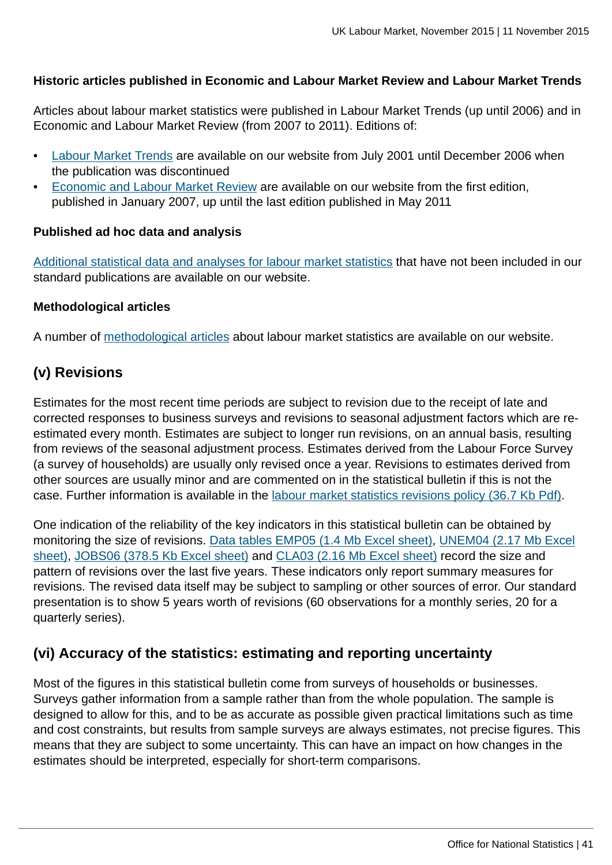### **Historic articles published in Economic and Labour Market Review and Labour Market Trends**

Articles about labour market statistics were published in Labour Market Trends (up until 2006) and in Economic and Labour Market Review (from 2007 to 2011). Editions of:

- [Labour Market Trends](http://www.ons.gov.uk/ons/rel/lms/labour-market-trends--discontinued-/index.html) are available on our website from July 2001 until December 2006 when the publication was discontinued
- [Economic and Labour Market Review](http://www.ons.gov.uk/ons/rel/elmr/economic-and-labour-market-review/index.html) are available on our website from the first edition, published in January 2007, up until the last edition published in May 2011

### **Published ad hoc data and analysis**

[Additional statistical data and analyses for labour market statistics](http://www.ons.gov.uk:80/ons/about-ons/business-transparency/freedom-of-information/what-can-i-request/published-ad-hoc-data/labour/index.html) that have not been included in our standard publications are available on our website.

#### **Methodological articles**

A number of [methodological articles](http://www.ons.gov.uk:80/ons/guide-method/method-quality/specific/labour-market/articles-and-reports/index.html) about labour market statistics are available on our website.

# **(v) Revisions**

Estimates for the most recent time periods are subject to revision due to the receipt of late and corrected responses to business surveys and revisions to seasonal adjustment factors which are reestimated every month. Estimates are subject to longer run revisions, on an annual basis, resulting from reviews of the seasonal adjustment process. Estimates derived from the Labour Force Survey (a survey of households) are usually only revised once a year. Revisions to estimates derived from other sources are usually minor and are commented on in the statistical bulletin if this is not the case. Further information is available in the [labour market statistics revisions policy \(36.7 Kb Pdf\).](http://www.ons.gov.uk:80/ons/guide-method/revisions/revisions-policies-by-theme/labour-market/labour-market-statistics-revisions-policy.pdf)

One indication of the reliability of the key indicators in this statistical bulletin can be obtained by monitoring the size of revisions. [Data tables EMP05 \(1.4 Mb Excel sheet\)](http://www.ons.gov.uk:80/ons/rel/lms/labour-market-statistics/november-2015/table-emp05.xls), [UNEM04 \(2.17 Mb Excel](http://www.ons.gov.uk:80/ons/rel/lms/labour-market-statistics/november-2015/table-unem04.xls) [sheet\),](http://www.ons.gov.uk:80/ons/rel/lms/labour-market-statistics/november-2015/table-unem04.xls) [JOBS06 \(378.5 Kb Excel sheet\)](http://www.ons.gov.uk:80/ons/rel/lms/labour-market-statistics/november-2015/table-jobs06.xls) and [CLA03 \(2.16 Mb Excel sheet\)](http://www.ons.gov.uk:80/ons/rel/lms/labour-market-statistics/november-2015/table-cla03.xls) record the size and pattern of revisions over the last five years. These indicators only report summary measures for revisions. The revised data itself may be subject to sampling or other sources of error. Our standard presentation is to show 5 years worth of revisions (60 observations for a monthly series, 20 for a quarterly series).

## **(vi) Accuracy of the statistics: estimating and reporting uncertainty**

Most of the figures in this statistical bulletin come from surveys of households or businesses. Surveys gather information from a sample rather than from the whole population. The sample is designed to allow for this, and to be as accurate as possible given practical limitations such as time and cost constraints, but results from sample surveys are always estimates, not precise figures. This means that they are subject to some uncertainty. This can have an impact on how changes in the estimates should be interpreted, especially for short-term comparisons.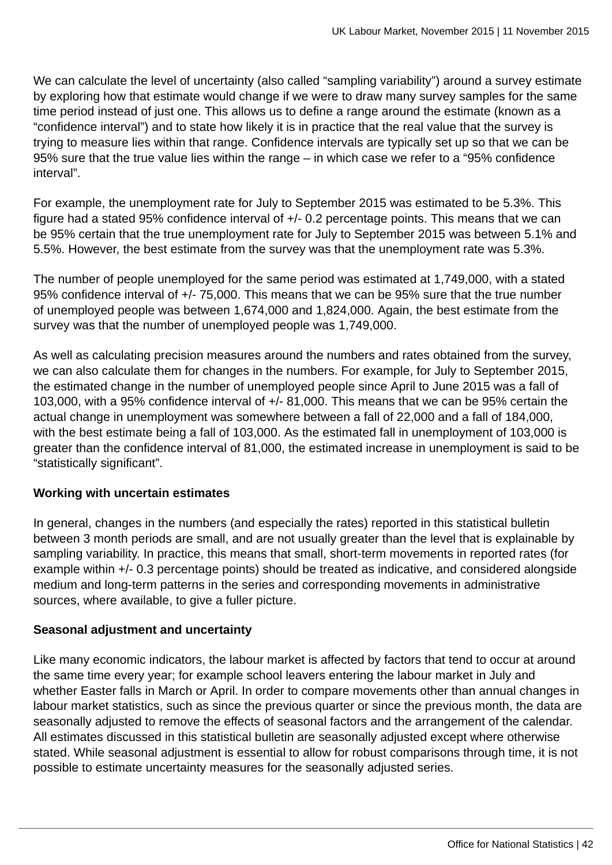We can calculate the level of uncertainty (also called "sampling variability") around a survey estimate by exploring how that estimate would change if we were to draw many survey samples for the same time period instead of just one. This allows us to define a range around the estimate (known as a "confidence interval") and to state how likely it is in practice that the real value that the survey is trying to measure lies within that range. Confidence intervals are typically set up so that we can be 95% sure that the true value lies within the range – in which case we refer to a "95% confidence interval".

For example, the unemployment rate for July to September 2015 was estimated to be 5.3%. This figure had a stated 95% confidence interval of +/- 0.2 percentage points. This means that we can be 95% certain that the true unemployment rate for July to September 2015 was between 5.1% and 5.5%. However, the best estimate from the survey was that the unemployment rate was 5.3%.

The number of people unemployed for the same period was estimated at 1,749,000, with a stated 95% confidence interval of +/- 75,000. This means that we can be 95% sure that the true number of unemployed people was between 1,674,000 and 1,824,000. Again, the best estimate from the survey was that the number of unemployed people was 1,749,000.

As well as calculating precision measures around the numbers and rates obtained from the survey, we can also calculate them for changes in the numbers. For example, for July to September 2015, the estimated change in the number of unemployed people since April to June 2015 was a fall of 103,000, with a 95% confidence interval of +/- 81,000. This means that we can be 95% certain the actual change in unemployment was somewhere between a fall of 22,000 and a fall of 184,000, with the best estimate being a fall of 103,000. As the estimated fall in unemployment of 103,000 is greater than the confidence interval of 81,000, the estimated increase in unemployment is said to be "statistically significant".

## **Working with uncertain estimates**

In general, changes in the numbers (and especially the rates) reported in this statistical bulletin between 3 month periods are small, and are not usually greater than the level that is explainable by sampling variability. In practice, this means that small, short-term movements in reported rates (for example within +/- 0.3 percentage points) should be treated as indicative, and considered alongside medium and long-term patterns in the series and corresponding movements in administrative sources, where available, to give a fuller picture.

## **Seasonal adjustment and uncertainty**

Like many economic indicators, the labour market is affected by factors that tend to occur at around the same time every year; for example school leavers entering the labour market in July and whether Easter falls in March or April. In order to compare movements other than annual changes in labour market statistics, such as since the previous quarter or since the previous month, the data are seasonally adjusted to remove the effects of seasonal factors and the arrangement of the calendar. All estimates discussed in this statistical bulletin are seasonally adjusted except where otherwise stated. While seasonal adjustment is essential to allow for robust comparisons through time, it is not possible to estimate uncertainty measures for the seasonally adjusted series.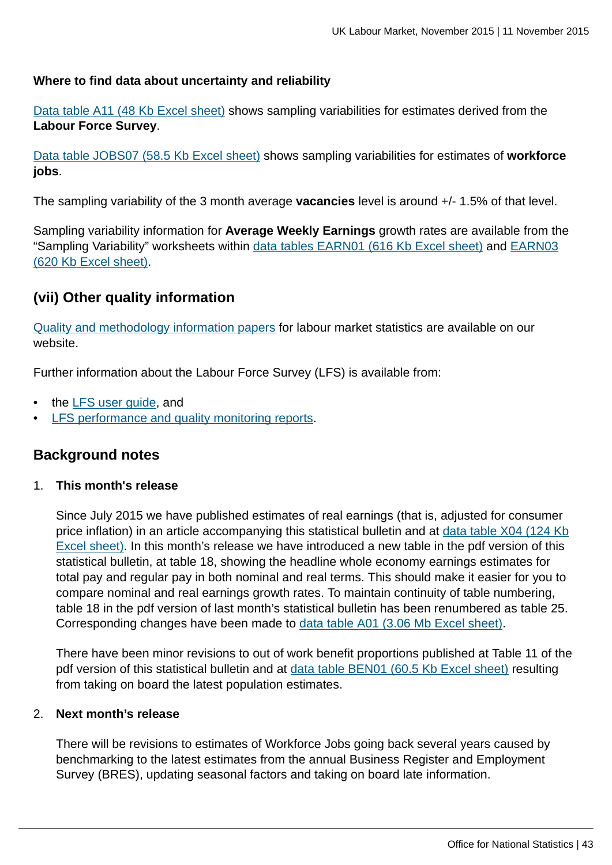### **Where to find data about uncertainty and reliability**

[Data table A11 \(48 Kb Excel sheet\)](http://www.ons.gov.uk:80/ons/rel/lms/labour-market-statistics/november-2015/table-a11.xls) shows sampling variabilities for estimates derived from the **Labour Force Survey**.

[Data table JOBS07 \(58.5 Kb Excel sheet\)](http://www.ons.gov.uk:80/ons/rel/lms/labour-market-statistics/november-2015/table-jobs07.xls) shows sampling variabilities for estimates of **workforce jobs**.

The sampling variability of the 3 month average **vacancies** level is around +/- 1.5% of that level.

Sampling variability information for **Average Weekly Earnings** growth rates are available from the "Sampling Variability" worksheets within [data tables EARN01 \(616 Kb Excel sheet\)](http://www.ons.gov.uk:80/ons/rel/lms/labour-market-statistics/november-2015/table-earn01.xls) and [EARN03](http://www.ons.gov.uk:80/ons/rel/lms/labour-market-statistics/november-2015/table-earn03.xls) [\(620 Kb Excel sheet\).](http://www.ons.gov.uk:80/ons/rel/lms/labour-market-statistics/november-2015/table-earn03.xls)

# **(vii) Other quality information**

[Quality and methodology information papers](http://www.ons.gov.uk:80/ons/guide-method/method-quality/quality/quality-information/labour-market/index.html) for labour market statistics are available on our website.

Further information about the Labour Force Survey (LFS) is available from:

- the LFS user quide, and
- [LFS performance and quality monitoring reports](http://www.ons.gov.uk:80/ons/guide-method/method-quality/specific/labour-market/labour-force-survey/index.html).

## **Background notes**

#### 1. **This month's release**

Since July 2015 we have published estimates of real earnings (that is, adjusted for consumer price inflation) in an article accompanying this statistical bulletin and at [data table X04 \(124 Kb](http://www.ons.gov.uk:80/ons/rel/lms/labour-market-statistics/november-2015/table-x04.xls) [Excel sheet\)](http://www.ons.gov.uk:80/ons/rel/lms/labour-market-statistics/november-2015/table-x04.xls). In this month's release we have introduced a new table in the pdf version of this statistical bulletin, at table 18, showing the headline whole economy earnings estimates for total pay and regular pay in both nominal and real terms. This should make it easier for you to compare nominal and real earnings growth rates. To maintain continuity of table numbering, table 18 in the pdf version of last month's statistical bulletin has been renumbered as table 25. Corresponding changes have been made to [data table A01 \(3.06 Mb Excel sheet\)](http://www.ons.gov.uk:80/ons/rel/lms/labour-market-statistics/november-2015/table-a01.xls).

There have been minor revisions to out of work benefit proportions published at Table 11 of the pdf version of this statistical bulletin and at [data table BEN01 \(60.5 Kb Excel sheet\)](http://www.ons.gov.uk:80/ons/rel/lms/labour-market-statistics/november-2015/table-ben01.xls) resulting from taking on board the latest population estimates.

### 2. **Next month's release**

There will be revisions to estimates of Workforce Jobs going back several years caused by benchmarking to the latest estimates from the annual Business Register and Employment Survey (BRES), updating seasonal factors and taking on board late information.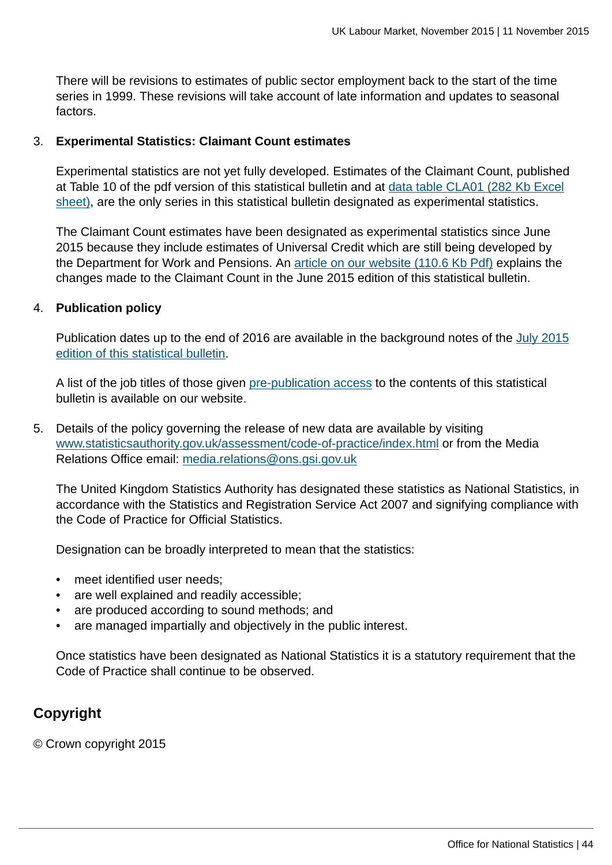There will be revisions to estimates of public sector employment back to the start of the time series in 1999. These revisions will take account of late information and updates to seasonal factors.

### 3. **Experimental Statistics: Claimant Count estimates**

Experimental statistics are not yet fully developed. Estimates of the Claimant Count, published at Table 10 of the pdf version of this statistical bulletin and at [data table CLA01 \(282 Kb Excel](http://www.ons.gov.uk:80/ons/rel/lms/labour-market-statistics/november-2015/table-cla01.xls) [sheet\),](http://www.ons.gov.uk:80/ons/rel/lms/labour-market-statistics/november-2015/table-cla01.xls) are the only series in this statistical bulletin designated as experimental statistics.

The Claimant Count estimates have been designated as experimental statistics since June 2015 because they include estimates of Universal Credit which are still being developed by the Department for Work and Pensions. An [article on our website \(110.6 Kb Pdf\)](http://www.ons.gov.uk:80/ons/guide-method/method-quality/specific/labour-market/articles-and-reports/jobseeker-s-allowance--universal-credit-and-the-claimant-count--changes-to-the-measurement-of-the-claimant-count.pdf) explains the changes made to the Claimant Count in the June 2015 edition of this statistical bulletin.

### 4. **Publication policy**

Publication dates up to the end of 2016 are available in the background notes of the [July 2015](http://www.ons.gov.uk:80/ons/rel/lms/labour-market-statistics/july-2015/statistical-bulletin.html) [edition of this statistical bulletin](http://www.ons.gov.uk:80/ons/rel/lms/labour-market-statistics/july-2015/statistical-bulletin.html).

A list of the job titles of those given [pre-publication access](http://www.ons.gov.uk:80/ons/rel/lms/labour-market-statistics/november-2015/pre-release-list.html) to the contents of this statistical bulletin is available on our website.

5. Details of the policy governing the release of new data are available by visiting [www.statisticsauthority.gov.uk/assessment/code-of-practice/index.html](http://www.statisticsauthority.gov.uk/assessment/code-of-practice/index.html) or from the Media Relations Office email: [media.relations@ons.gsi.gov.uk](mailto:media.relations@ons.gsi.gov.uk)

The United Kingdom Statistics Authority has designated these statistics as National Statistics, in accordance with the Statistics and Registration Service Act 2007 and signifying compliance with the Code of Practice for Official Statistics.

Designation can be broadly interpreted to mean that the statistics:

- meet identified user needs;
- are well explained and readily accessible;
- are produced according to sound methods; and
- are managed impartially and objectively in the public interest.

Once statistics have been designated as National Statistics it is a statutory requirement that the Code of Practice shall continue to be observed.

## **Copyright**

© Crown copyright 2015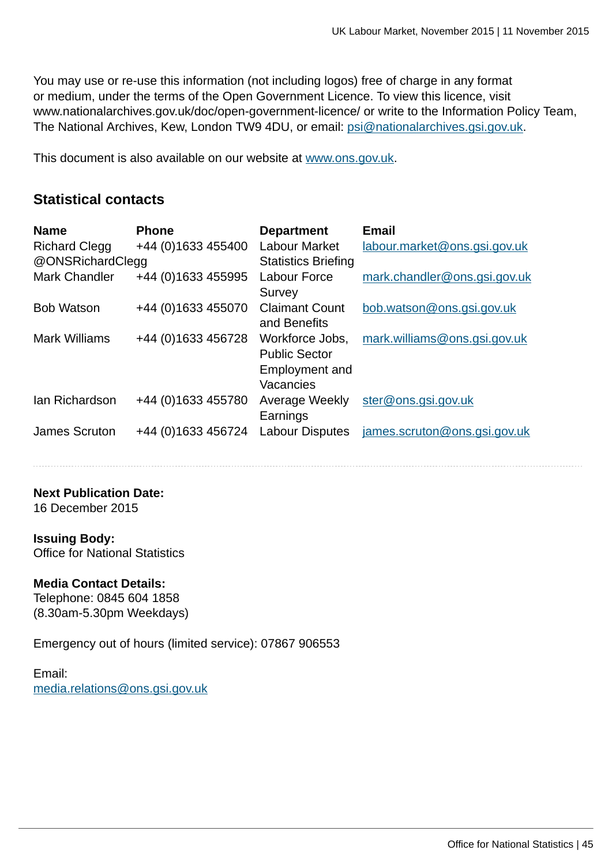You may use or re-use this information (not including logos) free of charge in any format or medium, under the terms of the Open Government Licence. To view this licence, visit www.nationalarchives.gov.uk/doc/open-government-licence/ or write to the Information Policy Team, The National Archives, Kew, London TW9 4DU, or email: [psi@nationalarchives.gsi.gov.uk](mailto:psi@nationalarchives.gsi.gov.uk).

This document is also available on our website at [www.ons.gov.uk.](http://www.ons.gov.uk/)

## **Statistical contacts**

| <b>Name</b>          | <b>Phone</b>       | <b>Department</b>          | <b>Email</b>                 |
|----------------------|--------------------|----------------------------|------------------------------|
| <b>Richard Clegg</b> | +44 (0)1633 455400 | Labour Market              | labour.market@ons.gsi.gov.uk |
| @ONSRichardClegg     |                    | <b>Statistics Briefing</b> |                              |
| <b>Mark Chandler</b> | +44 (0)1633 455995 | <b>Labour Force</b>        | mark.chandler@ons.gsi.gov.uk |
|                      |                    | Survey                     |                              |
| <b>Bob Watson</b>    | +44 (0)1633 455070 | <b>Claimant Count</b>      | bob.watson@ons.gsi.gov.uk    |
|                      |                    | and Benefits               |                              |
| <b>Mark Williams</b> | +44 (0)1633 456728 | Workforce Jobs,            | mark.williams@ons.gsi.gov.uk |
|                      |                    | <b>Public Sector</b>       |                              |
|                      |                    | Employment and             |                              |
|                      |                    | Vacancies                  |                              |
| lan Richardson       | +44 (0)1633 455780 | Average Weekly             | ster@ons.gsi.gov.uk          |
|                      |                    | Earnings                   |                              |
| James Scruton        | +44 (0)1633 456724 | <b>Labour Disputes</b>     | james.scruton@ons.gsi.gov.uk |
|                      |                    |                            |                              |

**Next Publication Date:**

16 December 2015

### **Issuing Body:**

Office for National Statistics

## **Media Contact Details:**

Telephone: 0845 604 1858 (8.30am-5.30pm Weekdays)

Emergency out of hours (limited service): 07867 906553

Email: [media.relations@ons.gsi.gov.uk](mailto:media.relations@ons.gsi.gov.uk)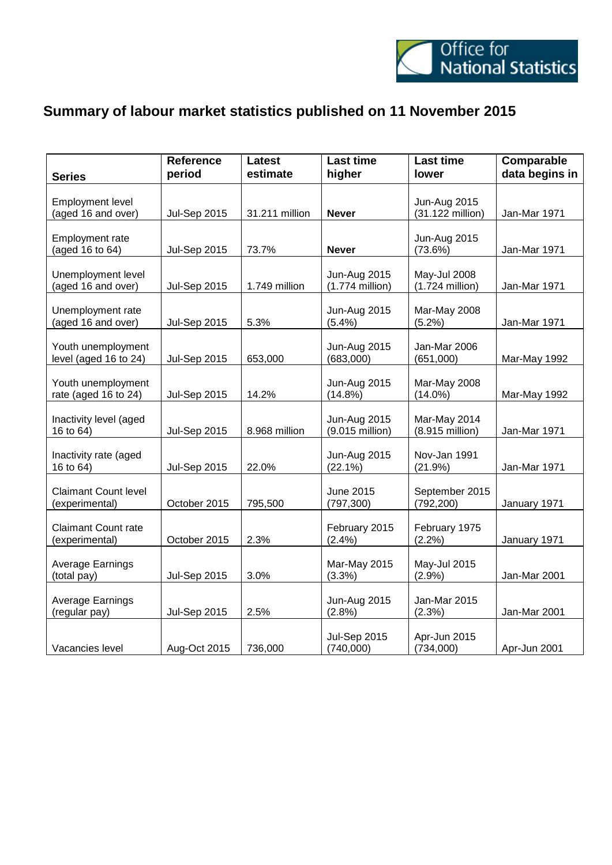

# **Summary of labour market statistics published on 11 November 2015**

| <b>Series</b>                                 | <b>Reference</b><br>period | <b>Latest</b><br>estimate | <b>Last time</b><br>higher               | <b>Last time</b><br>lower               | Comparable<br>data begins in |
|-----------------------------------------------|----------------------------|---------------------------|------------------------------------------|-----------------------------------------|------------------------------|
| <b>Employment level</b><br>(aged 16 and over) | <b>Jul-Sep 2015</b>        | 31.211 million            | <b>Never</b>                             | <b>Jun-Aug 2015</b><br>(31.122 million) | Jan-Mar 1971                 |
| Employment rate<br>(aged 16 to 64)            | <b>Jul-Sep 2015</b>        | 73.7%                     | <b>Never</b>                             | <b>Jun-Aug 2015</b><br>(73.6%)          | Jan-Mar 1971                 |
| Unemployment level<br>(aged 16 and over)      | <b>Jul-Sep 2015</b>        | 1.749 million             | <b>Jun-Aug 2015</b><br>$(1.774$ million) | May-Jul 2008<br>$(1.724$ million)       | Jan-Mar 1971                 |
| Unemployment rate<br>(aged 16 and over)       | <b>Jul-Sep 2015</b>        | 5.3%                      | <b>Jun-Aug 2015</b><br>(5.4%)            | Mar-May 2008<br>(5.2%)                  | Jan-Mar 1971                 |
| Youth unemployment<br>level (aged 16 to 24)   | <b>Jul-Sep 2015</b>        | 653,000                   | <b>Jun-Aug 2015</b><br>(683,000)         | Jan-Mar 2006<br>(651,000)               | Mar-May 1992                 |
| Youth unemployment<br>rate (aged 16 to 24)    | <b>Jul-Sep 2015</b>        | 14.2%                     | <b>Jun-Aug 2015</b><br>$(14.8\%)$        | Mar-May 2008<br>$(14.0\%)$              | Mar-May 1992                 |
| Inactivity level (aged<br>16 to 64)           | <b>Jul-Sep 2015</b>        | 8.968 million             | <b>Jun-Aug 2015</b><br>(9.015 million)   | Mar-May 2014<br>(8.915 million)         | Jan-Mar 1971                 |
| Inactivity rate (aged<br>16 to 64)            | <b>Jul-Sep 2015</b>        | 22.0%                     | <b>Jun-Aug 2015</b><br>$(22.1\%)$        | Nov-Jan 1991<br>(21.9%)                 | Jan-Mar 1971                 |
| <b>Claimant Count level</b><br>(experimental) | October 2015               | 795,500                   | June 2015<br>(797, 300)                  | September 2015<br>(792, 200)            | January 1971                 |
| <b>Claimant Count rate</b><br>(experimental)  | October 2015               | 2.3%                      | February 2015<br>(2.4%)                  | February 1975<br>(2.2%)                 | January 1971                 |
| Average Earnings<br>(total pay)               | <b>Jul-Sep 2015</b>        | 3.0%                      | Mar-May 2015<br>(3.3%)                   | May-Jul 2015<br>(2.9%)                  | Jan-Mar 2001                 |
| Average Earnings<br>(regular pay)             | <b>Jul-Sep 2015</b>        | 2.5%                      | Jun-Aug 2015<br>(2.8%)                   | Jan-Mar 2015<br>$(2.3\%)$               | Jan-Mar 2001                 |
| Vacancies level                               | Aug-Oct 2015               | 736,000                   | <b>Jul-Sep 2015</b><br>(740,000)         | Apr-Jun 2015<br>(734,000)               | Apr-Jun 2001                 |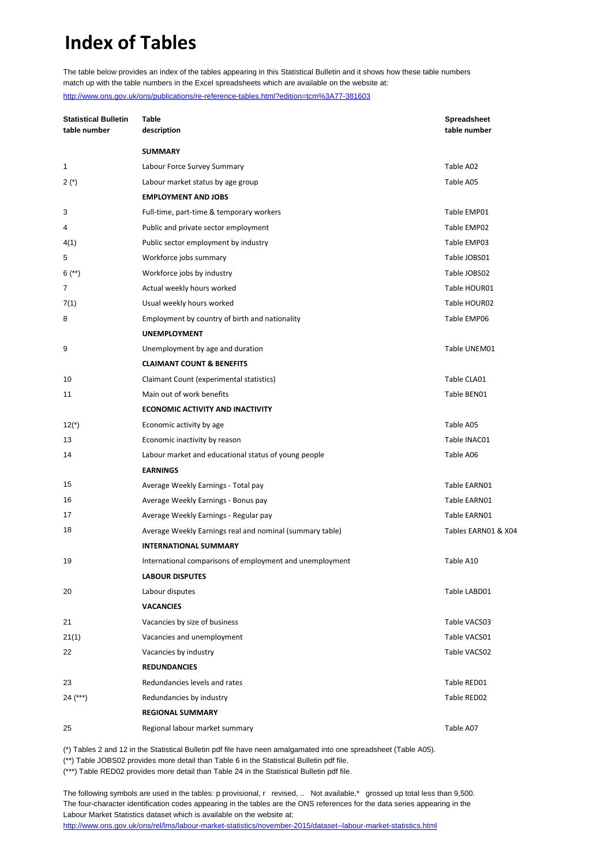# **Index of Tables**

The table below provides an index of the tables appearing in this Statistical Bulletin and it shows how these table numbers match up with the table numbers in the Excel spreadsheets which are available on the website at: <http://www.ons.gov.uk/ons/publications/re-reference-tables.html?edition=tcm%3A77-381603>

| <b>Statistical Bulletin</b><br>table number | Table<br>description                                     | <b>Spreadsheet</b><br>table number |
|---------------------------------------------|----------------------------------------------------------|------------------------------------|
|                                             | <b>SUMMARY</b>                                           |                                    |
| 1                                           | Labour Force Survey Summary                              | Table A02                          |
| $2(*)$                                      | Labour market status by age group                        | Table A05                          |
|                                             | <b>EMPLOYMENT AND JOBS</b>                               |                                    |
| 3                                           | Full-time, part-time & temporary workers                 | Table EMP01                        |
| 4                                           | Public and private sector employment                     | Table EMP02                        |
| 4(1)                                        | Public sector employment by industry                     | Table EMP03                        |
| 5                                           | Workforce jobs summary                                   | Table JOBS01                       |
| $6$ (**)                                    | Workforce jobs by industry                               | Table JOBS02                       |
| 7                                           | Actual weekly hours worked                               | Table HOUR01                       |
| 7(1)                                        | Usual weekly hours worked                                | Table HOUR02                       |
| 8                                           | Employment by country of birth and nationality           | Table EMP06                        |
|                                             | <b>UNEMPLOYMENT</b>                                      |                                    |
| 9                                           | Unemployment by age and duration                         | Table UNEM01                       |
|                                             | <b>CLAIMANT COUNT &amp; BENEFITS</b>                     |                                    |
| 10                                          | Claimant Count (experimental statistics)                 | Table CLA01                        |
| 11                                          | Main out of work benefits                                | Table BEN01                        |
|                                             | <b>ECONOMIC ACTIVITY AND INACTIVITY</b>                  |                                    |
| $12(*)$                                     | Economic activity by age                                 | Table A05                          |
| 13                                          | Economic inactivity by reason                            | Table INAC01                       |
| 14                                          | Labour market and educational status of young people     | Table A06                          |
|                                             | <b>EARNINGS</b>                                          |                                    |
| 15                                          | Average Weekly Earnings - Total pay                      | Table EARN01                       |
| 16                                          | Average Weekly Earnings - Bonus pay                      | Table EARN01                       |
| 17                                          | Average Weekly Earnings - Regular pay                    | Table EARN01                       |
| 18                                          | Average Weekly Earnings real and nominal (summary table) | Tables EARN01 & X04                |
|                                             | <b>INTERNATIONAL SUMMARY</b>                             |                                    |
| 19                                          | International comparisons of employment and unemployment | Table A10                          |
|                                             | <b>LABOUR DISPUTES</b>                                   |                                    |
| 20                                          | Labour disputes                                          | Table LABD01                       |
|                                             | <b>VACANCIES</b>                                         |                                    |
| 21                                          | Vacancies by size of business                            | Table VACS03                       |
| 21(1)                                       | Vacancies and unemployment                               | Table VACS01                       |
| 22                                          | Vacancies by industry                                    | Table VACS02                       |
|                                             | <b>REDUNDANCIES</b>                                      |                                    |
| 23                                          | Redundancies levels and rates                            | Table RED01                        |
| 24 (***)                                    | Redundancies by industry                                 | Table RED02                        |
|                                             | <b>REGIONAL SUMMARY</b>                                  |                                    |
| 25                                          | Regional labour market summary                           | Table A07                          |

(\*) Tables 2 and 12 in the Statistical Bulletin pdf file have neen amalgamated into one spreadsheet (Table A05).

(\*\*) Table JOBS02 provides more detail than Table 6 in the Statistical Bulletin pdf file.

(\*\*\*) Table RED02 provides more detail than Table 24 in the Statistical Bulletin pdf file.

The following symbols are used in the tables: p provisional, r revised, .. Not available,\* grossed up total less than 9,500. The four-character identification codes appearing in the tables are the ONS references for the data series appearing in the Labour Market Statistics dataset which is available on the website at: <http://www.ons.gov.uk/ons/rel/lms/labour-market-statistics/november-2015/dataset--labour-market-statistics.html>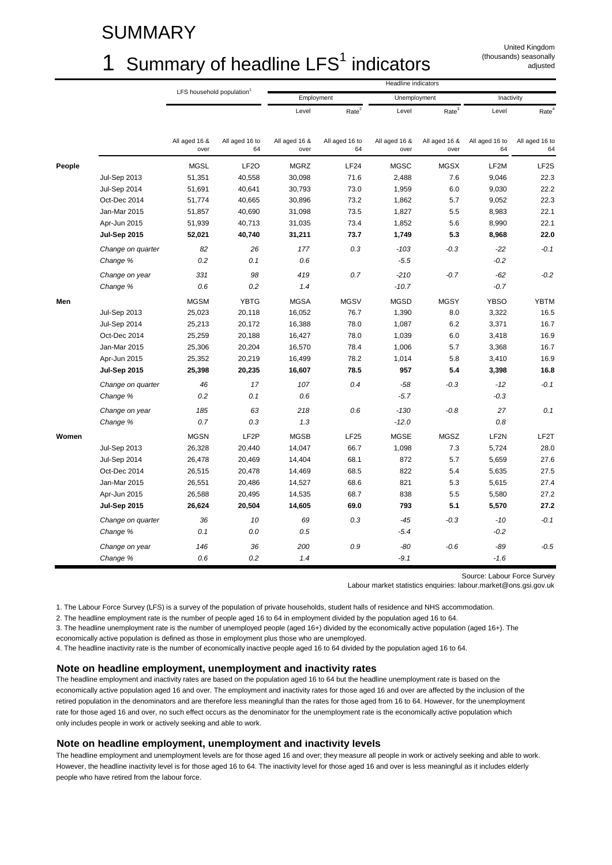# SUMMARY

# 1 Summary of headline  $LFS<sup>1</sup>$  indicators

United Kingdom (thousands) seasonally adjusted

|        |                     | LFS household population <sup>1</sup> |                      | Headline indicators   |                      |                       |                       |                      |                      |  |  |  |
|--------|---------------------|---------------------------------------|----------------------|-----------------------|----------------------|-----------------------|-----------------------|----------------------|----------------------|--|--|--|
|        |                     |                                       |                      | Employment            |                      | Unemployment          |                       | Inactivity           |                      |  |  |  |
|        |                     |                                       |                      | Level                 | Rate <sup>2</sup>    | Level                 | Rate <sup>3</sup>     | Level                | Rate <sup>4</sup>    |  |  |  |
|        |                     | All aged 16 &<br>over                 | All aged 16 to<br>64 | All aged 16 &<br>over | All aged 16 to<br>64 | All aged 16 &<br>over | All aged 16 &<br>over | All aged 16 to<br>64 | All aged 16 to<br>64 |  |  |  |
| People |                     | <b>MGSL</b>                           | LF <sub>2</sub> O    | <b>MGRZ</b>           | LF24                 | <b>MGSC</b>           | <b>MGSX</b>           | LF2M                 | LF <sub>2</sub> S    |  |  |  |
|        | <b>Jul-Sep 2013</b> | 51,351                                | 40,558               | 30,098                | 71.6                 | 2,488                 | 7.6                   | 9,046                | 22.3                 |  |  |  |
|        | Jul-Sep 2014        | 51,691                                | 40,641               | 30,793                | 73.0                 | 1,959                 | 6.0                   | 9,030                | 22.2                 |  |  |  |
|        | Oct-Dec 2014        | 51,774                                | 40,665               | 30,896                | 73.2                 | 1,862                 | 5.7                   | 9,052                | 22.3                 |  |  |  |
|        | Jan-Mar 2015        | 51,857                                | 40,690               | 31,098                | 73.5                 | 1,827                 | 5.5                   | 8,983                | 22.1                 |  |  |  |
|        | Apr-Jun 2015        | 51,939                                | 40,713               | 31,035                | 73.4                 | 1,852                 | 5.6                   | 8,990                | 22.1                 |  |  |  |
|        | <b>Jul-Sep 2015</b> | 52,021                                | 40,740               | 31,211                | 73.7                 | 1,749                 | 5.3                   | 8,968                | 22.0                 |  |  |  |
|        | Change on quarter   | 82                                    | 26                   | 177                   | 0.3                  | $-103$                | $-0.3$                | $-22$                | $-0.1$               |  |  |  |
|        | Change %            | 0.2                                   | 0.1                  | 0.6                   |                      | $-5.5$                |                       | $-0.2$               |                      |  |  |  |
|        | Change on year      | 331                                   | 98                   | 419                   | 0.7                  | $-210$                | $-0.7$                | $-62$                | $-0.2$               |  |  |  |
|        | Change %            | 0.6                                   | 0.2                  | 1.4                   |                      | $-10.7$               |                       | $-0.7$               |                      |  |  |  |
| Men    |                     | <b>MGSM</b>                           | <b>YBTG</b>          | <b>MGSA</b>           | <b>MGSV</b>          | <b>MGSD</b>           | <b>MGSY</b>           | <b>YBSO</b>          | <b>YBTM</b>          |  |  |  |
|        | <b>Jul-Sep 2013</b> | 25,023                                | 20,118               | 16,052                | 76.7                 | 1,390                 | 8.0                   | 3,322                | 16.5                 |  |  |  |
|        | Jul-Sep 2014        | 25,213                                | 20,172               | 16,388                | 78.0                 | 1,087                 | 6.2                   | 3,371                | 16.7                 |  |  |  |
|        | Oct-Dec 2014        | 25,259                                | 20,188               | 16,427                | 78.0                 | 1,039                 | 6.0                   | 3,418                | 16.9                 |  |  |  |
|        | Jan-Mar 2015        | 25,306                                | 20,204               | 16,570                | 78.4                 | 1,006                 | 5.7                   | 3,368                | 16.7                 |  |  |  |
|        | Apr-Jun 2015        | 25,352                                | 20,219               | 16,499                | 78.2                 | 1,014                 | 5.8                   | 3,410                | 16.9                 |  |  |  |
|        | <b>Jul-Sep 2015</b> | 25,398                                | 20,235               | 16,607                | 78.5                 | 957                   | 5.4                   | 3,398                | 16.8                 |  |  |  |
|        | Change on quarter   | 46                                    | 17                   | 107                   | 0.4                  | $-58$                 | $-0.3$                | $-12$                | $-0.1$               |  |  |  |
|        | Change %            | 0.2                                   | 0.1                  | 0.6                   |                      | $-5.7$                |                       | $-0.3$               |                      |  |  |  |
|        | Change on year      | 185                                   | 63                   | 218                   | 0.6                  | $-130$                | $-0.8$                | 27                   | 0.1                  |  |  |  |
|        | Change %            | 0.7                                   | 0.3                  | 1.3                   |                      | $-12.0$               |                       | 0.8                  |                      |  |  |  |
| Women  |                     | <b>MGSN</b>                           | LF <sub>2</sub> P    | <b>MGSB</b>           | <b>LF25</b>          | <b>MGSE</b>           | <b>MGSZ</b>           | LF <sub>2N</sub>     | LF2T                 |  |  |  |
|        | <b>Jul-Sep 2013</b> | 26,328                                | 20,440               | 14,047                | 66.7                 | 1,098                 | 7.3                   | 5,724                | 28.0                 |  |  |  |
|        | Jul-Sep 2014        | 26,478                                | 20,469               | 14,404                | 68.1                 | 872                   | 5.7                   | 5,659                | 27.6                 |  |  |  |
|        | Oct-Dec 2014        | 26,515                                | 20,478               | 14,469                | 68.5                 | 822                   | 5.4                   | 5,635                | 27.5                 |  |  |  |
|        | Jan-Mar 2015        | 26,551                                | 20,486               | 14,527                | 68.6                 | 821                   | 5.3                   | 5,615                | 27.4                 |  |  |  |
|        | Apr-Jun 2015        | 26,588                                | 20,495               | 14,535                | 68.7                 | 838                   | 5.5                   | 5,580                | 27.2                 |  |  |  |
|        | <b>Jul-Sep 2015</b> | 26,624                                | 20,504               | 14,605                | 69.0                 | 793                   | 5.1                   | 5,570                | 27.2                 |  |  |  |
|        | Change on quarter   | 36                                    | 10                   | 69                    | 0.3                  | -45                   | $-0.3$                | $-10$                | $-0.1$               |  |  |  |
|        | Change %            | 0.1                                   | 0.0                  | 0.5                   |                      | $-5.4$                |                       | $-0.2$               |                      |  |  |  |
|        | Change on year      | 146                                   | 36                   | 200                   | 0.9                  | -80                   | $-0.6$                | $-89$                | $-0.5$               |  |  |  |
|        | Change %            | 0.6                                   | 0.2                  | 1.4                   |                      | $-9.1$                |                       | $-1.6$               |                      |  |  |  |

Source: Labour Force Survey

Labour market statistics enquiries: labour.market@ons.gsi.gov.uk

1. The Labour Force Survey (LFS) is a survey of the population of private households, student halls of residence and NHS accommodation.

2. The headline employment rate is the number of people aged 16 to 64 in employment divided by the population aged 16 to 64.

3. The headline unemployment rate is the number of unemployed people (aged 16+) divided by the economically active population (aged 16+). The economically active population is defined as those in employment plus those who are unemployed.

4. The headline inactivity rate is the number of economically inactive people aged 16 to 64 divided by the population aged 16 to 64.

#### **Note on headline employment, unemployment and inactivity rates**

The headline employment and inactivity rates are based on the population aged 16 to 64 but the headline unemployment rate is based on the economically active population aged 16 and over. The employment and inactivity rates for those aged 16 and over are affected by the inclusion of the retired population in the denominators and are therefore less meaningful than the rates for those aged from 16 to 64. However, for the unemployment rate for those aged 16 and over, no such effect occurs as the denominator for the unemployment rate is the economically active population which only includes people in work or actively seeking and able to work.

#### **Note on headline employment, unemployment and inactivity levels**

The headline employment and unemployment levels are for those aged 16 and over; they measure all people in work or actively seeking and able to work. However, the headline inactivity level is for those aged 16 to 64. The inactivity level for those aged 16 and over is less meaningful as it includes elderly people who have retired from the labour force.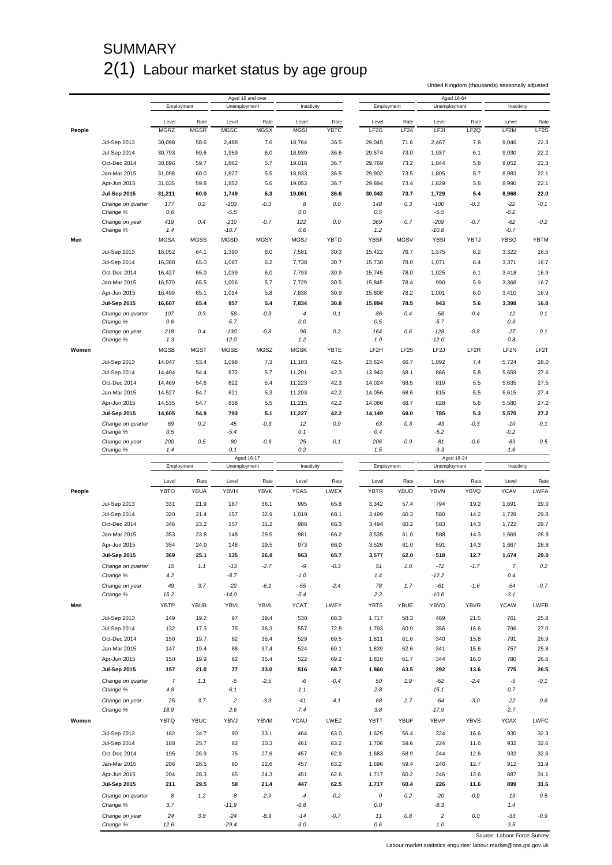# **SUMMARY** 2(1) Labour market status by age group

United Kingdom (thousands) seasonally adjusted

|        |                               |                      |                     |                      | Aged 16 and over    |                      |                     |                            |                          | Aged 16-64        |                          |                |                           |
|--------|-------------------------------|----------------------|---------------------|----------------------|---------------------|----------------------|---------------------|----------------------------|--------------------------|-------------------|--------------------------|----------------|---------------------------|
|        |                               | Employment           |                     | Unemployment         |                     | Inactivity           |                     | Employment                 |                          | Unemployment      |                          | Inactivity     |                           |
|        |                               |                      |                     |                      |                     |                      |                     |                            |                          |                   |                          |                |                           |
| People |                               | Level<br><b>MGRZ</b> | Rate<br><b>MGSR</b> | Level<br><b>MGSC</b> | Rate<br><b>MGSX</b> | Level<br><b>MGSI</b> | Rate<br><b>YBTC</b> | Level<br>LF <sub>2</sub> G | Rate<br>LF <sub>24</sub> | Level<br>LF2I     | Rate<br>LF <sub>2Q</sub> | Level<br>LF2M  | Rate<br>LF <sub>2</sub> S |
|        |                               |                      |                     |                      |                     |                      |                     |                            |                          |                   |                          |                |                           |
|        | <b>Jul-Sep 2013</b>           | 30,098               | 58.6                | 2,488                | 7.6                 | 18,764               | 36.5                | 29,045                     | 71.6                     | 2,467             | 7.8                      | 9,046          | 22.3                      |
|        | <b>Jul-Sep 2014</b>           | 30,793               | 59.6                | 1,959                | 6.0                 | 18,939               | 36.6                | 29,674                     | 73.0                     | 1,937             | 6.1                      | 9,030          | 22.2                      |
|        | Oct-Dec 2014                  | 30,896               | 59.7                | 1,862                | 5.7                 | 19,016               | 36.7                | 29,769                     | 73.2                     | 1,844             | 5.8                      | 9,052          | 22.3                      |
|        | Jan-Mar 2015                  | 31,098               | 60.0                | 1,827                | 5.5                 | 18,933               | 36.5                | 29,902                     | 73.5                     | 1,805             | 5.7                      | 8,983          | 22.1                      |
|        | Apr-Jun 2015                  | 31,035               | 59.8                | 1,852                | 5.6                 | 19,053               | 36.7                | 29,894                     | 73.4                     | 1,829             | 5.8                      | 8,990          | 22.1                      |
|        | <b>Jul-Sep 2015</b>           | 31,211               | 60.0                | 1,749                | 5.3                 | 19,061               | 36.6                | 30,043                     | 73.7                     | 1,729             | 5.4                      | 8,968          | 22.0                      |
|        | Change on quarter             | 177                  | 0.2                 | $-103$               | $-0.3$              | 8                    | 0.0                 | 148                        | 0.3                      | $-100$            | $-0.3$                   | $-22$          | $-0.1$                    |
|        | Change %                      | 0.6                  |                     | $-5.5$               |                     | 0.0                  |                     | 0.5                        |                          | $-5.5$            |                          | $-0.2$         |                           |
|        | Change on year                | 419                  | 0.4                 | $-210$               | $-0.7$              | 122                  | 0.0                 | 369                        | 0.7                      | $-209$            | $-0.7$                   | $-62$          | $-0.2$                    |
|        | Change %                      | 1.4                  |                     | $-10.7$              |                     | 0.6                  |                     | 1.2                        |                          | $-10.8$           |                          | $-0.7$         |                           |
| Men    |                               | <b>MGSA</b>          | <b>MGSS</b>         | <b>MGSD</b>          | <b>MGSY</b>         | <b>MGSJ</b>          | <b>YBTD</b>         | <b>YBSF</b>                | <b>MGSV</b>              | <b>YBSI</b>       | <b>YBTJ</b>              | <b>YBSO</b>    | <b>YBTM</b>               |
|        | <b>Jul-Sep 2013</b>           | 16,052               | 64.1                | 1,390                | 8.0                 | 7,581                | 30.3                | 15,422                     | 76.7                     | 1,375             | 8.2                      | 3,322          | 16.5                      |
|        | Jul-Sep 2014                  | 16,388               | 65.0                | 1,087                | 6.2                 | 7,738                | 30.7                | 15,730                     | 78.0                     | 1,071             | 6.4                      | 3,371          | 16.7                      |
|        | Oct-Dec 2014                  | 16,427               | 65.0                | 1,039                | 6.0                 | 7,793                | 30.9                | 15,745                     | 78.0                     | 1,025             | 6.1                      | 3,418          | 16.9                      |
|        | Jan-Mar 2015                  | 16,570               | 65.5                | 1,006                | 5.7                 | 7,729                | 30.5                | 15,845                     | 78.4                     | 990               | 5.9                      | 3,368          | 16.7                      |
|        |                               |                      |                     |                      |                     |                      |                     |                            |                          |                   |                          |                |                           |
|        | Apr-Jun 2015                  | 16,499               | 65.1                | 1,014                | 5.8                 | 7,838                | 30.9                | 15,808                     | 78.2                     | 1,001             | 6.0                      | 3,410          | 16.9                      |
|        | <b>Jul-Sep 2015</b>           | 16,607               | 65.4                | 957                  | 5.4                 | 7,834                | 30.8                | 15,894                     | 78.5                     | 943               | 5.6                      | 3,398          | 16.8                      |
|        | Change on quarter             | 107                  | 0.3                 | -58                  | $-0.3$              | $-4$                 | $-0.1$              | 86                         | 0.4                      | -58               | $-0.4$                   | $-12$          | $-0.1$                    |
|        | Change %                      | 0.6                  |                     | -5.7                 |                     | 0.0                  |                     | 0.5                        |                          | $-5.7$            |                          | -0.3           |                           |
|        | Change on year                | 218                  | 0.4                 | $-130$               | $-0.8$              | 96                   | 0.2                 | 164                        | 0.6                      | $-128$            | $-0.8$                   | 27             | 0.1                       |
|        | Change %                      | 1.3                  |                     | $-12.0$              |                     | 1.2                  |                     | 1.0                        |                          | $-12.0$           |                          | 0.8            |                           |
| Women  |                               | <b>MGSB</b>          | <b>MGST</b>         | <b>MGSE</b>          | MGSZ                | <b>MGSK</b>          | YBTE                | LF2H                       | <b>LF25</b>              | LF <sub>2</sub> J | LF <sub>2R</sub>         | LF2N           | LF2T                      |
|        | <b>Jul-Sep 2013</b>           | 14,047               | 53.4                | 1,098                | 7.3                 | 11,183               | 42.5                | 13,624                     | 66.7                     | 1,092             | 7.4                      | 5,724          | 28.0                      |
|        | Jul-Sep 2014                  | 14,404               | 54.4                | 872                  | 5.7                 | 11,201               | 42.3                | 13,943                     | 68.1                     | 866               | 5.8                      | 5,659          | 27.6                      |
|        | Oct-Dec 2014                  | 14,469               | 54.6                | 822                  | 5.4                 | 11,223               | 42.3                | 14,024                     | 68.5                     | 819               | 5.5                      | 5,635          | 27.5                      |
|        | Jan-Mar 2015                  | 14,527               | 54.7                | 821                  | 5.3                 | 11,203               | 42.2                | 14,056                     | 68.6                     | 815               | 5.5                      | 5,615          | 27.4                      |
|        | Apr-Jun 2015                  | 14,535               | 54.7                | 838                  | 5.5                 | 11,215               | 42.2                | 14,086                     | 68.7                     | 828               | 5.6                      | 5,580          | 27.2                      |
|        | <b>Jul-Sep 2015</b>           | 14,605               | 54.9                | 793                  | 5.1                 | 11,227               | 42.2                | 14,149                     | 69.0                     | 785               | 5.3                      | 5,570          | 27.2                      |
|        |                               |                      | 0.2                 |                      | $-0.3$              | 12                   |                     |                            | 0.3                      |                   | $-0.3$                   | $-10$          | $-0.1$                    |
|        | Change on quarter<br>Change % | 69<br>0.5            |                     | $-45$<br>$-5.4$      |                     | 0.1                  | 0.0                 | 63<br>0.4                  |                          | -43<br>-5.2       |                          | $-0.2$         |                           |
|        | Change on year                | 200                  | 0.5                 | -80                  | $-0.6$              | 25                   | $-0.1$              | 206                        | 0.9                      | -81               | $-0.6$                   | -89            | $-0.5$                    |
|        | Change %                      | 1.4                  |                     | -9.1                 |                     | 0.2                  |                     | 1.5                        |                          | $-9.3$            |                          | $-1.6$         |                           |
|        |                               |                      |                     |                      | Aged 16-17          |                      |                     |                            |                          | Aged 18-24        |                          |                |                           |
|        |                               |                      |                     |                      |                     |                      |                     |                            |                          |                   |                          |                |                           |
|        |                               | Employment           |                     | Unemployment         |                     | Inactivity           |                     | Employment                 |                          | Unemployment      |                          | Inactivity     |                           |
|        |                               |                      |                     |                      |                     |                      |                     |                            |                          |                   |                          |                |                           |
|        |                               | Level                | Rate                | Level                | Rate                | Level                | Rate                | Level                      | Rate                     | Level             | Rate                     | Level          | Rate                      |
| People |                               | <b>YBTO</b>          | YBUA                | YBVH                 | <b>YBVK</b>         | <b>YCAS</b>          | LWEX                | <b>YBTR</b>                | YBUD                     | YBVN              | YBVQ                     | <b>YCAV</b>    | LWFA                      |
|        | <b>Jul-Sep 2013</b>           | 331                  | 21.9                | 187                  | 36.1                | 995                  | 65.8                | 3,342                      | 57.4                     | 794               | 19.2                     | 1,691          | 29.0                      |
|        | Jul-Sep 2014                  | 320                  | 21.4                | 157                  | 32.9                | 1,019                | 68.1                | 3,499                      | 60.3                     | 580               | 14.2                     | 1,728          | 29.8                      |
|        | Oct-Dec 2014                  | 346                  | 23.2                | 157                  | 31.2                | 986                  | 66.3                | 3,494                      | 60.2                     | 583               | 14.3                     | 1,722          | 29.7                      |
|        | Jan-Mar 2015                  | 353                  | 23.8                | 148                  | 29.5                | 981                  | 66.2                | 3,535                      | 61.0                     | 588               | 14.3                     | 1,669          | 28.8                      |
|        |                               |                      |                     |                      |                     |                      |                     |                            |                          |                   |                          |                |                           |
|        | Apr-Jun 2015                  | 354                  | 24.0                | 148                  | 29.5                | 973                  | 66.0                | 3,526                      | 61.0                     | 591               | 14.3                     | 1,667          | 28.8                      |
|        | Jul-Sep 2015                  | 369                  | 25.1                | 135                  | 26.8                | 963                  | 65.7                | 3,577                      | 62.0                     | 518               | 12.7                     | 1.674          | 29.0                      |
|        | Change on quarter             | 15                   | 1.1                 | $-13$                | $-2.7$              | -9                   | $-0.3$              | 51                         | 1.0                      | $-72$             | $-1.7$                   | $\overline{7}$ | 0.2                       |
|        | Change %                      | 4.2                  |                     | $-8.7$               |                     | $-1.0$               |                     | 1.4                        |                          | $-12.2$           |                          | 0.4            |                           |
|        | Change on year                | 49                   | 3.7                 | $-22$                | $-6.1$              | $-55$                | $-2.4$              | 78                         | 1.7                      | -61               | $-1.6$                   | $-54$          | $-0.7$                    |
|        | Change %                      | 15.2                 |                     | $-14.0$              |                     | -5.4                 |                     | 2.2                        |                          | $-10.6$           |                          | $-3.1$         |                           |
| Men    |                               | YBTP                 | YBUB                | YBVI                 | YBVL                | <b>YCAT</b>          | LWEY                | <b>YBTS</b>                | YBUE                     | YBVO              | <b>YBVR</b>              | <b>YCAW</b>    | LWFB                      |
|        | <b>Jul-Sep 2013</b>           | 149                  | 19.2                | 97                   | 39.4                | 530                  | 68.3                | 1,717                      | 58.3                     | 469               | 21.5                     | 761            | 25.8                      |
|        |                               |                      |                     |                      |                     |                      |                     |                            |                          |                   |                          |                |                           |
|        | <b>Jul-Sep 2014</b>           | 132                  | 17.3                | 75                   | 36.3                | 557                  | 72.8                | 1,793                      | 60.9                     | 356               | 16.6                     | 796            | 27.0                      |
|        | Oct-Dec 2014                  | 150                  | 19.7                | 82                   | 35.4                | 529                  | 69.5                | 1,811                      | 61.6                     | 340               | 15.8                     | 791            | 26.9                      |
|        | Jan-Mar 2015                  | 147                  | 19.4                | 88                   | 37.4                | 524                  | 69.1                | 1,839                      | 62.6                     | 341               | 15.6                     | 757            | 25.8                      |
|        | Apr-Jun 2015                  | 150                  | 19.9                | 82                   | 35.4                | 522                  | 69.2                | 1,810                      | 61.7                     | 344               | 16.0                     | 780            | 26.6                      |
|        | <b>Jul-Sep 2015</b>           | 157                  | 21.0                | 77                   | 33.0                | 516                  | 68.7                | 1,860                      | 63.5                     | 292               | 13.6                     | 775            | 26.5                      |
|        | Change on quarter             | $\overline{7}$       | 1.1                 | -5                   | $-2.5$              | -6                   | $-0.4$              | 50                         | 1.9                      | $-52$             | $-2.4$                   | -5             | $-0.1$                    |
|        | Change %                      | 4.8                  |                     | $-6.1$               |                     | $-1.1$               |                     | 2.8                        |                          | $-15.1$           |                          | $-0.7$         |                           |
|        | Change on year                | 25                   | 3.7                 | $\sqrt{2}$           | $-3.3$              | $-41$                | $-4.1$              | 68                         | 2.7                      | $-64$             | $-3.0$                   | $-22$          | $-0.6$                    |
|        | Change %                      | 18.9                 |                     | 2.6                  |                     | $-7.4$               |                     | 3.8                        |                          | $-17.9$           |                          | $-2.7$         |                           |
| Women  |                               | <b>YBTQ</b>          | <b>YBUC</b>         | YBVJ                 | YBVM                | <b>YCAU</b>          | LWEZ                | <b>YBTT</b>                | <b>YBUF</b>              | YBVP              | <b>YBVS</b>              | <b>YCAX</b>    | LWFC                      |
|        |                               |                      |                     |                      |                     |                      |                     |                            |                          |                   |                          |                |                           |
|        | <b>Jul-Sep 2013</b>           | 182                  | 24.7                | 90                   | 33.1                | 464                  | 63.0                | 1,625                      | 56.4                     | 324               | 16.6                     | 930            | 32.3                      |
|        | <b>Jul-Sep 2014</b>           | 188                  | 25.7                | 82                   | 30.3                | 461                  | 63.2                | 1,706                      | 59.6                     | 224               | 11.6                     | 932            | 32.6                      |
|        | Oct-Dec 2014                  | 195                  | 26.9                | 75                   | 27.6                | 457                  | 62.9                | 1,683                      | 58.9                     | 244               | 12.6                     | 932            | 32.6                      |
|        | Jan-Mar 2015                  | 206                  | 28.5                | 60                   | 22.6                | 457                  | 63.2                | 1,696                      | 59.4                     | 246               | 12.7                     | 912            | 31.9                      |
|        | Apr-Jun 2015                  | 204                  | 28.3                | 65                   | 24.3                | 451                  | 62.6                | 1,717                      | 60.2                     | 246               | 12.6                     | 887            | 31.1                      |
|        | <b>Jul-Sep 2015</b>           | 211                  | 29.5                | 58                   | 21.4                | 447                  | 62.5                | 1,717                      | 60.4                     | 226               | 11.6                     | 899            | 31.6                      |
|        | Change on quarter             | 8                    | 1.2                 | -8                   | $-2.9$              | $\mathcal A$         | $-0.2$              | 0                          | 0.2                      | $-20$             | $-0.9$                   | 13             | 0.5                       |
|        | Change %                      | 3.7                  |                     | $-11.9$              |                     | $-0.8$               |                     | $0.0\,$                    |                          | $-8.3$            |                          | 1.4            |                           |
|        | Change on year                | 24                   | 3.8                 | $-24$                | $-8.9$              | $-14$                | $-0.7$              | 11                         | 0.8                      | $\overline{c}$    | 0.0                      | $-33$          | $-0.9$                    |

Source: Labour Force Survey

Labour market statistics enquiries: labour.market@ons.gsi.gov.uk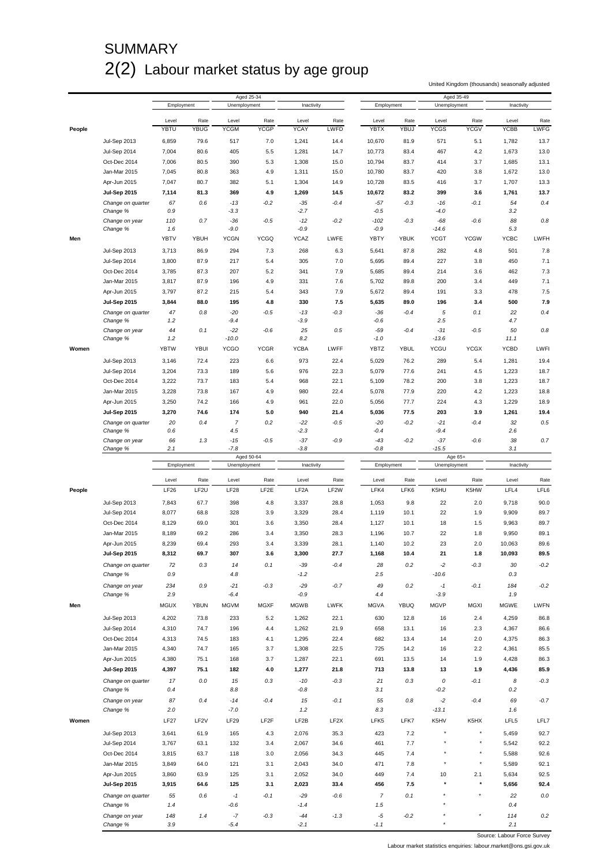# **SUMMARY** 2(2) Labour market status by age group

United Kingdom (thousands) seasonally adjusted

|        |                     |             |                  |              | Aged 25-34        |                   |                   |                |             | Aged 35-49              |                |             |             |
|--------|---------------------|-------------|------------------|--------------|-------------------|-------------------|-------------------|----------------|-------------|-------------------------|----------------|-------------|-------------|
|        |                     | Employment  |                  | Unemployment |                   | Inactivity        |                   | Employment     |             | Unemployment            |                | Inactivity  |             |
|        |                     |             |                  |              |                   |                   |                   |                |             |                         |                |             |             |
|        |                     | Level       | Rate             | Level        | Rate              | Level             | Rate              | Level          | Rate        | Level                   | Rate           | Level       | Rate        |
| People |                     | YBTU        | <b>YBUG</b>      | <b>YCGM</b>  | <b>YCGP</b>       | <b>YCAY</b>       | LWFD              | <b>YBTX</b>    | YBUJ        | <b>YCGS</b>             | <b>YCGV</b>    | <b>YCBB</b> | <b>LWFG</b> |
|        | Jul-Sep 2013        | 6,859       | 79.6             | 517          | 7.0               | 1,241             | 14.4              | 10,670         | 81.9        | 571                     | 5.1            | 1,782       | 13.7        |
|        | Jul-Sep 2014        | 7,004       | 80.6             | 405          | 5.5               | 1,281             | 14.7              | 10,773         | 83.4        | 467                     | 4.2            | 1,673       | 13.0        |
|        | Oct-Dec 2014        | 7,006       | 80.5             | 390          | 5.3               | 1,308             | 15.0              | 10,794         | 83.7        | 414                     | 3.7            | 1,685       | 13.1        |
|        |                     |             |                  |              |                   |                   |                   |                |             |                         |                |             |             |
|        | Jan-Mar 2015        | 7,045       | 80.8             | 363          | 4.9               | 1,311             | 15.0              | 10,780         | 83.7        | 420                     | 3.8            | 1,672       | 13.0        |
|        | Apr-Jun 2015        | 7,047       | 80.7             | 382          | 5.1               | 1,304             | 14.9              | 10,728         | 83.5        | 416                     | 3.7            | 1,707       | 13.3        |
|        | <b>Jul-Sep 2015</b> | 7,114       | 81.3             | 369          | 4.9               | 1,269             | 14.5              | 10,672         | 83.2        | 399                     | 3.6            | 1,761       | 13.7        |
|        | Change on quarter   | 67          | 0.6              | $-13$        | $-0.2$            | $-35$             | $-0.4$            | $-57$          | $-0.3$      | $-16$                   | $-0.1$         | 54          | 0.4         |
|        | Change %            | 0.9         |                  | $-3.3$       |                   | $-2.7$            |                   | $-0.5$         |             | $-4.0$                  |                | 3.2         |             |
|        | Change on year      | 110         | 0.7              | $-36$        | $-0.5$            | $-12$             | $-0.2$            | $-102$         | $-0.3$      | $-68$                   | $-0.6$         | 88          | 0.8         |
|        | Change %            | 1.6         |                  | $-9.0$       |                   | $-0.9$            |                   | $-0.9$         |             | $-14.6$                 |                | 5.3         |             |
| Men    |                     | YBTV        | YBUH             | <b>YCGN</b>  | <b>YCGQ</b>       | <b>YCAZ</b>       | LWFE              | <b>YBTY</b>    | <b>YBUK</b> | <b>YCGT</b>             | <b>YCGW</b>    | YCBC        | LWFH        |
|        |                     |             |                  |              |                   |                   |                   |                |             |                         |                |             |             |
|        | Jul-Sep 2013        | 3,713       | 86.9             | 294          | 7.3               | 268               | 6.3               | 5,641          | 87.8        | 282                     | 4.8            | 501         | 7.8         |
|        | Jul-Sep 2014        | 3,800       | 87.9             | 217          | 5.4               | 305               | 7.0               | 5,695          | 89.4        | 227                     | 3.8            | 450         | 7.1         |
|        | Oct-Dec 2014        | 3,785       | 87.3             | 207          | 5.2               | 341               | 7.9               | 5,685          | 89.4        | 214                     | 3.6            | 462         | 7.3         |
|        | Jan-Mar 2015        | 3,817       | 87.9             | 196          | 4.9               | 331               | 7.6               | 5,702          | 89.8        | 200                     | 3.4            | 449         | 7.1         |
|        |                     | 3,797       | 87.2             | 215          | 5.4               | 343               | 7.9               | 5,672          | 89.4        | 191                     | 3.3            | 478         | 7.5         |
|        | Apr-Jun 2015        |             |                  |              |                   |                   |                   |                |             |                         |                |             |             |
|        | <b>Jul-Sep 2015</b> | 3,844       | 88.0             | 195          | 4.8               | 330               | 7.5               | 5,635          | 89.0        | 196                     | 3.4            | 500         | 7.9         |
|        | Change on quarter   | 47          | 0.8              | $-20$        | $-0.5$            | $-13$             | $-0.3$            | $-36$          | $-0.4$      | 5                       | 0.1            | 22          | 0.4         |
|        | Change %            | 1.2         |                  | -9.4         |                   | $-3.9$            |                   | -0.6           |             | 2.5                     |                | 4.7         |             |
|        | Change on year      | 44          | 0.1              | $-22$        | $-0.6$            | 25                | 0.5               | $-59$          | $-0.4$      | $-31$                   | $-0.5$         | 50          | 0.8         |
|        | Change %            | 1.2         |                  | $-10.0$      |                   | 8.2               |                   | $-1.0$         |             | $-13.6$                 |                | 11.1        |             |
| Women  |                     | <b>YBTW</b> | <b>YBUI</b>      | <b>YCGO</b>  | <b>YCGR</b>       | <b>YCBA</b>       | LWFF              | YBTZ           | YBUL        | YCGU                    | <b>YCGX</b>    | <b>YCBD</b> | LWFI        |
|        |                     |             | 72.4             |              | 6.6               | 973               | 22.4              |                | 76.2        | 289                     | 5.4            | 1,281       | 19.4        |
|        | <b>Jul-Sep 2013</b> | 3,146       |                  | 223          |                   |                   |                   | 5,029          |             |                         |                |             |             |
|        | Jul-Sep 2014        | 3,204       | 73.3             | 189          | 5.6               | 976               | 22.3              | 5,079          | 77.6        | 241                     | 4.5            | 1,223       | 18.7        |
|        | Oct-Dec 2014        | 3,222       | 73.7             | 183          | 5.4               | 968               | 22.1              | 5,109          | 78.2        | 200                     | 3.8            | 1,223       | 18.7        |
|        | Jan-Mar 2015        | 3,228       | 73.8             | 167          | 4.9               | 980               | 22.4              | 5,078          | 77.9        | 220                     | 4.2            | 1,223       | 18.8        |
|        | Apr-Jun 2015        | 3,250       | 74.2             | 166          | 4.9               | 961               | 22.0              | 5,056          | 77.7        | 224                     | 4.3            | 1,229       | 18.9        |
|        | <b>Jul-Sep 2015</b> | 3,270       | 74.6             | 174          | 5.0               | 940               | 21.4              | 5,036          | 77.5        | 203                     | 3.9            | 1,261       | 19.4        |
|        |                     |             |                  |              |                   |                   |                   |                |             |                         |                |             |             |
|        | Change on quarter   | 20          | 0.4              | 7            | 0.2               | -22               | $-0.5$            | $-20$          | $-0.2$      | $-21$                   | $-0.4$         | 32          | 0.5         |
|        | Change %            | 0.6         |                  | 4.5          |                   | $-2.3$            |                   | $-0.4$         |             | $-9.4$                  |                | 2.6         |             |
|        | Change on year      | 66          | 1.3              | $-15$        | $-0.5$            | $-37$             | $-0.9$            | $-43$          | $-0.2$      | $-37$                   | $-0.6$         | 38          | 0.7         |
|        | Change %            | 2.1         |                  | $-7.8$       |                   | $-3.8$            |                   | $-0.8$         |             | $-15.5$                 |                | 3.1         |             |
|        |                     |             |                  |              | Aged 50-64        |                   |                   |                |             | Age 65+<br>Unemployment |                | Inactivity  |             |
|        |                     |             |                  |              |                   |                   |                   |                |             |                         |                |             |             |
|        |                     | Employment  |                  | Unemployment |                   | Inactivity        |                   | Employment     |             |                         |                |             |             |
|        |                     | Level       | Rate             | Level        | Rate              | Level             |                   | Level          | Rate        | Level                   | Rate           | Level       | Rate        |
|        |                     |             |                  |              |                   |                   | Rate              |                |             |                         |                |             |             |
| People |                     | LF26        | LF <sub>2U</sub> | LF28         | LF2E              | LF <sub>2</sub> A | LF <sub>2</sub> W | LFK4           | LFK6        | K5HU                    | K5HW           | LFL4        | LFL6        |
|        | <b>Jul-Sep 2013</b> | 7,843       | 67.7             | 398          | 4.8               | 3,337             | 28.8              | 1,053          | 9.8         | 22                      | 2.0            | 9,718       | 90.0        |
|        | Jul-Sep 2014        | 8,077       | 68.8             | 328          | 3.9               | 3,329             | 28.4              | 1,119          | 10.1        | 22                      | 1.9            | 9,909       | 89.7        |
|        | Oct-Dec 2014        | 8,129       | 69.0             | 301          | 3.6               | 3,350             | 28.4              | 1,127          | 10.1        | 18                      | 1.5            | 9,963       | 89.7        |
|        |                     |             |                  |              |                   |                   |                   |                |             |                         |                |             |             |
|        | Jan-Mar 2015        | 8,189       | 69.2             | 286          | 3.4               | 3,350             | 28.3              | 1,196          | 10.7        | 22                      | 1.8            | 9,950       | 89.1        |
|        | Apr-Jun 2015        | 8,239       | 69.4             | 293          | 3.4               | 3,339             | 28.1              | 1,140          | 10.2        | 23                      | 2.0            | 10,063      | 89.6        |
|        | <b>Jul-Sep 2015</b> | 8,312       | 69.7             | 307          | 3.6               | 3.300             | 27.7              | 1,168          | 10.4        | 21                      | 1.8            | 10.093      | 89.5        |
|        | Change on quarter   | 72          | 0.3              | 14           | 0.1               | $-39$             | $-0.4$            | 28             | 0.2         | $-2$                    | $-0.3$         | 30          | $-0.2$      |
|        | Change %            | 0.9         |                  | 4.8          |                   | $-1.2$            |                   | 2.5            |             | $-10.6$                 |                | 0.3         |             |
|        |                     |             |                  |              |                   |                   |                   |                |             |                         |                |             |             |
|        | Change on year      | 234         | 0.9              | $-21$        | $-0.3$            | $-29$             | $-0.7$            | 49             | 0.2         | $-1$                    | $-0.1$         | 184         | $-0.2$      |
|        | Change %            | 2.9         |                  | $-6.4$       |                   | $-0.9$            |                   | 4.4            |             | $-3.9$                  |                | 1.9         |             |
| Men    |                     | MGUX        | <b>YBUN</b>      | <b>MGVM</b>  | <b>MGXF</b>       | <b>MGWB</b>       | <b>LWFK</b>       | <b>MGVA</b>    | <b>YBUQ</b> | <b>MGVP</b>             | <b>MGXI</b>    | <b>MGWE</b> | LWFN        |
|        |                     |             |                  |              |                   |                   |                   |                |             |                         |                |             |             |
|        | <b>Jul-Sep 2013</b> | 4,202       | 73.8             | 233          | 5.2               | 1,262             | 22.1              | 630            | 12.8        | 16                      | 2.4            | 4,259       | 86.8        |
|        | Jul-Sep 2014        | 4,310       | 74.7             | 196          | 4.4               | 1,262             | 21.9              | 658            | 13.1        | 16                      | 2.3            | 4,367       | 86.6        |
|        | Oct-Dec 2014        | 4,313       | 74.5             | 183          | 4.1               | 1,295             | 22.4              | 682            | 13.4        | 14                      | 2.0            | 4,375       | 86.3        |
|        | Jan-Mar 2015        | 4,340       | 74.7             | 165          | 3.7               | 1,308             | 22.5              | 725            | 14.2        | 16                      | 2.2            | 4,361       | 85.5        |
|        | Apr-Jun 2015        | 4,380       | 75.1             | 168          | 3.7               | 1,287             | 22.1              | 691            | 13.5        | 14                      | 1.9            | 4,428       | 86.3        |
|        | <b>Jul-Sep 2015</b> | 4,397       | 75.1             | 182          | 4.0               | 1,277             | 21.8              | 713            | 13.8        | 13                      | 1.9            | 4,436       | 85.9        |
|        |                     |             |                  |              |                   |                   |                   |                |             |                         |                |             |             |
|        | Change on quarter   | 17          | 0.0              | 15           | 0.3               | $-10$             | $-0.3$            | 21             | 0.3         | 0                       | $-0.1$         | 8           | $-0.3$      |
|        | Change %            | 0.4         |                  | 8.8          |                   | $-0.8$            |                   | 3.1            |             | $-0.2$                  |                | $0.2\,$     |             |
|        | Change on year      | 87          | 0.4              | $-14$        | $-0.4$            | 15                | $-0.1$            | 55             | 0.8         | $-2$                    | $-0.4$         | 69          | $-0.7$      |
|        | Change %            | 2.0         |                  | $-7.0$       |                   | 1.2               |                   | 8.3            |             | $-13.1$                 |                | 1.6         |             |
| Women  |                     | LF27        | LF <sub>2V</sub> | <b>LF29</b>  | LF <sub>2</sub> F | LF2B              | LF2X              | LFK5           | LFK7        | K5HV                    | K5HX           | LFL5        | LFL7        |
|        |                     |             |                  |              |                   |                   |                   |                |             |                         |                |             |             |
|        | Jul-Sep 2013        | 3,641       | 61.9             | 165          | 4.3               | 2,076             | 35.3              | 423            | 7.2         |                         |                | 5,459       | 92.7        |
|        | Jul-Sep 2014        | 3,767       | 63.1             | 132          | 3.4               | 2,067             | 34.6              | 461            | 7.7         |                         |                | 5,542       | 92.2        |
|        | Oct-Dec 2014        | 3,815       | 63.7             | 118          | 3.0               | 2,056             | 34.3              | 445            | 7.4         |                         |                | 5,588       | 92.6        |
|        | Jan-Mar 2015        | 3,849       | 64.0             | 121          | 3.1               | 2,043             | 34.0              | 471            | 7.8         | $\star$                 | $\star$        | 5,589       | 92.1        |
|        |                     |             |                  |              |                   |                   |                   |                |             |                         |                |             |             |
|        | Apr-Jun 2015        | 3,860       | 63.9             | 125          | 3.1               | 2,052             | 34.0              | 449            | 7.4         | 10                      | 2.1<br>$\star$ | 5,634       | 92.5        |
|        | <b>Jul-Sep 2015</b> | 3,915       | 64.6             | 125          | 3.1               | 2,023             | 33.4              | 456            | 7.5         |                         |                | 5,656       | 92.4        |
|        | Change on quarter   | 55          | 0.6              | $^{\circ}$ 1 | $-0.1$            | $-29$             | $-0.6$            | $\overline{7}$ | 0.1         |                         |                | 22          | $0.0\,$     |
|        | Change %            | 1.4         |                  | $-0.6$       |                   | $-1.4$            |                   | 1.5            |             |                         |                | 0.4         |             |
|        | Change on year      | 148         | 1.4              | $-7$         | $-0.3$            | $-44$             | $-1.3$            | $-5$           | $-0.2$      |                         |                | 114         | 0.2         |

Source: Labour Force Survey

Labour market statistics enquiries: labour.market@ons.gsi.gov.uk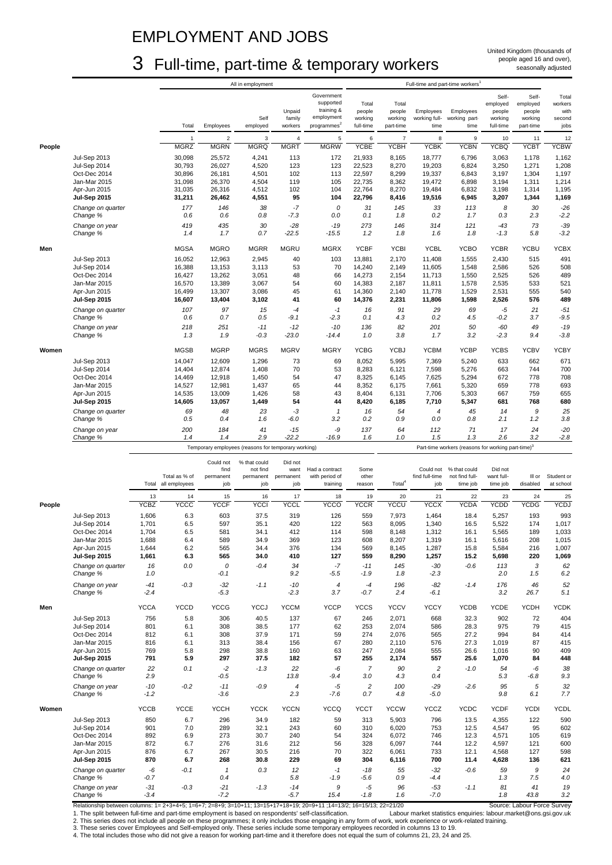# EMPLOYMENT AND JOBS

# 3 Full-time, part-time & temporary workers

|        |                                     |                 | All in employment |                   |                                                     |                  |                          | Full-time and part-time workers <sup>1</sup> |                    |                            |                                                                |                   |                   |                 |
|--------|-------------------------------------|-----------------|-------------------|-------------------|-----------------------------------------------------|------------------|--------------------------|----------------------------------------------|--------------------|----------------------------|----------------------------------------------------------------|-------------------|-------------------|-----------------|
|        |                                     |                 |                   |                   |                                                     |                  | Government               |                                              |                    |                            |                                                                | Self-             | Self-             | Total           |
|        |                                     |                 |                   |                   |                                                     |                  | supported                | Total                                        | Total              |                            |                                                                | employed          | employed          | workers         |
|        |                                     |                 |                   |                   | Self                                                | Unpaid<br>family | training &<br>employment | people<br>working                            | people<br>working  | Employees<br>working full- | Employees<br>working part-                                     | people<br>working | people<br>working | with<br>second  |
|        |                                     |                 | Total             | Employees         | employed                                            | workers          | programmes <sup>2</sup>  | full-time                                    | part-time          | time                       | time                                                           | full-time         | part-time         | jobs            |
|        |                                     |                 | $\mathbf{1}$      | $\sqrt{2}$        | 3                                                   | $\sqrt{4}$       | $\sqrt{5}$               | 6                                            | $\overline{7}$     | 8                          | $\boldsymbol{9}$                                               | 10                | 11                | 12              |
| People |                                     |                 | <b>MGRZ</b>       | <b>MGRN</b>       | <b>MGRQ</b>                                         | <b>MGRT</b>      | <b>MGRW</b>              | <b>YCBE</b>                                  | <b>YCBH</b>        | <b>ACBK</b>                | <b>YCBN</b>                                                    | <b>YCBQ</b>       | <b>YCBT</b>       | <b>YCBW</b>     |
|        | Jul-Sep 2013                        |                 | 30,098            | 25,572            | 4,241                                               | 113              | 172                      | 21,933                                       | 8,165              | 18,777                     | 6,796                                                          | 3,063             | 1,178             | 1,162           |
|        | Jul-Sep 2014                        |                 | 30,793            | 26,027            | 4,520                                               | 123              | 123                      | 22,523                                       | 8,270              | 19,203                     | 6,824                                                          | 3,250             | 1,271             | 1,208           |
|        | Oct-Dec 2014                        |                 | 30,896            | 26,181            | 4,501                                               | 102              | 113                      | 22,597                                       | 8,299              | 19,337                     | 6,843                                                          | 3,197             | 1,304             | 1,197           |
|        | Jan-Mar 2015<br>Apr-Jun 2015        |                 | 31,098<br>31,035  | 26,370<br>26,316  | 4,504<br>4,512                                      | 119<br>102       | 105<br>104               | 22,735<br>22,764                             | 8,362<br>8,270     | 19,472<br>19,484           | 6,898<br>6,832                                                 | 3,194<br>3,198    | 1,311<br>1,314    | 1,214<br>1,195  |
|        | <b>Jul-Sep 2015</b>                 |                 | 31,211            | 26,462            | 4,551                                               | 95               | 104                      | 22,796                                       | 8,416              | 19,516                     | 6,945                                                          | 3,207             | 1,344             | 1,169           |
|        | Change on quarter                   |                 | 177               | 146               | 38                                                  | $-7$             | 0                        | 31                                           | 145                | 33                         | 113                                                            | 8                 | 30                | $-26$           |
|        | Change %                            |                 | 0.6               | 0.6               | 0.8                                                 | $-7.3$           | 0.0                      | 0.1                                          | 1.8                | 0.2                        | 1.7                                                            | 0.3               | 2.3               | $-2.2$          |
|        | Change on year                      |                 | 419               | 435               | 30                                                  | $-28$            | $-19$                    | 273                                          | 146                | 314                        | 121                                                            | $-43$             | 73                | $-39$           |
|        | Change %                            |                 | 1.4               | 1.7               | 0.7                                                 | $-22.5$          | $-15.5$                  | 1.2                                          | 1.8                | 1.6                        | 1.8                                                            | $-1.3$            | 5.8               | $-3.2$          |
| Men    |                                     |                 | <b>MGSA</b>       | <b>MGRO</b>       | <b>MGRR</b>                                         | <b>MGRU</b>      | <b>MGRX</b>              | <b>YCBF</b>                                  | <b>YCBI</b>        | <b>YCBL</b>                | <b>YCBO</b>                                                    | <b>YCBR</b>       | <b>YCBU</b>       | <b>YCBX</b>     |
|        | Jul-Sep 2013                        |                 | 16,052            | 12,963            | 2,945                                               | 40               | 103                      | 13,881                                       | 2,170              | 11,408                     | 1,555                                                          | 2,430             | 515               | 491             |
|        | Jul-Sep 2014                        |                 | 16,388            | 13,153            | 3,113                                               | 53               | 70                       | 14,240                                       | 2,149              | 11,605                     | 1,548                                                          | 2,586             | 526               | 508             |
|        | Oct-Dec 2014<br>Jan-Mar 2015        |                 | 16,427<br>16,570  | 13,262<br>13,389  | 3,051<br>3,067                                      | 48<br>54         | 66<br>60                 | 14,273<br>14,383                             | 2,154<br>2,187     | 11,713<br>11,811           | 1,550<br>1,578                                                 | 2,525<br>2,535    | 526<br>533        | 489<br>521      |
|        | Apr-Jun 2015                        |                 | 16,499            | 13,307            | 3,086                                               | 45               | 61                       | 14,360                                       | 2,140              | 11,778                     | 1,529                                                          | 2,531             | 555               | 540             |
|        | Jul-Sep 2015                        |                 | 16,607            | 13,404            | 3,102                                               | 41               | 60                       | 14,376                                       | 2,231              | 11,806                     | 1,598                                                          | 2,526             | 576               | 489             |
|        | Change on quarter                   |                 | 107               | 97                | 15                                                  | $-4$             | $-1$                     | 16                                           | 91                 | 29                         | 69                                                             | $-5$              | 21                | $-51$           |
|        | Change %                            |                 | 0.6               | 0.7               | 0.5                                                 | $-9.1$           | $-2.3$                   | 0.1                                          | 4.3                | 0.2                        | 4.5                                                            | -0.2              | 3.7               | $-9.5$          |
|        | Change on year<br>Change %          |                 | 218<br>1.3        | 251<br>1.9        | $-11$<br>$-0.3$                                     | $-12$<br>$-23.0$ | $-10$<br>$-14.4$         | 136<br>1.0                                   | 82<br>3.8          | 201<br>1.7                 | 50<br>3.2                                                      | $-60$<br>$-2.3$   | 49<br>9.4         | $-19$<br>$-3.8$ |
|        |                                     |                 |                   |                   |                                                     |                  |                          |                                              |                    |                            |                                                                |                   |                   |                 |
| Women  |                                     |                 | <b>MGSB</b>       | <b>MGRP</b>       | <b>MGRS</b>                                         | <b>MGRV</b>      | <b>MGRY</b>              | <b>YCBG</b>                                  | <b>YCBJ</b>        | <b>YCBM</b>                | <b>YCBP</b>                                                    | <b>YCBS</b>       | <b>YCBV</b>       | <b>YCBY</b>     |
|        | Jul-Sep 2013                        |                 | 14,047            | 12,609            | 1,296                                               | 73               | 69                       | 8,052                                        | 5,995              | 7,369                      | 5,240                                                          | 633               | 662               | 671             |
|        | Jul-Sep 2014                        |                 | 14,404            | 12,874            | 1,408                                               | 70               | 53                       | 8,283                                        | 6,121              | 7,598                      | 5,276                                                          | 663               | 744               | 700             |
|        | Oct-Dec 2014<br>Jan-Mar 2015        |                 | 14,469<br>14,527  | 12,918<br>12,981  | 1,450<br>1,437                                      | 54<br>65         | 47<br>44                 | 8,325<br>8,352                               | 6,145<br>6,175     | 7,625<br>7,661             | 5,294<br>5,320                                                 | 672<br>659        | 778<br>778        | 708<br>693      |
|        | Apr-Jun 2015                        |                 | 14,535            | 13,009            | 1,426                                               | 58               | 43                       | 8,404                                        | 6,131              | 7,706                      | 5,303                                                          | 667               | 759               | 655             |
|        | <b>Jul-Sep 2015</b>                 |                 | 14,605            | 13,057            | 1,449                                               | 54               | 44                       | 8,420                                        | 6,185              | 7,710                      | 5,347                                                          | 681               | 768               | 680             |
|        | Change on quarter                   |                 | 69                | 48                | 23                                                  | -3               | $\mathbf{1}$             | 16                                           | 54                 | $\overline{4}$             | 45                                                             | 14                | 9                 | 25              |
|        | Change %                            |                 | 0.5               | 0.4               | 1.6                                                 | $-6.0$           | 3.2                      | 0.2                                          | 0.9                | $0.0\,$                    | 0.8                                                            | 2.1               | 1.2               | 3.8             |
|        | Change on year<br>Change %          |                 | 200<br>1.4        | 184<br>1.4        | 41<br>2.9                                           | $-15$<br>$-22.2$ | -9<br>$-16.9$            | 137<br>1.6                                   | 64<br>1.0          | 112<br>1.5                 | 71<br>1.3                                                      | 17<br>2.6         | 24<br>3.2         | $-20$<br>$-2.8$ |
|        |                                     |                 |                   |                   |                                                     |                  |                          |                                              |                    |                            |                                                                |                   |                   |                 |
|        |                                     |                 |                   |                   | Temporary employees (reasons for temporary working) |                  |                          |                                              |                    |                            | Part-time workers (reasons for working part-time) <sup>3</sup> |                   |                   |                 |
|        |                                     |                 |                   |                   |                                                     |                  |                          |                                              |                    |                            |                                                                |                   |                   |                 |
|        |                                     |                 |                   | Could not<br>find | % that could<br>not find                            | Did not<br>want  | Had a contract           | Some                                         |                    | Could not                  | % that could                                                   | Did not           |                   |                 |
|        |                                     |                 | Total as % of     | permanent         | permanent                                           | permanent        | with period of           | other                                        |                    | find full-time             | not find full-                                                 | want full-        | III or            | Student or      |
|        |                                     | Total           | all employees     | job               | job                                                 | job              | training                 | reason                                       | Total <sup>4</sup> | job                        | time job                                                       | time job          | disabled          | at school       |
|        |                                     | 13              | 14                | 15                | 16                                                  | 17               | 18                       | 19                                           | 20                 | 21                         | 22                                                             | 23                | 24                | 25              |
| People |                                     | <b>YCBZ</b>     | <b>ACCC</b>       | <b>YCCF</b>       | <b>YCCI</b>                                         | YCCL             | <b>YCCO</b>              | <b>YCCR</b>                                  | YCCU               | <b>YCCX</b>                | <b>YCDA</b>                                                    | <b>YCDD</b>       | YCDG              | <b>YCDJ</b>     |
|        | Jul-Sep 2013                        | 1,606           | 6.3               | 603               | 37.5                                                | 319              | 126                      | 559                                          | 7,973              | 1,464                      | 18.4                                                           | 5,257             | 193               | 993             |
|        | Jul-Sep 2014                        | 1,701           | 6.5<br>6.5        | 597<br>581        | 35.1<br>34.1                                        | 420<br>412       | 122<br>114               | 563<br>598                                   | 8,095<br>8,148     | 1,340                      | 16.5<br>16.1                                                   | 5,522             | 174<br>189        | 1,017           |
|        | Oct-Dec 2014<br>Jan-Mar 2015        | 1,704<br>1,688  | 6.4               | 589               | 34.9                                                | 369              | 123                      | 608                                          | 8,207              | 1,312<br>1,319             | 16.1                                                           | 5,565<br>5,616    | 208               | 1,033<br>1,015  |
|        | Apr-Jun 2015                        | 1,644           | 6.2               | 565               | 34.4                                                | 376              | 134                      | 569                                          | 8,145              | 1,287                      | 15.8                                                           | 5,584             | 216               | 1,007           |
|        | <b>Jul-Sep 2015</b>                 | 1,661           | 6.3               | 565               | 34.0                                                | 410              | 127                      | 559                                          | 8,290              | 1,257                      | 15.2                                                           | 5,698             | 220               | 1,069           |
|        | Change on quarter<br>Change %       | 16              | 0.0               | 0                 | $-0.4$                                              | 34               | $-7$                     | $-11$                                        | 145                | $-30$                      | $-0.6$                                                         | 113<br>2.0        | 3                 | 62              |
|        |                                     | 1.0             |                   | $-0.1$            |                                                     | 9.2              | $-5.5$                   | $-1.9$                                       | 1.8                | $-2.3$                     |                                                                |                   | 1.5               | 6.2             |
|        | Change on year<br>Change %          | $-41$<br>$-2.4$ | $-0.3$            | $-32$<br>$-5.3$   | $-1.1$                                              | $-10$<br>$-2.3$  | 4<br>3.7                 | $-4$<br>$-0.7$                               | 196<br>2.4         | $-82$<br>$-6.1$            | $-1.4$                                                         | 176<br>3.2        | 46<br>26.7        | 52<br>5.1       |
|        |                                     |                 |                   |                   |                                                     |                  |                          |                                              |                    |                            |                                                                |                   |                   |                 |
| Men    |                                     | <b>YCCA</b>     | <b>YCCD</b>       | <b>YCCG</b>       | <b>YCCJ</b>                                         | <b>YCCM</b>      | <b>YCCP</b>              | <b>YCCS</b>                                  | <b>YCCV</b>        | <b>YCCY</b>                | <b>YCDB</b>                                                    | <b>YCDE</b>       | YCDH              | <b>YCDK</b>     |
|        | <b>Jul-Sep 2013</b>                 | 756             | 5.8               | 306               | 40.5                                                | 137              | 67                       | 246                                          | 2,071              | 668                        | 32.3                                                           | 902               | 72                | 404             |
|        | Jul-Sep 2014<br>Oct-Dec 2014        | 801<br>812      | 6.1<br>6.1        | 308<br>308        | 38.5<br>37.9                                        | 177<br>171       | 62<br>59                 | 253<br>274                                   | 2,074<br>2,076     | 586<br>565                 | 28.3<br>27.2                                                   | 975<br>994        | 79<br>84          | 415<br>414      |
|        | Jan-Mar 2015                        | 816             | 6.1               | 313               | 38.4                                                | 156              | 67                       | 280                                          | 2,110              | 576                        | 27.3                                                           | 1,019             | 87                | 415             |
|        | Apr-Jun 2015                        | 769             | 5.8               | 298               | 38.8                                                | 160              | 63                       | 247                                          | 2,084              | 555                        | 26.6                                                           | 1,016             | 90                | 409             |
|        | Jul-Sep 2015                        | 791             | 5.9               | 297               | 37.5                                                | 182              | 57                       | 255                                          | 2,174              | 557                        | 25.6                                                           | 1,070             | 84                | 448             |
|        | Change on quarter<br>Change %       | 22<br>2.9       | 0.1               | $-2$<br>$-0.5$    | $-1.3$                                              | 22<br>13.8       | -6<br>$-9.4$             | $\overline{7}$<br>3.0                        | 90<br>4.3          | $\sqrt{2}$<br>0.4          | $-1.0$                                                         | 54<br>5.3         | $-6$<br>-6.8      | 38<br>9.3       |
|        | Change on year                      | $-10$           | $-0.2$            | $-11$             | $-0.9$                                              | 4                | $-5$                     | $\overline{c}$                               | 100                | $-29$                      | $-2.6$                                                         | 95                | 5                 | 32              |
|        | Change %                            | $-1.2$          |                   | $-3.6$            |                                                     | 2.3              | -7.6                     | 0.7                                          | 4.8                | $-5.0$                     |                                                                | 9.8               | 6.1               | 7.7             |
| Women  |                                     | <b>YCCB</b>     | <b>YCCE</b>       | <b>YCCH</b>       | <b>YCCK</b>                                         | <b>YCCN</b>      | <b>YCCQ</b>              | <b>YCCT</b>                                  | <b>YCCW</b>        | <b>YCCZ</b>                | <b>YCDC</b>                                                    | <b>YCDF</b>       | <b>YCDI</b>       | <b>YCDL</b>     |
|        | <b>Jul-Sep 2013</b>                 | 850             | 6.7               | 296               | 34.9                                                | 182              | 59                       | 313                                          | 5,903              | 796                        | 13.5                                                           | 4,355             | 122               | 590             |
|        | Jul-Sep 2014                        | 901             | 7.0               | 289               | 32.1                                                | 243              | 60                       | 310                                          | 6,020              | 753                        | 12.5                                                           | 4,547             | 95                | 602             |
|        | Oct-Dec 2014                        | 892             | 6.9               | 273               | 30.7                                                | 240              | 54                       | 324                                          | 6,072              | 746                        | 12.3                                                           | 4,571             | 105               | 619             |
|        | Jan-Mar 2015                        | 872             | 6.7               | 276               | 31.6                                                | 212              | 56                       | 328                                          | 6,097              | 744                        | 12.2                                                           | 4,597             | 121               | 600             |
|        | Apr-Jun 2015<br><b>Jul-Sep 2015</b> | 876<br>870      | 6.7<br>6.7        | 267<br>268        | 30.5<br>30.8                                        | 216<br>229       | 70<br>69                 | 322<br>304                                   | 6,061<br>6,116     | 733<br>700                 | 12.1<br>11.4                                                   | 4,568<br>4,628    | 127<br>136        | 598<br>621      |
|        | Change on quarter                   | -6              | $-0.1$            | $\mathbf{1}$      | 0.3                                                 | 12               | $-1$                     | $-18$                                        | 55                 | $-32$                      | $-0.6$                                                         | 59                | 9                 | 24              |
|        | Change %                            | $-0.7$          |                   | 0.4               |                                                     | 5.8              | $-1.9$                   | $-5.6$                                       | 0.9                | -4.4                       |                                                                | 1.3               | 7.5               | 4.0             |
|        | Change on year<br>Change %          | $-31$<br>$-3.4$ | $-0.3$            | $-21$<br>$-7.2$   | $-1.3$                                              | $-14$<br>$-5.7$  | 9<br>15.4                | $-5$<br>$-1.8$                               | 96<br>1.6          | $-53$<br>$-7.0$            | $-1.1$                                                         | 81<br>1.8         | 41<br>43.8        | 19<br>3.2       |

Relationship between columns: 1= 2+3+4+5; 1=6+7; 2=8+9; 3=10+11; 13=15+17+18+19; 20=9+11 ;14=13/2; 16=15/13; 22=21/20 Source: Labour Force Survey<br>1. The split between full-time and part-time employment is based on responde 1. The split between full-time and part-time employment is based on respondents' self-classification. Labour market statistics enquiries: labour.market@ons.gsi.gov.uk<br>2. This series does not include all people on th

4. The total includes those who did not give a reason for working part-time and it therefore does not equal the sum of columns 21, 23, 24 and 25.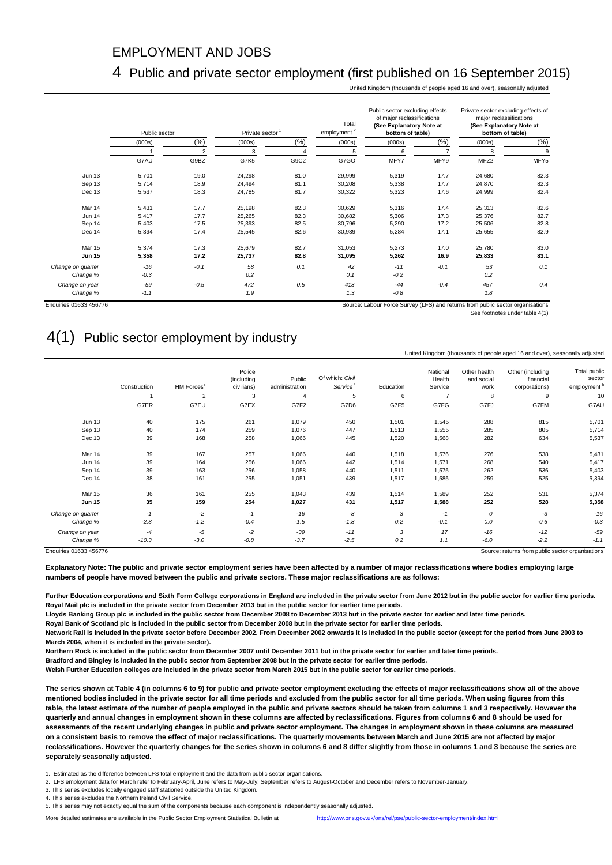#### EMPLOYMENT AND JOBS

#### 4 Public and private sector employment (first published on 16 September 2015)

United Kingdom (thousands of people aged 16 and over), seasonally adjusted

|                   | Private sector<br>Public sector |                |        |      | Total<br>employment <sup>2</sup> | Public sector excluding effects<br>of major reclassifications<br>(See Explanatory Note at<br>bottom of table) |        | Private sector excluding effects of<br>major reclassifications<br>(See Explanatory Note at<br>bottom of table) |        |  |
|-------------------|---------------------------------|----------------|--------|------|----------------------------------|---------------------------------------------------------------------------------------------------------------|--------|----------------------------------------------------------------------------------------------------------------|--------|--|
|                   | (000s)                          | (%)            | (000s) | (%)  | (000s)                           | (000s)                                                                                                        | (%)    | (000s)                                                                                                         | $(\%)$ |  |
|                   |                                 | $\overline{2}$ | 3      |      | 5                                | 6                                                                                                             |        | 8                                                                                                              | 9      |  |
|                   | G7AU                            | G9BZ           | G7K5   | G9C2 | G7GO                             | MFY7                                                                                                          | MFY9   | MFZ2                                                                                                           | MFY5   |  |
| <b>Jun 13</b>     | 5,701                           | 19.0           | 24,298 | 81.0 | 29,999                           | 5,319                                                                                                         | 17.7   | 24,680                                                                                                         | 82.3   |  |
| Sep 13            | 5,714                           | 18.9           | 24,494 | 81.1 | 30,208                           | 5,338                                                                                                         | 17.7   | 24,870                                                                                                         | 82.3   |  |
| Dec 13            | 5,537                           | 18.3           | 24,785 | 81.7 | 30,322                           | 5,323                                                                                                         | 17.6   | 24,999                                                                                                         | 82.4   |  |
| Mar 14            | 5,431                           | 17.7           | 25,198 | 82.3 | 30,629                           | 5,316                                                                                                         | 17.4   | 25,313                                                                                                         | 82.6   |  |
| <b>Jun 14</b>     | 5,417                           | 17.7           | 25,265 | 82.3 | 30,682                           | 5,306                                                                                                         | 17.3   | 25,376                                                                                                         | 82.7   |  |
| Sep 14            | 5,403                           | 17.5           | 25,393 | 82.5 | 30,796                           | 5,290                                                                                                         | 17.2   | 25,506                                                                                                         | 82.8   |  |
| Dec 14            | 5,394                           | 17.4           | 25,545 | 82.6 | 30,939                           | 5,284                                                                                                         | 17.1   | 25,655                                                                                                         | 82.9   |  |
| <b>Mar 15</b>     | 5,374                           | 17.3           | 25,679 | 82.7 | 31,053                           | 5,273                                                                                                         | 17.0   | 25,780                                                                                                         | 83.0   |  |
| <b>Jun 15</b>     | 5,358                           | 17.2           | 25,737 | 82.8 | 31,095                           | 5,262                                                                                                         | 16.9   | 25,833                                                                                                         | 83.1   |  |
| Change on quarter | $-16$                           | $-0.1$         | 58     | 0.1  | 42                               | $-11$                                                                                                         | $-0.1$ | 53                                                                                                             | 0.1    |  |
| Change %          | $-0.3$                          |                | 0.2    |      | 0.1                              | $-0.2$                                                                                                        |        | 0.2                                                                                                            |        |  |
| Change on year    | $-59$                           | $-0.5$         | 472    | 0.5  | 413                              | $-44$                                                                                                         | $-0.4$ | 457                                                                                                            | 0.4    |  |
| Change %          | $-1.1$                          |                | 1.9    |      | 1.3                              | $-0.8$                                                                                                        |        | 1.8                                                                                                            |        |  |

Enquiries 01633 456776 Source: Labour Force Survey (LFS) and returns from public sector organisations

See footnotes under table 4(1)

United Kingdom (thousands of people aged 16 and over), seasonally adjusted

## 4(1) Public sector employment by industry

| Total public<br>sector<br>employment <sup>5</sup> | Other (including<br>financial<br>corporations) | Other health<br>and social<br>work | National<br>Health<br>Service | Education | Of which: Civil<br>Service <sup>4</sup> | Public<br>administration | Police<br>(including<br>civilians) | HM Forces <sup>3</sup> | Construction |                   |
|---------------------------------------------------|------------------------------------------------|------------------------------------|-------------------------------|-----------|-----------------------------------------|--------------------------|------------------------------------|------------------------|--------------|-------------------|
| 10                                                | 9                                              | 8                                  | $\overline{7}$                | 6         | 5                                       | $\overline{4}$           | 3                                  | $\overline{2}$         |              |                   |
| G7AU                                              | G7FM                                           | G7FJ                               | G7FG                          | G7F5      | G7D6                                    | G7F2                     | G7EX                               | G7EU                   | G7ER         |                   |
| 5,701                                             | 815                                            | 288                                | 1,545                         | 1,501     | 450                                     | 1,079                    | 261                                | 175                    | 40           | <b>Jun 13</b>     |
| 5,714                                             | 805                                            | 285                                | 1,555                         | 1,513     | 447                                     | 1,076                    | 259                                | 174                    | 40           | Sep 13            |
| 5,537                                             | 634                                            | 282                                | 1,568                         | 1,520     | 445                                     | 1,066                    | 258                                | 168                    | 39           | Dec 13            |
| 5,431                                             | 538                                            | 276                                | 1,576                         | 1,518     | 440                                     | 1,066                    | 257                                | 167                    | 39           | Mar 14            |
| 5,417                                             | 540                                            | 268                                | 1,571                         | 1,514     | 442                                     | 1,066                    | 256                                | 164                    | 39           | <b>Jun 14</b>     |
| 5,403                                             | 536                                            | 262                                | 1,575                         | 1,511     | 440                                     | 1,058                    | 256                                | 163                    | 39           | Sep 14            |
| 5,394                                             | 525                                            | 259                                | 1,585                         | 1,517     | 439                                     | 1,051                    | 255                                | 161                    | 38           | Dec 14            |
| 5,374                                             | 531                                            | 252                                | 1,589                         | 1,514     | 439                                     | 1,043                    | 255                                | 161                    | 36           | Mar 15            |
| 5,358                                             | 528                                            | 252                                | 1,588                         | 1,517     | 431                                     | 1,027                    | 254                                | 159                    | 35           | <b>Jun 15</b>     |
| $-16$                                             | -3                                             | 0                                  | $-1$                          | 3         | -8                                      | $-16$                    | $-1$                               | $-2$                   | $-1$         | Change on quarter |
| $-0.3$                                            | $-0.6$                                         | 0.0                                | $-0.1$                        | 0.2       | $-1.8$                                  | $-1.5$                   | $-0.4$                             | $-1.2$                 | $-2.8$       | Change %          |
| $-59$                                             | $-12$                                          | $-16$                              | 17                            | 3         | $-11$                                   | $-39$                    | $-2$                               | $-5$                   | $-4$         | Change on year    |
| $-1.1$                                            | $-2.2$                                         | $-6.0$                             | 1.1                           | 0.2       | $-2.5$                                  | $-3.7$                   | $-0.8$                             | $-3.0$                 | $-10.3$      | Change %          |

**Explanatory Note: The public and private sector employment series have been affected by a number of major reclassifications where bodies employing large numbers of people have moved between the public and private sectors. These major reclassifications are as follows:**

**Further Education corporations and Sixth Form College corporations in England are included in the private sector from June 2012 but in the public sector for earlier time periods. Royal Mail plc is included in the private sector from December 2013 but in the public sector for earlier time periods.** 

**Lloyds Banking Group plc is included in the public sector from December 2008 to December 2013 but in the private sector for earlier and later time periods.**

**Royal Bank of Scotland plc is included in the public sector from December 2008 but in the private sector for earlier time periods.**

**Network Rail is included in the private sector before December 2002. From December 2002 onwards it is included in the public sector (except for the period from June 2003 to March 2004, when it is included in the private sector).**

**Northern Rock is included in the public sector from December 2007 until December 2011 but in the private sector for earlier and later time periods.**

**Bradford and Bingley is included in the public sector from September 2008 but in the private sector for earlier time periods.**

**Welsh Further Education colleges are included in the private sector from March 2015 but in the public sector for earlier time periods.**

**The series shown at Table 4 (in columns 6 to 9) for public and private sector employment excluding the effects of major reclassifications show all of the above mentioned bodies included in the private sector for all time periods and excluded from the public sector for all time periods. When using figures from this table, the latest estimate of the number of people employed in the public and private sectors should be taken from columns 1 and 3 respectively. However the quarterly and annual changes in employment shown in these columns are affected by reclassifications. Figures from columns 6 and 8 should be used for assessments of the recent underlying changes in public and private sector employment. The changes in employment shown in these columns are measured on a consistent basis to remove the effect of major reclassifications. The quarterly movements between March and June 2015 are not affected by major reclassifications. However the quarterly changes for the series shown in columns 6 and 8 differ slightly from those in columns 1 and 3 because the series are separately seasonally adjusted.**

1. Estimated as the difference between LFS total employment and the data from public sector organisations.

2. LFS employment data for March refer to February-April, June refers to May-July, September refers to August-October and December refers to November-January.

3. This series excludes locally engaged staff stationed outside the United Kingdom.

4. This series excludes the Northern Ireland Civil Service.

More detailed estimates are available in the Public Sector Employment Statistical Bulletin at <http://www.ons.gov.uk/ons/rel/pse/public-sector-employment/index.html>

<sup>5.</sup> This series may not exactly equal the sum of the components because each component is independently seasonally adjusted.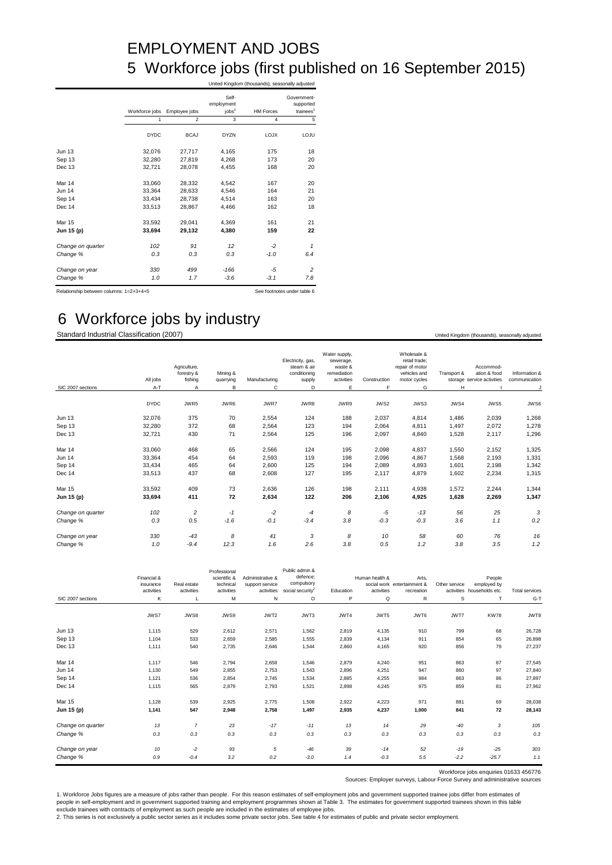# EMPLOYMENT AND JOBS 5 Workforce jobs (first published on 16 September 2015)

|                                         |                |                |                                          | United Kingdom (thousands), seasonally adjusted |                                                   |
|-----------------------------------------|----------------|----------------|------------------------------------------|-------------------------------------------------|---------------------------------------------------|
|                                         | Workforce jobs | Employee jobs  | Self-<br>employment<br>iobs <sup>1</sup> | <b>HM Forces</b>                                | Government-<br>supported<br>trainees <sup>1</sup> |
|                                         | 1              | $\mathfrak{p}$ | 3                                        | 4                                               | 5                                                 |
|                                         | <b>DYDC</b>    | <b>BCAJ</b>    | <b>DYZN</b>                              | <b>LOJX</b>                                     | LOJU                                              |
| <b>Jun 13</b>                           | 32,076         | 27.717         | 4,165                                    | 175                                             | 18                                                |
| Sep 13                                  | 32,280         | 27,819         | 4,268                                    | 173                                             | 20                                                |
| Dec 13                                  | 32,721         | 28,078         | 4,455                                    | 168                                             | 20                                                |
| Mar 14                                  | 33,060         | 28,332         | 4,542                                    | 167                                             | 20                                                |
| <b>Jun 14</b>                           | 33,364         | 28,633         | 4,546                                    | 164                                             | 21                                                |
| Sep 14                                  | 33.434         | 28.738         | 4.514                                    | 163                                             | 20                                                |
| Dec 14                                  | 33,513         | 28,867         | 4,466                                    | 162                                             | 18                                                |
| Mar 15                                  | 33.592         | 29.041         | 4.369                                    | 161                                             | 21                                                |
| Jun 15 (p)                              | 33,694         | 29,132         | 4,380                                    | 159                                             | 22                                                |
| Change on quarter                       | 102            | 91             | 12                                       | $-2$                                            | $\mathbf{1}$                                      |
| Change %                                | 0.3            | 0.3            | 0.3                                      | $-1.0$                                          | 6.4                                               |
| Change on year                          | 330            | 499            | $-166$                                   | $-5$                                            | 2                                                 |
| Change %                                | 1.0            | 1.7            | $-3.6$                                   | $-3.1$                                          | 7.8                                               |
| Relationship between columns: 1=2+3+4+5 |                |                |                                          |                                                 | See footnotes under table 6                       |

# 6 Workforce jobs by industry

Standard Industrial Classification (2007) **Example 2008** United Kingdom (thousands), seasonally adjusted

|                   | All jobs    | Agriculture,<br>forestry &<br>fishing | Mining &<br>quarrying | Manufacturing | Electricity, gas,<br>steam & air<br>conditioning<br>supply | Water supply,<br>sewerage,<br>waste &<br>remediation<br>activities | Construction | Wholesale &<br>retail trade:<br>repair of motor<br>vehicles and<br>motor cycles | Transport & | Accommod-<br>ation & food<br>storage service activities | Information &<br>communication |
|-------------------|-------------|---------------------------------------|-----------------------|---------------|------------------------------------------------------------|--------------------------------------------------------------------|--------------|---------------------------------------------------------------------------------|-------------|---------------------------------------------------------|--------------------------------|
| SIC 2007 sections | A-T         | A                                     | B                     | C             | D                                                          | E                                                                  | F            | G                                                                               | Н           |                                                         | J                              |
|                   | <b>DYDC</b> | JWR5                                  | JWR6                  | JWR7          | JWR8                                                       | JWR9                                                               | JWS2         | JWS3                                                                            | JWS4        | JWS5                                                    | JWS6                           |
| Jun 13            | 32,076      | 375                                   | 70                    | 2,554         | 124                                                        | 188                                                                | 2,037        | 4,814                                                                           | 1,486       | 2,039                                                   | 1,268                          |
| Sep 13            | 32,280      | 372                                   | 68                    | 2,564         | 123                                                        | 194                                                                | 2,064        | 4,811                                                                           | 1,497       | 2,072                                                   | 1,278                          |
| Dec 13            | 32,721      | 430                                   | 71                    | 2,564         | 125                                                        | 196                                                                | 2,097        | 4,840                                                                           | 1,528       | 2,117                                                   | 1,296                          |
| Mar 14            | 33,060      | 468                                   | 65                    | 2,566         | 124                                                        | 195                                                                | 2,098        | 4,837                                                                           | 1,550       | 2,152                                                   | 1,325                          |
| Jun 14            | 33,364      | 454                                   | 64                    | 2,593         | 119                                                        | 198                                                                | 2,096        | 4,867                                                                           | 1,568       | 2,193                                                   | 1,331                          |
| Sep 14            | 33,434      | 465                                   | 64                    | 2,600         | 125                                                        | 194                                                                | 2,089        | 4,893                                                                           | 1,601       | 2,198                                                   | 1,342                          |
| Dec 14            | 33,513      | 437                                   | 68                    | 2,608         | 127                                                        | 195                                                                | 2,117        | 4,879                                                                           | 1,602       | 2,234                                                   | 1,315                          |
| <b>Mar 15</b>     | 33,592      | 409                                   | 73                    | 2,636         | 126                                                        | 198                                                                | 2,111        | 4,938                                                                           | 1,572       | 2,244                                                   | 1,344                          |
| Jun 15 (p)        | 33,694      | 411                                   | 72                    | 2,634         | 122                                                        | 206                                                                | 2,106        | 4,925                                                                           | 1,628       | 2,269                                                   | 1,347                          |
| Change on quarter | 102         | $\overline{c}$                        | $-1$                  | $-2$          | $-4$                                                       | 8                                                                  | -5           | $-13$                                                                           | 56          | 25                                                      | 3                              |
| Change %          | 0.3         | 0.5                                   | $-1.6$                | $-0.1$        | $-3.4$                                                     | 3.8                                                                | $-0.3$       | $-0.3$                                                                          | 3.6         | 1.1                                                     | 0.2                            |
| Change on year    | 330         | $-43$                                 | 8                     | 41            | 3                                                          | 8                                                                  | 10           | 58                                                                              | 60          | 76                                                      | 16                             |
| Change %          | 1.0         | $-9.4$                                | 12.3                  | 1.6           | 2.6                                                        | 3.8                                                                | 0.5          | 1.2                                                                             | 3.8         | 3.5                                                     | 1.2                            |

|                   | Financial &<br>insurance<br>activities | Real estate<br>activities | Professional<br>scientific &<br>technical<br>activities | Administrative &<br>support service<br>activities | Public admin &<br>defence:<br>compulsory<br>social security <sup>2</sup> | Education | Human health &<br>activities | Arts.<br>social work entertainment &<br>recreation | Other service | People<br>employed by<br>activities households etc. | <b>Total services</b> |
|-------------------|----------------------------------------|---------------------------|---------------------------------------------------------|---------------------------------------------------|--------------------------------------------------------------------------|-----------|------------------------------|----------------------------------------------------|---------------|-----------------------------------------------------|-----------------------|
| SIC 2007 sections | κ                                      |                           | M                                                       | N                                                 | $\circ$                                                                  | P         | Q                            | ${\sf R}$                                          | s             | T                                                   | $G-T$                 |
|                   | JWS7                                   | JWS8                      | JWS9                                                    | JWT2                                              | JWT3                                                                     | JWT4      | JWT5                         | JWT6                                               | JWT7          | <b>KW78</b>                                         | JWT8                  |
| Jun 13            | 1,115                                  | 529                       | 2,612                                                   | 2,571                                             | 1,562                                                                    | 2,819     | 4,135                        | 910                                                | 799           | 68                                                  | 26,728                |
| Sep 13            | 1.104                                  | 533                       | 2,659                                                   | 2,585                                             | 1,555                                                                    | 2,839     | 4,134                        | 911                                                | 854           | 65                                                  | 26,898                |
| Dec 13            | 1,111                                  | 540                       | 2,735                                                   | 2,646                                             | 1,544                                                                    | 2,860     | 4,165                        | 920                                                | 856           | 79                                                  | 27,237                |
| Mar 14            | 1,117                                  | 546                       | 2,794                                                   | 2,658                                             | 1,546                                                                    | 2,879     | 4,240                        | 951                                                | 863           | 87                                                  | 27,545                |
| Jun 14            | 1.130                                  | 549                       | 2,855                                                   | 2,753                                             | 1,543                                                                    | 2,896     | 4,251                        | 947                                                | 860           | 97                                                  | 27,840                |
| Sep 14            | 1.121                                  | 536                       | 2,854                                                   | 2,745                                             | 1,534                                                                    | 2,885     | 4,255                        | 984                                                | 863           | 86                                                  | 27,897                |
| Dec 14            | 1,115                                  | 565                       | 2,879                                                   | 2,793                                             | 1,521                                                                    | 2,898     | 4,245                        | 975                                                | 859           | 81                                                  | 27,962                |
| <b>Mar 15</b>     | 1,128                                  | 539                       | 2,925                                                   | 2,775                                             | 1,508                                                                    | 2,922     | 4,223                        | 971                                                | 881           | 69                                                  | 28,038                |
| Jun 15 (p)        | 1,141                                  | 547                       | 2,948                                                   | 2,758                                             | 1,497                                                                    | 2,935     | 4,237                        | 1,000                                              | 841           | 72                                                  | 28,143                |
| Change on quarter | 13                                     | $\overline{7}$            | 23                                                      | $-17$                                             | $-11$                                                                    | 13        | 14                           | 29                                                 | $-40$         | 3                                                   | 105                   |
| Change %          | 0.3                                    | 0.3                       | 0.3                                                     | 0.3                                               | 0.3                                                                      | 0.3       | 0.3                          | 0.3                                                | 0.3           | 0.3                                                 | 0.3                   |
| Change on year    | 10                                     | $-2$                      | 93                                                      | 5                                                 | $-46$                                                                    | 39        | $-14$                        | 52                                                 | $-19$         | $-25$                                               | 303                   |
| Change %          | 0.9                                    | $-0.4$                    | 3.2                                                     | 0.2                                               | $-3.0$                                                                   | 1.4       | $-0.3$                       | 5.5                                                | $-2.2$        | $-25.7$                                             | 1.1                   |

Workforce jobs enquiries 01633 456776

Sources: Employer surveys, Labour Force Survey and administrative sources

1. Workforce Jobs figures are a measure of jobs rather than people. For this reason estimates of self-employment jobs and government supported trainee jobs differ from estimates of<br>people in self-employment and in governme exclude trainees with contracts of employment as such people are included in the estimates of employee jobs.<br>2. This series is not exclusively a public sector series as it includes some private sector jobs. See table 4 for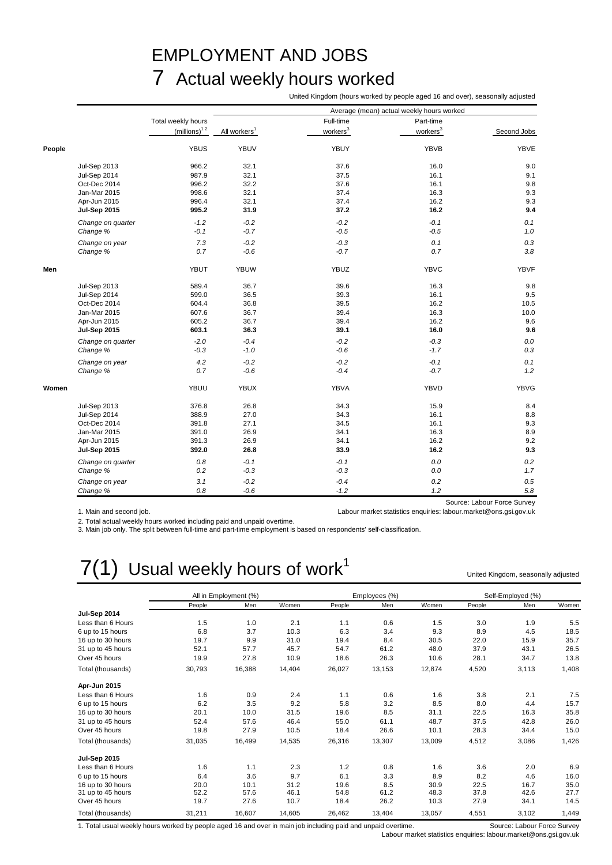# EMPLOYMENT AND JOBS 7 Actual weekly hours worked

United Kingdom (hours worked by people aged 16 and over), seasonally adjusted

|        |                     |                          |                          |                      | Average (mean) actual weekly hours worked |                             |
|--------|---------------------|--------------------------|--------------------------|----------------------|-------------------------------------------|-----------------------------|
|        |                     | Total weekly hours       |                          | Full-time            | Part-time                                 |                             |
|        |                     | (millions) <sup>12</sup> | All workers <sup>1</sup> | workers <sup>3</sup> | workers <sup>3</sup>                      | Second Jobs                 |
| People |                     | <b>YBUS</b>              | YBUV                     | YBUY                 | <b>YBVB</b>                               | <b>YBVE</b>                 |
|        | <b>Jul-Sep 2013</b> | 966.2                    | 32.1                     | 37.6                 | 16.0                                      | 9.0                         |
|        | <b>Jul-Sep 2014</b> | 987.9                    | 32.1                     | 37.5                 | 16.1                                      | 9.1                         |
|        | Oct-Dec 2014        | 996.2                    | 32.2                     | 37.6                 | 16.1                                      | 9.8                         |
|        | Jan-Mar 2015        | 998.6                    | 32.1                     | 37.4                 | 16.3                                      | 9.3                         |
|        | Apr-Jun 2015        | 996.4                    | 32.1                     | 37.4                 | 16.2                                      | 9.3                         |
|        | <b>Jul-Sep 2015</b> | 995.2                    | 31.9                     | 37.2                 | 16.2                                      | 9.4                         |
|        | Change on quarter   | $-1.2$                   | $-0.2$                   | $-0.2$               | $-0.1$                                    | 0.1                         |
|        | Change %            | $-0.1$                   | $-0.7$                   | $-0.5$               | $-0.5$                                    | 1.0                         |
|        | Change on year      | 7.3                      | $-0.2$                   | $-0.3$               | 0.1                                       | 0.3                         |
|        | Change %            | 0.7                      | $-0.6$                   | $-0.7$               | 0.7                                       | 3.8                         |
| Men    |                     | <b>YBUT</b>              | <b>YBUW</b>              | <b>YBUZ</b>          | <b>YBVC</b>                               | <b>YBVF</b>                 |
|        | <b>Jul-Sep 2013</b> | 589.4                    | 36.7                     | 39.6                 | 16.3                                      | 9.8                         |
|        | <b>Jul-Sep 2014</b> | 599.0                    | 36.5                     | 39.3                 | 16.1                                      | 9.5                         |
|        | Oct-Dec 2014        | 604.4                    | 36.8                     | 39.5                 | 16.2                                      | 10.5                        |
|        | Jan-Mar 2015        | 607.6                    | 36.7                     | 39.4                 | 16.3                                      | 10.0                        |
|        | Apr-Jun 2015        | 605.2                    | 36.7                     | 39.4                 | 16.2                                      | 9.6                         |
|        | <b>Jul-Sep 2015</b> | 603.1                    | 36.3                     | 39.1                 | 16.0                                      | 9.6                         |
|        | Change on quarter   | $-2.0$                   | $-0.4$                   | $-0.2$               | $-0.3$                                    | 0.0                         |
|        | Change %            | $-0.3$                   | $-1.0$                   | $-0.6$               | $-1.7$                                    | 0.3                         |
|        | Change on year      | 4.2                      | $-0.2$                   | $-0.2$               | $-0.1$                                    | 0.1                         |
|        | Change %            | 0.7                      | $-0.6$                   | $-0.4$               | $-0.7$                                    | 1.2                         |
| Women  |                     | YBUU                     | <b>YBUX</b>              | YBVA                 | YBVD                                      | <b>YBVG</b>                 |
|        | <b>Jul-Sep 2013</b> | 376.8                    | 26.8                     | 34.3                 | 15.9                                      | 8.4                         |
|        | Jul-Sep 2014        | 388.9                    | 27.0                     | 34.3                 | 16.1                                      | 8.8                         |
|        | Oct-Dec 2014        | 391.8                    | 27.1                     | 34.5                 | 16.1                                      | 9.3                         |
|        | Jan-Mar 2015        | 391.0                    | 26.9                     | 34.1                 | 16.3                                      | 8.9                         |
|        | Apr-Jun 2015        | 391.3                    | 26.9                     | 34.1                 | 16.2                                      | 9.2                         |
|        | <b>Jul-Sep 2015</b> | 392.0                    | 26.8                     | 33.9                 | 16.2                                      | 9.3                         |
|        | Change on quarter   | 0.8                      | $-0.1$                   | $-0.1$               | 0.0                                       | 0.2                         |
|        | Change %            | 0.2                      | $-0.3$                   | $-0.3$               | $0.0\,$                                   | 1.7                         |
|        | Change on year      | 3.1                      | $-0.2$                   | $-0.4$               | 0.2                                       | 0.5                         |
|        | Change %            | 0.8                      | $-0.6$                   | $-1.2$               | 1.2                                       | 5.8                         |
|        |                     |                          |                          |                      |                                           | Source: Labour Force Survey |

1. Main and second job. Labour market statistics enquiries: labour.market@ons.gsi.gov.uk

2. Total actual weekly hours worked including paid and unpaid overtime.

3. Main job only. The split between full-time and part-time employment is based on respondents' self-classification.

# $7(1)$  Usual weekly hours of work<sup>1</sup>

United Kingdom, seasonally adjusted

|                     |        | All in Employment (%) |        |        | Employees (%) |        |        | Self-Employed (%) |       |
|---------------------|--------|-----------------------|--------|--------|---------------|--------|--------|-------------------|-------|
|                     | People | Men                   | Women  | People | Men           | Women  | People | Men               | Women |
| <b>Jul-Sep 2014</b> |        |                       |        |        |               |        |        |                   |       |
| Less than 6 Hours   | 1.5    | 1.0                   | 2.1    | 1.1    | 0.6           | 1.5    | 3.0    | 1.9               | 5.5   |
| 6 up to 15 hours    | 6.8    | 3.7                   | 10.3   | 6.3    | 3.4           | 9.3    | 8.9    | 4.5               | 18.5  |
| 16 up to 30 hours   | 19.7   | 9.9                   | 31.0   | 19.4   | 8.4           | 30.5   | 22.0   | 15.9              | 35.7  |
| 31 up to 45 hours   | 52.1   | 57.7                  | 45.7   | 54.7   | 61.2          | 48.0   | 37.9   | 43.1              | 26.5  |
| Over 45 hours       | 19.9   | 27.8                  | 10.9   | 18.6   | 26.3          | 10.6   | 28.1   | 34.7              | 13.8  |
| Total (thousands)   | 30,793 | 16,388                | 14,404 | 26,027 | 13,153        | 12,874 | 4,520  | 3,113             | 1,408 |
| Apr-Jun 2015        |        |                       |        |        |               |        |        |                   |       |
| Less than 6 Hours   | 1.6    | 0.9                   | 2.4    | 1.1    | 0.6           | 1.6    | 3.8    | 2.1               | 7.5   |
| 6 up to 15 hours    | 6.2    | 3.5                   | 9.2    | 5.8    | 3.2           | 8.5    | 8.0    | 4.4               | 15.7  |
| 16 up to 30 hours   | 20.1   | 10.0                  | 31.5   | 19.6   | 8.5           | 31.1   | 22.5   | 16.3              | 35.8  |
| 31 up to 45 hours   | 52.4   | 57.6                  | 46.4   | 55.0   | 61.1          | 48.7   | 37.5   | 42.8              | 26.0  |
| Over 45 hours       | 19.8   | 27.9                  | 10.5   | 18.4   | 26.6          | 10.1   | 28.3   | 34.4              | 15.0  |
| Total (thousands)   | 31,035 | 16,499                | 14,535 | 26,316 | 13,307        | 13,009 | 4,512  | 3,086             | 1,426 |
| <b>Jul-Sep 2015</b> |        |                       |        |        |               |        |        |                   |       |
| Less than 6 Hours   | 1.6    | 1.1                   | 2.3    | 1.2    | 0.8           | 1.6    | 3.6    | 2.0               | 6.9   |
| 6 up to 15 hours    | 6.4    | 3.6                   | 9.7    | 6.1    | 3.3           | 8.9    | 8.2    | 4.6               | 16.0  |
| 16 up to 30 hours   | 20.0   | 10.1                  | 31.2   | 19.6   | 8.5           | 30.9   | 22.5   | 16.7              | 35.0  |
| 31 up to 45 hours   | 52.2   | 57.6                  | 46.1   | 54.8   | 61.2          | 48.3   | 37.8   | 42.6              | 27.7  |
| Over 45 hours       | 19.7   | 27.6                  | 10.7   | 18.4   | 26.2          | 10.3   | 27.9   | 34.1              | 14.5  |
| Total (thousands)   | 31,211 | 16,607                | 14,605 | 26,462 | 13,404        | 13,057 | 4,551  | 3,102             | 1,449 |

1. Total usual weekly hours worked by people aged 16 and over in main job including paid and unpaid overtime. Source: Labour Force Survey

Labour market statistics enquiries: labour.market@ons.gsi.gov.uk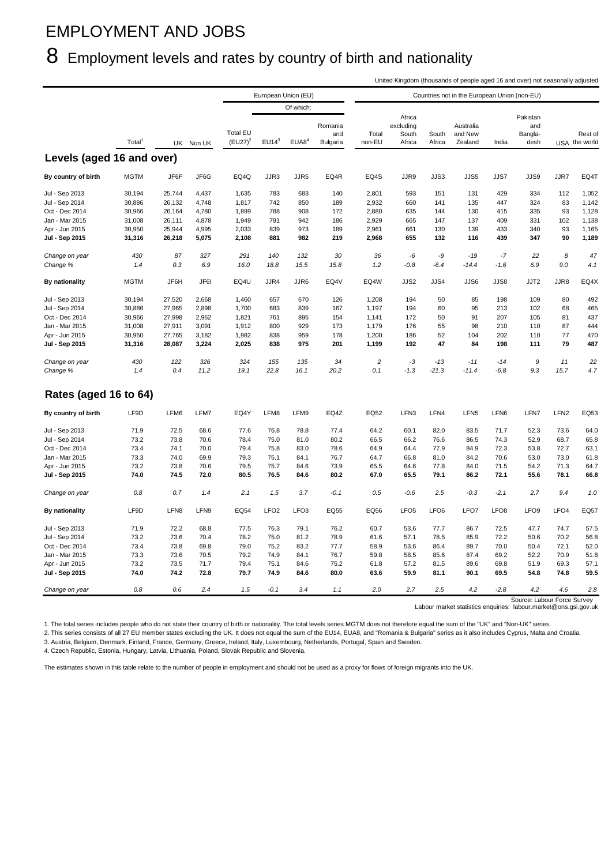# EMPLOYMENT AND JOBS

# 8 Employment levels and rates by country of birth and nationality

United Kingdom (thousands of people aged 16 and over) not seasonally adjusted

|                                  |                  |                  |                |                               |                  | European Union (EU) |                            |                 |                                        |                  | Countries not in the European Union (non-EU) |                  |                                    |                  |                          |
|----------------------------------|------------------|------------------|----------------|-------------------------------|------------------|---------------------|----------------------------|-----------------|----------------------------------------|------------------|----------------------------------------------|------------------|------------------------------------|------------------|--------------------------|
|                                  |                  |                  |                |                               |                  | Of which:           |                            |                 |                                        |                  |                                              |                  |                                    |                  |                          |
|                                  | Total            |                  | UK Non UK      | <b>Total EU</b><br>$(EU27)^2$ | $EU14^3$         | EUAB <sup>4</sup>   | Romania<br>and<br>Bulgaria | Total<br>non-EU | Africa<br>excluding<br>South<br>Africa | South<br>Africa  | Australia<br>and New<br>Zealand              | India            | Pakistan<br>and<br>Bangla-<br>desh |                  | Rest of<br>USA the world |
| Levels (aged 16 and over)        |                  |                  |                |                               |                  |                     |                            |                 |                                        |                  |                                              |                  |                                    |                  |                          |
| By country of birth              | <b>MGTM</b>      | JF6F             | JF6G           | EQ4Q                          | JJR3             | JJR5                | EQ4R                       | EQ4S            | JJR9                                   | JJS3             | JJS5                                         | JJS7             | JJS9                               | JJR7             | EQ4T                     |
| Jul - Sep 2013                   | 30,194           | 25,744           | 4,437          | 1,635                         | 783              | 683                 | 140                        | 2,801           | 593                                    | 151              | 131                                          | 429              | 334                                | 112              | 1,052                    |
| Jul - Sep 2014                   | 30,886           | 26,132           | 4,748          | 1,817                         | 742              | 850                 | 189                        | 2,932           | 660                                    | 141              | 135                                          | 447              | 324                                | 83               | 1,142                    |
| Oct - Dec 2014                   | 30,966           | 26,164           | 4,780          | 1,899                         | 788              | 908                 | 172                        | 2,880           | 635                                    | 144              | 130                                          | 415              | 335                                | 93               | 1,128                    |
| Jan - Mar 2015                   |                  | 26,111           | 4,878          | 1,949                         | 791              | 942                 | 186                        | 2,929           | 665                                    | 147              | 137                                          | 409              | 331                                | 102              | 1,138                    |
|                                  | 31,008           |                  |                |                               | 839              | 973                 | 189                        |                 |                                        | 130              | 139                                          | 433              | 340                                |                  |                          |
| Apr - Jun 2015<br>Jul - Sep 2015 | 30,950<br>31,316 | 25,944<br>26,218 | 4,995<br>5,075 | 2,033<br>2,108                | 881              | 982                 | 219                        | 2,961<br>2,968  | 661<br>655                             | 132              | 116                                          | 439              | 347                                | 93<br>90         | 1,165<br>1,189           |
|                                  |                  |                  |                |                               |                  |                     |                            |                 |                                        |                  |                                              |                  |                                    |                  |                          |
| Change on year                   | 430              | 87               | 327            | 291                           | 140              | 132                 | 30                         | 36              | -6                                     | -9               | $-19$                                        | $-7$             | 22                                 | 8                | 47                       |
| Change %                         | 1.4              | 0.3              | 6.9            | 16.0                          | 18.8             | 15.5                | 15.8                       | 1.2             | $-0.8$                                 | $-6.4$           | $-14.4$                                      | $-1.6$           | 6.9                                | 9.0              | 4.1                      |
| By nationality                   | <b>MGTM</b>      | JF6H             | JF6I           | EQ4U                          | JJR4             | JJR6                | EQ4V                       | EQ4W            | JJS2                                   | JJS4             | JJS6                                         | JJS8             | JJT2                               | JJR8             | EQ4X                     |
| Jul - Sep 2013                   | 30,194           | 27,520           | 2,668          | 1,460                         | 657              | 670                 | 126                        | 1,208           | 194                                    | 50               | 85                                           | 198              | 109                                | 80               | 492                      |
| Jul - Sep 2014                   | 30,886           | 27,965           | 2,898          | 1,700                         | 683              | 839                 | 167                        | 1,197           | 194                                    | 60               | 95                                           | 213              | 102                                | 68               | 465                      |
| Oct - Dec 2014                   | 30,966           | 27,998           | 2,962          | 1,821                         | 761              | 895                 | 154                        | 1,141           | 172                                    | 50               | 91                                           | 207              | 105                                | 81               | 437                      |
| Jan - Mar 2015                   | 31,008           | 27,911           | 3,091          | 1,912                         | 800              | 929                 | 173                        | 1,179           | 176                                    | 55               | 98                                           | 210              | 110                                | 87               | 444                      |
| Apr - Jun 2015                   | 30,950           | 27,765           | 3,182          | 1,982                         | 838              | 959                 | 178                        | 1,200           | 186                                    | 52               | 104                                          | 202              | 110                                | 77               | 470                      |
| Jul - Sep 2015                   | 31,316           | 28,087           | 3,224          | 2,025                         | 838              | 975                 | 201                        | 1,199           | 192                                    | 47               | 84                                           | 198              | 111                                | 79               | 487                      |
| Change on year                   | 430              | 122              | 326            | 324                           | 155              | 135                 | 34                         | $\overline{c}$  | $-3$                                   | $-13$            | $-11$                                        | -14              | 9                                  | 11               | 22                       |
| Change %                         | 1.4              | 0.4              | 11.2           | 19.1                          | 22.8             | 16.1                | 20.2                       | 0.1             | $-1.3$                                 | $-21.3$          | $-11.4$                                      | $-6.8$           | 9.3                                | 15.7             | 4.7                      |
| Rates (aged 16 to 64)            |                  |                  |                |                               |                  |                     |                            |                 |                                        |                  |                                              |                  |                                    |                  |                          |
| By country of birth              | LF9D             | LFM6             | LFM7           | EQ4Y                          | LFM8             | LFM9                | EQ4Z                       | EQ52            | LFN3                                   | LFN4             | LFN <sub>5</sub>                             | LFN6             | LFN7                               | LFN <sub>2</sub> | EQ53                     |
| Jul - Sep 2013                   | 71.9             | 72.5             | 68.6           | 77.6                          | 76.8             | 78.8                | 77.4                       | 64.2            | 60.1                                   | 82.0             | 83.5                                         | 71.7             | 52.3                               | 73.6             | 64.0                     |
| Jul - Sep 2014                   | 73.2             | 73.8             | 70.6           | 78.4                          | 75.0             | 81.0                | 80.2                       | 66.5            | 66.2                                   | 76.6             | 86.5                                         | 74.3             | 52.9                               | 68.7             | 65.8                     |
| Oct - Dec 2014                   | 73.4             | 74.1             | 70.0           | 79.4                          | 75.8             | 83.0                | 78.6                       | 64.9            | 64.4                                   | 77.9             | 84.9                                         | 72.3             | 53.8                               | 72.7             | 63.1                     |
| Jan - Mar 2015                   | 73.3             | 74.0             | 69.9           | 79.3                          | 75.1             | 84.1                | 76.7                       | 64.7            | 66.8                                   | 81.0             | 84.2                                         | 70.6             | 53.0                               | 73.0             | 61.8                     |
| Apr - Jun 2015                   | 73.2             | 73.8             | 70.6           | 79.5                          | 75.7             | 84.6                | 73.9                       | 65.5            | 64.6                                   | 77.8             | 84.0                                         | 71.5             | 54.2                               | 71.3             | 64.7                     |
| Jul - Sep 2015                   | 74.0             | 74.5             | 72.0           | 80.5                          | 76.5             | 84.6                | 80.2                       | 67.0            | 65.5                                   | 79.1             | 86.2                                         | 72.1             | 55.6                               | 78.1             | 66.8                     |
| Change on year                   | 0.8              | 0.7              | 1.4            | 2.1                           | 1.5              | 3.7                 | $-0.1$                     | 0.5             | $-0.6$                                 | 2.5              | $-0.3$                                       | $-2.1$           | 2.7                                | 9.4              | 1.0                      |
| By nationality                   | LF9D             | LFN8             | LFN9           | EQ54                          | LFO <sub>2</sub> | LFO <sub>3</sub>    | <b>EQ55</b>                | EQ56            | LFO <sub>5</sub>                       | LFO <sub>6</sub> | LFO7                                         | LFO <sub>8</sub> | LFO <sub>9</sub>                   | LFO <sub>4</sub> | <b>EQ57</b>              |
| Jul - Sep 2013                   | 71.9             | 72.2             | 68.8           | 77.5                          | 76.3             | 79.1                | 76.2                       | 60.7            | 53.6                                   | 77.7             | 86.7                                         | 72.5             | 47.7                               | 74.7             | 57.5                     |
| Jul - Sep 2014                   | 73.2             | 73.6             | 70.4           | 78.2                          | 75.0             | 81.2                | 78.9                       | 61.6            | 57.1                                   | 78.5             | 85.9                                         | 72.2             | 50.6                               | 70.2             | 56.8                     |
| Oct - Dec 2014                   | 73.4             | 73.8             | 69.8           | 79.0                          | 75.2             | 83.2                | 77.7                       | 58.9            | 53.6                                   | 86.4             | 89.7                                         | 70.0             | 50.4                               | 72.1             | 52.0                     |
| Jan - Mar 2015                   | 73.3             | 73.6             | 70.5           | 79.2                          | 74.9             | 84.1                | 76.7                       | 59.8            | 58.5                                   | 85.6             | 87.4                                         | 69.2             | 52.2                               | 70.9             | 51.8                     |
| Apr - Jun 2015                   | 73.2             | 73.5             | 71.7           | 79.4                          | 75.1             | 84.6                | 75.2                       | 61.8            | 57.2                                   | 81.5             | 89.6                                         | 69.8             | 51.9                               | 69.3             | 57.1                     |
| Jul - Sep 2015                   | 74.0             | 74.2             | 72.8           | 79.7                          | 74.9             | 84.6                | 80.0                       | 63.6            | 59.9                                   | 81.1             | 90.1                                         | 69.5             | 54.8                               | 74.8             | 59.5                     |
| Change on year                   | 0.8              | 0.6              | 2.4            | 1.5                           | $-0.1$           | 3.4                 | 1.1                        | 2.0             | 2.7                                    | 2.5              | 4.2                                          | $-2.8$           | 4.2                                | 4.6              | 2.8                      |
|                                  |                  |                  |                |                               |                  |                     |                            |                 |                                        |                  |                                              |                  | Source: Labour Force Survey        |                  |                          |

Source: [L](mailto:labour.market@ons.gsi.gov.uk)abour Force Survey<br>Labour market statistics enquiries: labour.market@ons.gsi.gov.uk

1. The total series includes people who do not state their country of birth or nationality. The total levels series MGTM does not therefore equal the sum of the "UK" and "Non-UK" series.

2. This series consists of all 27 EU member states excluding the UK. It does not equal the sum of the EU14, EUA8, and "Romania & Bulgaria" series as it also includes Cyprus, Malta and Croatia. 3. Austria, Belgium, Denmark, Finland, France, Germany, Greece, Ireland, Italy, Luxembourg, Netherlands, Portugal, Spain and Sweden.

4. Czech Republic, Estonia, Hungary, Latvia, Lithuania, Poland, Slovak Republic and Slovenia.

The estimates shown in this table relate to the number of people in employment and should not be used as a proxy for flows of foreign migrants into the UK.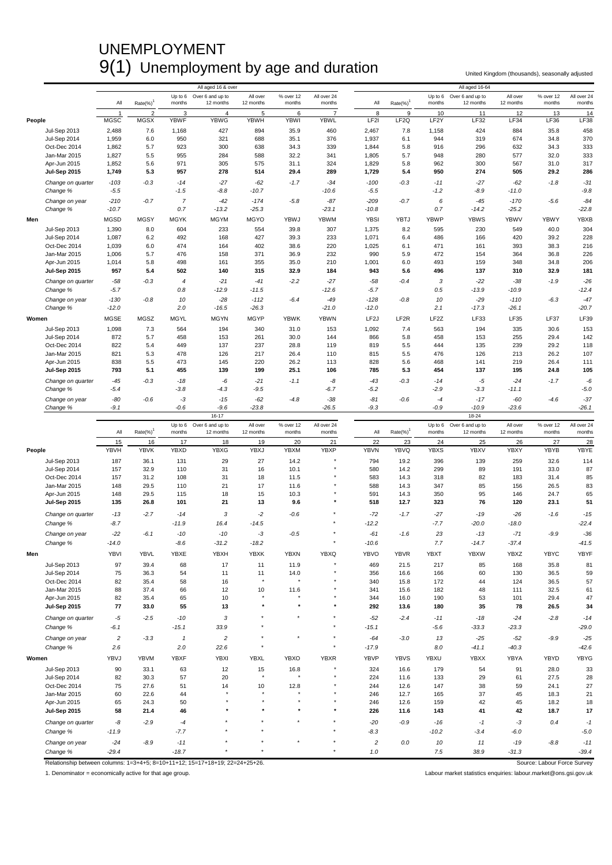# UNEMPLOYMENT 9(1) Unemployment by age and duration United Kingdom (thousands), seasonally adjusted

|        |                              |                 |                |                            | All aged 16 & over            |                       |                     |                       |                   |                  |                   | All aged 16-64                |                       |                     |                       |
|--------|------------------------------|-----------------|----------------|----------------------------|-------------------------------|-----------------------|---------------------|-----------------------|-------------------|------------------|-------------------|-------------------------------|-----------------------|---------------------|-----------------------|
|        |                              | All             | $Rate(\%)^7$   | Up to 6<br>months          | Over 6 and up to<br>12 months | All over<br>12 months | % over 12<br>months | All over 24<br>months | All               | $Rate(\%)^1$     | Up to 6<br>months | Over 6 and up to<br>12 months | All over<br>12 months | % over 12<br>months | All over 24<br>months |
|        |                              | -1              | $\overline{2}$ | 3                          | $\overline{4}$                | 5                     | 6                   | 7                     | 8                 | 9                | 10                | 11                            | 12                    | 13                  | 14                    |
| People |                              | <b>MGSC</b>     | <b>MGSX</b>    | <b>YBWF</b>                | <b>YBWG</b>                   | <b>YBWH</b>           | <b>YBWI</b>         | <b>YBWL</b>           | LF <sub>2</sub> I | LF <sub>2Q</sub> | LF <sub>2</sub> Y | LF32                          | LF34                  | LF36                | <b>LF38</b>           |
|        | <b>Jul-Sep 2013</b>          | 2,488           | 7.6            | 1,168                      | 427                           | 894                   | 35.9                | 460                   | 2,467             | 7.8              | 1,158             | 424                           | 884                   | 35.8                | 458                   |
|        | <b>Jul-Sep 2014</b>          | 1,959           | 6.0            | 950                        | 321                           | 688                   | 35.1                | 376                   | 1,937             | 6.1              | 944               | 319                           | 674                   | 34.8                | 370                   |
|        | Oct-Dec 2014                 | 1,862           | 5.7            | 923                        | 300                           | 638                   | 34.3                | 339                   | 1,844             | 5.8              | 916               | 296                           | 632                   | 34.3                | 333                   |
|        | Jan-Mar 2015                 | 1,827           | 5.5            | 955                        | 284                           | 588                   | 32.2                | 341                   | 1,805             | 5.7              | 948               | 280                           | 577                   | 32.0                | 333                   |
|        | Apr-Jun 2015                 | 1,852           | 5.6            | 971                        | 305                           | 575                   | 31.1                | 324                   | 1,829             | 5.8              | 962               | 300                           | 567                   | 31.0                | 317                   |
|        | <b>Jul-Sep 2015</b>          | 1,749           | 5.3            | 957                        | 278                           | 514                   | 29.4                | 289                   | 1,729             | 5.4              | 950               | 274                           | 505                   | 29.2                | 286                   |
|        | Change on quarter            | $-103$          | $-0.3$         | $-14$                      | $-27$                         | $-62$                 | $-1.7$              | $-34$                 | $-100$            | $-0.3$           | $-11$             | $-27$                         | $-62$                 | $-1.8$              | $-31$                 |
|        | Change %                     | $-5.5$          |                | $-1.5$                     | $-8.8$                        | $-10.7$               |                     | $-10.6$               | $-5.5$            |                  | $-1.2$            | $-8.9$                        | $-11.0$               |                     | $-9.8$                |
|        | Change on year               | $-210$          | $-0.7$         | $\overline{7}$             | $-42$                         | $-174$                | $-5.8$              | $-87$                 | $-209$            | $-0.7$           | 6                 | $-45$                         | $-170$                | $-5.6$              | $-84$                 |
|        | Change %                     | $-10.7$         |                | 0.7                        | $-13.2$                       | $-25.3$               |                     | $-23.1$               | $-10.8$           |                  | 0.7               | $-14.2$                       | $-25.2$               |                     | $-22.8$               |
| Men    |                              | <b>MGSD</b>     | <b>MGSY</b>    | <b>MGYK</b>                | <b>MGYM</b>                   | <b>MGYO</b>           | YBWJ                | <b>YBWM</b>           | <b>YBSI</b>       | <b>YBTJ</b>      | <b>YBWP</b>       | <b>YBWS</b>                   | <b>YBWV</b>           | <b>YBWY</b>         | <b>YBXB</b>           |
|        | <b>Jul-Sep 2013</b>          | 1,390           | 8.0            | 604                        | 233                           | 554                   | 39.8                | 307                   | 1,375             | 8.2              | 595               | 230                           | 549                   | 40.0                | 304                   |
|        | Jul-Sep 2014                 | 1,087           | 6.2            | 492                        | 168                           | 427                   | 39.3                | 233                   | 1,071             | 6.4              | 486               | 166                           | 420                   | 39.2                | 228                   |
|        | Oct-Dec 2014                 | 1,039           | 6.0            | 474                        | 164                           | 402                   | 38.6                | 220                   | 1,025             | 6.1              | 471               | 161                           | 393                   | 38.3                | 216                   |
|        | Jan-Mar 2015                 | 1,006           | 5.7            | 476                        | 158                           | 371                   | 36.9                | 232                   | 990               | 5.9              | 472               | 154                           | 364                   | 36.8                | 226                   |
|        | Apr-Jun 2015                 | 1,014           | 5.8            | 498                        | 161                           | 355                   | 35.0                | 210                   | 1,001             | 6.0              | 493               | 159                           | 348                   | 34.8                | 206                   |
|        | <b>Jul-Sep 2015</b>          | 957             | 5.4            | 502                        | 140                           | 315                   | 32.9                | 184                   | 943               | 5.6              | 496               | 137                           | 310                   | 32.9                | 181                   |
|        | Change on quarter            | $-58$           | $-0.3$         | 4                          | $-21$                         | $-41$                 | $-2.2$              | $-27$                 | $-58$             | $-0.4$           | 3                 | $-22$                         | $-38$                 | $-1.9$              | $-26$                 |
|        | Change %                     | $-5.7$          |                | 0.8                        | $-12.9$                       | $-11.5$               |                     | $-12.6$               | $-5.7$            |                  | 0.5               | $-13.9$                       | $-10.9$               |                     | $-12.4$               |
|        | Change on year               | $-130$          | $-0.8$         | 10                         | $-28$                         | $-112$                | $-6.4$              | $-49$                 | $-128$            | $-0.8$           | 10                | $-29$                         | $-110$                | $-6.3$              | $-47$                 |
|        | Change %                     | $-12.0$         |                | 2.0                        | $-16.5$                       | $-26.3$               |                     | $-21.0$               | $-12.0$           |                  | 2.1               | $-17.3$                       | $-26.1$               |                     | $-20.7$               |
| Women  |                              | <b>MGSE</b>     | MGSZ           | <b>MGYL</b>                | <b>MGYN</b>                   | MGYP                  | <b>YBWK</b>         | <b>YBWN</b>           | LF <sub>2</sub> J | LF <sub>2R</sub> | LF <sub>2</sub> Z | LF33                          | LF35                  | <b>LF37</b>         | LF39                  |
|        |                              |                 |                |                            |                               |                       |                     |                       |                   |                  |                   |                               |                       |                     |                       |
|        | <b>Jul-Sep 2013</b>          | 1,098           | 7.3            | 564                        | 194                           | 340                   | 31.0                | 153                   | 1,092             | 7.4              | 563               | 194                           | 335                   | 30.6                | 153                   |
|        | Jul-Sep 2014<br>Oct-Dec 2014 | 872<br>822      | 5.7<br>5.4     | 458<br>449                 | 153<br>137                    | 261<br>237            | 30.0<br>28.8        | 144<br>119            | 866<br>819        | 5.8<br>5.5       | 458<br>444        | 153<br>135                    | 255<br>239            | 29.4<br>29.2        | 142<br>118            |
|        | Jan-Mar 2015                 | 821             | 5.3            | 478                        | 126                           | 217                   | 26.4                | 110                   | 815               | 5.5              | 476               | 126                           | 213                   | 26.2                | 107                   |
|        | Apr-Jun 2015                 | 838             | 5.5            | 473                        | 145                           | 220                   | 26.2                | 113                   | 828               | 5.6              | 468               | 141                           | 219                   | 26.4                | 111                   |
|        | Jul-Sep 2015                 | 793             | 5.1            | 455                        | 139                           | 199                   | 25.1                | 106                   | 785               | 5.3              | 454               | 137                           | 195                   | 24.8                | 105                   |
|        | Change on quarter            |                 | $-0.3$         | $-18$                      |                               |                       | $-1.1$              | -8                    | $-43$             | $-0.3$           | $-14$             |                               | $-24$                 | $-1.7$              | -6                    |
|        | Change %                     | $-45$<br>$-5.4$ |                | $-3.8$                     | -6<br>$-4.3$                  | $-21$<br>$-9.5$       |                     | $-6.7$                | $-5.2$            |                  | $-2.9$            | -5<br>$-3.3$                  | -11.1                 |                     | $-5.0$                |
|        |                              |                 |                |                            |                               |                       |                     |                       |                   |                  |                   |                               |                       |                     |                       |
|        | Change on year               | -80<br>$-9.1$   | $-0.6$         | -3<br>$-0.6$               | $-15$<br>$-9.6$               | $-62$<br>$-23.8$      | $-4.8$              | $-38$<br>$-26.5$      | $-81$<br>$-9.3$   | $-0.6$           | $-4$<br>$-0.9$    | $-17$<br>$-10.9$              | $-60$<br>$-23.6$      | $-4.6$              | $-37$<br>$-26.1$      |
|        | Change %                     |                 |                |                            | 16-17                         |                       |                     |                       |                   |                  |                   | $18 - 24$                     |                       |                     |                       |
|        |                              |                 |                |                            |                               |                       |                     |                       |                   |                  |                   |                               |                       |                     |                       |
|        |                              |                 |                |                            |                               |                       |                     |                       |                   |                  |                   |                               |                       |                     |                       |
|        |                              | All             |                | Up to 6<br>months          | Over 6 and up to<br>12 months | All over<br>12 months | % over 12<br>months | All over 24<br>months | All               |                  | Up to 6<br>months | Over 6 and up to<br>12 months | All over<br>12 months | % over 12<br>months | All over 24<br>months |
|        |                              |                 | Rate(%)        |                            |                               |                       |                     |                       |                   | Rate(%)          |                   |                               |                       |                     |                       |
|        |                              | 15              | 16             | 17                         | 18                            | 19                    | 20                  | 21                    | 22                | 23               | 24                | 25                            | 26                    | 27                  | 28                    |
| People |                              | YBVH            | <b>YBVK</b>    | <b>YBXD</b>                | <b>YBXG</b>                   | YBXJ                  | <b>YBXM</b>         | <b>YBXP</b>           | <b>YBVN</b>       | <b>YBVQ</b>      | <b>YBXS</b>       | <b>YBXV</b>                   | <b>YBXY</b>           | <b>YBYB</b>         | YBYE                  |
|        | <b>Jul-Sep 2013</b>          | 187             | 36.1           | 131                        | 29                            | 27                    | 14.2                |                       | 794               | 19.2             | 396               | 139                           | 259                   | 32.6                | 114                   |
|        | Jul-Sep 2014                 | 157             | 32.9           | 110                        | 31                            | 16                    | 10.1                |                       | 580               | 14.2             | 299               | 89                            | 191                   | 33.0                | 87                    |
|        | Oct-Dec 2014                 | 157             | 31.2           | 108                        | 31                            | 18                    | 11.5                |                       | 583               | 14.3             | 318               | 82                            | 183                   | 31.4                | 85                    |
|        | Jan-Mar 2015                 | 148             | 29.5           | 110                        | 21                            | 17                    | 11.6                |                       | 588               | 14.3             | 347               | 85                            | 156                   | 26.5                | 83                    |
|        | Apr-Jun 2015                 | 148             | 29.5           | 115                        | 18                            | 15                    | 10.3                | $\star$               | 591               | 14.3             | 350               | 95                            | 146                   | 24.7                | 65                    |
|        | <b>Jul-Sep 2015</b>          | 135             | 26.8           | 101                        | 21                            | 13                    | 9.6                 |                       | 518               | 12.7             | 323               | 76                            | 120                   | 23.1                | 51                    |
|        | Change on quarter            | $-13$           | $-2.7$         | $-14$                      | 3                             | $-2$                  | $-0.6$              |                       | $-72$             | $-1.7$           | $-27$             | -19                           | $-26$                 | $-1.6$              | $-15$                 |
|        | Change %                     | $-8.7$          |                | $-11.9$                    | 16.4                          | $-14.5$               |                     |                       | $-12.2$           |                  | $-7.7$            | $-20.0$                       | $-18.0$               |                     | $-22.4$               |
|        | Change on year               | $-22$           | $-6.1$         | $-10$                      | $-10$                         | -3                    | $-0.5$              |                       | $-61$             | $-1.6$           | 23                | -13                           | $-71$                 | $-9.9$              | $-36$                 |
|        | Change %                     | $-14.0$         |                | $-8.6$                     | $-31.2$                       | $-18.2$               |                     |                       | $-10.6$           |                  | 7.7               | $-14.7$                       | $-37.4$               |                     | $-41.5$               |
| Men    |                              | <b>YBVI</b>     | <b>YBVL</b>    |                            |                               |                       | <b>YBXN</b>         |                       | <b>YBVO</b>       |                  |                   |                               |                       | <b>YBYC</b>         |                       |
|        |                              |                 |                | YBXE                       | YBXH                          | <b>YBXK</b>           |                     | <b>YBXQ</b>           |                   | <b>YBVR</b>      | <b>YBXT</b>       | <b>YBXW</b>                   | YBXZ                  |                     | YBYF                  |
|        | <b>Jul-Sep 2013</b>          | 97              | 39.4           | 68                         | 17                            | 11                    | 11.9                |                       | 469               | 21.5             | 217               | 85                            | 168                   | 35.8                | 81                    |
|        | <b>Jul-Sep 2014</b>          | 75              | 36.3           | 54                         | 11                            | 11                    | 14.0                |                       | 356               | 16.6             | 166               | 60                            | 130                   | 36.5                | 59                    |
|        | Oct-Dec 2014                 | 82              | 35.4           | 58                         | 16                            |                       |                     |                       | 340               | 15.8             | 172               | 44                            | 124                   | 36.5                | 57                    |
|        | Jan-Mar 2015                 | 88              | 37.4           | 66                         | 12                            | 10                    | 11.6                |                       | 341               | 15.6             | 182               | 48                            | 111                   | 32.5                | 61                    |
|        | Apr-Jun 2015                 | 82              | 35.4           | 65<br>55                   | 10                            | $\star$               |                     |                       | 344<br>292        | 16.0             | 190               | 53                            | 101                   | 29.4                | 47                    |
|        | <b>Jul-Sep 2015</b>          | 77              | 33.0           |                            | 13                            |                       |                     |                       |                   | 13.6             | 180               | 35                            | 78                    | 26.5                | 34                    |
|        | Change on quarter            | $-5$            | $-2.5$         | $-10$                      | $\sqrt{3}$                    |                       |                     |                       | $-52$             | $-2.4$           | $-11$             | $-18$                         | $-24$                 | $-2.8$              | $-14$                 |
|        | Change %                     | $-6.1$          |                | $-15.1$                    | 33.9                          |                       |                     | $\star$               | $-15.1$           |                  | $-5.6$            | $-33.3$                       | $-23.3$               |                     | $-29.0$               |
|        | Change on year               | $\overline{c}$  | $-3.3$         | $\boldsymbol{\mathcal{I}}$ | $\overline{c}$                |                       |                     | $\dot{\mathbf{w}}$    | $-64$             | $-3.0$           | 13                | $-25$                         | $-52$                 | $-9.9$              | $-25$                 |
|        | Change %                     | 2.6             |                | 2.0                        | 22.6                          |                       |                     | $\dot{\mathbf{w}}$    | $-17.9$           |                  | $8.0\,$           | $-41.1$                       | $-40.3$               |                     | $-42.6$               |
| Women  |                              | YBVJ            | YBVM           | <b>YBXF</b>                | <b>YBXI</b>                   | <b>YBXL</b>           | YBXO                | <b>YBXR</b>           | <b>YBVP</b>       | <b>YBVS</b>      | YBXU              | <b>YBXX</b>                   | YBYA                  | YBYD                | <b>YBYG</b>           |
|        |                              |                 |                |                            |                               |                       |                     |                       |                   |                  |                   |                               |                       |                     |                       |
|        | <b>Jul-Sep 2013</b>          | 90              | 33.1           | 63                         | 12                            | 15                    | 16.8                |                       | 324               | 16.6             | 179               | 54                            | 91                    | 28.0                | 33                    |
|        | Jul-Sep 2014                 | 82              | 30.3           | 57                         | 20                            |                       |                     |                       | 224               | 11.6             | 133               | 29                            | 61                    | 27.5                | 28                    |
|        | Oct-Dec 2014                 | 75              | 27.6           | 51                         | 14                            | 10                    | 12.8                |                       | 244               | 12.6             | 147               | 38                            | 59                    | 24.1                | 27                    |
|        | Jan-Mar 2015                 | 60              | 22.6<br>24.3   | 44<br>50                   |                               |                       |                     |                       | 246<br>246        | 12.7             | 165               | 37                            | 45                    | 18.3                | 21                    |
|        | Apr-Jun 2015                 | 65<br>58        | 21.4           | 46                         |                               |                       |                     |                       | 226               | 12.6<br>11.6     | 159<br>143        | 42<br>41                      | 45<br>42              | 18.2<br>18.7        | 18<br>17              |
|        | <b>Jul-Sep 2015</b>          |                 |                |                            |                               |                       |                     |                       |                   |                  |                   |                               |                       |                     |                       |
|        | Change on quarter            | -8              | $-2.9$         | $-4$                       |                               |                       |                     |                       | $-20$             | $-0.9$           | $-16$             | $-1$                          | $-3$                  | 0.4                 | $-1$                  |
|        | Change %                     | $-11.9$         |                | $-7.7$                     |                               |                       |                     |                       | $-8.3$            |                  | $-10.2$           | $-3.4$                        | $-6.0$                |                     | $-5.0$                |
|        | Change on year               | $-24$           | $-8.9$         | $-11$<br>$-18.7$           |                               |                       |                     | $\star$<br>$\star$    | $\sqrt{2}$<br>1.0 | 0.0              | 10<br>7.5         | 11                            | $-19$                 | $-8.8$              | $-11$                 |

Relationship between columns: 1=3+4+5; 8=10+11+12; 15=17+18+19; 22=24+25+26. Source: Labour Force Survey<br>1. Denominator = economically active for that age group.<br>1. Denominator = economically active for that age group.

1. Denominator = economically active for that age group. Labour market statistics enquiries: labour.market@ons.gsi.gov.uk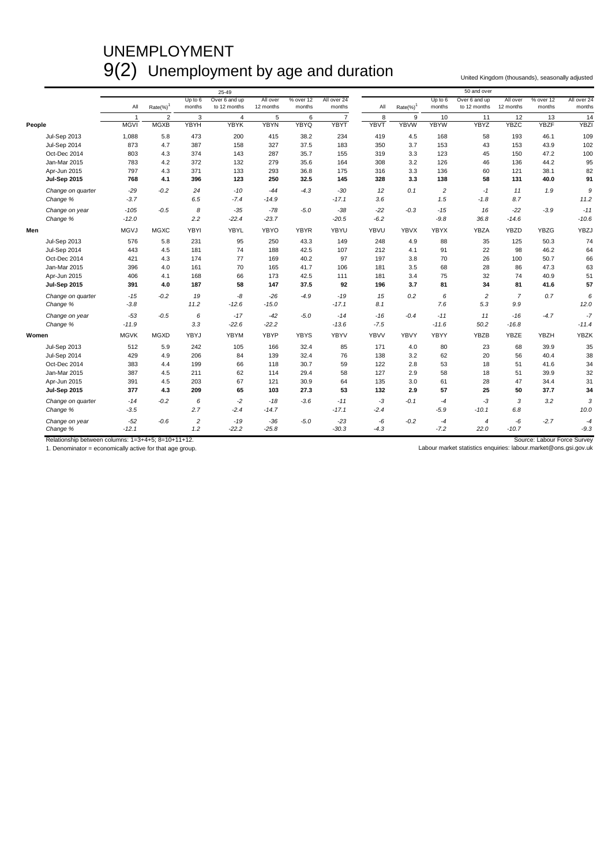# UNEMPLOYMENT 9(2) Unemployment by age and duration United Kingdom (thousands), seasonally adjusted

|                     |             |                |                   | 25-49                         |                       |                     |                       |             |                         |                     | 50 and over                   |                       |                     |                       |
|---------------------|-------------|----------------|-------------------|-------------------------------|-----------------------|---------------------|-----------------------|-------------|-------------------------|---------------------|-------------------------------|-----------------------|---------------------|-----------------------|
|                     | All         | $Rate(\%)^1$   | Up to 6<br>months | Over 6 and up<br>to 12 months | All over<br>12 months | % over 12<br>months | All over 24<br>months | All         | $Rate(\%)$ <sup>1</sup> | Up to $6$<br>months | Over 6 and up<br>to 12 months | All over<br>12 months | % over 12<br>months | All over 24<br>months |
|                     | -1          | $\overline{2}$ | 3                 | $\overline{4}$                | 5                     | 6                   | $\overline{7}$        | 8           | 9                       | 10                  | 11                            | 12                    | 13                  | 14                    |
| People              | <b>MGVI</b> | <b>MGXB</b>    | <b>YBYH</b>       | <b>YBYK</b>                   | <b>YBYN</b>           | <b>YBYQ</b>         | <b>YBYT</b>           | <b>YBVT</b> | <b>YBVW</b>             | <b>YBYW</b>         | <b>YBYZ</b>                   | <b>YBZC</b>           | <b>YBZF</b>         | <b>YBZI</b>           |
| <b>Jul-Sep 2013</b> | 1,088       | 5.8            | 473               | 200                           | 415                   | 38.2                | 234                   | 419         | 4.5                     | 168                 | 58                            | 193                   | 46.1                | 109                   |
| Jul-Sep 2014        | 873         | 4.7            | 387               | 158                           | 327                   | 37.5                | 183                   | 350         | 3.7                     | 153                 | 43                            | 153                   | 43.9                | 102                   |
| Oct-Dec 2014        | 803         | 4.3            | 374               | 143                           | 287                   | 35.7                | 155                   | 319         | 3.3                     | 123                 | 45                            | 150                   | 47.2                | 100                   |
| Jan-Mar 2015        | 783         | 4.2            | 372               | 132                           | 279                   | 35.6                | 164                   | 308         | 3.2                     | 126                 | 46                            | 136                   | 44.2                | 95                    |
| Apr-Jun 2015        | 797         | 4.3            | 371               | 133                           | 293                   | 36.8                | 175                   | 316         | 3.3                     | 136                 | 60                            | 121                   | 38.1                | 82                    |
| <b>Jul-Sep 2015</b> | 768         | 4.1            | 396               | 123                           | 250                   | 32.5                | 145                   | 328         | 3.3                     | 138                 | 58                            | 131                   | 40.0                | 91                    |
| Change on quarter   | $-29$       | $-0.2$         | 24                | $-10$                         | $-44$                 | $-4.3$              | $-30$                 | 12          | 0.1                     | $\overline{c}$      | -1                            | 11                    | 1.9                 | 9                     |
| Change %            | $-3.7$      |                | 6.5               | $-7.4$                        | $-14.9$               |                     | $-17.1$               | 3.6         |                         | 1.5                 | $-1.8$                        | 8.7                   |                     | 11.2                  |
| Change on year      | $-105$      | $-0.5$         | 8                 | $-35$                         | $-78$                 | $-5.0$              | $-38$                 | $-22$       | $-0.3$                  | $-15$               | 16                            | $-22$                 | $-3.9$              | $-11$                 |
| Change %            | $-12.0$     |                | 2.2               | $-22.4$                       | $-23.7$               |                     | $-20.5$               | $-6.2$      |                         | $-9.8$              | 36.8                          | $-14.6$               |                     | $-10.6$               |
| Men                 | <b>MGVJ</b> | <b>MGXC</b>    | YBYI              | YBYL                          | YBYO                  | <b>YBYR</b>         | YBYU                  | YBVU        | <b>YBVX</b>             | <b>YBYX</b>         | YBZA                          | <b>YBZD</b>           | <b>YBZG</b>         | YBZJ                  |
| <b>Jul-Sep 2013</b> | 576         | 5.8            | 231               | 95                            | 250                   | 43.3                | 149                   | 248         | 4.9                     | 88                  | 35                            | 125                   | 50.3                | 74                    |
| Jul-Sep 2014        | 443         | 4.5            | 181               | 74                            | 188                   | 42.5                | 107                   | 212         | 4.1                     | 91                  | 22                            | 98                    | 46.2                | 64                    |
| Oct-Dec 2014        | 421         | 4.3            | 174               | 77                            | 169                   | 40.2                | 97                    | 197         | 3.8                     | 70                  | 26                            | 100                   | 50.7                | 66                    |
| Jan-Mar 2015        | 396         | 4.0            | 161               | 70                            | 165                   | 41.7                | 106                   | 181         | 3.5                     | 68                  | 28                            | 86                    | 47.3                | 63                    |
| Apr-Jun 2015        | 406         | 4.1            | 168               | 66                            | 173                   | 42.5                | 111                   | 181         | 3.4                     | 75                  | 32                            | 74                    | 40.9                | 51                    |
| <b>Jul-Sep 2015</b> | 391         | 4.0            | 187               | 58                            | 147                   | 37.5                | 92                    | 196         | 3.7                     | 81                  | 34                            | 81                    | 41.6                | 57                    |
| Change on quarter   | $-15$       | $-0.2$         | 19                | -8                            | $-26$                 | $-4.9$              | $-19$                 | 15          | 0.2                     | 6                   | $\overline{c}$                | $\overline{7}$        | 0.7                 | 6                     |
| Change %            | $-3.8$      |                | 11.2              | $-12.6$                       | $-15.0$               |                     | $-17.1$               | 8.1         |                         | 7.6                 | 5.3                           | 9.9                   |                     | 12.0                  |
| Change on year      | $-53$       | $-0.5$         | 6                 | $-17$                         | $-42$                 | $-5.0$              | $-14$                 | $-16$       | $-0.4$                  | $-11$               | 11                            | $-16$                 | $-4.7$              | $-7$                  |
| Change %            | $-11.9$     |                | 3.3               | $-22.6$                       | $-22.2$               |                     | $-13.6$               | $-7.5$      |                         | $-11.6$             | 50.2                          | $-16.8$               |                     | $-11.4$               |
| Women               | <b>MGVK</b> | <b>MGXD</b>    | YBYJ              | <b>YBYM</b>                   | YBYP                  | <b>YBYS</b>         | <b>YBYV</b>           | <b>YBVV</b> | <b>YBVY</b>             | YBYY                | YBZB                          | YBZE                  | <b>YBZH</b>         | <b>YBZK</b>           |
| <b>Jul-Sep 2013</b> | 512         | 5.9            | 242               | 105                           | 166                   | 32.4                | 85                    | 171         | 4.0                     | 80                  | 23                            | 68                    | 39.9                | 35                    |
| Jul-Sep 2014        | 429         | 4.9            | 206               | 84                            | 139                   | 32.4                | 76                    | 138         | 3.2                     | 62                  | 20                            | 56                    | 40.4                | 38                    |
| Oct-Dec 2014        | 383         | 4.4            | 199               | 66                            | 118                   | 30.7                | 59                    | 122         | 2.8                     | 53                  | 18                            | 51                    | 41.6                | 34                    |
| Jan-Mar 2015        | 387         | 4.5            | 211               | 62                            | 114                   | 29.4                | 58                    | 127         | 2.9                     | 58                  | 18                            | 51                    | 39.9                | 32                    |
| Apr-Jun 2015        | 391         | 4.5            | 203               | 67                            | 121                   | 30.9                | 64                    | 135         | 3.0                     | 61                  | 28                            | 47                    | 34.4                | 31                    |
| <b>Jul-Sep 2015</b> | 377         | 4.3            | 209               | 65                            | 103                   | 27.3                | 53                    | 132         | 2.9                     | 57                  | 25                            | 50                    | 37.7                | 34                    |
| Change on quarter   | $-14$       | $-0.2$         | 6                 | $-2$                          | $-18$                 | $-3.6$              | $-11$                 | $-3$        | $-0.1$                  | $-4$                | -3                            | 3                     | 3.2                 | 3                     |
| Change %            | $-3.5$      |                | 2.7               | $-2.4$                        | $-14.7$               |                     | $-17.1$               | $-2.4$      |                         | $-5.9$              | $-10.1$                       | 6.8                   |                     | 10.0                  |
| Change on year      | $-52$       | $-0.6$         | $\overline{c}$    | $-19$                         | $-36$                 | $-5.0$              | $-23$                 | $-6$        | $-0.2$                  | $-4$                | $\overline{4}$                | -6                    | $-2.7$              | $-4$                  |
| Change %            | $-12.1$     |                | 1.2               | $-22.2$                       | $-25.8$               |                     | $-30.3$               | $-4.3$      |                         | $-7.2$              | 22.0                          | $-10.7$               |                     | $-9.3$                |

Relationship between columns: 1=3+4+5; 8=10+11+12.<br>1. Denominator = economically active for that age group. Nabour Market statistics enquiries: labour market statistics enquiries: labour market@ons.gsi.gov.uk<br>1. Denominato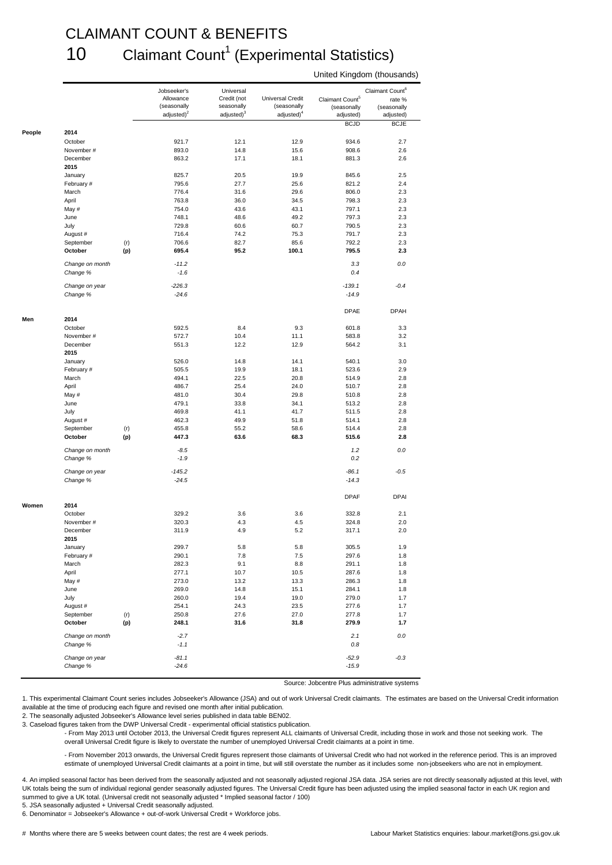#### CLAIMANT COUNT & BENEFITS 10 Claimant Count<sup>1</sup> (Experimental Statistics)

|        |                            |     | Jobseeker's                  | Universal                            |                                       |                             | Claimant Count <sup>6</sup> |
|--------|----------------------------|-----|------------------------------|--------------------------------------|---------------------------------------|-----------------------------|-----------------------------|
|        |                            |     | Allowance                    | Credit (not                          | Universal Credit                      | Claimant Count <sup>5</sup> | rate %                      |
|        |                            |     | (seasonally<br>adjusted) $2$ | seasonally<br>adjusted) <sup>3</sup> | (seasonally<br>adjusted) <sup>4</sup> | (seasonally<br>adjusted)    | (seasonally<br>adjusted)    |
|        |                            |     |                              |                                      |                                       | <b>BCJD</b>                 | <b>BCJE</b>                 |
| People | 2014                       |     |                              |                                      |                                       |                             |                             |
|        | October                    |     | 921.7                        | 12.1                                 | 12.9                                  | 934.6                       | 2.7                         |
|        | November #<br>December     |     | 893.0                        | 14.8                                 | 15.6                                  | 908.6                       | 2.6<br>2.6                  |
|        | 2015                       |     | 863.2                        | 17.1                                 | 18.1                                  | 881.3                       |                             |
|        | January                    |     | 825.7                        | 20.5                                 | 19.9                                  | 845.6                       | 2.5                         |
|        | February #                 |     | 795.6                        | 27.7                                 | 25.6                                  | 821.2                       | 2.4                         |
|        | March                      |     | 776.4                        | 31.6                                 | 29.6                                  | 806.0                       | 2.3                         |
|        | April                      |     | 763.8                        | 36.0                                 | 34.5                                  | 798.3                       | 2.3                         |
|        | May #                      |     | 754.0                        | 43.6                                 | 43.1                                  | 797.1                       | 2.3                         |
|        | June                       |     | 748.1                        | 48.6                                 | 49.2                                  | 797.3                       | 2.3                         |
|        | July                       |     | 729.8                        | 60.6                                 | 60.7                                  | 790.5                       | 2.3                         |
|        | August #                   |     | 716.4                        | 74.2                                 | 75.3                                  | 791.7                       | 2.3                         |
|        | September                  | (r) | 706.6                        | 82.7                                 | 85.6                                  | 792.2                       | 2.3                         |
|        | October                    | (p) | 695.4                        | 95.2                                 | 100.1                                 | 795.5                       | 2.3                         |
|        | Change on month            |     | $-11.2$                      |                                      |                                       | 3.3                         | 0.0                         |
|        | Change %                   |     | $-1.6$                       |                                      |                                       | 0.4                         |                             |
|        | Change on year             |     | $-226.3$                     |                                      |                                       | $-139.1$                    | $-0.4$                      |
|        | Change %                   |     | $-24.6$                      |                                      |                                       | $-14.9$                     |                             |
|        |                            |     |                              |                                      |                                       | <b>DPAE</b>                 | <b>DPAH</b>                 |
|        | 2014<br>October            |     | 592.5                        | 8.4                                  | 9.3                                   | 601.8                       | 3.3                         |
|        | November #                 |     | 572.7                        | 10.4                                 | 11.1                                  | 583.8                       | 3.2                         |
|        | December                   |     | 551.3                        | 12.2                                 | 12.9                                  | 564.2                       | 3.1                         |
|        | 2015                       |     |                              |                                      |                                       |                             |                             |
|        | January                    |     | 526.0                        | 14.8                                 | 14.1                                  | 540.1                       | 3.0                         |
|        | February #                 |     | 505.5                        | 19.9                                 | 18.1                                  | 523.6                       | 2.9                         |
|        | March                      |     | 494.1                        | 22.5                                 | 20.8                                  | 514.9                       | 2.8                         |
|        | April                      |     | 486.7                        | 25.4                                 | 24.0                                  | 510.7                       | 2.8                         |
|        | May #                      |     | 481.0                        | 30.4                                 | 29.8                                  | 510.8                       | 2.8                         |
|        | June                       |     | 479.1                        | 33.8                                 | 34.1                                  | 513.2                       | 2.8                         |
|        | July                       |     | 469.8                        | 41.1                                 | 41.7                                  | 511.5                       | 2.8                         |
|        | August #                   |     | 462.3                        | 49.9                                 | 51.8                                  | 514.1                       | 2.8                         |
|        | September                  | (r) | 455.8                        | 55.2                                 | 58.6                                  | 514.4                       | 2.8                         |
|        | October                    | (p) | 447.3                        | 63.6                                 | 68.3                                  | 515.6                       | 2.8                         |
|        | Change on month            |     | $-8.5$                       |                                      |                                       | 1.2                         | 0.0                         |
|        | Change %                   |     | $-1.9$                       |                                      |                                       | 0.2                         |                             |
|        | Change on year<br>Change % |     | $-145.2$<br>$-24.5$          |                                      |                                       | $-86.1$<br>$-14.3$          | $-0.5$                      |
|        |                            |     |                              |                                      |                                       |                             |                             |
| Women  | 2014                       |     |                              |                                      |                                       | <b>DPAF</b>                 | DPAI                        |
|        | October                    |     | 329.2                        | 3.6                                  | 3.6                                   | 332.8                       | 2.1                         |
|        | November #                 |     | 320.3                        | 4.3                                  | 4.5                                   | 324.8                       | 2.0                         |
|        | December<br>2015           |     | 311.9                        | 4.9                                  | 5.2                                   | 317.1                       | 2.0                         |
|        | January                    |     | 299.7                        | 5.8                                  | 5.8                                   | 305.5                       | 1.9                         |
|        | February #                 |     | 290.1                        | 7.8                                  | $7.5\,$                               | 297.6                       | 1.8                         |
|        | March                      |     | 282.3                        | 9.1                                  | 8.8                                   | 291.1                       | 1.8                         |
|        | April                      |     | 277.1                        | 10.7                                 | 10.5                                  | 287.6                       | 1.8                         |
|        | May #                      |     | 273.0                        | 13.2                                 | 13.3                                  | 286.3                       | 1.8                         |
|        | June                       |     | 269.0                        | 14.8                                 | 15.1                                  | 284.1                       | 1.8                         |
|        | July                       |     | 260.0                        | 19.4                                 | 19.0                                  | 279.0                       | 1.7                         |
|        | August #                   |     | 254.1                        | 24.3                                 | 23.5                                  | 277.6                       | 1.7                         |
|        | September                  | (r) | 250.8                        | 27.6                                 | 27.0                                  | 277.8                       | 1.7                         |
|        | October                    | (p) | 248.1                        | 31.6                                 | 31.8                                  | 279.9                       | 1.7                         |
|        | Change on month            |     | $-2.7$                       |                                      |                                       | 2.1                         | $0.0\,$                     |
|        |                            |     | $-1.1$                       |                                      |                                       | 0.8                         |                             |
|        | Change %                   |     |                              |                                      |                                       |                             |                             |
|        | Change on year<br>Change % |     | $-81.1$<br>$-24.6$           |                                      |                                       | $-52.9$<br>$-15.9$          | $-0.3$                      |

#### United Kingdom (thousands)

Source: Jobcentre Plus administrative systems

1. This experimental Claimant Count series includes Jobseeker's Allowance (JSA) and out of work Universal Credit claimants. The estimates are based on the Universal Credit information available at the time of producing each figure and revised one month after initial publication.

2. The seasonally adjusted Jobseeker's Allowance level series published in data table BEN02.

3. Caseload figures taken from the DWP Universal Credit - experimental official statistics publication.

- From May 2013 until October 2013, the Universal Credit figures represent ALL claimants of Universal Credit, including those in work and those not seeking work. The overall Universal Credit figure is likely to overstate the number of unemployed Universal Credit claimants at a point in time.

- From November 2013 onwards, the Universal Credit figures represent those claimants of Universal Credit who had not worked in the reference period. This is an improved estimate of unemployed Universal Credit claimants at a point in time, but will still overstate the number as it includes some non-jobseekers who are not in employment.

4. An implied seasonal factor has been derived from the seasonally adjusted and not seasonally adjusted regional JSA data. JSA series are not directly seasonally adjusted at this level, with UK totals being the sum of individual regional gender seasonally adjusted figures. The Universal Credit figure has been adjusted using the implied seasonal factor in each UK region and summed to give a UK total. (Universal credit not seasonally adjusted \* Implied seasonal factor / 100)

5. JSA seasonally adjusted + Universal Credit seasonally adjusted.

6. Denominator = Jobseeker's Allowance + out-of-work Universal Credit + Workforce jobs.

# Months where there are 5 weeks between count dates; the rest are 4 week periods. Labour Market Statistics enquiries: labour.market@ons.gsi.gov.uk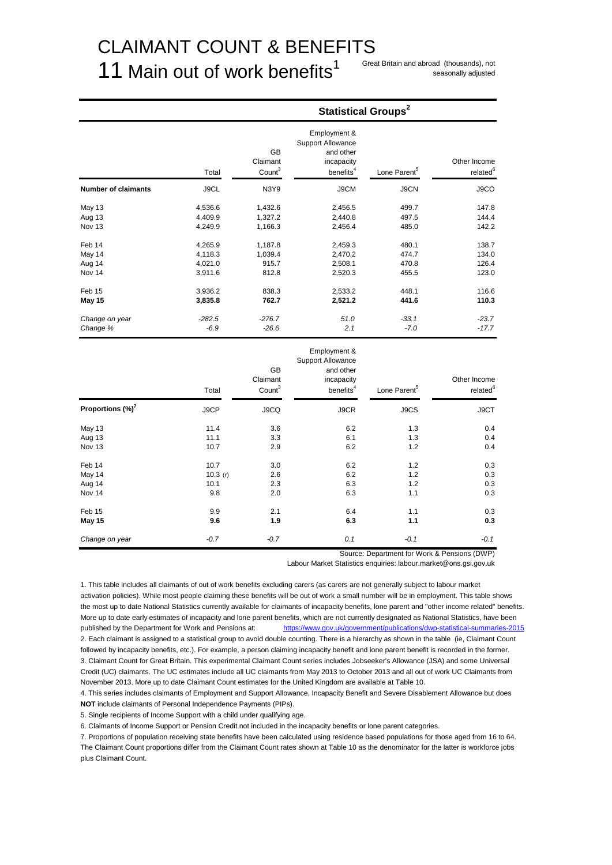# CLAIMANT COUNT & BENEFITS

# 11 Main out of work benefits<sup>1</sup>

seasonally adjusted

**Statistical Groups<sup>2</sup>** 

|                            | Total    | <b>GB</b><br>Claimant<br>Count <sup>3</sup> | Employment &<br>Support Allowance<br>and other<br>incapacity<br>benefits <sup>4</sup> | Lone Parent <sup>5</sup> | Other Income<br>related <sup>6</sup> |
|----------------------------|----------|---------------------------------------------|---------------------------------------------------------------------------------------|--------------------------|--------------------------------------|
| <b>Number of claimants</b> | J9CL     | <b>N3Y9</b>                                 | J9CM                                                                                  | J9CN                     | J9CO                                 |
| May 13                     | 4,536.6  | 1,432.6                                     | 2,456.5                                                                               | 499.7                    | 147.8                                |
| Aug 13                     | 4,409.9  | 1,327.2                                     | 2,440.8                                                                               | 497.5                    | 144.4                                |
| Nov 13                     | 4,249.9  | 1,166.3                                     | 2,456.4                                                                               | 485.0                    | 142.2                                |
| Feb 14                     | 4,265.9  | 1,187.8                                     | 2,459.3                                                                               | 480.1                    | 138.7                                |
| May 14                     | 4,118.3  | 1,039.4                                     | 2,470.2                                                                               | 474.7                    | 134.0                                |
| Aug 14                     | 4,021.0  | 915.7                                       | 2,508.1                                                                               | 470.8                    | 126.4                                |
| Nov 14                     | 3,911.6  | 812.8                                       | 2,520.3                                                                               | 455.5                    | 123.0                                |
| Feb 15                     | 3,936.2  | 838.3                                       | 2,533.2                                                                               | 448.1                    | 116.6                                |
| May 15                     | 3,835.8  | 762.7                                       | 2,521.2                                                                               | 441.6                    | 110.3                                |
| Change on year             | $-282.5$ | $-276.7$                                    | 51.0                                                                                  | $-33.1$                  | $-23.7$                              |
| Change %                   | $-6.9$   | $-26.6$                                     | 2.1                                                                                   | $-7.0$                   | $-17.7$                              |
|                            |          | <b>GB</b><br>Claimant                       | Employment &<br><b>Support Allowance</b><br>and other<br>incapacity                   |                          | Other Income                         |

|                              | Total   | Claimant<br>Count <sup>3</sup> | incapacity<br>benefits <sup>4</sup> | Lone Parent <sup>5</sup> | Other Income<br>related <sup>6</sup> |
|------------------------------|---------|--------------------------------|-------------------------------------|--------------------------|--------------------------------------|
| Proportions (%) <sup>7</sup> | J9CP    | J9CQ                           | J9CR                                | J9CS                     | J9CT                                 |
| <b>May 13</b>                | 11.4    | 3.6                            | 6.2                                 | 1.3                      | 0.4                                  |
| Aug 13                       | 11.1    | 3.3                            | 6.1                                 | 1.3                      | 0.4                                  |
| Nov 13                       | 10.7    | 2.9                            | 6.2                                 | 1.2                      | 0.4                                  |
| Feb 14                       | 10.7    | 3.0                            | 6.2                                 | 1.2                      | 0.3                                  |
| May 14                       | 10.3(r) | 2.6                            | 6.2                                 | 1.2                      | 0.3                                  |
| Aug 14                       | 10.1    | 2.3                            | 6.3                                 | 1.2                      | 0.3                                  |
| Nov 14                       | 9.8     | 2.0                            | 6.3                                 | 1.1                      | 0.3                                  |
| Feb 15                       | 9.9     | 2.1                            | 6.4                                 | 1.1                      | 0.3                                  |
| May 15                       | 9.6     | 1.9                            | 6.3                                 | 1.1                      | 0.3                                  |
| Change on year               | $-0.7$  | $-0.7$                         | 0.1                                 | $-0.1$                   | $-0.1$                               |

Source: Department for Work & Pensions (DWP)

Labour Market Statistics enquiries: labour.market@ons.gsi.gov.uk

1. This table includes all claimants of out of work benefits excluding carers (as carers are not generally subject to labour market activation policies). While most people claiming these benefits will be out of work a small number will be in employment. This table shows the most up to date National Statistics currently available for claimants of incapacity benefits, lone parent and "other income related" benefits. More up to date early estimates of incapacity and lone parent benefits, which are not currently designated as National Statistics, have been published by the Department for Work and Pensions at: <https://www.gov.uk/government/publications/dwp-statistical-summaries-2015> 2. Each claimant is assigned to a statistical group to avoid double counting. There is a hierarchy as shown in the table (ie, Claimant Count followed by incapacity benefits, etc.). For example, a person claiming incapacity benefit and lone parent benefit is recorded in the former. 3. Claimant Count for Great Britain. This experimental Claimant Count series includes Jobseeker's Allowance (JSA) and some Universal Credit (UC) claimants. The UC estimates include all UC claimants from May 2013 to October 2013 and all out of work UC Claimants from November 2013. More up to date Claimant Count estimates for the United Kingdom are available at Table 10.

4. This series includes claimants of Employment and Support Allowance, Incapacity Benefit and Severe Disablement Allowance but does **NOT** include claimants of Personal Independence Payments (PIPs).

5. Single recipients of Income Support with a child under qualifying age.

6. Claimants of Income Support or Pension Credit not included in the incapacity benefits or lone parent categories.

7. Proportions of population receiving state benefits have been calculated using residence based populations for those aged from 16 to 64. The Claimant Count proportions differ from the Claimant Count rates shown at Table 10 as the denominator for the latter is workforce jobs plus Claimant Count.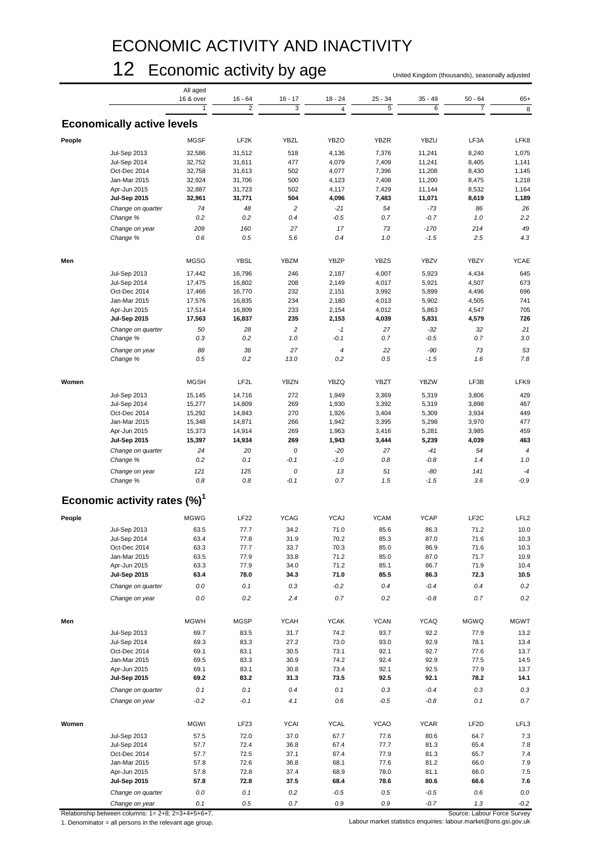# ECONOMIC ACTIVITY AND INACTIVITY

# 12 Economic activity by age United Kingdom (thousands), seasonally adjusted

|        |                                          | All aged    |                   |                |                          |             |             |                   |                  |
|--------|------------------------------------------|-------------|-------------------|----------------|--------------------------|-------------|-------------|-------------------|------------------|
|        |                                          | 16 & over   | $16 - 64$         | $16 - 17$      | $18 - 24$                | $25 - 34$   | $35 - 49$   | $50 - 64$         | $65+$            |
|        |                                          |             | $\overline{2}$    | 3              | $\overline{4}$           | 5           | 6           | $\overline{7}$    | 8                |
|        | <b>Economically active levels</b>        |             |                   |                |                          |             |             |                   |                  |
| People |                                          | <b>MGSF</b> | LF <sub>2</sub> K | <b>YBZL</b>    | <b>YBZO</b>              | <b>YBZR</b> | <b>YBZU</b> | LF3A              | LFK8             |
|        | <b>Jul-Sep 2013</b>                      | 32,586      | 31,512            | 518            | 4,136                    | 7,376       | 11,241      | 8,240             | 1,075            |
|        | Jul-Sep 2014                             | 32,752      | 31,611            | 477            | 4,079                    | 7,409       | 11,241      | 8,405             | 1,141            |
|        | Oct-Dec 2014                             | 32,758      | 31,613            | 502            | 4,077                    | 7,396       | 11,208      | 8,430             | 1,145            |
|        | Jan-Mar 2015                             | 32,924      | 31,706            | 500            | 4,123                    | 7,408       | 11,200      | 8,475             | 1,218            |
|        |                                          |             |                   | 502            |                          |             |             |                   |                  |
|        | Apr-Jun 2015                             | 32,887      | 31,723            |                | 4,117                    | 7,429       | 11,144      | 8,532             | 1,164            |
|        | <b>Jul-Sep 2015</b>                      | 32,961      | 31,771            | 504            | 4,096                    | 7,483       | 11,071      | 8,619             | 1,189            |
|        | Change on quarter                        | 74          | 48                | $\sqrt{2}$     | $-21$                    | 54          | $-73$       | 86                | 26               |
|        | Change %                                 | 0.2         | 0.2               | 0.4            | $-0.5$                   | 0.7         | $-0.7$      | 1.0               | 2.2              |
|        | Change on year                           | 209         | 160               | 27             | 17                       | 73          | $-170$      | 214               | 49               |
|        | Change %                                 | 0.6         | 0.5               | 5.6            | 0.4                      | 1.0         | $-1.5$      | 2.5               | 4.3              |
| Men    |                                          | <b>MGSG</b> | <b>YBSL</b>       | <b>YBZM</b>    | YBZP                     | <b>YBZS</b> | <b>YBZV</b> | <b>YBZY</b>       | <b>YCAE</b>      |
|        |                                          |             |                   |                |                          |             |             |                   |                  |
|        | <b>Jul-Sep 2013</b>                      | 17,442      | 16,796            | 246            | 2,187                    | 4,007       | 5,923       | 4,434             | 645              |
|        | Jul-Sep 2014                             | 17,475      | 16,802            | 208            | 2,149                    | 4,017       | 5,921       | 4,507             | 673              |
|        | Oct-Dec 2014                             | 17,466      | 16,770            | 232            | 2,151                    | 3,992       | 5,899       | 4,496             | 696              |
|        | Jan-Mar 2015                             | 17,576      | 16,835            | 234            | 2,180                    | 4,013       | 5,902       | 4,505             | 741              |
|        | Apr-Jun 2015                             | 17,514      | 16,809            | 233            | 2,154                    | 4,012       | 5,863       | 4,547             | 705              |
|        | <b>Jul-Sep 2015</b>                      | 17,563      | 16,837            | 235            | 2,153                    | 4,039       | 5,831       | 4,579             | 726              |
|        | Change on quarter                        | 50          | 28                | $\overline{c}$ | $-1$                     | 27          | $-32$       | 32                | 21               |
|        | Change %                                 | 0.3         | 0.2               | 1.0            | $-0.1$                   | 0.7         | $-0.5$      | 0.7               | 3.0              |
|        |                                          |             |                   |                |                          |             |             |                   |                  |
|        | Change on year                           | 88          | 36                | 27             | $\overline{\mathcal{L}}$ | 22          | $-90$       | 73                | 53               |
|        | Change %                                 | 0.5         | 0.2               | 13.0           | 0.2                      | 0.5         | $-1.5$      | 1.6               | 7.8              |
| Women  |                                          | <b>MGSH</b> | LF <sub>2</sub> L | <b>YBZN</b>    | <b>YBZQ</b>              | YBZT        | <b>YBZW</b> | LF3B              | LFK9             |
|        | <b>Jul-Sep 2013</b>                      | 15,145      | 14,716            | 272            | 1,949                    | 3,369       | 5,319       | 3,806             | 429              |
|        | Jul-Sep 2014                             | 15,277      | 14,809            | 269            | 1,930                    | 3,392       | 5,319       | 3,898             | 467              |
|        | Oct-Dec 2014                             | 15,292      | 14,843            | 270            | 1,926                    | 3,404       | 5,309       | 3,934             | 449              |
|        | Jan-Mar 2015                             | 15,348      | 14,871            | 266            | 1,942                    | 3,395       | 5,298       | 3,970             | 477              |
|        | Apr-Jun 2015                             | 15,373      | 14,914            | 269            | 1,963                    | 3,416       | 5,281       | 3,985             | 459              |
|        | <b>Jul-Sep 2015</b>                      | 15,397      | 14,934            | 269            | 1,943                    | 3,444       | 5,239       | 4,039             | 463              |
|        |                                          |             |                   |                |                          |             |             |                   |                  |
|        | Change on quarter                        | 24          | 20                | 0              | $-20$                    | 27          | $-41$       | 54                | $\boldsymbol{4}$ |
|        | Change %                                 | 0.2         | 0.1               | $-0.1$         | $-1.0$                   | 0.8         | $-0.8$      | 1.4               | $1.0$            |
|        | Change on year                           | 121         | 125               | 0              | 13                       | 51          | $-80$       | 141               | $-4$             |
|        | Change %                                 | 0.8         | 0.8               | $-0.1$         | 0.7                      | 1.5         | $-1.5$      | 3.6               | $-0.9$           |
|        | Economic activity rates (%) <sup>1</sup> |             |                   |                |                          |             |             |                   |                  |
| People |                                          | <b>MGWG</b> | <b>LF22</b>       | <b>YCAG</b>    | <b>YCAJ</b>              | <b>YCAM</b> | <b>YCAP</b> | LF <sub>2</sub> C | LFL <sub>2</sub> |
|        |                                          |             |                   |                |                          |             |             |                   |                  |
|        | <b>Jul-Sep 2013</b>                      | 63.5        | 77.7              | 34.2           | 71.0                     | 85.6        | 86.3        | 71.2              | 10.0             |
|        | Jul-Sep 2014                             | 63.4        | 77.8              | 31.9           | 70.2                     | 85.3        | 87.0        | 71.6              | 10.3             |
|        | Oct-Dec 2014                             | 63.3        | 77.7              | 33.7           | 70.3                     | 85.0        | 86.9        | 71.6              | 10.3             |
|        | Jan-Mar 2015                             | 63.5        | 77.9              | 33.8           | 71.2                     | 85.0        | 87.0        | 71.7              | 10.9             |
|        | Apr-Jun 2015                             | 63.3        | 77.9              | 34.0           | 71.2                     | 85.1        | 86.7        | 71.9              | 10.4             |
|        | <b>Jul-Sep 2015</b>                      | 63.4        | 78.0              | 34.3           | 71.0                     | 85.5        | 86.3        | 72.3              | 10.5             |
|        | Change on quarter                        | $0.0\,$     | 0.1               | $0.3\,$        | $-0.2$                   | 0.4         | $-0.4$      | 0.4               | $0.2\,$          |
|        | Change on year                           | $0.0\,$     | 0.2               | 2.4            | 0.7                      | $0.2\,$     | $-0.8$      | 0.7               | $0.2\,$          |
|        |                                          |             |                   |                |                          |             |             |                   |                  |
| Men    |                                          | <b>MGWH</b> | <b>MGSP</b>       | <b>YCAH</b>    | <b>YCAK</b>              | <b>YCAN</b> | <b>YCAQ</b> | MGWQ              | <b>MGWT</b>      |
|        | <b>Jul-Sep 2013</b>                      | 69.7        | 83.5              | 31.7           | 74.2                     | 93.7        | 92.2        | 77.9              | 13.2             |
|        | <b>Jul-Sep 2014</b>                      | 69.3        | 83.3              | 27.2           | 73.0                     | 93.0        | 92.9        | 78.1              | 13.4             |
|        | Oct-Dec 2014                             | 69.1        | 83.1              | 30.5           | 73.1                     | 92.1        | 92.7        | 77.6              | 13.7             |
|        | Jan-Mar 2015                             | 69.5        | 83.3              | 30.9           | 74.2                     | 92.4        | 92.9        | 77.5              | 14.5             |
|        | Apr-Jun 2015                             | 69.1        | 83.1              | 30.8           | 73.4                     | 92.1        | 92.5        | 77.9              | 13.7             |
|        | <b>Jul-Sep 2015</b>                      | 69.2        | 83.2              | 31.3           | 73.5                     | 92.5        | 92.1        | 78.2              | 14.1             |
|        |                                          |             |                   |                |                          |             |             |                   |                  |
|        | Change on quarter                        | 0.1         | 0.1               | 0.4            | 0.1                      | $0.3\,$     | $-0.4$      | $0.3\,$           | $0.3\,$          |
|        | Change on year                           | $-0.2$      | $-0.1$            | 4.1            | 0.6                      | $-0.5$      | $-0.8$      | 0.1               | 0.7              |
| Women  |                                          | <b>MGWI</b> | LF23              | <b>YCAI</b>    | <b>YCAL</b>              | YCAO        | <b>YCAR</b> | LF2D              | LFL3             |
|        | <b>Jul-Sep 2013</b>                      | 57.5        | 72.0              | 37.0           | 67.7                     | 77.6        | 80.6        | 64.7              | 7.3              |
|        | Jul-Sep 2014                             | 57.7        | 72.4              | 36.8           | 67.4                     | 77.7        | 81.3        | 65.4              | 7.8              |
|        | Oct-Dec 2014                             | 57.7        | 72.5              | 37.1           | 67.4                     | 77.9        | 81.3        | 65.7              | 7.4              |
|        | Jan-Mar 2015                             | 57.8        | 72.6              | 36.8           | 68.1                     | 77.6        | 81.2        | 66.0              | 7.9              |
|        |                                          | 57.8        | 72.8              |                | 68.9                     | 78.0        | 81.1        | 66.0              |                  |
|        | Apr-Jun 2015                             |             |                   | 37.4           |                          |             |             |                   | 7.5              |
|        | <b>Jul-Sep 2015</b>                      | 57.8        | 72.8              | 37.5           | 68.4                     | 78.6        | 80.6        | 66.6              | 7.6              |
|        | Change on quarter                        | 0.0         | 0.1               | 0.2            | $-0.5$                   | 0.5         | $-0.5$      | 0.6               | $0.0\,$          |
|        | Change on year                           | 0.1         | 0.5               | 0.7            | $0.9\,$                  | $0.9\,$     | $-0.7$      | 1.3               | $-0.2$           |

Relationship between columns: 1= 2+8; 2=3+4+5+6+7.

Source: Labour Force Survey 1. Denominator = all persons in the relevant age group. Labour market statistics enquiries: labour.market@ons.gsi.gov.uk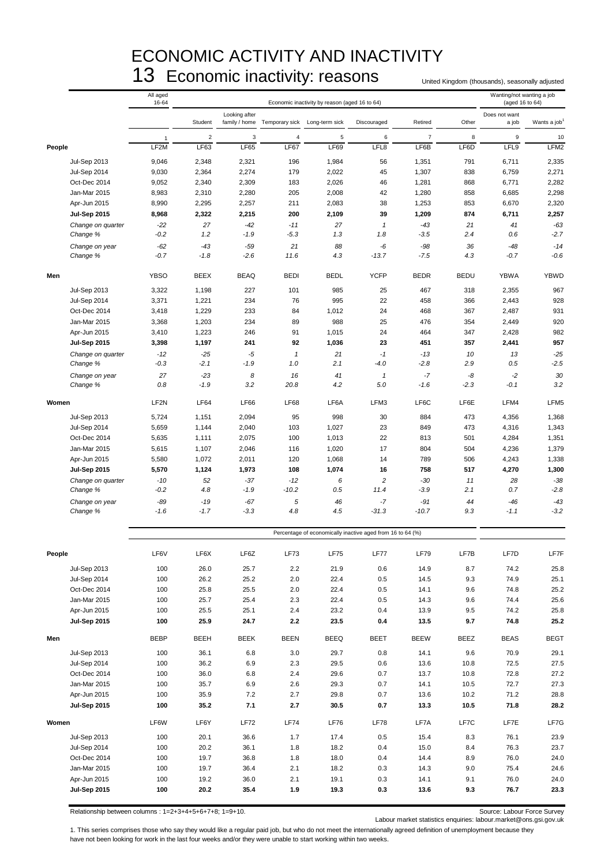# ECONOMIC ACTIVITY AND INACTIVITY 13 Economic inactivity: reasons United Kingdom (thousands), seasonally adjusted

|        |                                     | All aged<br>16-64 |                 |                           |                                             | Economic inactivity by reason (aged 16 to 64)              |                 |                 |             | Wanting/not wanting a job<br>(aged 16 to 64) |                          |
|--------|-------------------------------------|-------------------|-----------------|---------------------------|---------------------------------------------|------------------------------------------------------------|-----------------|-----------------|-------------|----------------------------------------------|--------------------------|
|        |                                     |                   | Student         | Looking after             | family / home Temporary sick Long-term sick |                                                            | Discouraged     | Retired         | Other       | Does not want<br>a job                       | Wants a job <sup>1</sup> |
|        |                                     |                   | $\sqrt{2}$      | $\ensuremath{\mathsf{3}}$ | $\overline{4}$                              | 5                                                          | 6               | $\overline{7}$  | 8           | $\mathsf g$                                  | 10                       |
| People |                                     | LF2M              | LF63            | <b>LF65</b>               | LF67                                        | <b>LF69</b>                                                | LFL8            | LF6B            | LF6D        | LFL9                                         | LFM2                     |
|        | <b>Jul-Sep 2013</b>                 | 9,046             | 2,348           | 2,321                     | 196                                         | 1,984                                                      | 56              | 1,351           | 791         | 6,711                                        | 2,335                    |
|        | <b>Jul-Sep 2014</b>                 | 9,030             | 2,364           | 2,274                     | 179                                         | 2,022                                                      | 45              | 1,307           | 838         | 6,759                                        | 2,271                    |
|        | Oct-Dec 2014                        | 9,052             | 2,340           | 2,309                     | 183                                         | 2,026                                                      | 46              | 1,281           | 868         | 6,771                                        | 2,282                    |
|        | Jan-Mar 2015                        | 8,983             | 2,310           | 2,280                     | 205                                         | 2,008                                                      | 42              | 1,280           | 858         | 6,685                                        | 2,298                    |
|        | Apr-Jun 2015                        | 8,990             | 2,295           | 2,257                     | 211                                         | 2,083                                                      | 38              | 1,253           | 853         | 6,670                                        | 2,320                    |
|        | <b>Jul-Sep 2015</b>                 | 8,968             | 2,322           | 2,215                     | 200                                         | 2,109                                                      | 39              | 1,209           | 874         | 6,711                                        | 2,257                    |
|        | Change on quarter                   | $-22$             | 27              | -42                       | $-11$                                       | 27                                                         | $\mathbf{1}$    | $-43$           | 21          | 41                                           | $-63$                    |
|        | Change %                            | $-0.2$            | 1.2             | $-1.9$                    | $-5.3$                                      | 1.3                                                        | 1.8             | $-3.5$          | 2.4         | 0.6                                          | $-2.7$                   |
|        | Change on year<br>Change %          | $-62$<br>$-0.7$   | $-43$<br>$-1.8$ | $-59$<br>$-2.6$           | 21<br>11.6                                  | 88<br>4.3                                                  | -6<br>$-13.7$   | $-98$<br>$-7.5$ | 36<br>4.3   | $-48$<br>$-0.7$                              | $-14$<br>$-0.6$          |
| Men    |                                     | <b>YBSO</b>       | <b>BEEX</b>     | <b>BEAQ</b>               | <b>BEDI</b>                                 | <b>BEDL</b>                                                | <b>YCFP</b>     | <b>BEDR</b>     | <b>BEDU</b> | <b>YBWA</b>                                  | <b>YBWD</b>              |
|        | <b>Jul-Sep 2013</b>                 | 3,322             | 1,198           | 227                       | 101                                         | 985                                                        | 25              | 467             | 318         | 2,355                                        | 967                      |
|        | Jul-Sep 2014                        | 3,371             | 1,221           | 234                       | 76                                          | 995                                                        | 22              | 458             | 366         | 2,443                                        | 928                      |
|        | Oct-Dec 2014                        | 3,418             | 1,229           | 233                       | 84                                          | 1,012                                                      | 24              | 468             | 367         | 2,487                                        | 931                      |
|        | Jan-Mar 2015                        | 3,368             | 1,203           | 234                       | 89                                          | 988                                                        | 25              | 476             | 354         | 2,449                                        | 920                      |
|        | Apr-Jun 2015                        | 3,410             | 1,223           | 246                       | 91                                          | 1,015                                                      | 24              | 464             | 347         | 2,428                                        | 982                      |
|        | <b>Jul-Sep 2015</b>                 | 3,398<br>$-12$    | 1,197<br>$-25$  | 241<br>$-5$               | 92                                          | 1,036<br>21                                                | 23<br>$-1$      | 451<br>$-13$    | 357<br>10   | 2,441<br>13                                  | 957<br>$-25$             |
|        | Change on quarter<br>Change %       | $-0.3$            | $-2.1$          | $-1.9$                    | $\mathbf{1}$<br>1.0                         | 2.1                                                        | $-4.0$          | $-2.8$          | 2.9         | 0.5                                          | $-2.5$                   |
|        | Change on year                      | 27                | $-23$           | 8                         | 16                                          | 41                                                         | $\mathbf{1}$    | $-7$            | -8          | $-2$                                         | 30                       |
|        | Change %                            | 0.8               | $-1.9$          | 3.2                       | 20.8                                        | 4.2                                                        | 5.0             | $-1.6$          | $-2.3$      | $-0.1$                                       | 3.2                      |
| Women  |                                     | LF <sub>2N</sub>  | <b>LF64</b>     | <b>LF66</b>               | <b>LF68</b>                                 | LF6A                                                       | LFM3            | LF6C            | LF6E        | LFM4                                         | LFM5                     |
|        | <b>Jul-Sep 2013</b>                 | 5,724             | 1,151           | 2,094                     | 95                                          | 998                                                        | 30              | 884             | 473         | 4,356                                        | 1,368                    |
|        | Jul-Sep 2014                        | 5,659             | 1,144           | 2,040                     | 103                                         | 1,027                                                      | 23              | 849             | 473         | 4,316                                        | 1,343                    |
|        | Oct-Dec 2014                        | 5,635             | 1,111           | 2,075                     | 100                                         | 1,013                                                      | 22              | 813             | 501         | 4,284                                        | 1,351                    |
|        | Jan-Mar 2015                        | 5,615             | 1,107           | 2,046                     | 116                                         | 1,020                                                      | 17              | 804             | 504         | 4,236                                        | 1,379                    |
|        | Apr-Jun 2015<br><b>Jul-Sep 2015</b> | 5,580<br>5,570    | 1,072<br>1,124  | 2,011<br>1,973            | 120<br>108                                  | 1,068<br>1,074                                             | 14<br>16        | 789<br>758      | 506<br>517  | 4,243<br>4,270                               | 1,338<br>1,300           |
|        | Change on quarter                   | $-10$             | 52              | $-37$                     | $-12$                                       | 6                                                          | $\overline{c}$  | $-30$           | 11          | 28                                           | $-38$                    |
|        | Change %                            | $-0.2$            | 4.8             | $-1.9$                    | $-10.2$                                     | 0.5                                                        | 11.4            | $-3.9$          | 2.1         | 0.7                                          | $-2.8$                   |
|        | Change on year<br>Change %          | $-89$<br>$-1.6$   | $-19$<br>$-1.7$ | $-67$<br>$-3.3$           | 5<br>4.8                                    | 46<br>4.5                                                  | $-7$<br>$-31.3$ | -91<br>$-10.7$  | 44<br>9.3   | $-46$<br>$-1.1$                              | $-43$<br>$-3.2$          |
|        |                                     |                   |                 |                           |                                             |                                                            |                 |                 |             |                                              |                          |
|        |                                     |                   |                 |                           |                                             | Percentage of economically inactive aged from 16 to 64 (%) |                 |                 |             |                                              |                          |
| People |                                     | LF6V              | LF6X            | LF6Z                      | <b>LF73</b>                                 | <b>LF75</b>                                                | LF77            | <b>LF79</b>     | LF7B        | LF7D                                         | LF7F                     |
|        | <b>Jul-Sep 2013</b>                 | 100               | 26.0            | 25.7                      | $2.2\,$                                     | 21.9                                                       | 0.6             | 14.9            | 8.7         | 74.2                                         | 25.8                     |
|        | Jul-Sep 2014                        | 100               | 26.2            | 25.2                      | 2.0                                         | 22.4                                                       | 0.5             | 14.5            | 9.3         | 74.9                                         | 25.1                     |
|        | Oct-Dec 2014                        | 100               | 25.8            | 25.5                      | 2.0                                         | 22.4                                                       | 0.5             | 14.1            | 9.6         | 74.8                                         | 25.2                     |
|        | Jan-Mar 2015                        | 100<br>100        | 25.7<br>25.5    | 25.4<br>25.1              | 2.3<br>2.4                                  | 22.4<br>23.2                                               | 0.5<br>0.4      | 14.3<br>13.9    | 9.6<br>9.5  | 74.4<br>74.2                                 | 25.6<br>25.8             |
|        | Apr-Jun 2015<br><b>Jul-Sep 2015</b> | 100               | 25.9            | 24.7                      | 2.2                                         | 23.5                                                       | 0.4             | 13.5            | 9.7         | 74.8                                         | 25.2                     |
| Men    |                                     | <b>BEBP</b>       | BEEH            | BEEK                      | <b>BEEN</b>                                 | BEEQ                                                       | BEET            | <b>BEEW</b>     | <b>BEEZ</b> | <b>BEAS</b>                                  | <b>BEGT</b>              |
|        | <b>Jul-Sep 2013</b>                 | 100               | 36.1            | 6.8                       | 3.0                                         | 29.7                                                       | 0.8             | 14.1            | 9.6         | 70.9                                         | 29.1                     |
|        | <b>Jul-Sep 2014</b>                 | 100               | 36.2            | 6.9                       | 2.3                                         | 29.5                                                       | 0.6             | 13.6            | 10.8        | 72.5                                         | 27.5                     |
|        | Oct-Dec 2014                        | 100               | 36.0            | 6.8                       | 2.4                                         | 29.6                                                       | 0.7             | 13.7            | 10.8        | 72.8                                         | 27.2                     |
|        | Jan-Mar 2015                        | 100               | 35.7            | 6.9                       | 2.6                                         | 29.3                                                       | 0.7             | 14.1            | 10.5        | 72.7                                         | 27.3                     |
|        | Apr-Jun 2015                        | 100               | 35.9            | 7.2                       | 2.7                                         | 29.8                                                       | 0.7             | 13.6            | 10.2        | 71.2                                         | 28.8                     |
|        | <b>Jul-Sep 2015</b>                 | 100               | 35.2            | 7.1                       | 2.7                                         | 30.5                                                       | 0.7             | 13.3            | 10.5        | 71.8                                         | 28.2                     |
| Women  |                                     | LF6W              | LF6Y            | LF72                      | <b>LF74</b>                                 | <b>LF76</b>                                                | LF78            | LF7A            | LF7C        | LF7E                                         | LF7G                     |
|        | <b>Jul-Sep 2013</b>                 | 100               | 20.1            | 36.6                      | 1.7                                         | 17.4                                                       | 0.5             | 15.4            | 8.3         | 76.1                                         | 23.9                     |
|        | Jul-Sep 2014                        | 100               | 20.2            | 36.1                      | 1.8                                         | 18.2                                                       | 0.4             | 15.0            | 8.4         | 76.3                                         | 23.7                     |
|        | Oct-Dec 2014                        | 100               | 19.7            | 36.8                      | 1.8                                         | 18.0                                                       | 0.4             | 14.4            | 8.9         | 76.0                                         | 24.0                     |
|        | Jan-Mar 2015<br>Apr-Jun 2015        | 100<br>100        | 19.7<br>19.2    | 36.4<br>36.0              | 2.1<br>2.1                                  | 18.2<br>19.1                                               | 0.3<br>0.3      | 14.3<br>14.1    | 9.0<br>9.1  | 75.4<br>76.0                                 | 24.6<br>24.0             |
|        | <b>Jul-Sep 2015</b>                 | 100               | 20.2            | 35.4                      | 1.9                                         | 19.3                                                       | 0.3             | 13.6            | 9.3         | 76.7                                         | 23.3                     |

Relationship between columns : 1=2+3+4+5+6+7+8; 1=9+10. Source: Labour Force Survey

Labour market statistics enquiries: labour.market@ons.gsi.gov.uk

1. This series comprises those who say they would like a regular paid job, but who do not meet the internationally agreed definition of unemployment because they have not been looking for work in the last four weeks and/or they were unable to start working within two weeks.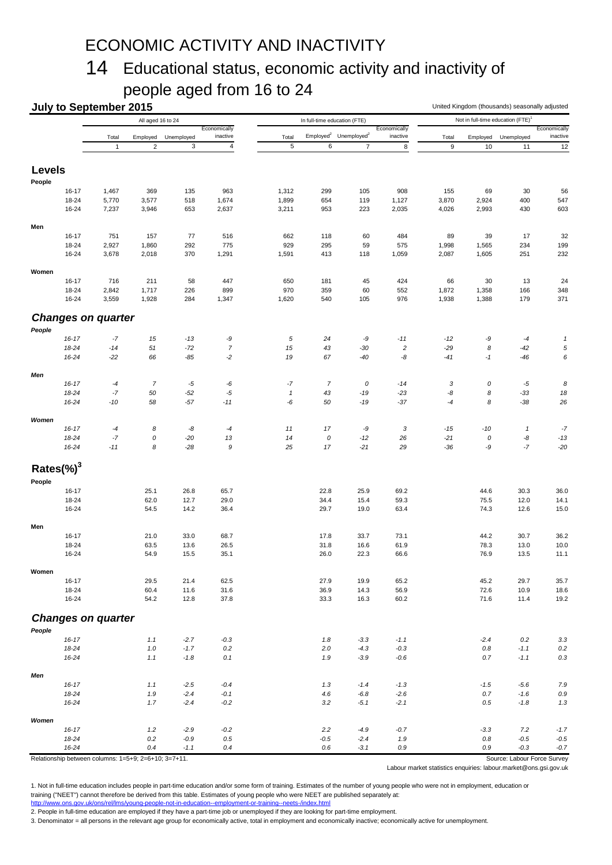# ECONOMIC ACTIVITY AND INACTIVITY

# 14 Educational status, economic activity and inactivity of people aged from 16 to 24

|                |                    | <b>July to September 2015</b> |                                                             |                           |                         |                      |                              |                                               |                  | United Kingdom (thousands) seasonally adjusted<br>Not in full-time education (FTE) <sup>1</sup> |                |                                       |              |
|----------------|--------------------|-------------------------------|-------------------------------------------------------------|---------------------------|-------------------------|----------------------|------------------------------|-----------------------------------------------|------------------|-------------------------------------------------------------------------------------------------|----------------|---------------------------------------|--------------|
|                |                    |                               | All aged 16 to 24                                           |                           | Economically            |                      | In full-time education (FTE) |                                               | Economically     | Total<br>Employed                                                                               |                |                                       | Economically |
|                |                    | Total                         | Employed                                                    | Unemployed                | inactive                | Total                |                              | Employed <sup>2</sup> Unemployed <sup>2</sup> | inactive         |                                                                                                 |                | Unemployed                            | inactive     |
|                |                    | $\mathbf{1}$                  | $\sqrt{2}$                                                  | $\ensuremath{\mathsf{3}}$ | $\overline{\mathbf{4}}$ | 5                    | 6                            | $\overline{7}$                                | $\bf8$           | $\boldsymbol{9}$                                                                                | 10             | 11                                    | 12           |
| <b>Levels</b>  |                    |                               |                                                             |                           |                         |                      |                              |                                               |                  |                                                                                                 |                |                                       |              |
| People         |                    |                               |                                                             |                           |                         |                      |                              |                                               |                  |                                                                                                 |                |                                       |              |
|                | $16 - 17$          | 1,467                         | 369                                                         | 135                       | 963                     | 1,312                | 299                          | 105                                           | 908              | 155                                                                                             | 69             | 30                                    | 56           |
|                | 18-24              | 5,770                         | 3,577                                                       | 518                       | 1,674                   | 1,899                | 654                          | 119                                           | 1,127            | 3,870                                                                                           | 2,924          | 400                                   | 547          |
|                | 16-24              | 7,237                         | 3,946                                                       | 653                       | 2,637                   | 3,211                | 953                          | 223                                           | 2,035            | 4,026                                                                                           | 2,993          | 430                                   | 603          |
| Men            |                    |                               |                                                             |                           |                         |                      |                              |                                               |                  |                                                                                                 |                |                                       |              |
|                | $16 - 17$          | 751                           | 157                                                         | 77                        | 516                     | 662                  | 118                          | 60                                            | 484              | 89                                                                                              | 39             | 17                                    | 32           |
|                | 18-24<br>16-24     | 2,927<br>3,678                | 1,860<br>2,018                                              | 292<br>370                | 775<br>1,291            | 929<br>1,591         | 295<br>413                   | 59<br>118                                     | 575<br>1,059     | 1,998<br>2,087                                                                                  | 1,565<br>1,605 | 234<br>251                            | 199<br>232   |
|                |                    |                               |                                                             |                           |                         |                      |                              |                                               |                  |                                                                                                 |                |                                       |              |
| Women          |                    |                               |                                                             |                           |                         |                      |                              |                                               |                  |                                                                                                 |                |                                       |              |
|                | 16-17              | 716                           | 211                                                         | 58                        | 447                     | 650                  | 181                          | 45                                            | 424              | 66                                                                                              | 30             | 13                                    | 24           |
|                | 18-24<br>16-24     | 2,842<br>3,559                | 1,717<br>1,928                                              | 226<br>284                | 899<br>1,347            | 970<br>1,620         | 359<br>540                   | 60<br>105                                     | 552<br>976       | 1,872<br>1,938                                                                                  | 1,358<br>1,388 | 166<br>179                            | 348<br>371   |
|                |                    |                               |                                                             |                           |                         |                      |                              |                                               |                  |                                                                                                 |                |                                       |              |
|                |                    | <b>Changes on quarter</b>     |                                                             |                           |                         |                      |                              |                                               |                  |                                                                                                 |                |                                       |              |
| People         |                    |                               |                                                             |                           |                         |                      |                              |                                               |                  |                                                                                                 |                |                                       |              |
|                | $16 - 17$          | $-7$                          | 15                                                          | $-13$                     | -9                      | 5                    | 24                           | -9                                            | $-11$            | $-12$                                                                                           | -9             | $-4$                                  | 1            |
|                | 18-24<br>16-24     | $-14$<br>$-22$                | 51<br>66                                                    | $-72$<br>$-85$            | $\overline{7}$<br>$-2$  | 15<br>19             | 43<br>67                     | $-30$<br>$-40$                                | $\sqrt{2}$<br>-8 | $-29$<br>$-41$                                                                                  | 8<br>$-1$      | $-42$<br>-46                          | 5<br>6       |
|                |                    |                               |                                                             |                           |                         |                      |                              |                                               |                  |                                                                                                 |                |                                       |              |
| Men            |                    |                               |                                                             |                           |                         |                      |                              |                                               |                  |                                                                                                 |                |                                       |              |
|                | $16 - 17$<br>18-24 | $-4$<br>$-7$                  | $\boldsymbol{7}$<br>50                                      | $-5$<br>$-52$             | -6<br>$-5$              | $-7$<br>$\mathbf{1}$ | $\overline{7}$<br>43         | 0<br>$-19$                                    | $-14$<br>$-23$   | 3<br>-8                                                                                         | 0<br>8         | $-5$<br>$-33$                         | 8<br>18      |
|                | 16-24              | $-10$                         | 58                                                          | $-57$                     | $-11$                   | -6                   | 50                           | $-19$                                         | $-37$            | $-4$                                                                                            | 8              | $-38$                                 | 26           |
|                |                    |                               |                                                             |                           |                         |                      |                              |                                               |                  |                                                                                                 |                |                                       |              |
| Women          | $16 - 17$          | $-4$                          | 8                                                           | -8                        | $-4$                    | 11                   | 17                           | -9                                            | 3                | $-15$                                                                                           | $-10$          | $\mathbf{1}$                          | $-7$         |
|                | 18-24              | $-7$                          | 0                                                           | $-20$                     | 13                      | 14                   | 0                            | $-12$                                         | 26               | $-21$                                                                                           | $\it{O}$       | -8                                    | $-13$        |
|                | 16-24              | $-11$                         | 8                                                           | $-28$                     | 9                       | 25                   | 17                           | $-21$                                         | 29               | $-36$                                                                                           | -9             | $-7$                                  | $-20$        |
| Rates $(\%)^3$ |                    |                               |                                                             |                           |                         |                      |                              |                                               |                  |                                                                                                 |                |                                       |              |
| People         |                    |                               |                                                             |                           |                         |                      |                              |                                               |                  |                                                                                                 |                |                                       |              |
|                | 16-17              |                               | 25.1                                                        | 26.8                      | 65.7                    |                      | 22.8                         | 25.9                                          | 69.2             |                                                                                                 | 44.6           | 30.3                                  | 36.0         |
|                | 18-24              |                               | 62.0                                                        | 12.7                      | 29.0                    |                      | 34.4                         | 15.4                                          | 59.3             |                                                                                                 | 75.5           | 12.0                                  | 14.1         |
|                | 16-24              |                               | 54.5                                                        | 14.2                      | 36.4                    |                      | 29.7                         | 19.0                                          | 63.4             |                                                                                                 | 74.3           | 12.6                                  | 15.0         |
| Men            |                    |                               |                                                             |                           |                         |                      |                              |                                               |                  |                                                                                                 |                |                                       |              |
|                | 16-17              |                               | 21.0                                                        | 33.0                      | 68.7                    |                      | 17.8                         | 33.7                                          | 73.1             |                                                                                                 | 44.2           | 30.7                                  | 36.2         |
|                | 18-24<br>16-24     |                               | 63.5<br>54.9                                                | 13.6<br>15.5              | 26.5<br>35.1            |                      | 31.8<br>26.0                 | 16.6<br>22.3                                  | 61.9<br>66.6     |                                                                                                 | 78.3<br>76.9   | 13.0<br>13.5                          | 10.0<br>11.1 |
|                |                    |                               |                                                             |                           |                         |                      |                              |                                               |                  |                                                                                                 |                |                                       |              |
| Women          |                    |                               |                                                             |                           |                         |                      |                              |                                               |                  |                                                                                                 |                |                                       |              |
|                | 16-17              |                               | 29.5                                                        | 21.4                      | 62.5                    |                      | 27.9                         | 19.9                                          | 65.2             |                                                                                                 | 45.2           | 29.7                                  | 35.7         |
|                | 18-24<br>16-24     |                               | 60.4<br>54.2                                                | 11.6<br>12.8              | 31.6<br>37.8            |                      | 36.9<br>33.3                 | 14.3<br>16.3                                  | 56.9<br>60.2     |                                                                                                 | 72.6<br>71.6   | 10.9<br>11.4                          | 18.6<br>19.2 |
|                |                    | <b>Changes on quarter</b>     |                                                             |                           |                         |                      |                              |                                               |                  |                                                                                                 |                |                                       |              |
| People         |                    |                               |                                                             |                           |                         |                      |                              |                                               |                  |                                                                                                 |                |                                       |              |
|                | $16 - 17$          |                               | 1.1                                                         | $-2.7$                    | $-0.3$                  |                      | 1.8                          | $-3.3$                                        | $-1.1$           |                                                                                                 | $-2.4$         | 0.2                                   | 3.3          |
|                | 18-24              |                               | $1.0$                                                       | $-1.7$                    | $0.2\,$                 |                      | 2.0                          | $-4.3$                                        | $-0.3$           |                                                                                                 | $0.8\,$        | $-1.1$                                | $0.2\,$      |
|                | 16-24              |                               | 1.1                                                         | $-1.8$                    | 0.1                     |                      | 1.9                          | $-3.9$                                        | $-0.6$           |                                                                                                 | 0.7            | $-1.1$                                | 0.3          |
| Men            |                    |                               |                                                             |                           |                         |                      |                              |                                               |                  |                                                                                                 |                |                                       |              |
|                | $16 - 17$          |                               | 1.1                                                         | $-2.5$                    | $-0.4$                  |                      | 1.3                          | $-1.4$                                        | $-1.3$           |                                                                                                 | $-1.5$         | $-5.6$                                | 7.9          |
|                | 18-24              |                               | 1.9                                                         | $-2.4$                    | $-0.1$                  |                      | 4.6                          | $-6.8$                                        | $-2.6$           |                                                                                                 | $0.7\,$        | $-1.6$                                | $0.9\,$      |
|                | 16-24              |                               | 1.7                                                         | $-2.4$                    | $-0.2$                  |                      | 3.2                          | $-5.1$                                        | $-2.1$           |                                                                                                 | 0.5            | $-1.8$                                | 1.3          |
| Women          |                    |                               |                                                             |                           |                         |                      |                              |                                               |                  |                                                                                                 |                |                                       |              |
|                | $16 - 17$          |                               | 1.2                                                         | $-2.9$                    | $-0.2$                  |                      | 2.2                          | $-4.9$                                        | $-0.7$           |                                                                                                 | $-3.3$         | 7.2                                   | $-1.7$       |
|                | 18-24              |                               | 0.2                                                         | $-0.9$                    | 0.5                     |                      | $-0.5$                       | $-2.4$                                        | 1.9              |                                                                                                 | $0.8\,$        | $-0.5$                                | $-0.5$       |
|                | 16-24              |                               | 0.4<br>Relationship between columns: 1=5+9; 2=6+10; 3=7+11. | -1.1                      | 0.4                     |                      | 0.6                          | $-3.1$                                        | 0.9              |                                                                                                 | 0.9            | $-0.3$<br>Source: Labour Force Survey | $-0.7$       |

Labour market statistics enquiries: labour.market@ons.gsi.gov.uk

1. Not in full-time education includes people in part-time education and/or some form of training. Estimates of the number of young people who were not in employment, education or training ("NEET") cannot therefore be derived from this table. Estimates of young people who were NEET are published separately at: <http://www.ons.gov.uk/ons/rel/lms/young-people-not-in-education--employment-or-training--neets-/index.html>

2. People in full-time education are employed if they have a part-time job or unemployed if they are looking for part-time employment.

3. Denominator = all persons in the relevant age group for economically active, total in employment and economically inactive; economically active for unemployment.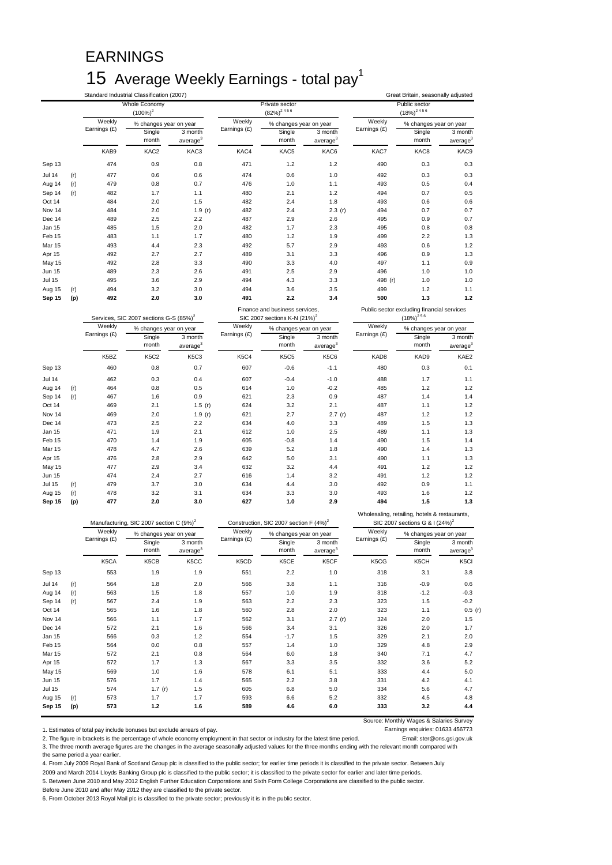# EARNINGS 15 Average Weekly Earnings - total pay<sup>1</sup>

|               |     |                        | Standard Industrial Classification (2007)           |                                 |                        |                                                    |                                 |                        | Great Britain, seasonally adjusted            |                                 |
|---------------|-----|------------------------|-----------------------------------------------------|---------------------------------|------------------------|----------------------------------------------------|---------------------------------|------------------------|-----------------------------------------------|---------------------------------|
|               |     |                        | Whole Economy<br>$(100\%)^2$                        |                                 |                        | Private sector<br>$(82\%)^{2.4.5.6}$               |                                 |                        | Public sector<br>$(18\%)^{2.4.5.6}$           |                                 |
|               |     | Weekly<br>Earnings (£) | % changes year on year                              |                                 | Weekly<br>Earnings (£) | % changes year on year                             |                                 | Weekly<br>Earnings (£) | % changes year on year                        |                                 |
|               |     |                        | Single<br>month                                     | 3 month<br>average <sup>3</sup> |                        | Single<br>month                                    | 3 month<br>average <sup>3</sup> |                        | Single<br>month                               | 3 month<br>average              |
|               |     | KAB9                   | KAC2                                                | KAC3                            | KAC4                   | KAC5                                               | KAC6                            | KAC7                   | KAC8                                          | KAC9                            |
| Sep 13        |     | 474                    | 0.9                                                 | 0.8                             | 471                    | 1.2                                                | 1.2                             | 490                    | 0.3                                           | 0.3                             |
| <b>Jul 14</b> | (r) | 477                    | 0.6                                                 | 0.6                             | 474                    | 0.6                                                | 1.0                             | 492                    | 0.3                                           | 0.3                             |
| Aug 14        | (r) | 479                    | 0.8                                                 | 0.7                             | 476                    | 1.0                                                | 1.1                             | 493                    | 0.5                                           | 0.4                             |
| Sep 14        | (r) | 482                    | 1.7                                                 | 1.1                             | 480                    | 2.1                                                | 1.2                             | 494                    | 0.7                                           | 0.5                             |
| Oct 14        |     | 484                    | 2.0                                                 | 1.5                             | 482                    | 2.4                                                | 1.8                             | 493                    | 0.6                                           | 0.6                             |
| Nov 14        |     | 484                    | 2.0                                                 | 1.9 $(r)$                       | 482                    | 2.4                                                | 2.3(r)                          | 494                    | 0.7                                           | 0.7                             |
| Dec 14        |     | 489                    | 2.5                                                 | 2.2                             | 487                    | 2.9                                                | 2.6                             | 495                    | 0.9                                           | 0.7                             |
| Jan 15        |     | 485                    | 1.5                                                 | 2.0                             | 482                    | 1.7                                                | 2.3                             | 495                    | 0.8                                           | 0.8                             |
| Feb 15        |     | 483                    | 1.1                                                 | 1.7                             | 480                    | 1.2                                                | 1.9                             | 499                    | 2.2                                           | 1.3                             |
| Mar 15        |     | 493                    | 4.4                                                 | 2.3                             | 492                    | 5.7                                                | 2.9                             | 493                    | 0.6                                           | 1.2                             |
| Apr 15        |     | 492                    | 2.7                                                 | 2.7                             | 489                    | 3.1                                                | 3.3                             | 496                    | 0.9                                           | 1.3                             |
| May 15        |     | 492                    | 2.8                                                 | 3.3                             | 490                    | 3.3                                                | 4.0                             | 497                    | 1.1                                           | 0.9                             |
| <b>Jun 15</b> |     | 489                    | 2.3                                                 | 2.6                             | 491                    | 2.5                                                | 2.9                             | 496                    | 1.0                                           | 1.0                             |
| <b>Jul 15</b> |     | 495                    | 3.6                                                 | 2.9                             | 494                    | 4.3                                                | 3.3                             | 498 (r)                | 1.0                                           | 1.0                             |
| Aug 15        | (r) | 494                    | 3.2                                                 | 3.0                             | 494                    | 3.6                                                | 3.5                             | 499                    | 1.2                                           | 1.1                             |
| Sep 15        | (p) | 492                    | 2.0                                                 | 3.0                             | 491                    | 2.2                                                | 3.4                             | 500                    | 1.3                                           | $1.2$                           |
|               |     |                        |                                                     |                                 |                        | Finance and business services,                     |                                 |                        | Public sector excluding financial services    |                                 |
|               |     |                        | Services, SIC 2007 sections G-S (85%) <sup>2</sup>  |                                 |                        | SIC 2007 sections K-N (21%) <sup>2</sup>           |                                 |                        | $(18\%)^{256}$                                |                                 |
|               |     | Weekly                 | % changes year on year                              |                                 | Weekly                 | % changes year on year                             |                                 | Weekly                 | % changes year on year                        |                                 |
|               |     | Earnings (£)           | Single                                              | 3 month                         | Earnings (£)           | Single                                             | 3 month                         | Earnings (£)           | Single                                        | 3 month                         |
|               |     |                        | month                                               | average <sup>3</sup>            |                        | month                                              | average <sup>3</sup>            |                        | month                                         | average                         |
|               |     | K5BZ                   | <b>K5C2</b>                                         | K5C3                            | K5C4                   | <b>K5C5</b>                                        | <b>K5C6</b>                     | KAD8                   | KAD9                                          | KAE2                            |
| Sep 13        |     | 460                    | 0.8                                                 | 0.7                             | 607                    | $-0.6$                                             | $-1.1$                          | 480                    | 0.3                                           | 0.1                             |
| <b>Jul 14</b> |     | 462                    | 0.3                                                 | 0.4                             | 607                    | $-0.4$                                             | $-1.0$                          | 488                    | 1.7                                           | 1.1                             |
| Aug 14        | (r) | 464                    | 0.8                                                 | 0.5                             | 614                    | 1.0                                                | $-0.2$                          | 485                    | 1.2                                           | 1.2                             |
| Sep 14        | (r) | 467                    | 1.6                                                 | 0.9                             | 621                    | 2.3                                                | 0.9                             | 487                    | 1.4                                           | 1.4                             |
| Oct 14        |     | 469                    | 2.1                                                 | 1.5(r)                          | 624                    | 3.2                                                | 2.1                             | 487                    | 1.1                                           | 1.2                             |
| Nov 14        |     | 469                    | 2.0                                                 | 1.9(r)                          | 621                    | 2.7                                                | 2.7(r)                          | 487                    | 1.2                                           | 1.2                             |
| Dec 14        |     | 473                    | 2.5                                                 | 2.2                             | 634                    | 4.0                                                | 3.3                             | 489                    | 1.5                                           | 1.3                             |
| Jan 15        |     | 471                    | 1.9                                                 | 2.1                             | 612                    | 1.0                                                | 2.5                             | 489                    | 1.1                                           | 1.3                             |
| Feb 15        |     | 470                    | 1.4                                                 | 1.9                             | 605                    | $-0.8$                                             | 1.4                             | 490                    | 1.5                                           | 1.4                             |
| Mar 15        |     | 478                    | 4.7                                                 | 2.6                             | 639                    | 5.2                                                | 1.8                             | 490                    | 1.4                                           | 1.3                             |
| Apr 15        |     | 476                    | 2.8                                                 | 2.9                             | 642                    | 5.0                                                | 3.1                             | 490                    | 1.1                                           | 1.3                             |
| May 15        |     | 477                    | 2.9                                                 | 3.4                             | 632                    | 3.2                                                | 4.4                             | 491                    | 1.2                                           | 1.2                             |
| Jun 15        |     | 474                    | 2.4                                                 | 2.7                             | 616                    | 1.4                                                | 3.2                             | 491                    | 1.2                                           | 1.2                             |
| <b>Jul 15</b> | (r) | 479                    | 3.7                                                 | 3.0                             | 634                    | 4.4                                                | 3.0                             | 492                    | 0.9                                           | 1.1                             |
| Aug 15        | (r) | 478                    | 3.2                                                 | 3.1                             | 634                    | 3.3                                                | 3.0                             | 493                    | 1.6                                           | 1.2                             |
| Sep 15        | (p) | 477                    | 2.0                                                 | 3.0                             | 627                    | 1.0                                                | 2.9                             | 494                    | 1.5                                           | 1.3                             |
|               |     |                        |                                                     |                                 |                        |                                                    |                                 |                        | Wholesaling, retailing, hotels & restaurants, |                                 |
|               |     |                        | Manufacturing, SIC 2007 section C (9%) <sup>2</sup> |                                 |                        | Construction, SIC 2007 section F (4%) <sup>2</sup> |                                 |                        | SIC 2007 sections G & I (24%) <sup>2</sup>    |                                 |
|               |     | Weekly                 | % changes year on year                              |                                 | Weekly                 | % changes year on year                             |                                 | Weekly                 | % changes year on year                        |                                 |
|               |     | Earnings (£)           | Single<br>month                                     | 3 month<br>average <sup>3</sup> | Earnings (£)           | Single<br>month                                    | 3 month<br>average <sup>3</sup> | Earnings (£)           | Single<br>month                               | 3 month<br>average <sup>3</sup> |

|               |     | Weekly<br>Earnings (£) | ÷<br>% changes year on year |                                 | Weekly       | % changes year on year |                                 | Weekly       | % changes year on year |                                 |
|---------------|-----|------------------------|-----------------------------|---------------------------------|--------------|------------------------|---------------------------------|--------------|------------------------|---------------------------------|
|               |     |                        | Single<br>month             | 3 month<br>average <sup>3</sup> | Earnings (£) | Single<br>month        | 3 month<br>average <sup>3</sup> | Earnings (£) | Single<br>month        | 3 month<br>average <sup>3</sup> |
|               |     | K5CA                   | K5CB                        | K5CC                            | K5CD         | K5CE                   | K5CF                            | K5CG         | K5CH                   | K5CI                            |
| Sep 13        |     | 553                    | 1.9                         | 1.9                             | 551          | 2.2                    | 1.0                             | 318          | 3.1                    | 3.8                             |
| <b>Jul 14</b> | (r) | 564                    | 1.8                         | 2.0                             | 566          | 3.8                    | 1.1                             | 316          | $-0.9$                 | 0.6                             |
| Aug 14        | (r) | 563                    | 1.5                         | 1.8                             | 557          | 1.0                    | 1.9                             | 318          | $-1.2$                 | $-0.3$                          |
| Sep 14        | (r) | 567                    | 2.4                         | 1.9                             | 563          | 2.2                    | 2.3                             | 323          | 1.5                    | $-0.2$                          |
| Oct 14        |     | 565                    | 1.6                         | 1.8                             | 560          | 2.8                    | 2.0                             | 323          | 1.1                    | 0.5(r)                          |
| Nov 14        |     | 566                    | 1.1                         | 1.7                             | 562          | 3.1                    | 2.7(r)                          | 324          | 2.0                    | 1.5                             |
| Dec 14        |     | 572                    | 2.1                         | 1.6                             | 566          | 3.4                    | 3.1                             | 326          | 2.0                    | 1.7                             |
| Jan 15        |     | 566                    | 0.3                         | 1.2                             | 554          | $-1.7$                 | 1.5                             | 329          | 2.1                    | 2.0                             |
| Feb 15        |     | 564                    | 0.0                         | 0.8                             | 557          | 1.4                    | 1.0                             | 329          | 4.8                    | 2.9                             |
| <b>Mar 15</b> |     | 572                    | 2.1                         | 0.8                             | 564          | 6.0                    | 1.8                             | 340          | 7.1                    | 4.7                             |
| Apr 15        |     | 572                    | 1.7                         | 1.3                             | 567          | 3.3                    | 3.5                             | 332          | 3.6                    | 5.2                             |
| May 15        |     | 569                    | 1.0                         | 1.6                             | 578          | 6.1                    | 5.1                             | 333          | 4.4                    | 5.0                             |
| <b>Jun 15</b> |     | 576                    | 1.7                         | 1.4                             | 565          | 2.2                    | 3.8                             | 331          | 4.2                    | 4.1                             |
| <b>Jul 15</b> |     | 574                    | 1.7 $(r)$                   | 1.5                             | 605          | 6.8                    | 5.0                             | 334          | 5.6                    | 4.7                             |
| Aug 15        | (r) | 573                    | 1.7                         | 1.7                             | 593          | 6.6                    | 5.2                             | 332          | 4.5                    | 4.8                             |
| Sep 15        | (p) | 573                    | 1.2                         | 1.6                             | 589          | 4.6                    | 6.0                             | 333          | 3.2                    | 4.4                             |

Source: Monthly Wages & Salaries Survey

1. Estimates of total pay include bonuses but exclude arrears of pay.<br>2. The figure in brackets is the percentage of whole economy employment in that sector or industry for the latest time period. [Smail: ster@ons.gsi.gov. 2. The figure in brackets is the percentage of whole economy employment in that sector or industry for the latest time period. 3. The three month average figures are the changes in the average seasonally adjusted values for the three months ending with the relevant month compared with the same period a year earlier.

4. From July 2009 Royal Bank of Scotland Group plc is classified to the public sector; for earlier time periods it is classified to the private sector. Between July

2009 and March 2014 Lloyds Banking Group plc is classified to the public sector; it is classified to the private sector for earlier and later time periods.

5. Between June 2010 and May 2012 English Further Education Corporations and Sixth Form College Corporations are classified to the public sector.

Before June 2010 and after May 2012 they are classified to the private sector.

6. From October 2013 Royal Mail plc is classified to the private sector; previously it is in the public sector.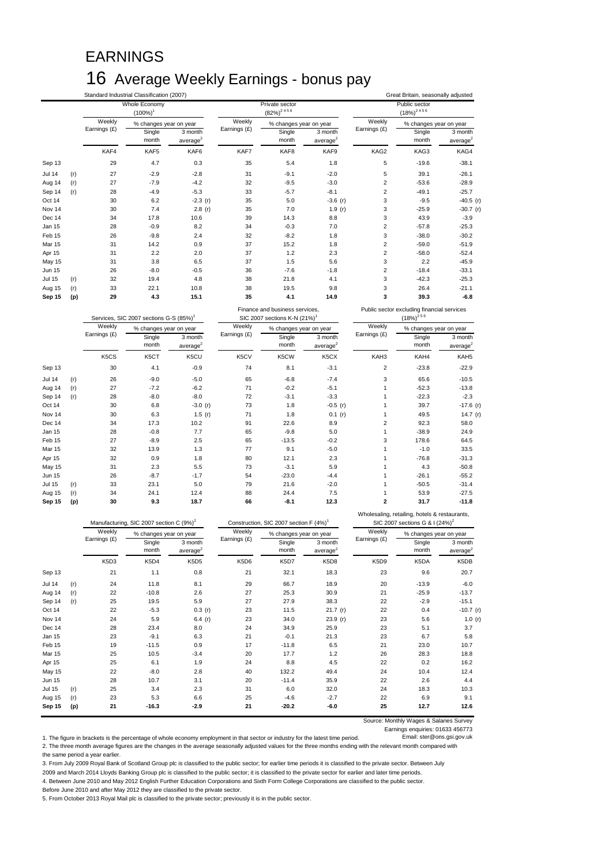# EARNINGS 16 Average Weekly Earnings - bonus pay

|                  |            |                               | Standard Industrial Classification (2007) |                      |              |                                                               |                      |                | Great Britain, seasonally adjusted         |                                      |
|------------------|------------|-------------------------------|-------------------------------------------|----------------------|--------------|---------------------------------------------------------------|----------------------|----------------|--------------------------------------------|--------------------------------------|
|                  |            |                               | Whole Economy<br>$(100\%)^1$              |                      |              | Private sector<br>$(82\%)^2$ <sup>456</sup>                   |                      |                | Public sector<br>$(18\%)^{2.4.5.6}$        |                                      |
|                  |            | Weekly                        | % changes year on year                    |                      | Weekly       | % changes year on year                                        |                      | Weekly         | % changes year on year                     |                                      |
|                  |            | Earnings (£)                  | Single                                    | 3 month              | Earnings (£) | Single                                                        | 3 month              | Earnings (£)   | Single                                     | 3 month                              |
|                  |            |                               | month                                     | average <sup>2</sup> |              | month                                                         | average <sup>2</sup> |                | month                                      | average                              |
|                  |            | KAF4                          | KAF5                                      | KAF6                 | KAF7         | KAF8                                                          | KAF9                 | KAG2           | KAG3                                       | KAG4                                 |
| Sep 13           |            | 29                            | 4.7                                       | 0.3                  | 35           | 5.4                                                           | 1.8                  | 5              | $-19.6$                                    | $-38.1$                              |
| Jul 14           | (r)        | 27                            | $-2.9$                                    | $-2.8$               | 31           | $-9.1$                                                        | $-2.0$               | 5              | 39.1                                       | $-26.1$                              |
| Aug 14           | (r)        | 27                            | $-7.9$                                    | $-4.2$               | 32           | $-9.5$                                                        | $-3.0$               | $\mathbf 2$    | $-53.6$                                    | $-28.9$                              |
| Sep 14           | (r)        | 28                            | $-4.9$                                    | $-5.3$               | 33           | $-5.7$                                                        | $-8.1$               | $\overline{2}$ | $-49.1$                                    | $-25.7$                              |
| Oct 14           |            | 30                            | 6.2                                       | $-2.3(r)$            | 35           | 5.0                                                           | $-3.6$ (r)           | 3              | $-9.5$                                     | $-40.5$ (r)                          |
| Nov 14           |            | 30                            | 7.4                                       | 2.8(r)               | 35           | 7.0                                                           | 1.9(r)               | 3              | $-25.9$                                    | $-30.7$ (r)                          |
| Dec 14           |            | 34                            | 17.8                                      | 10.6                 | 39           | 14.3                                                          | 8.8                  | 3              | 43.9                                       | $-3.9$                               |
| Jan 15           |            | 28                            | $-0.9$                                    | 8.2                  | 34           | $-0.3$                                                        | 7.0                  | $\overline{2}$ | $-57.8$                                    | $-25.3$                              |
| Feb 15           |            | 26                            | $-9.8$                                    | 2.4                  | 32           | $-8.2$                                                        | 1.8                  | 3              | $-38.0$                                    | $-30.2$                              |
| Mar 15           |            | 31                            | 14.2                                      | 0.9                  | 37           | 15.2                                                          | 1.8                  | $\overline{c}$ | $-59.0$                                    | $-51.9$                              |
| Apr 15           |            | 31                            | 2.2                                       | 2.0                  | 37           | 1.2                                                           | 2.3                  | $\overline{2}$ | $-58.0$                                    | $-52.4$                              |
| May 15           |            | 31                            | 3.8                                       | 6.5                  | 37           | 1.5                                                           | 5.6                  | 3              | 2.2                                        | $-45.9$                              |
| Jun 15           |            | 26                            | $-8.0$                                    | $-0.5$               | 36           | $-7.6$                                                        | $-1.8$               | $\overline{c}$ | $-18.4$                                    | $-33.1$                              |
| Jul 15           | (r)        | 32                            | 19.4                                      | 4.8                  | 38           | 21.8                                                          | 4.1                  | 3              | $-42.3$                                    | $-25.3$                              |
|                  |            |                               |                                           |                      |              | 19.5                                                          | 9.8                  | 3              | 26.4                                       | $-21.1$                              |
|                  |            |                               |                                           |                      |              |                                                               |                      |                |                                            |                                      |
| Aug 15<br>Sep 15 | (r)<br>(p) | 33<br>29                      | 22.1<br>4.3                               | 10.8<br>15.1         | 38<br>35     | 4.1                                                           | 14.9                 | 3              | 39.3                                       | $-6.8$                               |
|                  |            |                               | Services, SIC 2007 sections G-S (85%)     |                      |              | Finance and business services,<br>SIC 2007 sections K-N (21%) |                      |                | Public sector excluding financial services |                                      |
|                  |            | Weekly                        |                                           |                      | Weekly       |                                                               |                      | Weekly         | $(18\%)^{2.5.6}$                           |                                      |
|                  |            | Earnings (£)                  | % changes year on year                    | 3 month              | Earnings (£) | % changes year on year                                        | 3 month              | Earnings (£)   | % changes year on year                     | 3 month                              |
|                  |            |                               | Single<br>month                           | average <sup>2</sup> |              | Single<br>month                                               | average <sup>2</sup> |                | Single<br>month                            | average <sup>2</sup>                 |
|                  |            | K <sub>5</sub> C <sub>S</sub> | K5CT                                      | K5CU                 | K5CV         | K5CW                                                          | K5CX                 | KAH3           | KAH4                                       | KAH <sub>5</sub>                     |
| Sep 13           |            | 30                            | 4.1                                       | $-0.9$               | 74           | 8.1                                                           | $-3.1$               | $\overline{2}$ | $-23.8$                                    | $-22.9$                              |
| Jul 14           | (r)        | 26                            | $-9.0$                                    | $-5.0$               | 65           | $-6.8$                                                        | $-7.4$               | 3              | 65.6                                       | $-10.5$                              |
| Aug 14           | (r)        | 27                            | $-7.2$                                    | $-6.2$               | 71           | $-0.2$                                                        | $-5.1$               | $\mathbf{1}$   | $-52.3$                                    | $-13.8$                              |
| Sep 14           | (r)        | 28                            | $-8.0$                                    | $-8.0$               | 72           | $-3.1$                                                        | $-3.3$               | $\overline{1}$ | $-22.3$                                    | $-2.3$                               |
| Oct 14           |            | 30                            | 6.8                                       | $-3.0(r)$            | 73           | 1.8                                                           | $-0.5$ (r)           | $\overline{1}$ | 39.7                                       |                                      |
| Nov 14           |            | 30                            | 6.3                                       | 1.5 $(r)$            | 71           | 1.8                                                           | 0.1(r)               | $\mathbf{1}$   | 49.5                                       |                                      |
| Dec 14           |            | 34                            | 17.3                                      | 10.2                 | 91           | 22.6                                                          | 8.9                  | $\overline{2}$ | 92.3                                       | 58.0                                 |
| Jan 15           |            | 28                            | $-0.8$                                    | 7.7                  | 65           | $-9.8$                                                        | 5.0                  | $\mathbf{1}$   | $-38.9$                                    | 24.9                                 |
| Feb 15           |            | 27                            | $-8.9$                                    | 2.5                  | 65           | $-13.5$                                                       | $-0.2$               | 3              | 178.6                                      | 64.5                                 |
| Mar 15           |            | 32                            | 13.9                                      | 1.3                  | 77           | 9.1                                                           | $-5.0$               | $\overline{1}$ | $-1.0$                                     | 33.5                                 |
| Apr 15           |            | 32                            | 0.9                                       | 1.8                  | 80           | 12.1                                                          | 2.3                  | 1              | $-76.8$                                    | $-31.3$                              |
| May 15           |            | 31                            | 2.3                                       | 5.5                  | 73           | $-3.1$                                                        | 5.9                  | $\overline{1}$ | 4.3                                        | $-50.8$                              |
| Jun 15           |            | 26                            | $-8.7$                                    | $-1.7$               | 54           | $-23.0$                                                       | $-4.4$               | $\overline{1}$ | $-26.1$                                    | $-55.2$                              |
| <b>Jul 15</b>    | (r)        | 33                            | 23.1                                      | 5.0                  | 79           | 21.6                                                          | $-2.0$               | 1              | $-50.5$                                    | $-31.4$                              |
| Aug 15           | (r)        | 34                            | 24.1                                      | 12.4                 | 88           | 24.4                                                          | 7.5                  | $\mathbf{1}$   | 53.9                                       | $-17.6$ (r)<br>14.7 $(r)$<br>$-27.5$ |

|               |     |              | Manufacturing, SIC 2007 section C (9%) <sup>2</sup> |                                 | Construction, SIC 2007 section F (4%) <sup>1</sup> |                        |                                 | SIC 2007 sections G & I (24%) <sup>2</sup> |                        |                                 |
|---------------|-----|--------------|-----------------------------------------------------|---------------------------------|----------------------------------------------------|------------------------|---------------------------------|--------------------------------------------|------------------------|---------------------------------|
|               |     | Weekly       | % changes year on year                              |                                 | Weekly                                             | % changes year on year |                                 | Weekly                                     | % changes year on year |                                 |
|               |     | Earnings (£) | Single<br>month                                     | 3 month<br>average <sup>2</sup> | Earnings (£)                                       | Single<br>month        | 3 month<br>average <sup>2</sup> | Earnings (£)                               | Single<br>month        | 3 month<br>average <sup>2</sup> |
|               |     | K5D3         | K5D4                                                | K5D5                            | K5D6                                               | K5D7                   | K5D8                            | K5D9                                       | K5DA                   | K5DB                            |
| Sep 13        |     | 21           | 1.1                                                 | 0.8                             | 21                                                 | 32.1                   | 18.3                            | 23                                         | 9.6                    | 20.7                            |
| <b>Jul 14</b> | (r) | 24           | 11.8                                                | 8.1                             | 29                                                 | 66.7                   | 18.9                            | 20                                         | $-13.9$                | $-6.0$                          |
| Aug 14        | (r) | 22           | $-10.8$                                             | 2.6                             | 27                                                 | 25.3                   | 30.9                            | 21                                         | $-25.9$                | $-13.7$                         |
| Sep 14        | (r) | 25           | 19.5                                                | 5.9                             | 27                                                 | 27.9                   | 38.3                            | 22                                         | $-2.9$                 | $-15.1$                         |
| Oct 14        |     | 22           | $-5.3$                                              | 0.3(r)                          | 23                                                 | 11.5                   | 21.7 (r)                        | 22                                         | 0.4                    | $-10.7$ (r)                     |
| Nov 14        |     | 24           | 5.9                                                 | 6.4 $(r)$                       | 23                                                 | 34.0                   | 23.9 (r)                        | 23                                         | 5.6                    | 1.0 $(r)$                       |
| Dec 14        |     | 28           | 23.4                                                | 8.0                             | 24                                                 | 34.9                   | 25.9                            | 23                                         | 5.1                    | 3.7                             |
| Jan 15        |     | 23           | $-9.1$                                              | 6.3                             | 21                                                 | $-0.1$                 | 21.3                            | 23                                         | 6.7                    | 5.8                             |
| Feb 15        |     | 19           | $-11.5$                                             | 0.9                             | 17                                                 | $-11.8$                | 6.5                             | 21                                         | 23.0                   | 10.7                            |
| <b>Mar 15</b> |     | 25           | 10.5                                                | $-3.4$                          | 20                                                 | 17.7                   | 1.2                             | 26                                         | 28.3                   | 18.8                            |
| Apr 15        |     | 25           | 6.1                                                 | 1.9                             | 24                                                 | 8.8                    | 4.5                             | 22                                         | 0.2                    | 16.2                            |
| May 15        |     | 22           | $-8.0$                                              | 2.8                             | 40                                                 | 132.2                  | 49.4                            | 24                                         | 10.4                   | 12.4                            |
| <b>Jun 15</b> |     | 28           | 10.7                                                | 3.1                             | 20                                                 | $-11.4$                | 35.9                            | 22                                         | 2.6                    | 4.4                             |
| <b>Jul 15</b> | (r) | 25           | 3.4                                                 | 2.3                             | 31                                                 | 6.0                    | 32.0                            | 24                                         | 18.3                   | 10.3                            |
| Aug 15        | (r) | 23           | 5.3                                                 | 6.6                             | 25                                                 | $-4.6$                 | $-2.7$                          | 22                                         | 6.9                    | 9.1                             |
| Sep 15        | (p) | 21           | $-16.3$                                             | $-2.9$                          | 21                                                 | $-20.2$                | $-6.0$                          | 25                                         | 12.7                   | 12.6                            |

Source: Monthly Wages & Salaries Survey

Earnings enquiries: 01633 456773<br>Email: ster@ons.gsi.gov.uk 1. The figure in brackets is the percentage of whole economy employment in that sector or industry for the latest time period. 2. The three month average figures are the changes in the average seasonally adjusted values for the three months ending with the relevant month compared with

the same period a year earlier.

3. From July 2009 Royal Bank of Scotland Group plc is classified to the public sector; for earlier time periods it is classified to the private sector. Between July

2009 and March 2014 Lloyds Banking Group plc is classified to the public sector; it is classified to the private sector for earlier and later time periods. 4. Between June 2010 and May 2012 English Further Education Corporations and Sixth Form College Corporations are classified to the public sector.

Before June 2010 and after May 2012 they are classified to the private sector.

5. From October 2013 Royal Mail plc is classified to the private sector; previously it is in the public sector.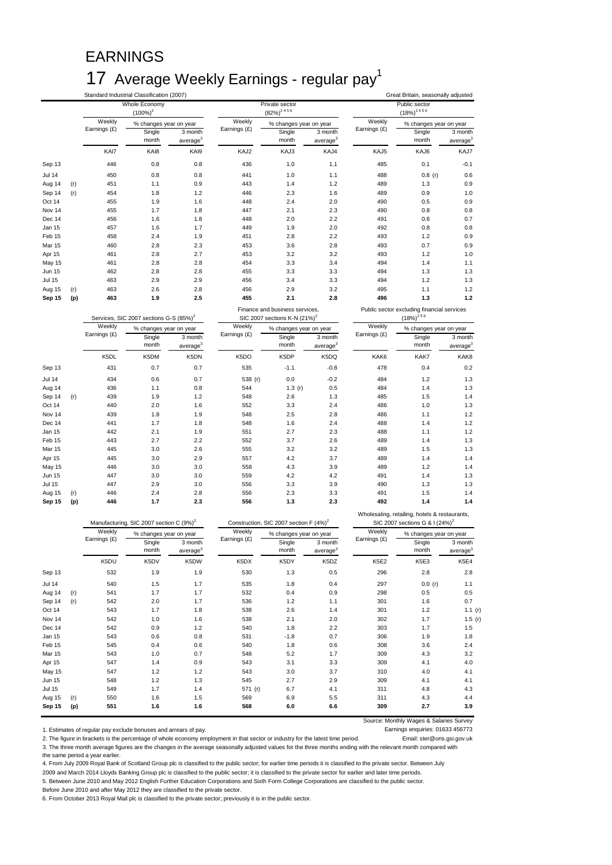# EARNINGS 17 Average Weekly Earnings - regular pay<sup>1</sup>

|               |     |               | Standard Industrial Classification (2007)           |                                 |               |                                                    |                                 |               | Great Britain, seasonally adjusted                                                          |                                 |
|---------------|-----|---------------|-----------------------------------------------------|---------------------------------|---------------|----------------------------------------------------|---------------------------------|---------------|---------------------------------------------------------------------------------------------|---------------------------------|
|               |     |               | <b>Whole Economy</b>                                |                                 |               | Private sector                                     |                                 |               | Public sector                                                                               |                                 |
|               |     |               | $(100\%)^2$                                         |                                 |               | $(82\%)^2$ <sup>456</sup>                          |                                 |               | $(18\%)^{2.4.5.6}$                                                                          |                                 |
|               |     | Weekly        | % changes year on year                              |                                 | Weekly        | % changes year on year                             |                                 | Weekly        | % changes year on year                                                                      |                                 |
|               |     | Earnings (£)  | Single<br>month                                     | 3 month<br>average <sup>3</sup> | Earnings (£)  | Single<br>month                                    | 3 month<br>average <sup>3</sup> | Earnings (£)  | Single<br>month                                                                             | 3 month<br>average              |
|               |     | KAI7          | KAI8                                                | KAI9                            | KAJ2          | KAJ3                                               | KAJ4                            | KAJ5          | KAJ6                                                                                        | KAJ7                            |
| Sep 13        |     | 446           | 0.8                                                 | 0.8                             | 436           | 1.0                                                | 1.1                             | 485           | 0.1                                                                                         | $-0.1$                          |
| <b>Jul 14</b> |     | 450           | 0.8                                                 | 0.8                             | 441           | 1.0                                                | 1.1                             | 488           | $0.8$ (r)                                                                                   | 0.6                             |
| Aug 14        | (r) | 451           | 1.1                                                 | 0.9                             | 443           | 1.4                                                | 1.2                             | 489           | 1.3                                                                                         | 0.9                             |
| Sep 14        | (r) | 454           | 1.8                                                 | 1.2                             | 446           | 2.3                                                | 1.6                             | 489           | 0.9                                                                                         | 1.0                             |
| Oct 14        |     | 455           | 1.9                                                 | 1.6                             | 448           | 2.4                                                | 2.0                             | 490           | 0.5                                                                                         | 0.9                             |
| Nov 14        |     | 455           | 1.7                                                 | 1.8                             | 447           | 2.1                                                | 2.3                             | 490           | 0.8                                                                                         | 0.8                             |
| Dec 14        |     | 456           | 1.6                                                 | 1.8                             | 448           | 2.0                                                | 2.2                             | 491           | 0.6                                                                                         | 0.7                             |
| Jan 15        |     | 457           | 1.6                                                 | 1.7                             | 449           | 1.9                                                | 2.0                             | 492           | 0.8                                                                                         | 0.8                             |
| Feb 15        |     | 458           | 2.4                                                 | 1.9                             | 451           | 2.8                                                | 2.2                             | 493           | 1.2                                                                                         | 0.9                             |
| Mar 15        |     | 460           | 2.8                                                 | 2.3                             | 453           | 3.6                                                | 2.8                             | 493           | 0.7                                                                                         | 0.9                             |
| Apr 15        |     | 461           | 2.8                                                 | 2.7                             | 453           | 3.2                                                | 3.2                             | 493           | 1.2                                                                                         | 1.0                             |
| <b>May 15</b> |     | 461           | 2.8                                                 | 2.8                             | 454           | 3.3                                                | 3.4                             | 494           | 1.4                                                                                         | 1.1                             |
| Jun 15        |     | 462           | 2.8                                                 | 2.8                             | 455           | 3.3                                                | 3.3                             | 494           | 1.3                                                                                         | 1.3                             |
| <b>Jul 15</b> |     | 463           | 2.9                                                 | 2.9                             | 456           | 3.4                                                | 3.3                             | 494           | 1.2                                                                                         | 1.3                             |
| Aug 15        | (r) | 463           | 2.6                                                 | 2.8                             | 456           | 2.9                                                | 3.2                             | 495           | 1.1                                                                                         | 1.2                             |
| Sep 15        | (p) | 463           | 1.9                                                 | 2.5                             | 455           | 2.1                                                | 2.8                             | 496           | 1.3                                                                                         | $1.2$                           |
|               |     |               |                                                     |                                 |               | Finance and business services,                     |                                 |               | Public sector excluding financial services                                                  |                                 |
|               |     |               | Services, SIC 2007 sections G-S (85%) <sup>2</sup>  |                                 |               | SIC 2007 sections K-N (21%) <sup>2</sup>           |                                 |               | $(18\%)^{256}$                                                                              |                                 |
|               |     | Weekly        |                                                     |                                 | Weekly        |                                                    |                                 | Weekly        |                                                                                             |                                 |
|               |     | Earnings (£)  | % changes year on year                              |                                 | Earnings (£)  | % changes year on year                             |                                 | Earnings (£)  | % changes year on year                                                                      |                                 |
|               |     |               | Single<br>month                                     | 3 month<br>average <sup>3</sup> |               | Single<br>month                                    | 3 month<br>average <sup>3</sup> |               | Single<br>month                                                                             | 3 month<br>average <sup>3</sup> |
|               |     | K5DL          | K5DM                                                | K5DN                            | K5DO          | K5DP                                               | K5DQ                            | KAK6          | KAK7                                                                                        | KAK8                            |
| Sep 13        |     | 431           | 0.7                                                 | 0.7                             | 535           | $-1.1$                                             | $-0.8$                          | 478           | 0.4                                                                                         | 0.2                             |
| <b>Jul 14</b> |     | 434           | 0.6                                                 | 0.7                             | 538 (r)       | 0.0                                                | $-0.2$                          | 484           | 1.2                                                                                         | 1.3                             |
| Aug 14        |     | 436           | 1.1                                                 | 0.8                             | 544           | 1.3 $(r)$                                          | 0.5                             | 484           | 1.4                                                                                         | 1.3                             |
| Sep 14        | (r) | 439           | 1.9                                                 | 1.2                             | 548           | 2.6                                                | 1.3                             | 485           | 1.5                                                                                         | 1.4                             |
| Oct 14        |     | 440           | 2.0                                                 | 1.6                             | 552           | 3.3                                                | 2.4                             | 486           | 1.0                                                                                         | 1.3                             |
| Nov 14        |     | 439           | 1.8                                                 | 1.9                             | 548           | 2.5                                                | 2.8                             | 486           | 1.1                                                                                         | 1.2                             |
| Dec 14        |     | 441           | 1.7                                                 | 1.8                             | 548           | 1.6                                                | 2.4                             | 488           | 1.4                                                                                         | 1.2                             |
| Jan 15        |     | 442           | 2.1                                                 | 1.9                             | 551           | 2.7                                                | 2.3                             | 488           | 1.1                                                                                         | 1.2                             |
| Feb 15        |     | 443           | 2.7                                                 | 2.2                             | 552           | 3.7                                                | 2.6                             | 489           | 1.4                                                                                         | 1.3                             |
| Mar 15        |     | 445           | 3.0                                                 | 2.6                             | 555           | 3.2                                                | 3.2                             | 489           | 1.5                                                                                         | 1.3                             |
| Apr 15        |     | 445           | 3.0                                                 | 2.9                             | 557           | 4.2                                                | 3.7                             | 489           | 1.4                                                                                         | 1.4                             |
| <b>May 15</b> |     | 446           | 3.0                                                 | 3.0                             | 558           | 4.3                                                | 3.9                             | 489           | 1.2                                                                                         | 1.4                             |
| Jun 15        |     | 447           | 3.0                                                 | 3.0                             | 559           | 4.2                                                | 4.2                             | 491           | 1.4                                                                                         | 1.3                             |
| Jul 15        |     | 447           | 2.9                                                 | 3.0                             | 556           | 3.3                                                | 3.9                             | 490           | 1.3                                                                                         | 1.3                             |
| Aug 15        | (r) | 446           | 2.4                                                 | 2.8                             | 556           | 2.3                                                | 3.3                             | 491           | 1.5                                                                                         | 1.4                             |
| Sep 15        | (p) | 446           | 1.7                                                 | 2.3                             | 556           | 1.3                                                | 2.3                             | 492           | 1.4                                                                                         | 1.4                             |
|               |     |               | Manufacturing, SIC 2007 section C (9%) <sup>2</sup> |                                 |               | Construction, SIC 2007 section F (4%) <sup>2</sup> |                                 |               | Wholesaling, retailing, hotels & restaurants,<br>SIC 2007 sections G & I (24%) <sup>2</sup> |                                 |
|               |     | <b>Weekly</b> |                                                     |                                 | <b>Weekly</b> |                                                    |                                 | <b>Weekly</b> |                                                                                             |                                 |

|               |     | $m$ ividinal distribution of $\sim$ 100 $\sim$ 100 $\sim$ 100 $\sim$ 100 $\sim$ 100 $\sim$ |                        |                        | CONSUMERION, SIC 2007 SECTION F (470) |                        |                                 | $O(U + 2)$ is the section of $U$ in $U$ in $U$ |                        |                                 |
|---------------|-----|--------------------------------------------------------------------------------------------|------------------------|------------------------|---------------------------------------|------------------------|---------------------------------|------------------------------------------------|------------------------|---------------------------------|
|               |     | Weekly                                                                                     | % changes year on year |                        | Weekly                                | % changes year on year |                                 | Weekly                                         | % changes year on year |                                 |
|               |     | Earnings (£)                                                                               | Single<br>month        | 3 month<br>average $3$ | Earnings (£)                          | Single<br>month        | 3 month<br>average <sup>3</sup> | Earnings (£)                                   | Single<br>month        | 3 month<br>average <sup>3</sup> |
|               |     | K5DU                                                                                       | K5DV                   | K5DW                   | K5DX                                  | K5DY                   | K5DZ                            | K5E2                                           | K5E3                   | K5E4                            |
| Sep 13        |     | 532                                                                                        | 1.9                    | 1.9                    | 530                                   | 1.3                    | 0.5                             | 296                                            | 2.8                    | 2.8                             |
| <b>Jul 14</b> |     | 540                                                                                        | 1.5                    | 1.7                    | 535                                   | 1.8                    | 0.4                             | 297                                            | 0.0(r)                 | 1.1                             |
| Aug 14        | (r) | 541                                                                                        | 1.7                    | 1.7                    | 532                                   | 0.4                    | 0.9                             | 298                                            | 0.5                    | 0.5                             |
| Sep 14        | (r) | 542                                                                                        | 2.0                    | 1.7                    | 536                                   | 1.2                    | 1.1                             | 301                                            | 1.6                    | 0.7                             |
| Oct 14        |     | 543                                                                                        | 1.7                    | 1.8                    | 538                                   | 2.6                    | 1.4                             | 301                                            | 1.2                    | 1.1 $(r)$                       |
| Nov 14        |     | 542                                                                                        | 1.0                    | 1.6                    | 538                                   | 2.1                    | 2.0                             | 302                                            | 1.7                    | 1.5(r)                          |
| Dec 14        |     | 542                                                                                        | 0.9                    | 1.2                    | 540                                   | 1.8                    | 2.2                             | 303                                            | 1.7                    | 1.5                             |
| Jan 15        |     | 543                                                                                        | 0.6                    | 0.8                    | 531                                   | $-1.8$                 | 0.7                             | 306                                            | 1.9                    | 1.8                             |
| Feb 15        |     | 545                                                                                        | 0.4                    | 0.6                    | 540                                   | 1.8                    | 0.6                             | 308                                            | 3.6                    | 2.4                             |
| <b>Mar 15</b> |     | 543                                                                                        | 1.0                    | 0.7                    | 548                                   | 5.2                    | 1.7                             | 309                                            | 4.3                    | 3.2                             |
| Apr 15        |     | 547                                                                                        | 1.4                    | 0.9                    | 543                                   | 3.1                    | 3.3                             | 309                                            | 4.1                    | 4.0                             |
| May 15        |     | 547                                                                                        | 1.2                    | 1.2                    | 543                                   | 3.0                    | 3.7                             | 310                                            | 4.0                    | 4.1                             |
| Jun 15        |     | 548                                                                                        | 1.2                    | 1.3                    | 545                                   | 2.7                    | 2.9                             | 309                                            | 4.1                    | 4.1                             |
| <b>Jul 15</b> |     | 549                                                                                        | 1.7                    | 1.4                    | 571 (r)                               | 6.7                    | 4.1                             | 311                                            | 4.8                    | 4.3                             |
| Aug 15        | (r) | 550                                                                                        | 1.6                    | 1.5                    | 569                                   | 6.9                    | 5.5                             | 311                                            | 4.3                    | 4.4                             |
| Sep 15        | (p) | 551                                                                                        | 1.6                    | 1.6                    | 568                                   | 6.0                    | 6.6                             | 309                                            | 2.7                    | 3.9                             |

Source: Monthly Wages & Salaries Survey

1. Estimates of regular pay exclude bonuses and arrears of pay.<br>1. 2. The figure in brackets is the percentage of whole economy employment in that sector or industry for the latest time period. [199] 2. The figure in brackets is the percentage of whole economy employment in that sector or industry for the latest time period. 3. The three month average figures are the changes in the average seasonally adjusted values for the three months ending with the relevant month compared with the same period a year earlier.

4. From July 2009 Royal Bank of Scotland Group plc is classified to the public sector; for earlier time periods it is classified to the private sector. Between July

2009 and March 2014 Lloyds Banking Group plc is classified to the public sector; it is classified to the private sector for earlier and later time periods.

5. Between June 2010 and May 2012 English Further Education Corporations and Sixth Form College Corporations are classified to the public sector.

Before June 2010 and after May 2012 they are classified to the private sector.

6. From October 2013 Royal Mail plc is classified to the private sector; previously it is in the public sector.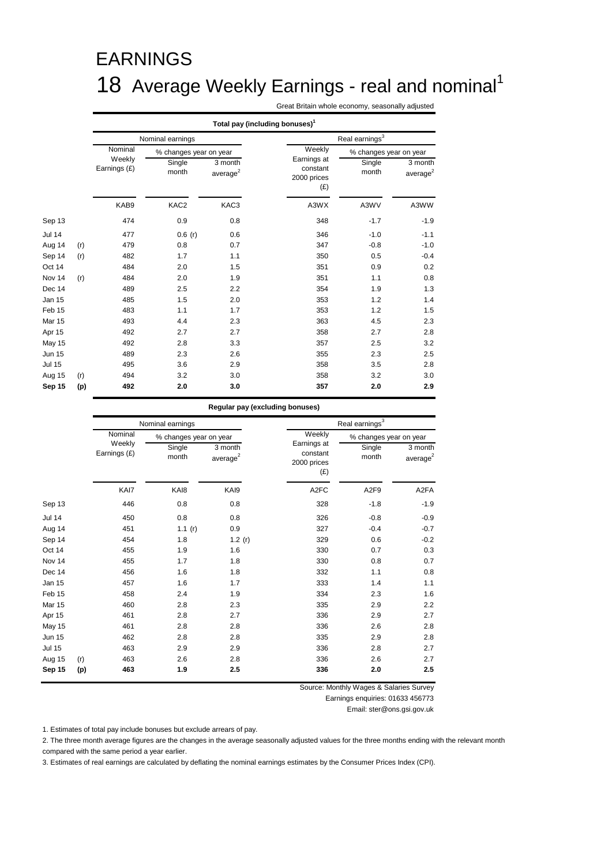# EARNINGS 18 Average Weekly Earnings - real and nominal<sup>1</sup>

Great Britain whole economy, seasonally adjusted

|               |     |                        | Total pay (including bonuses) <sup>1</sup> |                        |                                               |                        |                                 |  |  |  |  |
|---------------|-----|------------------------|--------------------------------------------|------------------------|-----------------------------------------------|------------------------|---------------------------------|--|--|--|--|
|               |     |                        | Nominal earnings                           |                        |                                               | Real earnings $^3$     |                                 |  |  |  |  |
|               |     | Nominal                | % changes year on year                     |                        | Weekly                                        | % changes year on year |                                 |  |  |  |  |
|               |     | Weekly<br>Earnings (£) | Single<br>month                            | 3 month<br>average $2$ | Earnings at<br>constant<br>2000 prices<br>(E) | Single<br>month        | 3 month<br>average <sup>2</sup> |  |  |  |  |
|               |     | KAB9                   | KAC2                                       | KAC3                   | A3WX                                          | A3WV                   | A3WW                            |  |  |  |  |
| Sep 13        |     | 474                    | 0.9                                        | 0.8                    | 348                                           | $-1.7$                 | $-1.9$                          |  |  |  |  |
| <b>Jul 14</b> |     | 477                    | 0.6(r)                                     | 0.6                    | 346                                           | $-1.0$                 | $-1.1$                          |  |  |  |  |
| Aug 14        | (r) | 479                    | 0.8                                        | 0.7                    | 347                                           | $-0.8$                 | $-1.0$                          |  |  |  |  |
| Sep 14        | (r) | 482                    | 1.7                                        | 1.1                    | 350                                           | 0.5                    | $-0.4$                          |  |  |  |  |
| Oct 14        |     | 484                    | 2.0                                        | 1.5                    | 351                                           | 0.9                    | 0.2                             |  |  |  |  |
| Nov 14        | (r) | 484                    | 2.0                                        | 1.9                    | 351                                           | 1.1                    | 0.8                             |  |  |  |  |
| Dec 14        |     | 489                    | 2.5                                        | 2.2                    | 354                                           | 1.9                    | 1.3                             |  |  |  |  |
| Jan 15        |     | 485                    | 1.5                                        | 2.0                    | 353                                           | 1.2                    | 1.4                             |  |  |  |  |
| Feb 15        |     | 483                    | 1.1                                        | 1.7                    | 353                                           | 1.2                    | 1.5                             |  |  |  |  |
| <b>Mar 15</b> |     | 493                    | 4.4                                        | 2.3                    | 363                                           | 4.5                    | 2.3                             |  |  |  |  |
| Apr 15        |     | 492                    | 2.7                                        | 2.7                    | 358                                           | 2.7                    | 2.8                             |  |  |  |  |
| May 15        |     | 492                    | 2.8                                        | 3.3                    | 357                                           | 2.5                    | 3.2                             |  |  |  |  |
| <b>Jun 15</b> |     | 489                    | 2.3                                        | 2.6                    | 355                                           | 2.3                    | 2.5                             |  |  |  |  |
| <b>Jul 15</b> |     | 495                    | 3.6                                        | 2.9                    | 358                                           | 3.5                    | 2.8                             |  |  |  |  |
| Aug 15        | (r) | 494                    | 3.2                                        | 3.0                    | 358                                           | 3.2                    | 3.0                             |  |  |  |  |
| Sep 15        | (p) | 492                    | 2.0                                        | 3.0                    | 357                                           | 2.0                    | 2.9                             |  |  |  |  |

#### **Regular pay (excluding bonuses)**

|               |                        | Nominal earnings |                        |                                        | Real earnings <sup>3</sup>            |                                 |  |  |
|---------------|------------------------|------------------|------------------------|----------------------------------------|---------------------------------------|---------------------------------|--|--|
|               | Nominal                |                  | % changes year on year | Weekly                                 |                                       | % changes year on year          |  |  |
|               | Weekly<br>Earnings (£) | Single<br>month  | 3 month<br>average $2$ | Earnings at<br>constant<br>2000 prices | Single<br>month<br>(E)                | 3 month<br>average <sup>2</sup> |  |  |
|               |                        | KAI7<br>KAI8     | KAI9                   |                                        | A <sub>2</sub> FC<br>A <sub>2F9</sub> | A <sub>2</sub> FA               |  |  |
| Sep 13        |                        | 446              | 0.8<br>0.8             |                                        | 328<br>$-1.8$                         | $-1.9$                          |  |  |
| <b>Jul 14</b> |                        | 450              | 0.8<br>0.8             |                                        | 326<br>$-0.8$                         | $-0.9$                          |  |  |
| Aug 14        |                        | 451              | 1.1 $(r)$<br>0.9       |                                        | 327<br>$-0.4$                         | $-0.7$                          |  |  |
| Sep 14        |                        | 454              | 1.8                    | 1.2 $(r)$                              | 329<br>0.6                            | $-0.2$                          |  |  |
| Oct 14        |                        | 455              | 1.9<br>1.6             |                                        | 330<br>0.7                            | 0.3                             |  |  |
| Nov 14        |                        | 455              | 1.8<br>1.7             |                                        | 0.8<br>330                            | 0.7                             |  |  |
| Dec 14        |                        | 456              | 1.6<br>1.8             |                                        | 332<br>1.1                            | 0.8                             |  |  |
| <b>Jan 15</b> |                        | 457              | 1.6<br>1.7             |                                        | 333<br>1.4                            | 1.1                             |  |  |
| Feb 15        |                        | 458              | 1.9<br>2.4             |                                        | 334<br>2.3                            | 1.6                             |  |  |
| Mar 15        |                        | 460              | 2.8<br>2.3             |                                        | 335<br>2.9                            | 2.2                             |  |  |
| Apr 15        |                        | 461              | 2.7<br>2.8             |                                        | 336<br>2.9                            | 2.7                             |  |  |
| May 15        |                        | 461              | 2.8<br>2.8             |                                        | 336<br>2.6                            | 2.8                             |  |  |
| <b>Jun 15</b> |                        | 462              | 2.8<br>2.8             |                                        | 335<br>2.9                            | 2.8                             |  |  |
| <b>Jul 15</b> |                        | 463              | 2.9<br>2.9             |                                        | 336<br>2.8                            | 2.7                             |  |  |
| Aug 15        | (r)                    | 463              | 2.6<br>2.8             |                                        | 336<br>2.6                            | 2.7                             |  |  |
| Sep 15        | (p)                    | 463              | 1.9<br>2.5             |                                        | 336<br>2.0                            | 2.5                             |  |  |

Source: Monthly Wages & Salaries Survey

Earnings enquiries: 01633 456773

Email: ster@ons.gsi.gov.uk

1. Estimates of total pay include bonuses but exclude arrears of pay.

2. The three month average figures are the changes in the average seasonally adjusted values for the three months ending with the relevant month compared with the same period a year earlier.

3. Estimates of real earnings are calculated by deflating the nominal earnings estimates by the Consumer Prices Index (CPI).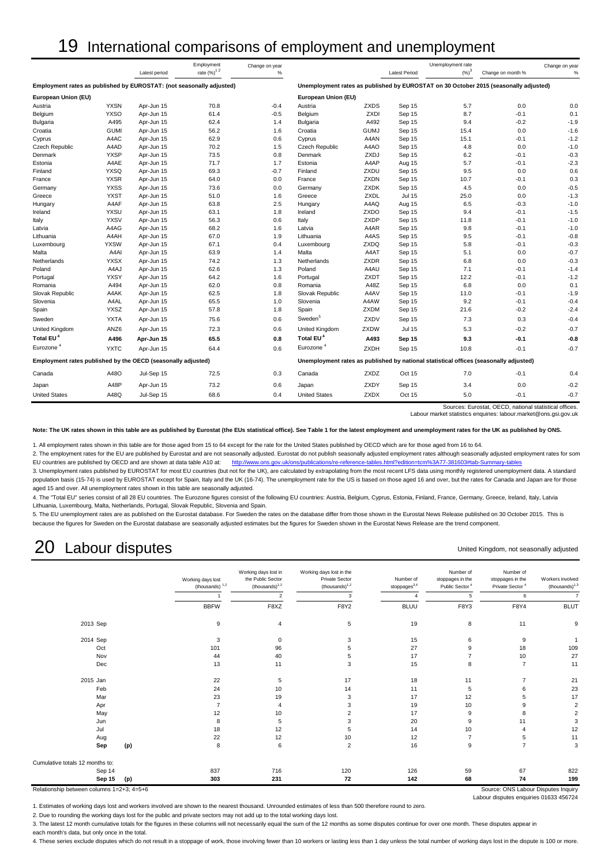# 19 International comparisons of employment and unemployment

|                                                                      |             |               | Employment                 | Change on year |                       |             |                      | Unemployment rate |                                                                                       | Change on year |
|----------------------------------------------------------------------|-------------|---------------|----------------------------|----------------|-----------------------|-------------|----------------------|-------------------|---------------------------------------------------------------------------------------|----------------|
|                                                                      |             | Latest period | rate $(\%)^1$ <sup>2</sup> | $\%$           |                       |             | <b>Latest Period</b> | $(\%)^3$          | Change on month %                                                                     | %              |
| Employment rates as published by EUROSTAT: (not seasonally adjusted) |             |               |                            |                |                       |             |                      |                   | Unemployment rates as published by EUROSTAT on 30 October 2015 (seasonally adjusted)  |                |
| European Union (EU)                                                  |             |               |                            |                | European Union (EU)   |             |                      |                   |                                                                                       |                |
| Austria                                                              | <b>YXSN</b> | Apr-Jun 15    | 70.8                       | $-0.4$         | Austria               | <b>ZXDS</b> | Sep 15               | 5.7               | 0.0                                                                                   | 0.0            |
| Belgium                                                              | <b>YXSO</b> | Apr-Jun 15    | 61.4                       | $-0.5$         | Belgium               | <b>ZXDI</b> | Sep 15               | 8.7               | $-0.1$                                                                                | 0.1            |
| Bulgaria                                                             | A495        | Apr-Jun 15    | 62.4                       | 1.4            | Bulgaria              | A492        | Sep 15               | 9.4               | $-0.2$                                                                                | $-1.9$         |
| Croatia                                                              | <b>GUMI</b> | Apr-Jun 15    | 56.2                       | 1.6            | Croatia               | <b>GUMJ</b> | Sep 15               | 15.4              | 0.0                                                                                   | $-1.6$         |
| Cyprus                                                               | A4AC        | Apr-Jun 15    | 62.9                       | 0.6            | Cyprus                | A4AN        | Sep 15               | 15.1              | $-0.1$                                                                                | $-1.2$         |
| <b>Czech Republic</b>                                                | A4AD        | Apr-Jun 15    | 70.2                       | 1.5            | Czech Republic        | A4AO        | Sep 15               | 4.8               | 0.0                                                                                   | $-1.0$         |
| Denmark                                                              | <b>YXSP</b> | Apr-Jun 15    | 73.5                       | 0.8            | Denmark               | ZXDJ        | Sep 15               | 6.2               | $-0.1$                                                                                | $-0.3$         |
| Estonia                                                              | A4AE        | Apr-Jun 15    | 71.7                       | 1.7            | Estonia               | A4AP        | Aug 15               | 5.7               | $-0.1$                                                                                | $-2.3$         |
| Finland                                                              | <b>YXSQ</b> | Apr-Jun 15    | 69.3                       | $-0.7$         | Finland               | ZXDU        | Sep 15               | 9.5               | 0.0                                                                                   | 0.6            |
| France                                                               | <b>YXSR</b> | Apr-Jun 15    | 64.0                       | 0.0            | France                | ZXDN        | Sep 15               | 10.7              | $-0.1$                                                                                | 0.3            |
| Germany                                                              | <b>YXSS</b> | Apr-Jun 15    | 73.6                       | 0.0            | Germany               | <b>ZXDK</b> | Sep 15               | 4.5               | 0.0                                                                                   | $-0.5$         |
| Greece                                                               | <b>YXST</b> | Apr-Jun 15    | 51.0                       | 1.6            | Greece                | ZXDL        | <b>Jul 15</b>        | 25.0              | 0.0                                                                                   | $-1.3$         |
| Hungary                                                              | A4AF        | Apr-Jun 15    | 63.8                       | 2.5            | Hungary               | A4AQ        | Aug 15               | 6.5               | $-0.3$                                                                                | $-1.0$         |
| Ireland                                                              | <b>YXSU</b> | Apr-Jun 15    | 63.1                       | 1.8            | Ireland               | ZXDO        | Sep 15               | 9.4               | $-0.1$                                                                                | $-1.5$         |
| Italy                                                                | <b>YXSV</b> | Apr-Jun 15    | 56.3                       | 0.6            | Italy                 | <b>ZXDP</b> | Sep 15               | 11.8              | $-0.1$                                                                                | $-1.0$         |
| Latvia                                                               | A4AG        | Apr-Jun 15    | 68.2                       | 1.6            | Latvia                | A4AR        | Sep 15               | 9.8               | $-0.1$                                                                                | $-1.0$         |
| Lithuania                                                            | A4AH        | Apr-Jun 15    | 67.0                       | 1.9            | Lithuania             | A4AS        | Sep 15               | 9.5               | $-0.1$                                                                                | $-0.8$         |
| Luxembourg                                                           | <b>YXSW</b> | Apr-Jun 15    | 67.1                       | 0.4            | Luxembourg            | ZXDQ        | Sep 15               | 5.8               | $-0.1$                                                                                | $-0.3$         |
| Malta                                                                | A4AI        | Apr-Jun 15    | 63.9                       | 1.4            | Malta                 | A4AT        | Sep 15               | 5.1               | 0.0                                                                                   | $-0.7$         |
| Netherlands                                                          | <b>YXSX</b> | Apr-Jun 15    | 74.2                       | 1.3            | <b>Netherlands</b>    | <b>ZXDR</b> | Sep 15               | 6.8               | 0.0                                                                                   | $-0.3$         |
| Poland                                                               | A4AJ        | Apr-Jun 15    | 62.6                       | 1.3            | Poland                | A4AU        | Sep 15               | 7.1               | $-0.1$                                                                                | $-1.4$         |
| Portugal                                                             | YXSY        | Apr-Jun 15    | 64.2                       | 1.6            | Portugal              | <b>ZXDT</b> | Sep 15               | 12.2              | $-0.1$                                                                                | $-1.2$         |
| Romania                                                              | A494        | Apr-Jun 15    | 62.0                       | 0.8            | Romania               | A48Z        | Sep 15               | 6.8               | 0.0                                                                                   | 0.1            |
| Slovak Republic                                                      | A4AK        | Apr-Jun 15    | 62.5                       | 1.8            | Slovak Republic       | A4AV        | Sep 15               | 11.0              | $-0.1$                                                                                | $-1.9$         |
| Slovenia                                                             | A4AL        | Apr-Jun 15    | 65.5                       | 1.0            | Slovenia              | A4AW        | Sep 15               | 9.2               | $-0.1$                                                                                | $-0.4$         |
| Spain                                                                | <b>YXSZ</b> | Apr-Jun 15    | 57.8                       | 1.8            | Spain                 | <b>ZXDM</b> | Sep 15               | 21.6              | $-0.2$                                                                                | $-2.4$         |
| Sweden                                                               | <b>YXTA</b> | Apr-Jun 15    | 75.6                       | 0.6            | Sweden <sup>5</sup>   | ZXDV        | Sep 15               | 7.3               | 0.3                                                                                   | $-0.4$         |
| <b>United Kingdom</b>                                                | ANZ6        | Apr-Jun 15    | 72.3                       | 0.6            | United Kingdom        | ZXDW        | <b>Jul 15</b>        | 5.3               | $-0.2$                                                                                | $-0.7$         |
| Total EU <sup>4</sup>                                                | A496        | Apr-Jun 15    | 65.5                       | 0.8            | Total EU <sup>4</sup> | A493        | Sep 15               | 9.3               | $-0.1$                                                                                | $-0.8$         |
| Eurozone <sup>4</sup>                                                | <b>YXTC</b> | Apr-Jun 15    | 64.4                       | 0.6            | Eurozone <sup>4</sup> | <b>ZXDH</b> | Sep 15               | 10.8              | $-0.1$                                                                                | $-0.7$         |
| Employment rates published by the OECD (seasonally adjusted)         |             |               |                            |                |                       |             |                      |                   | Unemployment rates as published by national statistical offices (seasonally adjusted) |                |
| Canada                                                               | A48O        | Jul-Sep 15    | 72.5                       | 0.3            | Canada                | ZXDZ        | Oct 15               | 7.0               | $-0.1$                                                                                | 0.4            |
| Japan                                                                | A48P        | Apr-Jun 15    | 73.2                       | 0.6            | Japan                 | ZXDY        | Sep 15               | 3.4               | 0.0                                                                                   | $-0.2$         |
| <b>United States</b>                                                 | A48Q        | Jul-Sep 15    | 68.6                       | 0.4            | <b>United States</b>  | <b>ZXDX</b> | Oct 15               | 5.0               | $-0.1$                                                                                | $-0.7$         |

Sources: Eurostat, OECD, national statistical offices. Labour market statistics enquiries: labour.market@ons.gsi.gov.uk

**Note: The UK rates shown in this table are as published by Eurostat (the EUs statistical office). See Table 1 for the latest employment and unemployment rates for the UK as published by ONS.**

1. All employment rates shown in this table are for those aged from 15 to 64 except for the rate for the United States published by OECD which are for those aged from 16 to 64.

2. The employment rates for the EU are published by Eurostat and are not seasonally adjusted. Eurostat do not publish seasonally adjusted employment rates although seasonally adjusted employment rates for som EU countries are published by OECD and are shown at data table A10 at: <http://www.ons.gov.uk/ons/publications/re-reference-tables.html?edition=tcm%3A77-381603#tab-Summary-tables>

3. Unemployment rates published by EUROSTAT for most EU countries (but not for the UK), are calculated by extrapolating from the most recent LFS data using monthly registered unemployment data. A standard population basis (15-74) is used by EUROSTAT except for Spain, Italy and the UK (16-74). The unemployment rate for the US is based on those aged 16 and over, but the rates for Canada and Japan are for those aged 15 and over. All unemployment rates shown in this table are seasonally adjusted.

4. The "Total EU" series consist of all 28 EU countries. The Eurozone figures consist of the following EU countries: Austria, Belgium, Cyprus, Estonia, Finland, France, Germany, Greece, Ireland, Italy, Latvia Lithuania, Luxembourg, Malta, Netherlands, Portugal, Slovak Republic, Slovenia and Spain.

5. The EU unemployment rates are as published on the Eurostat database. For Sweden the rates on the database differ from those shown in the Eurostat News Release published on 30 October 2015. This is because the figures for Sweden on the Eurostat database are seasonally adjusted estimates but the figures for Sweden shown in the Eurostat News Release are the trend component.

# 20 Labour disputes

#### United Kingdom, not seasonally adjusted

Labour disputes enquiries 01633 456724

| Workers involved<br>$-thousands)$ <sup>1,3</sup> | Number of<br>stoppages in the<br>Private Sector <sup>4</sup> | Number of<br>stoppages in the<br>Public Sector <sup>4</sup> | Number of<br>$stoppages^{3,4}$ | Working days lost in the<br><b>Private Sector</b><br>$-thousands)^{1,2}$ | Working days lost in<br>the Public Sector<br>$(housands)^{1,2}$ | Working days lost<br>(thousands) $1,2$ |                                 |
|--------------------------------------------------|--------------------------------------------------------------|-------------------------------------------------------------|--------------------------------|--------------------------------------------------------------------------|-----------------------------------------------------------------|----------------------------------------|---------------------------------|
| $\overline{7}$                                   | 6                                                            | 5                                                           |                                | 3                                                                        | $\overline{2}$                                                  |                                        |                                 |
| <b>BLUT</b>                                      | F8Y4                                                         | F8Y3                                                        | <b>BLUU</b>                    | F8Y2                                                                     | F8XZ                                                            | <b>BBFW</b>                            |                                 |
| 9                                                | 11                                                           | 8                                                           | 19                             | 5                                                                        | 4                                                               | 9                                      | 2013 Sep                        |
| $\overline{1}$                                   | 9                                                            | 6                                                           | 15                             | 3                                                                        | $\mathsf 0$                                                     | 3                                      | 2014 Sep                        |
| 109                                              | 18                                                           | 9                                                           | 27                             |                                                                          | 96                                                              | 101                                    | Oct                             |
| 27                                               | 10                                                           |                                                             | 17                             |                                                                          | 40                                                              | 44                                     | Nov                             |
| 11                                               | $\overline{7}$                                               | 8                                                           | 15                             | 3                                                                        | 11                                                              | 13                                     | Dec                             |
| 21                                               | $\overline{7}$                                               | 11                                                          | 18                             | 17                                                                       | 5                                                               | 22                                     | 2015 Jan                        |
| 23                                               | 6                                                            | 5                                                           | 11                             | 14                                                                       | 10                                                              | 24                                     | Feb                             |
| 17                                               | 5                                                            | 12                                                          | 17                             | 3                                                                        | 19                                                              | 23                                     | Mar                             |
| $\overline{2}$                                   | 9                                                            | 10                                                          | 19                             | 3                                                                        |                                                                 | $\overline{7}$                         | Apr                             |
| $\overline{2}$                                   | 8                                                            | 9                                                           | 17                             |                                                                          | 10                                                              | 12                                     | May                             |
| 3                                                | 11                                                           | 9                                                           | 20                             | 3                                                                        | 5                                                               | 8                                      | Jun                             |
| 12                                               |                                                              | 10                                                          | 14                             |                                                                          | 12                                                              | 18                                     | Jul                             |
| 11                                               | 5                                                            | $\overline{7}$                                              | 12                             | 10                                                                       | 12                                                              | 22                                     | Aug                             |
| 3                                                | $\overline{7}$                                               | 9                                                           | 16                             | $\overline{2}$                                                           | 6                                                               | 8                                      | (p)<br>Sep                      |
|                                                  |                                                              |                                                             |                                |                                                                          |                                                                 |                                        | Cumulative totals 12 months to: |
| 822                                              | 67                                                           | 59                                                          | 126                            | 120                                                                      | 716                                                             | 837                                    | Sep 14                          |
| 199                                              | 74                                                           | 68                                                          | 142                            | 72                                                                       | 231                                                             | 303                                    | Sep 15<br>(p)                   |

1. Estimates of working days lost and workers involved are shown to the nearest thousand. Unrounded estimates of less than 500 therefore round to zero.

2. Due to rounding the working days lost for the public and private sectors may not add up to the total working days lost.

3. The latest 12 month cumulative totals for the figures in these columns will not necessarily equal the sum of the 12 months as some disputes continue for over one month. These disputes appear in

each month's data, but only once in the total.

4. These series exclude disputes which do not result in a stoppage of work, those involving fewer than 10 workers or lasting less than 1 day unless the total number of working days lost in the dispute is 100 or more.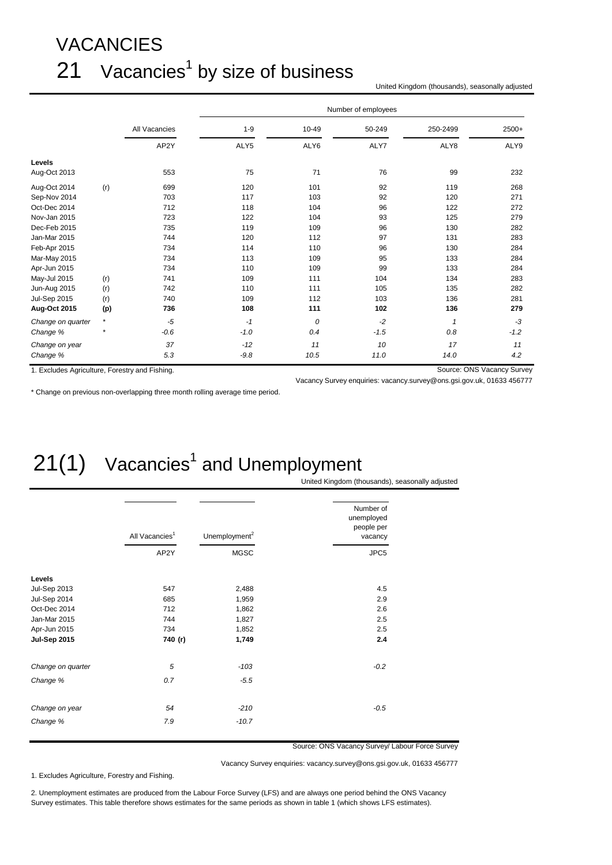# VACANCIES  $21$  Vacancies<sup>1</sup> by size of business

United Kingdom (thousands), seasonally adjusted

|                                                |         |               |         |       | Number of employees |          |                            |
|------------------------------------------------|---------|---------------|---------|-------|---------------------|----------|----------------------------|
|                                                |         | All Vacancies | $1 - 9$ | 10-49 | 50-249              | 250-2499 | $2500+$                    |
|                                                |         | AP2Y          | ALY5    | ALY6  | ALY7                | ALY8     | ALY9                       |
| Levels                                         |         |               |         |       |                     |          |                            |
| Aug-Oct 2013                                   |         | 553           | 75      | 71    | 76                  | 99       | 232                        |
| Aug-Oct 2014                                   | (r)     | 699           | 120     | 101   | 92                  | 119      | 268                        |
| Sep-Nov 2014                                   |         | 703           | 117     | 103   | 92                  | 120      | 271                        |
| Oct-Dec 2014                                   |         | 712           | 118     | 104   | 96                  | 122      | 272                        |
| Nov-Jan 2015                                   |         | 723           | 122     | 104   | 93                  | 125      | 279                        |
| Dec-Feb 2015                                   |         | 735           | 119     | 109   | 96                  | 130      | 282                        |
| Jan-Mar 2015                                   |         | 744           | 120     | 112   | 97                  | 131      | 283                        |
| Feb-Apr 2015                                   |         | 734           | 114     | 110   | 96                  | 130      | 284                        |
| Mar-May 2015                                   |         | 734           | 113     | 109   | 95                  | 133      | 284                        |
| Apr-Jun 2015                                   |         | 734           | 110     | 109   | 99                  | 133      | 284                        |
| May-Jul 2015                                   | (r)     | 741           | 109     | 111   | 104                 | 134      | 283                        |
| Jun-Aug 2015                                   | (r)     | 742           | 110     | 111   | 105                 | 135      | 282                        |
| <b>Jul-Sep 2015</b>                            | (r)     | 740           | 109     | 112   | 103                 | 136      | 281                        |
| Aug-Oct 2015                                   | (p)     | 736           | 108     | 111   | 102                 | 136      | 279                        |
| Change on quarter                              | $\star$ | $-5$          | $-1$    | 0     | $-2$                | 1        | -3                         |
| Change %                                       |         | $-0.6$        | $-1.0$  | 0.4   | $-1.5$              | 0.8      | $-1.2$                     |
| Change on year                                 |         | 37            | $-12$   | 11    | 10                  | 17       | 11                         |
| Change %                                       |         | 5.3           | $-9.8$  | 10.5  | 11.0                | 14.0     | 4.2                        |
| 1. Excludes Agriculture, Forestry and Fishing. |         |               |         |       |                     |          | Source: ONS Vacancy Survey |

\* Change on previous non-overlapping three month rolling average time period.

#### Vacancy Survey enquiries: vacancy.survey@ons.gsi.gov.uk, 01633 456777

# $21(1)$  Vacancies<sup>1</sup> and Unemployment

United Kingdom (thousands), seasonally adjusted

|                     | All Vacancies <sup>1</sup><br>AP2Y | Unemployment <sup>2</sup> | Number of<br>unemployed<br>people per<br>vacancy |  |  |
|---------------------|------------------------------------|---------------------------|--------------------------------------------------|--|--|
|                     |                                    | <b>MGSC</b>               | JPC5                                             |  |  |
| Levels              |                                    |                           |                                                  |  |  |
| <b>Jul-Sep 2013</b> | 547                                | 2,488                     | 4.5                                              |  |  |
| Jul-Sep 2014        | 685                                | 1,959                     | 2.9                                              |  |  |
| Oct-Dec 2014        | 712                                | 1,862                     | 2.6                                              |  |  |
| Jan-Mar 2015        | 744                                | 1,827                     | 2.5                                              |  |  |
| Apr-Jun 2015        | 734                                | 1,852                     | 2.5                                              |  |  |
| <b>Jul-Sep 2015</b> | 740 (r)                            | 1,749                     | 2.4                                              |  |  |
| Change on quarter   | 5                                  | $-103$                    | $-0.2$                                           |  |  |
| Change %            | 0.7                                | $-5.5$                    |                                                  |  |  |
| Change on year      | 54                                 | $-210$                    | $-0.5$                                           |  |  |
| Change %            | 7.9                                | $-10.7$                   |                                                  |  |  |

Source: ONS Vacancy Survey/ Labour Force Survey

Vacancy Survey enquiries: vacancy.survey@ons.gsi.gov.uk, 01633 456777

1. Excludes Agriculture, Forestry and Fishing.

2. Unemployment estimates are produced from the Labour Force Survey (LFS) and are always one period behind the ONS Vacancy Survey estimates. This table therefore shows estimates for the same periods as shown in table 1 (which shows LFS estimates).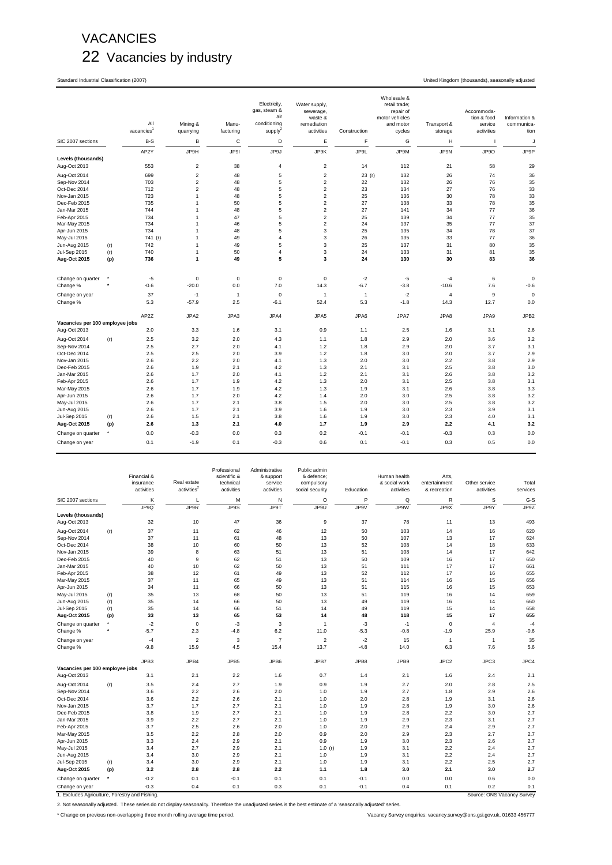# VACANCIES 22 Vacancies by industry

Standard Industrial Classification (2007) United Kingdom (thousands), seasonally adjusted

|                                    |     | All<br>vacancies | Mining &<br>quarrying   | Manu-<br>facturing | Electricity,<br>gas, steam &<br>air<br>conditioning<br>supply $^{2}$ | Water supply,<br>sewerage,<br>waste &<br>remediation<br>activities | Construction   | Wholesale &<br>retail trade;<br>repair of<br>motor vehicles<br>and motor<br>cycles | Transport &<br>storage | Accommoda-<br>tion & food<br>service<br>activities | Information &<br>communica-<br>tion |
|------------------------------------|-----|------------------|-------------------------|--------------------|----------------------------------------------------------------------|--------------------------------------------------------------------|----------------|------------------------------------------------------------------------------------|------------------------|----------------------------------------------------|-------------------------------------|
| SIC 2007 sections                  |     | B-S              | B                       | $\mathsf C$        | D                                                                    | Ε                                                                  | F              | G                                                                                  | н                      | $\mathbf{I}$                                       | J                                   |
|                                    |     | AP2Y             | JP9H                    | JP9I               | JP9J                                                                 | JP9K                                                               | JP9L           | JP9M                                                                               | JP9N                   | JP9O                                               | JP9P                                |
| Levels (thousands)<br>Aug-Oct 2013 |     | 553              | $\overline{\mathbf{c}}$ | 38                 | $\overline{4}$                                                       | $\overline{2}$                                                     | 14             | 112                                                                                | 21                     | 58                                                 | 29                                  |
| Aug-Oct 2014                       |     | 699              | $\boldsymbol{2}$        | 48                 | 5                                                                    | $\overline{2}$                                                     | 23(r)          | 132                                                                                | 26                     | 74                                                 | 36                                  |
| Sep-Nov 2014                       |     | 703              | $\overline{c}$          | 48                 | 5                                                                    | $\overline{2}$                                                     | 22             | 132                                                                                | 26                     | 76                                                 | 35                                  |
| Oct-Dec 2014                       |     | 712              | $\overline{c}$          | 48                 | $\overline{5}$                                                       | $\overline{2}$                                                     | 23             | 134                                                                                | 27                     | 76                                                 | 33                                  |
| Nov-Jan 2015                       |     | 723              | $\mathbf{1}$            | 48                 | 5                                                                    | $\overline{c}$                                                     | 25             | 136                                                                                | 30                     | 78                                                 | 33                                  |
| Dec-Feb 2015                       |     | 735              | $\mathbf{1}$            | 50                 | $\overline{5}$                                                       | $\overline{2}$                                                     | 27             | 138                                                                                | 33                     | 78                                                 | 35                                  |
| Jan-Mar 2015                       |     | 744              | $\mathbf{1}$            | 48                 | 5                                                                    | $\overline{2}$                                                     | 27             | 141                                                                                | 34                     | 77                                                 | 36                                  |
| Feb-Apr 2015                       |     | 734              | $\mathbf{1}$            | 47                 | 5                                                                    | 2                                                                  | 25             | 139                                                                                | 34                     | 77                                                 | 35                                  |
| Mar-May 2015                       |     | 734              | $\mathbf{1}$            | 46                 | 5                                                                    | $\mathbf 2$                                                        | 24             | 137                                                                                | 35                     | 77                                                 | 37                                  |
| Apr-Jun 2015                       |     | 734              | $\mathbf{1}$            | 48                 | 5                                                                    | $\mathsf 3$                                                        | 25             | 135                                                                                | 34                     | 78                                                 | 37                                  |
| May-Jul 2015                       |     | 741 (r)          | $\mathbf{1}$            | 49                 | $\overline{4}$                                                       | 3                                                                  | 26             | 135                                                                                | 33                     | 77                                                 | 36                                  |
| Jun-Aug 2015                       | (r) | 742              | $\mathbf{1}$            | 49                 | 5                                                                    | 3                                                                  | 25             | 137                                                                                | 31                     | 80                                                 | 35                                  |
| Jul-Sep 2015                       | (r) | 740              | $\mathbf{1}$            | 50                 | $\sqrt{4}$                                                           | 3                                                                  | 24             | 133                                                                                | 31                     | 81                                                 | 35                                  |
| Aug-Oct 2015                       | (p) | 736              | 1                       | 49                 | 5                                                                    | 3                                                                  | 24             | 130                                                                                | 30                     | 83                                                 | 36                                  |
|                                    |     |                  |                         |                    |                                                                      |                                                                    |                |                                                                                    |                        |                                                    |                                     |
| Change on quarter                  |     | $-5$             | $\mathbf 0$             | $\pmb{0}$          | $\mathbf 0$                                                          | $\mathbf 0$                                                        | $-2$           | $-5$                                                                               | $-4$                   | 6                                                  | $\mathbf 0$                         |
| Change %                           |     | $-0.6$           | $-20.0$                 | 0.0                | 7.0                                                                  | 14.3                                                               | $-6.7$         | $-3.8$                                                                             | $-10.6$                | 7.6                                                | $-0.6$                              |
| Change on year                     |     | 37               | $-1$                    | $\mathbf{1}$       | $\mathbf 0$                                                          | $\mathbf{1}$                                                       | $\overline{1}$ | $-2$                                                                               | $\overline{4}$         | $\overline{9}$                                     | $\mathbf 0$                         |
| Change %                           |     | 5.3              | $-57.9$                 | 2.5                | $-6.1$                                                               | 52.4                                                               | 5.3            | $-1.8$                                                                             | 14.3                   | 12.7                                               | 0.0                                 |
|                                    |     |                  |                         |                    |                                                                      |                                                                    |                |                                                                                    |                        |                                                    |                                     |
|                                    |     | AP2Z             | JPA2                    | JPA3               | JPA4                                                                 | JPA5                                                               | JPA6           | JPA7                                                                               | JPA8                   | JPA9                                               | JPB <sub>2</sub>                    |
| Vacancies per 100 employee jobs    |     |                  |                         |                    |                                                                      |                                                                    |                |                                                                                    |                        |                                                    |                                     |
| Aug-Oct 2013                       |     | 2.0              | 3.3                     | 1.6                | 3.1                                                                  | 0.9                                                                | 1.1            | 2.5                                                                                | 1.6                    | 3.1                                                | 2.6                                 |
| Aug-Oct 2014                       | (r) | 2.5              | 3.2                     | 2.0                | 4.3                                                                  | 1.1                                                                | 1.8            | 2.9                                                                                | 2.0                    | 3.6                                                | 3.2                                 |
| Sep-Nov 2014                       |     | 2.5              | 2.7                     | 2.0                | 4.1                                                                  | 1.2                                                                | 1.8            | 2.9                                                                                | 2.0                    | 3.7                                                | 3.1                                 |
| Oct-Dec 2014                       |     | 2.5              | 2.5                     | 2.0                | 3.9                                                                  | 1.2                                                                | 1.8            | 3.0                                                                                | 2.0                    | 3.7                                                | 2.9                                 |
| Nov-Jan 2015                       |     | 2.6              | 2.2                     | 2.0                | 4.1                                                                  | 1.3                                                                | 2.0            | 3.0                                                                                | 2.2                    | 3.8                                                | 2.9                                 |
| Dec-Feb 2015                       |     | 2.6              | 1.9                     | 2.1                | 4.2                                                                  | 1.3                                                                | 2.1            | 3.1                                                                                | 2.5                    | 3.8                                                | 3.0                                 |
| Jan-Mar 2015                       |     | 2.6              | 1.7                     | 2.0                | 4.1                                                                  | 1.2                                                                | 2.1            | 3.1                                                                                | 2.6                    | 3.8                                                | 3.2                                 |
| Feb-Apr 2015                       |     | 2.6              | 1.7                     | 1.9                | 4.2                                                                  | 1.3                                                                | 2.0            | 3.1                                                                                | 2.5                    | 3.8                                                | 3.1                                 |
| Mar-May 2015                       |     | 2.6              | 1.7                     | 1.9                | 4.2                                                                  | 1.3                                                                | 1.9            | 3.1                                                                                | 2.6                    | 3.8                                                | 3.3                                 |
| Apr-Jun 2015                       |     | 2.6              | 1.7                     | 2.0                | 4.2                                                                  | 1.4                                                                | 2.0            | 3.0                                                                                | 2.5                    | 3.8                                                | 3.2                                 |
| May-Jul 2015                       |     | 2.6              | 1.7                     | 2.1                | 3.8                                                                  | 1.5                                                                | 2.0            | 3.0                                                                                | 2.5                    | 3.8                                                | 3.2                                 |
| Jun-Aug 2015                       |     | 2.6              | 1.7                     | 2.1                | 3.9                                                                  | 1.6                                                                | 1.9            | 3.0                                                                                | 2.3                    | 3.9                                                | 3.1                                 |
| <b>Jul-Sep 2015</b>                | (r) | 2.6              | 1.5                     | 2.1                | 3.8                                                                  | 1.6                                                                | 1.9            | 3.0                                                                                | 2.3                    | 4.0                                                | 3.1                                 |
| Aug-Oct 2015                       | (p) | 2.6              | 1.3                     | 2.1                | 4.0                                                                  | 1.7                                                                | 1.9            | 2.9                                                                                | 2.2                    | 4.1                                                | 3.2                                 |
| Change on quarter                  | ٠   | 0.0              | $-0.3$                  | 0.0                | 0.3                                                                  | 0.2                                                                | $-0.1$         | $-0.1$                                                                             | $-0.3$                 | 0.3                                                | 0.0                                 |
| Change on year                     |     | 0.1              | $-1.9$                  | 0.1                | $-0.3$                                                               | 0.6                                                                | 0.1            | $-0.1$                                                                             | 0.3                    | 0.5                                                | 0.0                                 |
|                                    |     |                  |                         |                    |                                                                      |                                                                    |                |                                                                                    |                        |                                                    |                                     |

|                                                |          | Financial &             |                                        | Professional<br>scientific & | Administrative<br>& support | Public admin<br>& defence;    |           | Human health                | Arts.                         |                             |                   |
|------------------------------------------------|----------|-------------------------|----------------------------------------|------------------------------|-----------------------------|-------------------------------|-----------|-----------------------------|-------------------------------|-----------------------------|-------------------|
|                                                |          | insurance<br>activities | Real estate<br>activities <sup>2</sup> | technical<br>activities      | service<br>activities       | compulsory<br>social security | Education | & social work<br>activities | entertainment<br>& recreation | Other service<br>activities | Total<br>services |
| SIC 2007 sections                              |          | Κ                       | L                                      | M                            | N                           | O                             | P         | Q                           | $\mathsf R$                   | S                           | G-S               |
|                                                |          | JP9Q                    | JP9R                                   | JP9S                         | <b>JP9T</b>                 | JP9U                          | JP9V      | JP9W                        | JP9X                          | JP9Y                        | JP9Z              |
| Levels (thousands)                             |          |                         |                                        |                              |                             |                               |           |                             |                               |                             |                   |
| Aug-Oct 2013                                   |          | 32                      | 10                                     | 47                           | 36                          | 9                             | 37        | 78                          | 11                            | 13                          | 493               |
| Aug-Oct 2014                                   | (r)      | 37                      | 11                                     | 62                           | 46                          | 12                            | 50        | 103                         | 14                            | 16                          | 620               |
| Sep-Nov 2014                                   |          | 37                      | 11                                     | 61                           | 48                          | 13                            | 50        | 107                         | 13                            | 17                          | 624               |
| Oct-Dec 2014                                   |          | 38                      | 10                                     | 60                           | 50                          | 13                            | 52        | 108                         | 14                            | 18                          | 633               |
| Nov-Jan 2015                                   |          | 39                      | 8                                      | 63                           | 51                          | 13                            | 51        | 108                         | 14                            | 17                          | 642               |
| Dec-Feb 2015                                   |          | 40                      | 9                                      | 62                           | 51                          | 13                            | 50        | 109                         | 16                            | 17                          | 650               |
| Jan-Mar 2015                                   |          | 40                      | 10                                     | 62                           | 50                          | 13                            | 51        | 111                         | 17                            | 17                          | 661               |
| Feb-Apr 2015                                   |          | 38                      | 12                                     | 61                           | 49                          | 13                            | 52        | 112                         | 17                            | 16                          | 655               |
| Mar-May 2015                                   |          | 37                      | 11                                     | 65                           | 49                          | 13                            | 51        | 114                         | 16                            | 15                          | 656               |
| Apr-Jun 2015                                   |          | 34                      | 11                                     | 66                           | 50                          | 13                            | 51        | 115                         | 16                            | 15                          | 653               |
| May-Jul 2015                                   | (r)      | 35                      | 13                                     | 68                           | 50                          | 13                            | 51        | 119                         | 16                            | 14                          | 659               |
| Jun-Aug 2015                                   | (r)      | 35                      | 14                                     | 66                           | 50                          | 13                            | 49        | 119                         | 16                            | 14                          | 660               |
| Jul-Sep 2015                                   | (r)      | 35                      | 14                                     | 66                           | 51                          | 14                            | 49        | 119                         | 15                            | 14                          | 658               |
| Aug-Oct 2015                                   | (p)      | 33                      | 13                                     | 65                           | 53                          | 14                            | 48        | 118                         | 15                            | 17                          | 655               |
| Change on quarter                              | ٠        | $-2$                    | $\mathbf 0$                            | $-3$                         | 3                           | $\overline{1}$                | $-3$      | $-1$                        | $\mathbf 0$                   | $\overline{4}$              | $-4$              |
| Change %                                       | $\star$  | $-5.7$                  | 2.3                                    | $-4.8$                       | 6.2                         | 11.0                          | $-5.3$    | $-0.8$                      | $-1.9$                        | 25.9                        | $-0.6$            |
| Change on year                                 |          | $-4$                    | $\overline{\mathbf{c}}$                | 3                            | $\overline{7}$              | $\overline{c}$                | $-2$      | 15                          | $\mathbf{1}$                  | $\mathbf{1}$                | 35                |
| Change %                                       |          | $-9.8$                  | 15.9                                   | 4.5                          | 15.4                        | 13.7                          | $-4.8$    | 14.0                        | 6.3                           | 7.6                         | 5.6               |
|                                                |          | JPB3                    | JPB4                                   | JPB <sub>5</sub>             | JPB6                        | JPB7                          | JPB8      | JPB9                        | JPC <sub>2</sub>              | JPC3                        | JPC4              |
| Vacancies per 100 employee jobs                |          |                         |                                        |                              |                             |                               |           |                             |                               |                             |                   |
| Aug-Oct 2013                                   |          | 3.1                     | 2.1                                    | 2.2                          | 1.6                         | 0.7                           | 1.4       | 2.1                         | 1.6                           | 2.4                         | 2.1               |
| Aug-Oct 2014                                   | (r)      | 3.5                     | 2.4                                    | 2.7                          | 1.9                         | 0.9                           | 1.9       | 2.7                         | 2.0                           | 2.8                         | 2.5               |
| Sep-Nov 2014                                   |          | 3.6                     | 2.2                                    | 2.6                          | 2.0                         | 1.0                           | 1.9       | 2.7                         | 1.8                           | 2.9                         | 2.6               |
| Oct-Dec 2014                                   |          | 3.6                     | 2.2                                    | 2.6                          | 2.1                         | 1.0                           | 2.0       | 2.8                         | 1.9                           | 3.1                         | 2.6               |
| Nov-Jan 2015                                   |          | 3.7                     | 1.7                                    | 2.7                          | 2.1                         | 1.0                           | 1.9       | 2.8                         | 1.9                           | 3.0                         | 2.6               |
| Dec-Feb 2015                                   |          | 3.8                     | 1.9                                    | 2.7                          | 2.1                         | 1.0                           | 1.9       | 2.8                         | 2.2                           | 3.0                         | 2.7               |
| Jan-Mar 2015                                   |          | 3.9                     | 2.2                                    | 2.7                          | 2.1                         | 1.0                           | 1.9       | 2.9                         | 2.3                           | 3.1                         | 2.7               |
| Feb-Apr 2015                                   |          | 3.7                     | 2.5                                    | 2.6                          | 2.0                         | 1.0                           | 2.0       | 2.9                         | 2.4                           | 2.9                         | 2.7               |
| Mar-May 2015                                   |          | 3.5                     | 2.2                                    | 2.8                          | 2.0                         | 0.9                           | 2.0       | 2.9                         | 2.3                           | 2.7                         | 2.7               |
| Apr-Jun 2015                                   |          | 3.3                     | 2.4                                    | 2.9                          | 2.1                         | 0.9                           | 1.9       | 3.0                         | 2.3                           | 2.6                         | 2.7               |
| May-Jul 2015                                   |          | 3.4                     | 2.7                                    | 2.9                          | 2.1                         | 1.0(r)                        | 1.9       | 3.1                         | 2.2                           | 2.4                         | 2.7               |
| Jun-Aug 2015                                   |          | 3.4                     | 3.0                                    | 2.9                          | 2.1                         | 1.0                           | 1.9       | 3.1                         | 2.2                           | 2.4                         | 2.7               |
| Jul-Sep 2015                                   | (r)      | 3.4                     | 3.0                                    | 2.9                          | 2.1                         | 1.0                           | 1.9       | 3.1                         | 2.2                           | 2.5                         | 2.7               |
| Aug-Oct 2015                                   | (p)      | 3.2                     | 2.8                                    | 2.8                          | 2.2                         | 1.1                           | 1.8       | 3.0                         | 2.1                           | 3.0                         | 2.7               |
| Change on quarter                              | $^\star$ | $-0.2$                  | 0.1                                    | $-0.1$                       | 0.1                         | 0.1                           | $-0.1$    | 0.0                         | 0.0                           | 0.6                         | 0.0               |
| Change on year                                 |          | $-0.3$                  | 0.4                                    | 0.1                          | 0.3                         | 0.1                           | $-0.1$    | 0.4                         | 0.1                           | 0.2                         | 0.1               |
| 1. Excludes Agriculture, Forestry and Fishing. |          |                         |                                        |                              |                             |                               |           |                             |                               | Source: ONS Vacancy Survey  |                   |

2. Not seasonally adjusted. These series do not display seasonality. Therefore the unadjusted series is the best estimate of a 'seasonally adjusted' series.

\* Change on previous non-overlapping three month rolling average time period. Vacancy Survey enquiries: vacancy.survey@ons.gsi.gov.uk, 01633 456777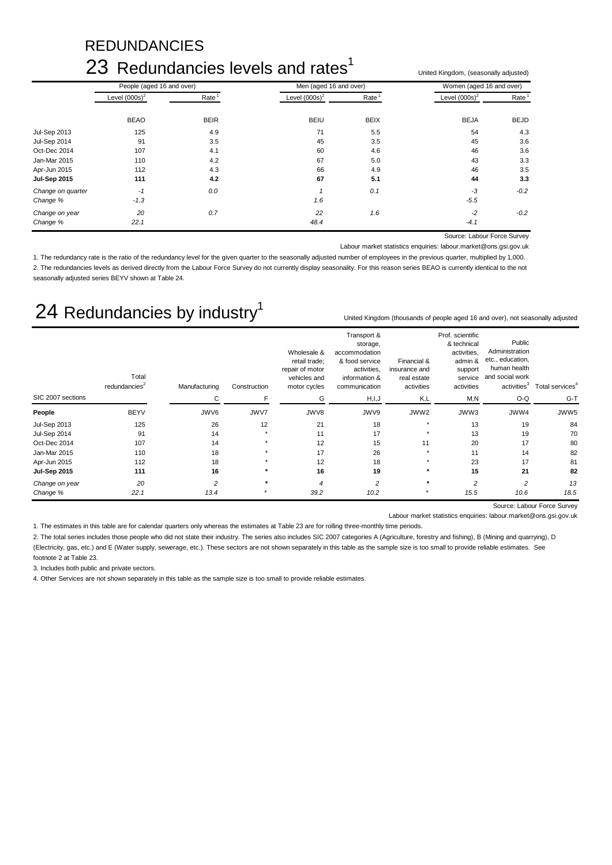# **REDUNDANCIES**

# 23 Redundancies levels and rates<sup>1</sup>

Level (000s)<sup>2</sup> Rate <sup>1</sup> Level (000s)<sup>2</sup> Rate <sup>1</sup> Level (000s)<sup>2</sup> Rate <sup>1</sup> BEAO BEIR BEIU BEIX BEJA BEJD Jul-Sep 2013 125 4.9 71 5.5 54 4.3 Jul-Sep 2014 91 3.5 45 3.5 45 3.6 Oct-Dec 2014 107 107 4.1 60 4.6 50 4.6 46 3.6 Jan-Mar 2015 110 4.2 67 5.0 43 3.3 Apr-Jun 2015 112 4.3 66 4.9 46 3.5 **Jul-Sep 2015 111 4.2 67 5.1 44 3.3** *Change on quarter -1 0.0 1 0.1 -3 -0.2 Change % -1.3 1.6 -5.5 Change on year 20 0.7 22 1.6 -2 -0.2 Change % 22.1 48.4 -4.1* People (aged 16 and over) Men (aged 16 and over) Men (aged 16 and over) Momen (aged 16 and over)

Source: Labour Force Survey

United Kingdom, (seasonally adjusted)

Labour market statistics enquiries: labour.market@ons.gsi.gov.uk

United Kingdom (thousands of people aged 16 and over), not seasonally adjusted

1. The redundancy rate is the ratio of the redundancy level for the given quarter to the seasonally adjusted number of employees in the previous quarter, multiplied by 1,000. 2. The redundancies levels as derived directly from the Labour Force Survey do not currently display seasonality. For this reason series BEAO is currently identical to the not seasonally adjusted series BEYV shown at Table 24.

# 24 Redundancies by industry<sup>1</sup>

|                     | Total<br>redundancies <sup>2</sup> | Manufacturing  | Construction | Wholesale &<br>retail trade;<br>repair of motor<br>vehicles and<br>motor cycles | Transport &<br>storage,<br>accommodation<br>& food service<br>activities,<br>information &<br>communication | Financial &<br>insurance and<br>real estate<br>activities | Prof. scientific<br>& technical<br>activities,<br>admin &<br>support<br>service<br>activities | Public<br>Administration<br>etc., education,<br>human health<br>and social work<br>activeities <sup>3</sup> | Total services <sup>4</sup> |
|---------------------|------------------------------------|----------------|--------------|---------------------------------------------------------------------------------|-------------------------------------------------------------------------------------------------------------|-----------------------------------------------------------|-----------------------------------------------------------------------------------------------|-------------------------------------------------------------------------------------------------------------|-----------------------------|
| SIC 2007 sections   |                                    | С              | F            | G                                                                               | H, I, J                                                                                                     | K,L                                                       | M,N                                                                                           | O-Q                                                                                                         | $G-T$                       |
| People              | <b>BEYV</b>                        | JWV6           | JWV7         | JWV8                                                                            | JWV9                                                                                                        | JWW2                                                      | JWW3                                                                                          | JWW4                                                                                                        | JWW5                        |
| <b>Jul-Sep 2013</b> | 125                                | 26             | 12           | 21                                                                              | 18                                                                                                          | $\star$                                                   | 13                                                                                            | 19                                                                                                          | 84                          |
| <b>Jul-Sep 2014</b> | 91                                 | 14             | $\star$      | 11                                                                              | 17                                                                                                          | $\star$                                                   | 13                                                                                            | 19                                                                                                          | 70                          |
| Oct-Dec 2014        | 107                                | 14             | $\star$      | 12                                                                              | 15                                                                                                          | 11                                                        | 20                                                                                            | 17                                                                                                          | 80                          |
| Jan-Mar 2015        | 110                                | 18             |              | 17                                                                              | 26                                                                                                          |                                                           | 11                                                                                            | 14                                                                                                          | 82                          |
| Apr-Jun 2015        | 112                                | 18             |              | 12                                                                              | 18                                                                                                          | $\star$                                                   | 23                                                                                            | 17                                                                                                          | 81                          |
| <b>Jul-Sep 2015</b> | 111                                | 16             | $\star$      | 16                                                                              | 19                                                                                                          | $\star$                                                   | 15                                                                                            | 21                                                                                                          | 82                          |
| Change on year      | 20                                 | $\overline{c}$ | $\star$      | $\overline{\bf 4}$                                                              | $\overline{c}$                                                                                              | $\star$                                                   | $\overline{2}$                                                                                | $\overline{c}$                                                                                              | 13                          |
| Change %            | 22.1                               | 13.4           |              | 39.2                                                                            | 10.2                                                                                                        |                                                           | 15.5                                                                                          | 10.6                                                                                                        | 18.5                        |

Source: Labour Force Survey

Labour market statistics enquiries: labour.market@ons.gsi.gov.uk

1. The estimates in this table are for calendar quarters only whereas the estimates at Table 23 are for rolling three-monthly time periods.

2. The total series includes those people who did not state their industry. The series also includes SIC 2007 categories A (Agriculture, forestry and fishing), B (Mining and quarrying), D (Electricity, gas, etc.) and E (Water supply, sewerage, etc.). These sectors are not shown separately in this table as the sample size is too small to provide reliable estimates. See footnote 2 at Table 23.

3. Includes both public and private sectors.

4. Other Services are not shown separately in this table as the sample size is too small to provide reliable estimates.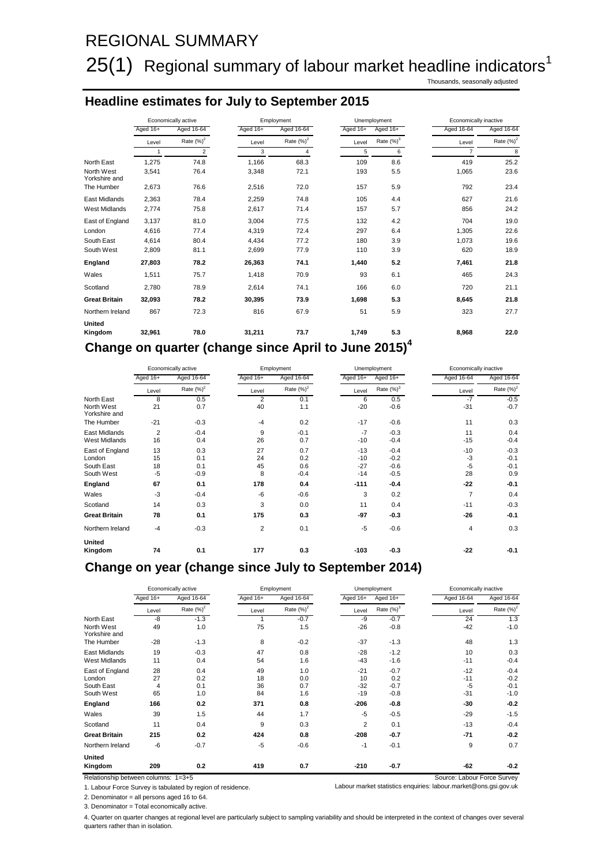# REGIONAL SUMMARY

# $25(1)$  Regional summary of labour market headline indicators<sup>1</sup>

Thousands, seasonally adjusted

## **Headline estimates for July to September 2015**

|                             | Economically active |                | Employment |               |          | Unemployment |                | Economically inactive |  |
|-----------------------------|---------------------|----------------|------------|---------------|----------|--------------|----------------|-----------------------|--|
|                             | Aged 16+            | Aged 16-64     | Aged 16+   | Aged 16-64    | Aged 16+ | Aged 16+     | Aged 16-64     | Aged 16-64            |  |
|                             | Level               | Rate $(\%)^2$  | Level      | Rate $(\%)^2$ | Level    | Rate $(%)^3$ | Level          | Rate $(\%)^2$         |  |
|                             | $\mathbf{1}$        | $\overline{2}$ | 3          | 4             | 5        | 6            | $\overline{7}$ | 8                     |  |
| North East                  | 1,275               | 74.8           | 1,166      | 68.3          | 109      | 8.6          | 419            | 25.2                  |  |
| North West<br>Yorkshire and | 3,541               | 76.4           | 3,348      | 72.1          | 193      | 5.5          | 1,065          | 23.6                  |  |
| The Humber                  | 2,673               | 76.6           | 2,516      | 72.0          | 157      | 5.9          | 792            | 23.4                  |  |
| East Midlands               | 2,363               | 78.4           | 2,259      | 74.8          | 105      | 4.4          | 627            | 21.6                  |  |
| <b>West Midlands</b>        | 2,774               | 75.8           | 2,617      | 71.4          | 157      | 5.7          | 856            | 24.2                  |  |
| East of England             | 3,137               | 81.0           | 3.004      | 77.5          | 132      | 4.2          | 704            | 19.0                  |  |
| London                      | 4,616               | 77.4           | 4,319      | 72.4          | 297      | 6.4          | 1,305          | 22.6                  |  |
| South East                  | 4.614               | 80.4           | 4.434      | 77.2          | 180      | 3.9          | 1,073          | 19.6                  |  |
| South West                  | 2,809               | 81.1           | 2,699      | 77.9          | 110      | 3.9          | 620            | 18.9                  |  |
| England                     | 27,803              | 78.2           | 26,363     | 74.1          | 1,440    | 5.2          | 7,461          | 21.8                  |  |
| Wales                       | 1,511               | 75.7           | 1,418      | 70.9          | 93       | 6.1          | 465            | 24.3                  |  |
| Scotland                    | 2,780               | 78.9           | 2,614      | 74.1          | 166      | 6.0          | 720            | 21.1                  |  |
| <b>Great Britain</b>        | 32.093              | 78.2           | 30,395     | 73.9          | 1.698    | 5.3          | 8,645          | 21.8                  |  |
| Northern Ireland            | 867                 | 72.3           | 816        | 67.9          | 51       | 5.9          | 323            | 27.7                  |  |
| <b>United</b><br>Kingdom    | 32,961              | 78.0           | 31,211     | 73.7          | 1,749    | 5.3          | 8,968          | 22.0                  |  |

# **Change on quarter (change since April to June 2015)4**

|                             | Economically active |              | Employment |               | Unemployment |               | Economically inactive |               |
|-----------------------------|---------------------|--------------|------------|---------------|--------------|---------------|-----------------------|---------------|
|                             | Aged 16+            | Aged 16-64   | Aged 16+   | Aged 16-64    | Aged 16+     | Aged 16+      | Aged 16-64            | Aged 16-64    |
|                             | Level               | Rate $(%)^2$ | Level      | Rate $(\%)^2$ | Level        | Rate $(\%)^3$ | Level                 | Rate $(\%)^2$ |
| North East                  | 8                   | 0.5          | 2          | 0.1           | 6            | 0.5           | $-7$                  | $-0.5$        |
| North West<br>Yorkshire and | 21                  | 0.7          | 40         | 1.1           | $-20$        | $-0.6$        | $-31$                 | $-0.7$        |
| The Humber                  | $-21$               | $-0.3$       | $-4$       | 0.2           | $-17$        | $-0.6$        | 11                    | 0.3           |
| East Midlands               | $\overline{2}$      | $-0.4$       | 9          | $-0.1$        | $-7$         | $-0.3$        | 11                    | 0.4           |
| <b>West Midlands</b>        | 16                  | 0.4          | 26         | 0.7           | $-10$        | $-0.4$        | $-15$                 | $-0.4$        |
| East of England             | 13                  | 0.3          | 27         | 0.7           | $-13$        | $-0.4$        | $-10$                 | $-0.3$        |
| London                      | 15                  | 0.1          | 24         | 0.2           | $-10$        | $-0.2$        | $-3$                  | $-0.1$        |
| South East                  | 18                  | 0.1          | 45         | 0.6           | $-27$        | $-0.6$        | $-5$                  | $-0.1$        |
| South West                  | $-5$                | $-0.9$       | 8          | $-0.4$        | $-14$        | $-0.5$        | 28                    | 0.9           |
| England                     | 67                  | 0.1          | 178        | 0.4           | $-111$       | $-0.4$        | $-22$                 | $-0.1$        |
| Wales                       | $-3$                | $-0.4$       | $-6$       | $-0.6$        | 3            | 0.2           | $\overline{7}$        | 0.4           |
| Scotland                    | 14                  | 0.3          | 3          | 0.0           | 11           | 0.4           | $-11$                 | $-0.3$        |
| <b>Great Britain</b>        | 78                  | 0.1          | 175        | 0.3           | $-97$        | $-0.3$        | $-26$                 | $-0.1$        |
| Northern Ireland            | $-4$                | $-0.3$       | 2          | 0.1           | $-5$         | $-0.6$        | $\overline{4}$        | 0.3           |
| United                      |                     |              |            |               |              |               |                       |               |
| Kingdom                     | 74                  | 0.1          | 177        | 0.3           | $-103$       | $-0.3$        | $-22$                 | $-0.1$        |

### **Change on year (change since July to September 2014)**

|                             | Economically active |               | Employment |               | Unemployment   |               | Economically inactive |               |
|-----------------------------|---------------------|---------------|------------|---------------|----------------|---------------|-----------------------|---------------|
|                             | Aged 16+            | Aged 16-64    | Aged 16+   | Aged 16-64    | Aged 16+       | Aged 16+      | Aged 16-64            | Aged 16-64    |
|                             | Level               | Rate $(\%)^2$ | Level      | Rate $(\%)^2$ | Level          | Rate $(\%)^3$ | Level                 | Rate $(\%)^2$ |
| North East                  | -8                  | $-1.3$        |            | $-0.7$        | -9             | $-0.7$        | 24                    | 1.3           |
| North West<br>Yorkshire and | 49                  | 1.0           | 75         | 1.5           | $-26$          | $-0.8$        | $-42$                 | $-1.0$        |
| The Humber                  | $-28$               | $-1.3$        | 8          | $-0.2$        | $-37$          | $-1.3$        | 48                    | 1.3           |
| East Midlands               | 19                  | $-0.3$        | 47         | 0.8           | $-28$          | $-1.2$        | 10                    | 0.3           |
| <b>West Midlands</b>        | 11                  | 0.4           | 54         | 1.6           | $-43$          | $-1.6$        | $-11$                 | $-0.4$        |
| East of England             | 28                  | 0.4           | 49         | 1.0           | $-21$          | $-0.7$        | $-12$                 | $-0.4$        |
| London                      | 27                  | 0.2           | 18         | 0.0           | 10             | 0.2           | $-11$                 | $-0.2$        |
| South East                  | 4                   | 0.1           | 36         | 0.7           | $-32$          | $-0.7$        | $-5$                  | $-0.1$        |
| South West                  | 65                  | 1.0           | 84         | 1.6           | $-19$          | $-0.8$        | $-31$                 | $-1.0$        |
| England                     | 166                 | 0.2           | 371        | 0.8           | $-206$         | $-0.8$        | $-30$                 | $-0.2$        |
| Wales                       | 39                  | 1.5           | 44         | 1.7           | $-5$           | $-0.5$        | $-29$                 | $-1.5$        |
| Scotland                    | 11                  | 0.4           | 9          | 0.3           | $\overline{2}$ | 0.1           | $-13$                 | $-0.4$        |
| <b>Great Britain</b>        | 215                 | 0.2           | 424        | 0.8           | $-208$         | $-0.7$        | $-71$                 | $-0.2$        |
| Northern Ireland            | -6                  | $-0.7$        | $-5$       | $-0.6$        | $-1$           | $-0.1$        | 9                     | 0.7           |
| <b>United</b>               |                     |               |            |               |                |               |                       |               |
| Kingdom                     | 209                 | 0.2           | 419        | 0.7           | $-210$         | $-0.7$        | -62                   | $-0.2$        |

Relationship between columns:  $1=3+5$  Source: Labour Force Survey

1. Labour Force Survey is tabulated by region of residence. Labour market statistics enquiries: labour.market@ons.gsi.gov.uk

2. Denominator = all persons aged 16 to 64.

3. Denominator = Total economically active.

4. Quarter on quarter changes at regional level are particularly subject to sampling variability and should be interpreted in the context of changes over several quarters rather than in isolation.